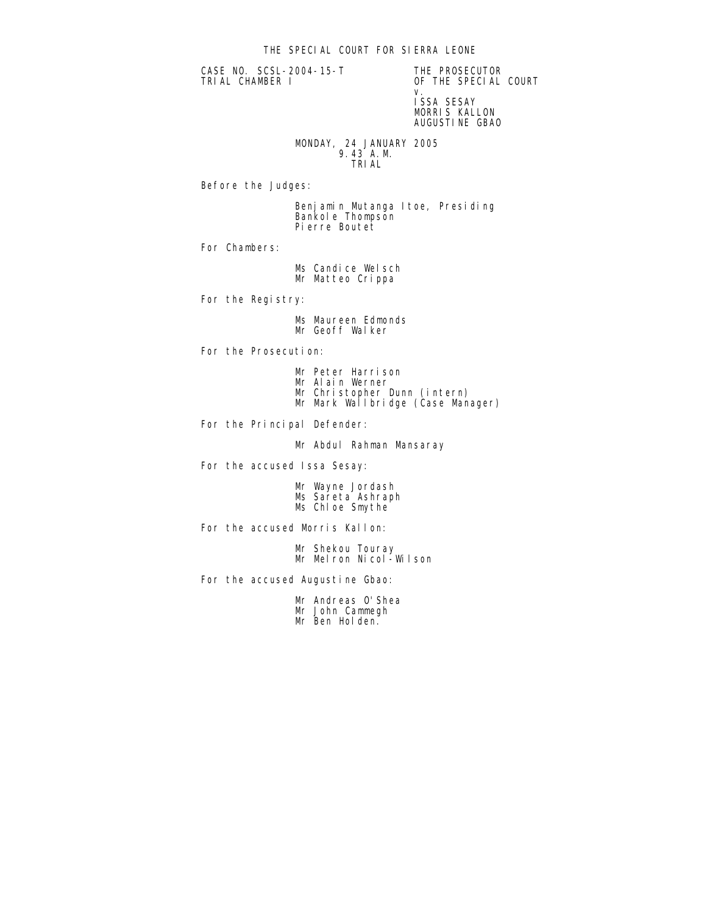CASE NO. SCSL-2004-15-T THE PROSECUTOR<br>TRIAL CHAMBER I OF THE SPECIAL

OF THE SPECIAL COURT v. ISSA SESAY MORRIS KALLON AUGUSTINE GBAO

 MONDAY, 24 JANUARY 2005 9.43 A.M. TRIAL

Before the Judges:

 Benjamin Mutanga Itoe, Presiding Bankole Thompson Pierre Boutet

For Chambers:

Ms Candice Welsch Mr Matteo Crippa

For the Registry:

 Ms Maureen Edmonds Mr Geoff Walker

For the Prosecution:

- Mr Peter Harrison
- Mr Alain Werner
- Mr Christopher Dunn (intern)
- Mr Mark Wallbridge (Case Manager)

For the Principal Defender:

Mr Abdul Rahman Mansaray

For the accused Issa Sesay:

 Mr Wayne Jordash Ms Sareta Ashraph Ms Chloe Smythe

For the accused Morris Kallon:

 Mr Shekou Touray Mr Melron Nicol-Wilson

For the accused Augustine Gbao:

 Mr Andreas O'Shea Mr John Cammegh Mr Ben Holden.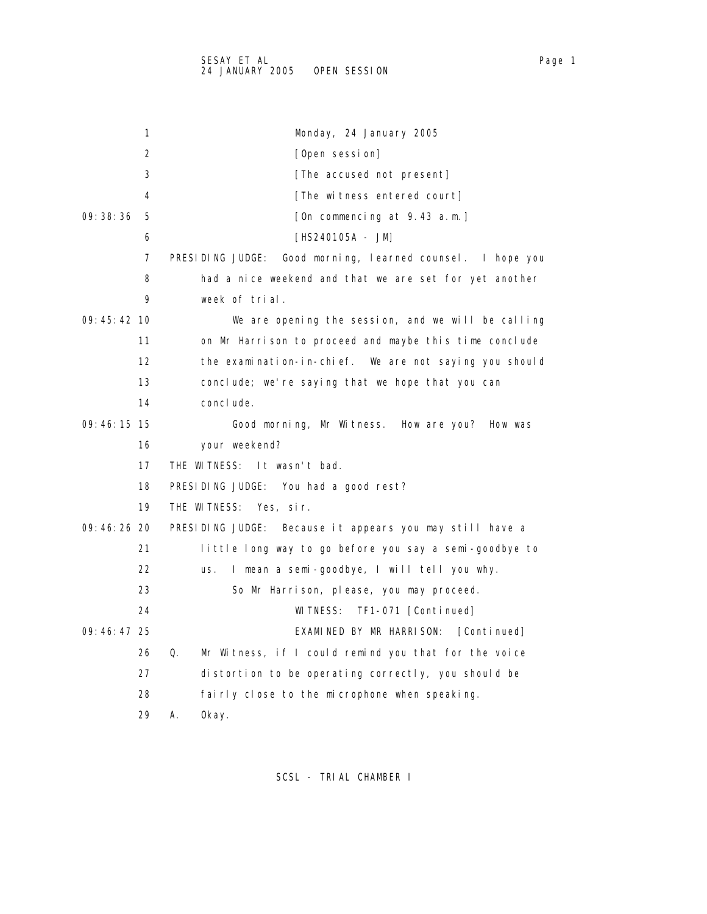1 Monday, 24 January 2005 2 [Open session] 3 **[The accused not present]** 4 [The witness entered court] 09:38:36 5 [On commencing at 9.43 a.m.] 6 [HS240105A - JM] 7 PRESIDING JUDGE: Good morning, learned counsel. I hope you 8 had a nice weekend and that we are set for yet another 9 week of trial. 09:45:42 10 We are opening the session, and we will be calling 11 on Mr Harrison to proceed and maybe this time conclude 12 the examination-in-chief. We are not saying you should 13 conclude; we're saying that we hope that you can 14 conclude. 09:46:15 15 Good morning, Mr Witness. How are you? How was 16 your weekend? 17 THE WITNESS: It wasn't bad. 18 PRESIDING JUDGE: You had a good rest? 19 THE WITNESS: Yes, sir. 09:46:26 20 PRESIDING JUDGE: Because it appears you may still have a 21 little long way to go before you say a semi-goodbye to 22 us. I mean a semi-goodbye, I will tell you why. 23 So Mr Harrison, please, you may proceed. 24 WITNESS: TF1-071 [Continued] 09:46:47 25 EXAMINED BY MR HARRISON: [Continued] 26 Q. Mr Witness, if I could remind you that for the voice 27 distortion to be operating correctly, you should be 28 fairly close to the microphone when speaking. 29 A. Okay.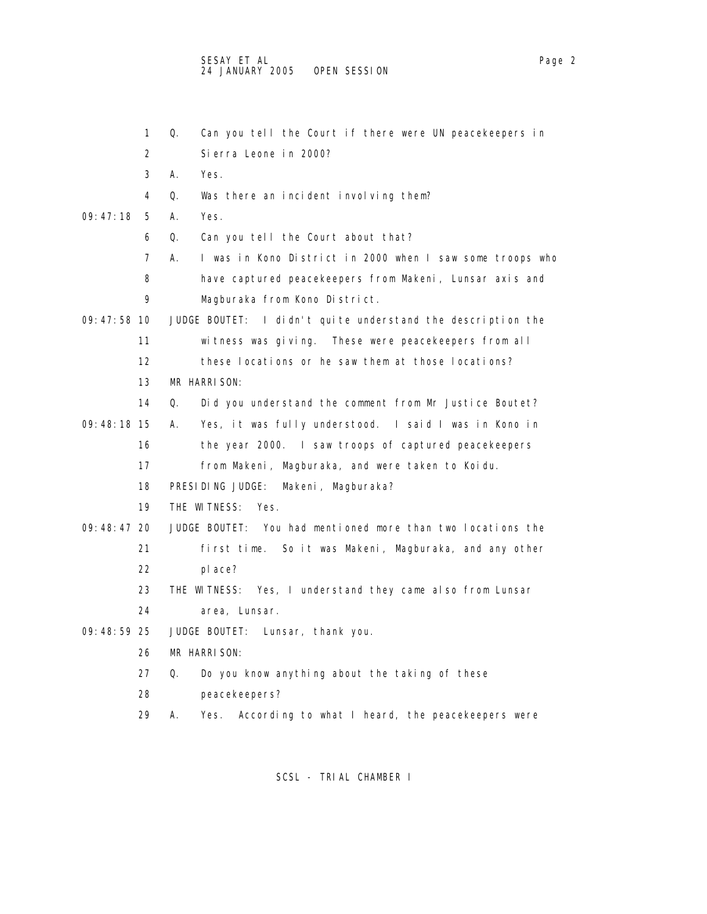1 Q. Can you tell the Court if there were UN peacekeepers in 2 Sierra Leone in 2000? 3 A. Yes. 4 Q. Was there an incident involving them? 09:47:18 5 A. Yes. 6 Q. Can you tell the Court about that? 7 A. I was in Kono District in 2000 when I saw some troops who 8 have captured peacekeepers from Makeni, Lunsar axis and 9 Magburaka from Kono District. 09:47:58 10 JUDGE BOUTET: I didn't quite understand the description the 11 witness was giving. These were peacekeepers from all 12 these locations or he saw them at those locations? 13 MR HARRISON: 14 Q. Did you understand the comment from Mr Justice Boutet? 09:48:18 15 A. Yes, it was fully understood. I said I was in Kono in 16 the year 2000. I saw troops of captured peacekeepers 17 from Makeni, Magburaka, and were taken to Koidu. 18 PRESIDING JUDGE: Makeni, Magburaka? 19 THE WITNESS: Yes. 09:48:47 20 JUDGE BOUTET: You had mentioned more than two locations the 21 first time. So it was Makeni, Magburaka, and any other 22 place? 23 THE WITNESS: Yes, I understand they came also from Lunsar 24 area, Lunsar. 09:48:59 25 JUDGE BOUTET: Lunsar, thank you. 26 MR HARRISON: 27 Q. Do you know anything about the taking of these 28 peacekeepers? 29 A. Yes. According to what I heard, the peacekeepers were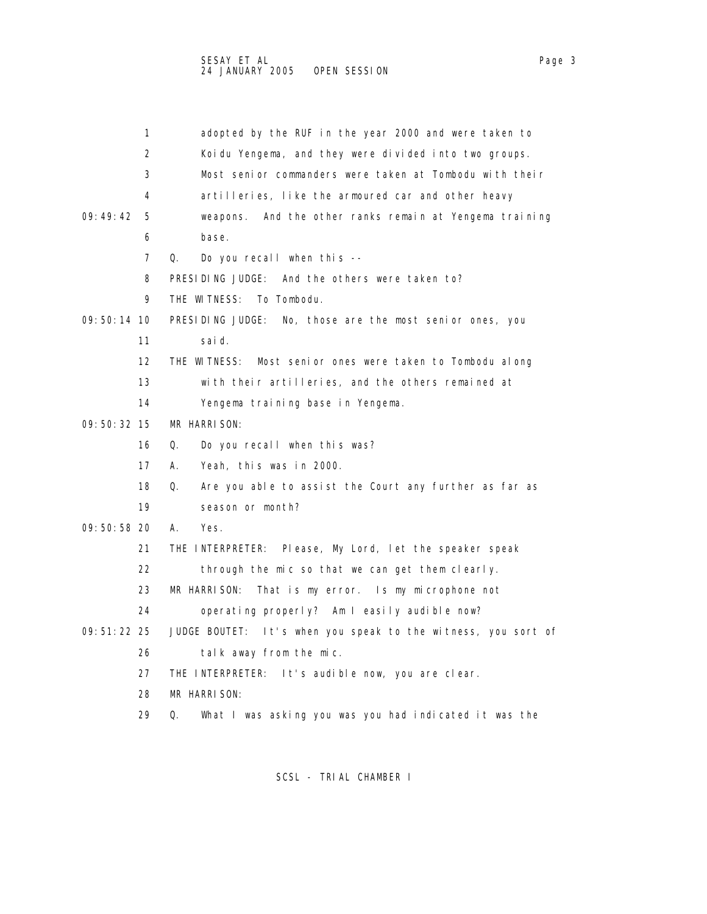|               | 1                 | adopted by the RUF in the year 2000 and were taken to            |
|---------------|-------------------|------------------------------------------------------------------|
|               | 2                 | Koidu Yengema, and they were divided into two groups.            |
|               | 3                 | Most senior commanders were taken at Tombodu with their          |
|               | 4                 | artilleries, like the armoured car and other heavy               |
| 09:49:42      | 5                 | weapons. And the other ranks remain at Yengema training          |
|               | 6                 | base.                                                            |
|               | 7                 | Q.<br>Do you recall when this $-$                                |
|               | 8                 | PRESIDING JUDGE: And the others were taken to?                   |
|               | 9                 | THE WITNESS:<br>To Tombodu.                                      |
| $09:50:14$ 10 |                   | PRESIDING JUDGE:<br>No, those are the most senior ones, you      |
|               | 11                | sai d.                                                           |
|               | $12 \overline{ }$ | THE WITNESS:<br>Most senior ones were taken to Tombodu along     |
|               | 13                | with their artilleries, and the others remained at               |
|               | 14                | Yengema training base in Yengema.                                |
| $09:50:32$ 15 |                   | MR HARRISON:                                                     |
|               | 16                | Do you recall when this was?<br>Q.                               |
|               | 17                | Yeah, this was in 2000.<br>А.                                    |
|               | 18                | Q.<br>Are you able to assist the Court any further as far as     |
|               | 19                | season or month?                                                 |
| 09:50:58 20   |                   | А.<br>Yes.                                                       |
|               | 21                | THE INTERPRETER: Please, My Lord, let the speaker speak          |
|               | 22                | through the mic so that we can get them clearly.                 |
|               | 23                | MR HARRISON:<br>That is my error. Is my microphone not           |
|               | 24                | operating properly? Am I easily audible now?                     |
| 09: 51: 22 25 |                   | JUDGE BOUTET:<br>It's when you speak to the witness, you sort of |
|               | 26                | talk away from the mic.                                          |
|               | 27                | THE INTERPRETER: It's audible now, you are clear.                |
|               | 28                | MR HARRISON:                                                     |
|               | 29                | Q.<br>What I was asking you was you had indicated it was the     |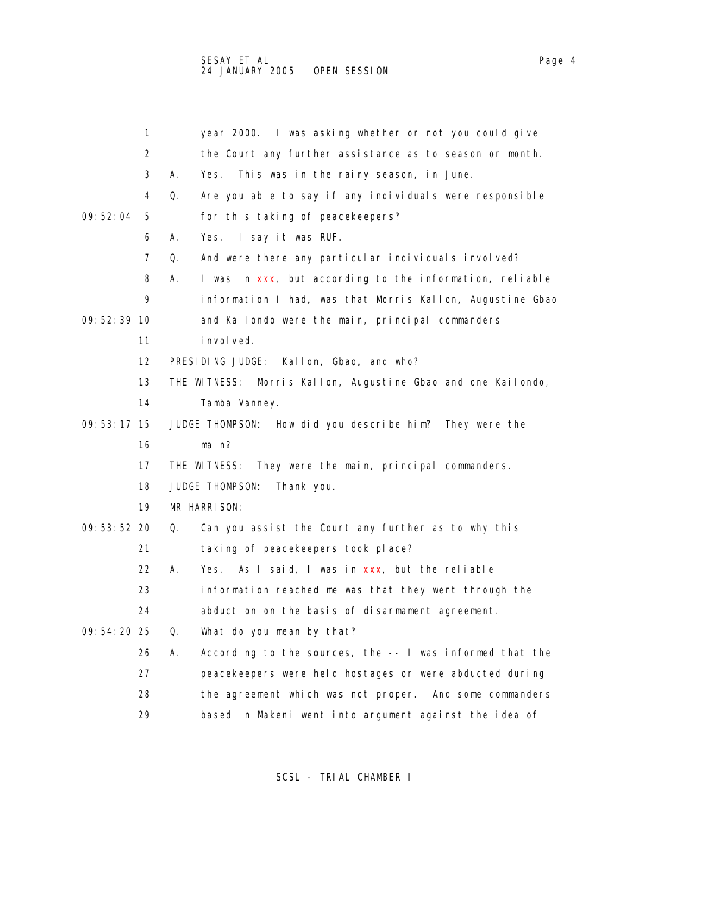|               | 1                 | year 2000. I was asking whether or not you could give           |
|---------------|-------------------|-----------------------------------------------------------------|
|               | 2                 | the Court any further assistance as to season or month.         |
|               | 3                 | А.<br>This was in the rainy season, in June.<br>Yes.            |
|               | 4                 | Q.<br>Are you able to say if any individuals were responsible   |
| 09: 52: 04    | 5                 | for this taking of peacekeepers?                                |
|               | 6                 | А.<br>Yes. I say it was RUF.                                    |
|               | 7                 | Q.<br>And were there any particular individuals involved?       |
|               | 8                 | А.<br>I was in xxx, but according to the information, reliable  |
|               | 9                 | information I had, was that Morris Kallon, Augustine Gbao       |
| 09:52:39:10   |                   | and Kailondo were the main, principal commanders                |
|               | 11                | <i>i</i> nvol yed.                                              |
|               | $12 \overline{ }$ | PRESIDING JUDGE:<br>Kallon, Gbao, and who?                      |
|               | 13                | Morris Kallon, Augustine Gbao and one Kailondo,<br>THE WITNESS: |
|               | 14                | Tamba Vanney.                                                   |
| $09:53:17$ 15 |                   | JUDGE THOMPSON: How did you describe him? They were the         |
|               | 16                | main?                                                           |
|               | 17                | THE WITNESS:<br>They were the main, principal commanders.       |
|               | 18                | JUDGE THOMPSON:<br>Thank you.                                   |
|               | 19                | MR HARRISON:                                                    |
| $09:53:52$ 20 |                   | Q.<br>Can you assist the Court any further as to why this       |
|               | 21                | taking of peacekeepers took place?                              |
|               | 22                | Yes. As I said, I was in xxx, but the reliable<br>А.            |
|               | 23                | information reached me was that they went through the           |
|               | 24                | abduction on the basis of disarmament agreement.                |
| 09: 54: 20 25 |                   | Q.<br>What do you mean by that?                                 |
|               | 26                | According to the sources, the -- I was informed that the<br>А.  |
|               | 27                | peacekeepers were held hostages or were abducted during         |
|               | 28                | the agreement which was not proper. And some commanders         |
|               | 29                | based in Makeni went into argument against the idea of          |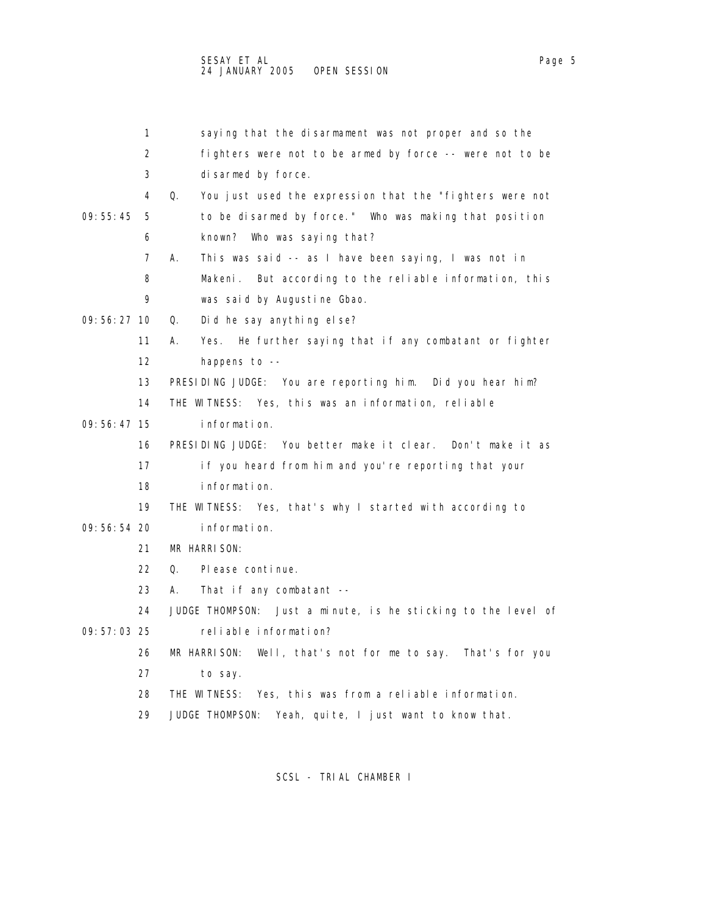|               | 1               |    | saying that the disarmament was not proper and so the     |
|---------------|-----------------|----|-----------------------------------------------------------|
|               | 2               |    | fighters were not to be armed by force -- were not to be  |
|               | 3               |    | disarmed by force.                                        |
|               | 4               | Q. | You just used the expression that the "fighters were not  |
| 09:55:45      | -5              |    | to be disarmed by force." Who was making that position    |
|               | 6               |    | known? Who was saying that?                               |
|               | $7^{\circ}$     | A. | This was said -- as I have been saying, I was not in      |
|               | 8               |    | Makeni. But according to the reliable information, this   |
|               | 9               |    | was said by Augustine Gbao.                               |
| $09:56:27$ 10 |                 | Q. | Did he say anything else?                                 |
|               | 11              | A. | Yes. He further saying that if any combatant or fighter   |
|               | 12 <sup>2</sup> |    | happens to $-$                                            |
|               | 13              |    | PRESIDING JUDGE: You are reporting him. Did you hear him? |

- 09:56:47 15 information.
	- 16 PRESIDING JUDGE: You better make it clear. Don't make it as
	- 17 if you heard from him and you're reporting that your
	- 18 information.
	- 19 THE WITNESS: Yes, that's why I started with according to

14 THE WITNESS: Yes, this was an information, reliable

- 09:56:54 20 information.
	- 21 MR HARRISON:
	- 22 Q. Please continue.
	- 23 A. That if any combatant --
	- 24 JUDGE THOMPSON: Just a minute, is he sticking to the level of
- 09:57:03 25 reliable information?
	- 26 MR HARRISON: Well, that's not for me to say. That's for you 27 to say.
		- 28 THE WITNESS: Yes, this was from a reliable information.
		- 29 JUDGE THOMPSON: Yeah, quite, I just want to know that.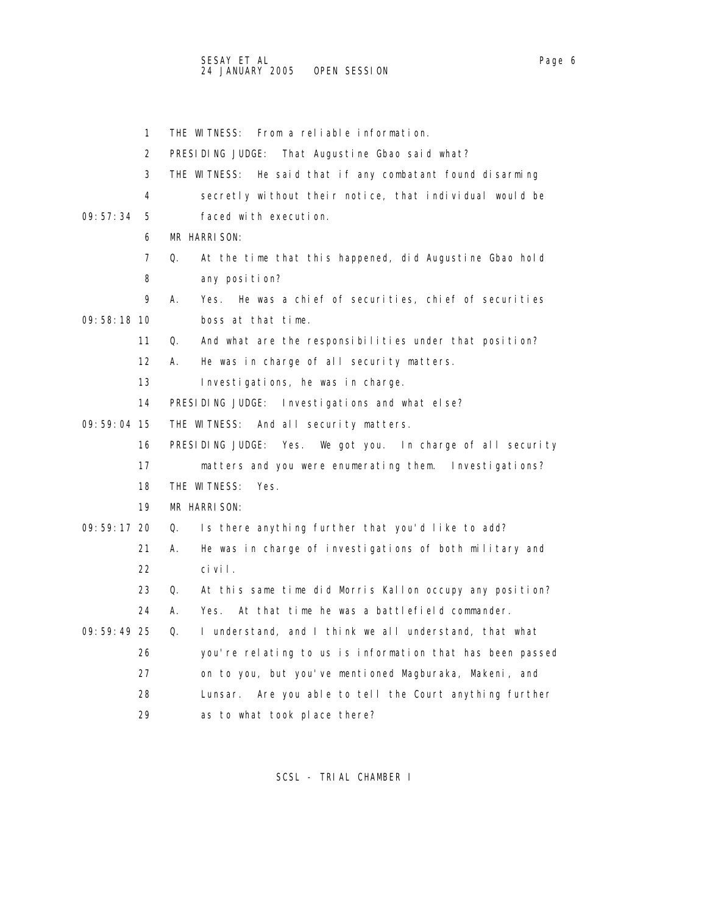- 
- 1 THE WITNESS: From a reliable information. 2 PRESIDING JUDGE: That Augustine Gbao said what? 3 THE WITNESS: He said that if any combatant found disarming 4 secretly without their notice, that individual would be 09:57:34 5 faced with execution. 6 MR HARRISON: 7 Q. At the time that this happened, did Augustine Gbao hold 8 any position? 9 A. Yes. He was a chief of securities, chief of securities 09:58:18 10 boss at that time. 11 Q. And what are the responsibilities under that position? 12 A. He was in charge of all security matters. 13 Investigations, he was in charge. 14 PRESIDING JUDGE: Investigations and what else? 09:59:04 15 THE WITNESS: And all security matters. 16 PRESIDING JUDGE: Yes. We got you. In charge of all security 17 matters and you were enumerating them. Investigations? 18 THE WITNESS: Yes. 19 MR HARRISON: 09:59:17 20 Q. Is there anything further that you'd like to add? 21 A. He was in charge of investigations of both military and 22 civil. 23 Q. At this same time did Morris Kallon occupy any position? 24 A. Yes. At that time he was a battlefield commander. 09:59:49 25 Q. I understand, and I think we all understand, that what 26 you're relating to us is information that has been passed 27 on to you, but you've mentioned Magburaka, Makeni, and 28 Lunsar. Are you able to tell the Court anything further 29 as to what took place there?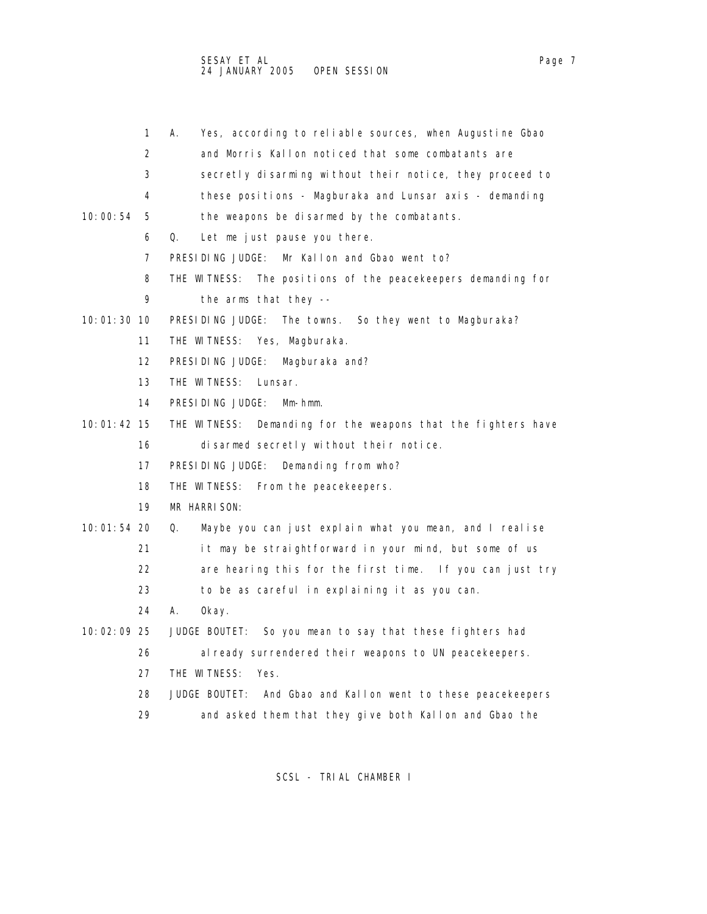- 1 A. Yes, according to reliable sources, when Augustine Gbao
- 2 and Morris Kallon noticed that some combatants are
- 3 secretly disarming without their notice, they proceed to
- 4 these positions Magburaka and Lunsar axis demanding
- 10:00:54 5 the weapons be disarmed by the combatants.
	- 6 Q. Let me just pause you there.
	- 7 PRESIDING JUDGE: Mr Kallon and Gbao went to?
	- 8 THE WITNESS: The positions of the peacekeepers demanding for
	- 9 the arms that they --
- 10:01:30 10 PRESIDING JUDGE: The towns. So they went to Magburaka?
	- 11 THE WITNESS: Yes, Magburaka.
	- 12 PRESIDING JUDGE: Magburaka and?
	- 13 THE WITNESS: Lunsar.
	- 14 PRESIDING JUDGE: Mm-hmm.
- 10:01:42 15 THE WITNESS: Demanding for the weapons that the fighters have 16 disarmed secretly without their notice.
	- 17 PRESIDING JUDGE: Demanding from who?
	- 18 THE WITNESS: From the peacekeepers.
	- 19 MR HARRISON:
- 10:01:54 20 Q. Maybe you can just explain what you mean, and I realise
	- 21 it may be straightforward in your mind, but some of us
	- 22 are hearing this for the first time. If you can just try
	- 23 to be as careful in explaining it as you can.
	- 24 A. Okay.
- 10:02:09 25 JUDGE BOUTET: So you mean to say that these fighters had
	- 26 already surrendered their weapons to UN peacekeepers.
	- 27 THE WITNESS: Yes.
	- 28 JUDGE BOUTET: And Gbao and Kallon went to these peacekeepers
	- 29 and asked them that they give both Kallon and Gbao the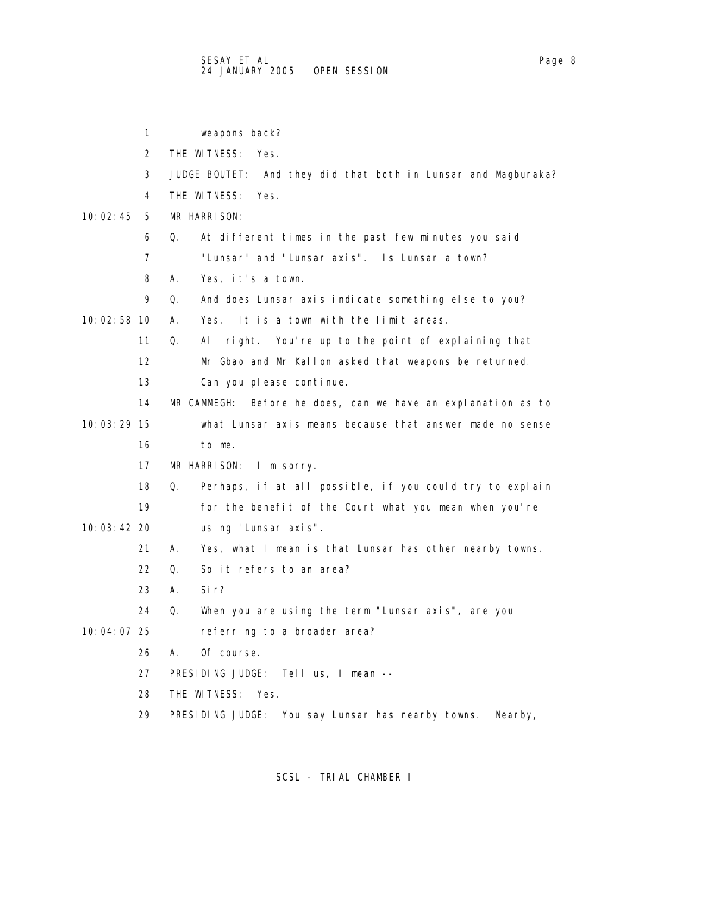|               | 1  | weapons back?                                                   |
|---------------|----|-----------------------------------------------------------------|
|               | 2  | THE WITNESS: Yes.                                               |
|               | 3  | JUDGE BOUTET: And they did that both in Lunsar and Magburaka?   |
|               | 4  | THE WITNESS:<br>Yes.                                            |
| 10: 02: 45    | 5  | MR HARRISON:                                                    |
|               | 6  | At different times in the past few minutes you said<br>Q.       |
|               | 7  | "Lunsar" and "Lunsar axis". Is Lunsar a town?                   |
|               | 8  | А.<br>Yes, it's a town.                                         |
|               | 9  | Q.<br>And does Lunsar axis indicate something else to you?      |
| 10:02:58 10   |    | Yes. It is a town with the limit areas.<br>А.                   |
|               | 11 | Q.<br>All right. You're up to the point of explaining that      |
|               | 12 | Mr Gbao and Mr Kallon asked that weapons be returned.           |
|               | 13 | Can you please continue.                                        |
|               | 14 | MR CAMMEGH:<br>Before he does, can we have an explanation as to |
| 10:03:29 15   |    | what Lunsar axis means because that answer made no sense        |
|               | 16 | to me.                                                          |
|               | 17 | MR HARRISON: I'm sorry.                                         |
|               | 18 | Perhaps, if at all possible, if you could try to explain<br>Q.  |
|               | 19 | for the benefit of the Court what you mean when you're          |
| $10:03:42$ 20 |    | using "Lunsar axis".                                            |
|               | 21 | Yes, what I mean is that Lunsar has other nearby towns.<br>А.   |
|               | 22 | So it refers to an area?<br>0.                                  |
|               | 23 | А.<br>Si r?                                                     |
|               | 24 | When you are using the term "Lunsar axis", are you<br>Q.        |
| 10:04:07 25   |    | referring to a broader area?                                    |
|               | 26 | Of course.<br>А.                                                |
|               | 27 | PRESIDING JUDGE: Tell us, I mean --                             |
|               | 28 | THE WITNESS:<br>Yes.                                            |
|               | 29 | PRESIDING JUDGE: You say Lunsar has nearby towns.<br>Nearby,    |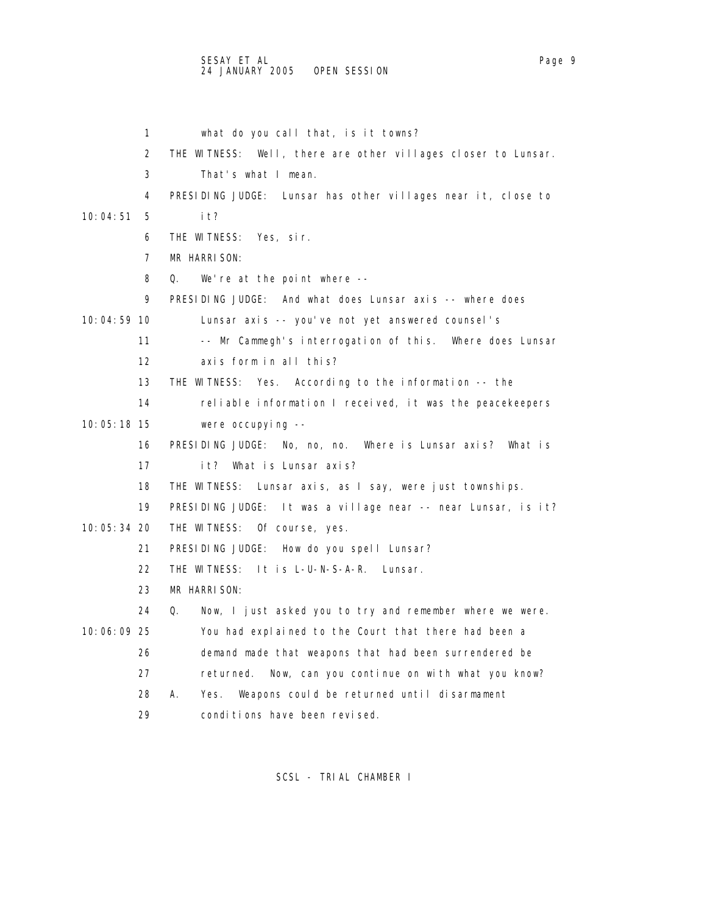## SESAY ET AL Page 9 24 JANUARY 2005 OPEN SESSION

 1 what do you call that, is it towns? 2 THE WITNESS: Well, there are other villages closer to Lunsar. 3 That's what I mean. 4 PRESIDING JUDGE: Lunsar has other villages near it, close to 10:04:51 5 it? 6 THE WITNESS: Yes, sir. 7 MR HARRISON: 8 Q. We're at the point where -- 9 PRESIDING JUDGE: And what does Lunsar axis -- where does 10:04:59 10 Lunsar axis -- you've not yet answered counsel's 11 -- Mr Cammegh's interrogation of this. Where does Lunsar 12 axis form in all this? 13 THE WITNESS: Yes. According to the information -- the 14 reliable information I received, it was the peacekeepers 10:05:18 15 were occupying -- 16 PRESIDING JUDGE: No, no, no. Where is Lunsar axis? What is 17 it? What is Lunsar axis? 18 THE WITNESS: Lunsar axis, as I say, were just townships. 19 PRESIDING JUDGE: It was a village near -- near Lunsar, is it? 10:05:34 20 THE WITNESS: Of course, yes. 21 PRESIDING JUDGE: How do you spell Lunsar? 22 THE WITNESS: It is L-U-N-S-A-R. Lunsar. 23 MR HARRISON: 24 Q. Now, I just asked you to try and remember where we were. 10:06:09 25 You had explained to the Court that there had been a 26 demand made that weapons that had been surrendered be 27 returned. Now, can you continue on with what you know? 28 A. Yes. Weapons could be returned until disarmament 29 conditions have been revised.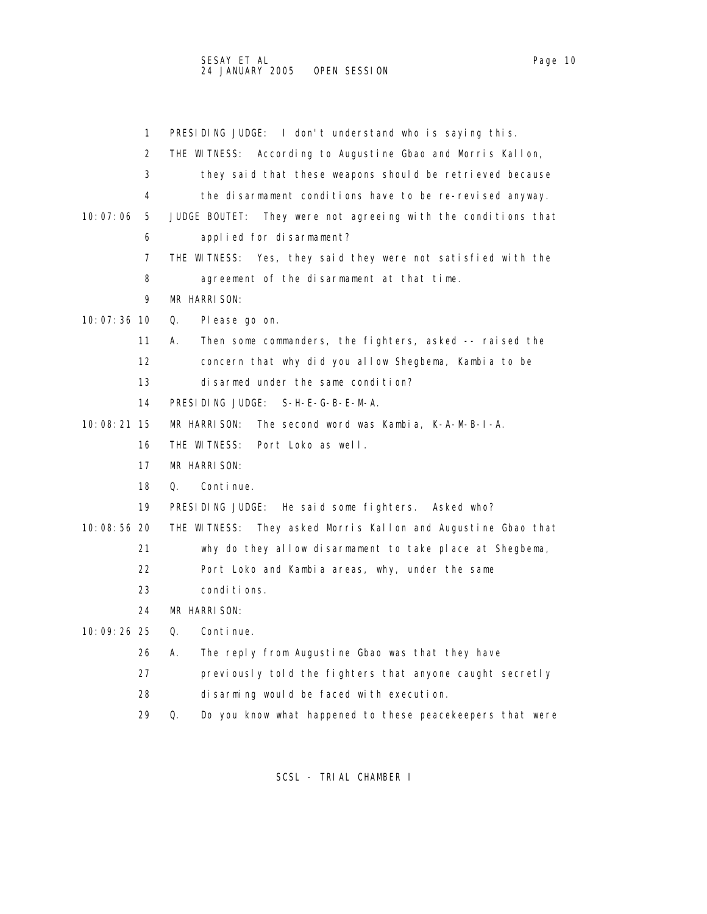|   | PRESIDING JUDGE: I don't understand who is saying this.                  |
|---|--------------------------------------------------------------------------|
| 2 | THE WITNESS: According to Augustine Gbao and Morris Kallon,              |
| 3 | they said that these weapons should be retrieved because                 |
| 4 | the disarmament conditions have to be re-revised anyway.                 |
|   | 10:07:06 5 JUDGE BOUTET: They were not agreeing with the conditions that |

- 6 applied for disarmament?
- 7 THE WITNESS: Yes, they said they were not satisfied with the 8 agreement of the disarmament at that time.
- 9 MR HARRISON:
- 10:07:36 10 Q. Please go on.
	- 11 A. Then some commanders, the fighters, asked -- raised the
	- 12 concern that why did you allow Shegbema, Kambia to be
	- 13 disarmed under the same condition?
	- 14 PRESIDING JUDGE: S-H-E-G-B-E-M-A.
- 10:08:21 15 MR HARRISON: The second word was Kambia, K-A-M-B-I-A.
	- 16 THE WITNESS: Port Loko as well.
	- 17 MR HARRISON:
	- 18 Q. Continue.
	- 19 PRESIDING JUDGE: He said some fighters. Asked who?
- 10:08:56 20 THE WITNESS: They asked Morris Kallon and Augustine Gbao that
	- 21 why do they allow disarmament to take place at Shegbema,
	- 22 Port Loko and Kambia areas, why, under the same
	- 23 conditions.
	- 24 MR HARRISON:
- 10:09:26 25 Q. Continue.
	- 26 A. The reply from Augustine Gbao was that they have
	- 27 previously told the fighters that anyone caught secretly
	- 28 disarming would be faced with execution.
	- 29 Q. Do you know what happened to these peacekeepers that were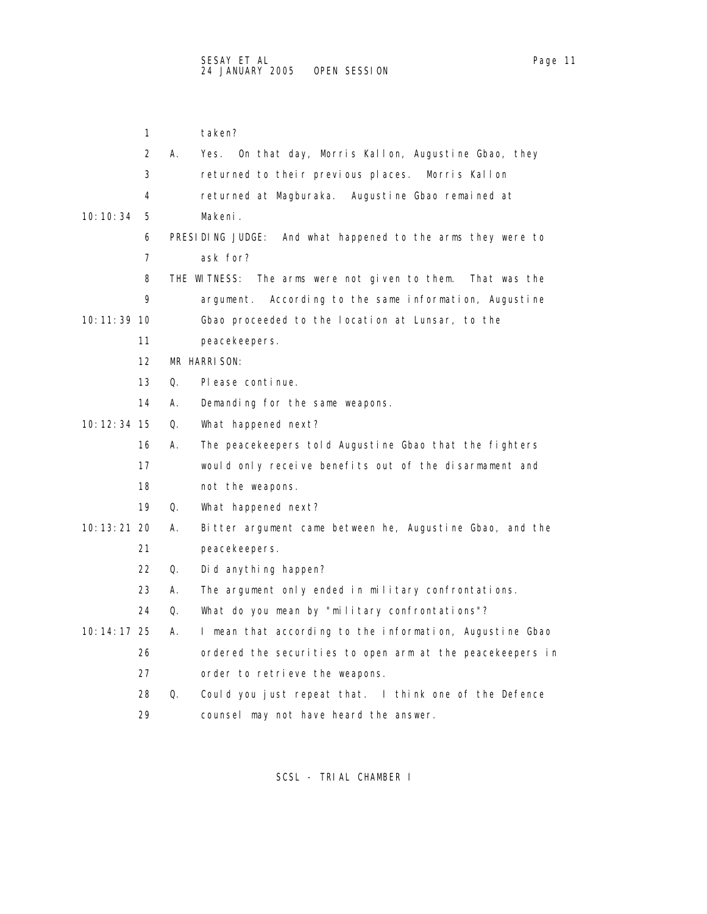1 taken? 2 A. Yes. On that day, Morris Kallon, Augustine Gbao, they 3 returned to their previous places. Morris Kallon 4 returned at Magburaka. Augustine Gbao remained at 10:10:34 5 Makeni. 6 PRESIDING JUDGE: And what happened to the arms they were to 7 ask for? 8 THE WITNESS: The arms were not given to them. That was the 9 argument. According to the same information, Augustine 10:11:39 10 Gbao proceeded to the location at Lunsar, to the 11 peacekeepers. 12 MR HARRISON: 13 Q. Please continue. 14 A. Demanding for the same weapons. 10:12:34 15 Q. What happened next? 16 A. The peacekeepers told Augustine Gbao that the fighters 17 would only receive benefits out of the disarmament and 18 not the weapons. 19 Q. What happened next? 10:13:21 20 A. Bitter argument came between he, Augustine Gbao, and the 21 peacekeepers. 22 Q. Did anything happen? 23 A. The argument only ended in military confrontations. 24 Q. What do you mean by "military confrontations"? 10:14:17 25 A. I mean that according to the information, Augustine Gbao 26 ordered the securities to open arm at the peacekeepers in 27 order to retrieve the weapons. 28 Q. Could you just repeat that. I think one of the Defence

29 counsel may not have heard the answer.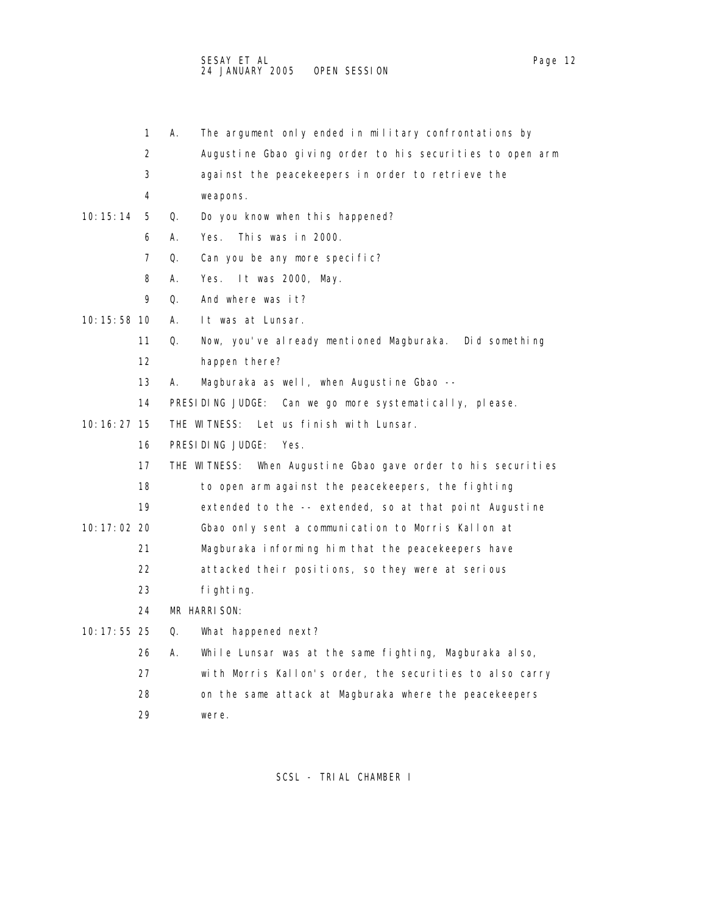- 1 A. The argument only ended in military confrontations by
- 2 Augustine Gbao giving order to his securities to open arm
- 3 against the peacekeepers in order to retrieve the
- 4 weapons.
- 10:15:14 5 Q. Do you know when this happened?
	- 6 A. Yes. This was in 2000.
	- 7 Q. Can you be any more specific?
	- 8 A. Yes. It was 2000, May.
	- 9 Q. And where was it?
- 10:15:58 10 A. It was at Lunsar.
	- 11 Q. Now, you've already mentioned Magburaka. Did something
	- 12 happen there?
	- 13 A. Magburaka as well, when Augustine Gbao --
	- 14 PRESIDING JUDGE: Can we go more systematically, please.
- 10:16:27 15 THE WITNESS: Let us finish with Lunsar.
	- 16 PRESIDING JUDGE: Yes.
	- 17 THE WITNESS: When Augustine Gbao gave order to his securities
	- 18 to open arm against the peacekeepers, the fighting
	- 19 extended to the -- extended, so at that point Augustine
- 10:17:02 20 Gbao only sent a communication to Morris Kallon at
	- 21 Magburaka informing him that the peacekeepers have
	- 22 attacked their positions, so they were at serious
	- 23 fighting.
	- 24 MR HARRISON:
- 10:17:55 25 Q. What happened next?
	- 26 A. While Lunsar was at the same fighting, Magburaka also,
	- 27 with Morris Kallon's order, the securities to also carry
	- 28 on the same attack at Magburaka where the peacekeepers
	- 29 were.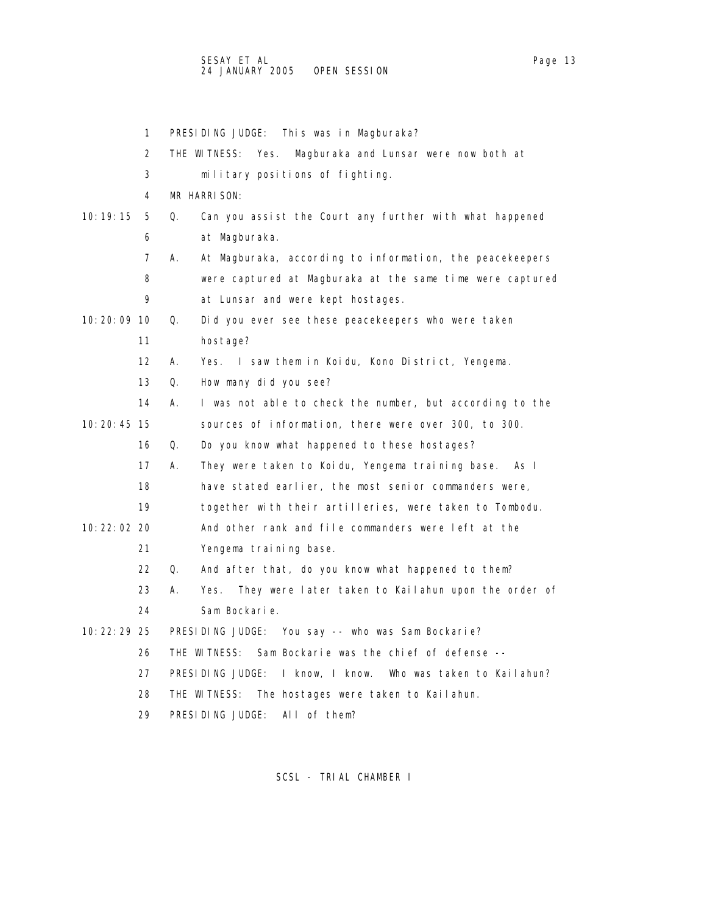1 PRESIDING JUDGE: This was in Magburaka? 2 THE WITNESS: Yes. Magburaka and Lunsar were now both at 3 military positions of fighting. 4 MR HARRISON: 10:19:15 5 Q. Can you assist the Court any further with what happened 6 at Magburaka. 7 A. At Magburaka, according to information, the peacekeepers 8 were captured at Magburaka at the same time were captured 9 at Lunsar and were kept hostages. 10:20:09 10 Q. Did you ever see these peacekeepers who were taken 11 hostage? 12 A. Yes. I saw them in Koidu, Kono District, Yengema. 13 Q. How many did you see? 14 A. I was not able to check the number, but according to the 10:20:45 15 sources of information, there were over 300, to 300. 16 Q. Do you know what happened to these hostages? 17 A. They were taken to Koidu, Yengema training base. As I 18 have stated earlier, the most senior commanders were, 19 together with their artilleries, were taken to Tombodu. 10:22:02 20 And other rank and file commanders were left at the 21 Yengema training base. 22 Q. And after that, do you know what happened to them? 23 A. Yes. They were later taken to Kailahun upon the order of 24 Sam Bockarie. 10:22:29 25 PRESIDING JUDGE: You say -- who was Sam Bockarie? 26 THE WITNESS: Sam Bockarie was the chief of defense -- 27 PRESIDING JUDGE: I know, I know. Who was taken to Kailahun? 28 THE WITNESS: The hostages were taken to Kailahun. 29 PRESIDING JUDGE: All of them?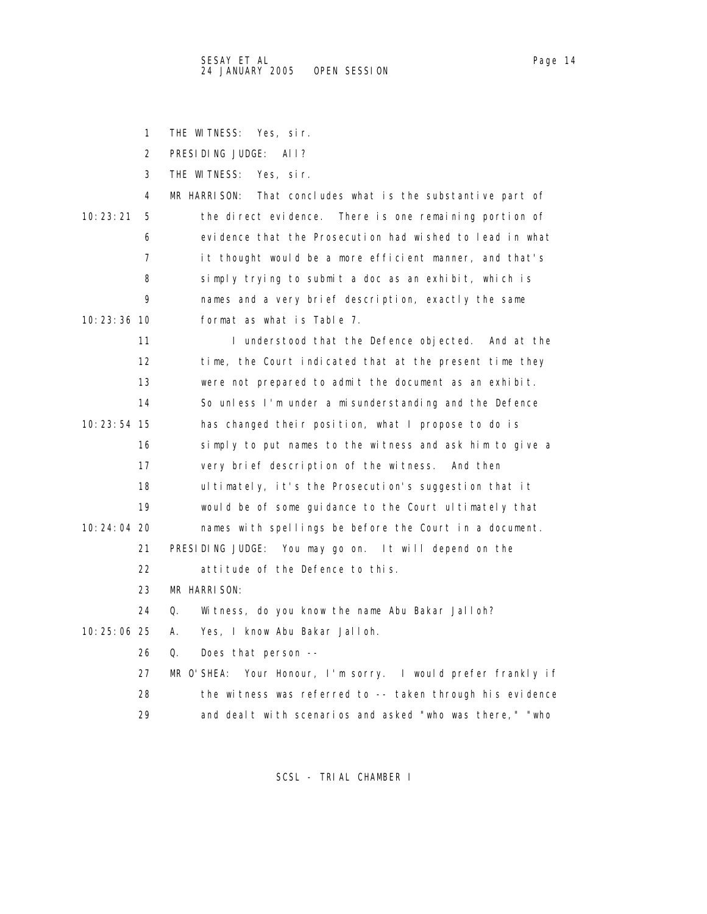1 THE WITNESS: Yes, sir.

2 PRESIDING JUDGE: All?

3 THE WITNESS: Yes, sir.

4 MR HARRISON: That concludes what is the substantive part of 10:23:21 5 the direct evidence. There is one remaining portion of 6 evidence that the Prosecution had wished to lead in what 7 it thought would be a more efficient manner, and that's 8 simply trying to submit a doc as an exhibit, which is 9 names and a very brief description, exactly the same 10:23:36 10 format as what is Table 7.

11 I understood that the Defence objected. And at the 12 time, the Court indicated that at the present time they 13 were not prepared to admit the document as an exhibit. 14 So unless I'm under a misunderstanding and the Defence 10:23:54 15 has changed their position, what I propose to do is 16 simply to put names to the witness and ask him to give a 17 very brief description of the witness. And then 18 ultimately, it's the Prosecution's suggestion that it 19 would be of some guidance to the Court ultimately that 10:24:04 20 names with spellings be before the Court in a document. 21 PRESIDING JUDGE: You may go on. It will depend on the 22 attitude of the Defence to this. 23 MR HARRISON:

24 Q. Witness, do you know the name Abu Bakar Jalloh?

10:25:06 25 A. Yes, I know Abu Bakar Jalloh.

26 Q. Does that person --

 27 MR O'SHEA: Your Honour, I'm sorry. I would prefer frankly if 28 the witness was referred to -- taken through his evidence 29 and dealt with scenarios and asked "who was there," "who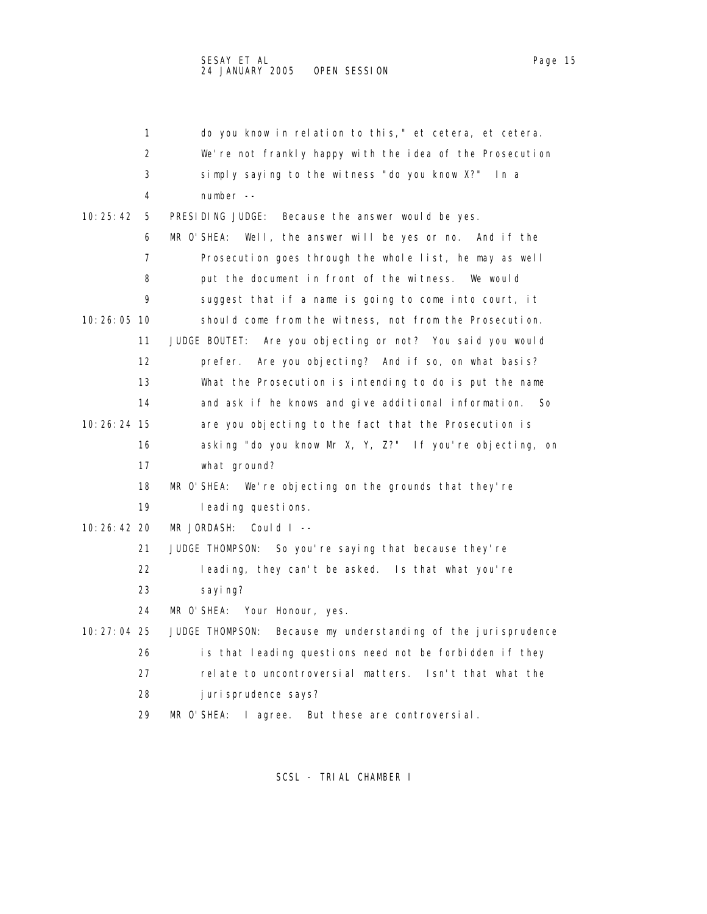|               | 1  | do you know in relation to this," et cetera, et cetera.          |
|---------------|----|------------------------------------------------------------------|
|               | 2  | We're not frankly happy with the idea of the Prosecution         |
|               | 3  | simply saying to the witness "do you know X?" In a               |
|               | 4  | $number - -$                                                     |
| 10:25:42      | 5  | PRESIDING JUDGE:<br>Because the answer would be yes.             |
|               | 6  | MR O'SHEA: Well, the answer will be yes or no. And if the        |
|               | 7  | Prosecution goes through the whole list, he may as well          |
|               | 8  | put the document in front of the witness. We would               |
|               | 9  | suggest that if a name is going to come into court, it           |
| 10:26:05 10   |    | should come from the witness, not from the Prosecution.          |
|               | 11 | JUDGE BOUTET: Are you objecting or not? You said you would       |
|               | 12 | prefer. Are you objecting? And if so, on what basis?             |
|               | 13 | What the Prosecution is intending to do is put the name          |
|               | 14 | and ask if he knows and give additional information.<br>So       |
| 10:26:24 15   |    | are you objecting to the fact that the Prosecution is            |
|               | 16 | asking "do you know Mr X, Y, Z?" If you're objecting, on         |
|               | 17 | what ground?                                                     |
|               | 18 | MR O'SHEA: We're objecting on the grounds that they're           |
|               | 19 | leading questions.                                               |
| $10:26:42$ 20 |    | MR JORDASH:<br>Could $I -$                                       |
|               | 21 | JUDGE THOMPSON: So you're saying that because they're            |
|               | 22 | leading, they can't be asked. Is that what you're                |
|               | 23 | sayi ng?                                                         |
|               | 24 | MR O'SHEA: Your Honour, yes.                                     |
| 10: 27: 04 25 |    | Because my understanding of the jurisprudence<br>JUDGE THOMPSON: |
|               | 26 | is that leading questions need not be forbidden if they          |
|               | 27 | relate to uncontroversial matters. Isn't that what the           |
|               | 28 | juri sprudence says?                                             |
|               | 29 | MR O'SHEA: I agree. But these are controversial.                 |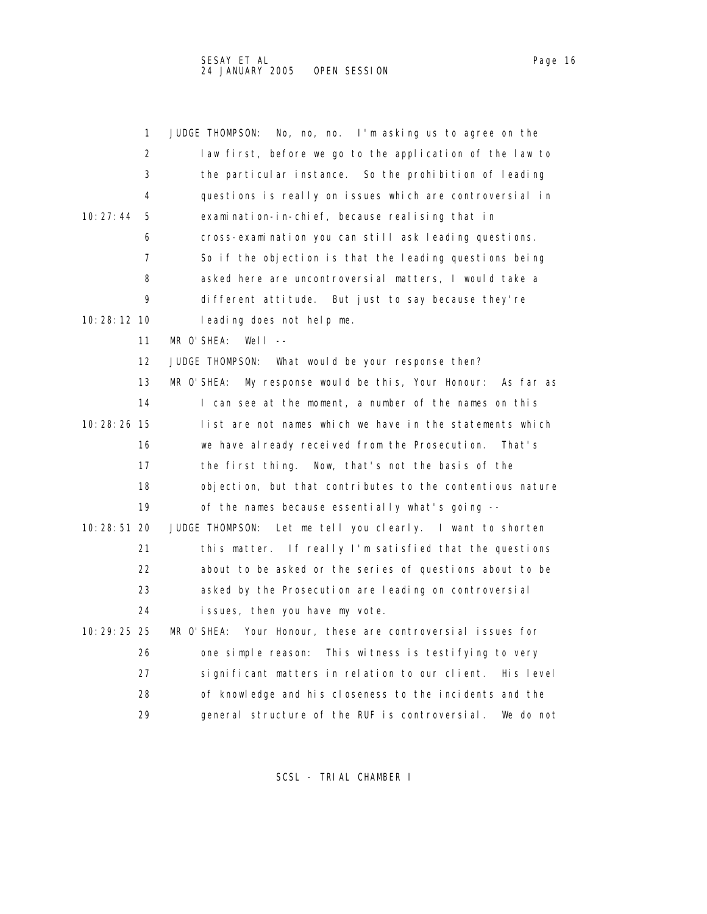| 1                 | JUDGE THOMPSON:<br>No, no, no. I'm asking us to agree on the    |
|-------------------|-----------------------------------------------------------------|
| 2                 | law first, before we go to the application of the law to        |
| 3                 | the particular instance. So the prohibition of leading          |
| 4                 | questions is really on issues which are controversial in        |
| 10:27:44<br>5     | examination-in-chief, because realising that in                 |
| 6                 | cross-examination you can still ask leading questions.          |
| 7                 | So if the objection is that the leading questions being         |
| 8                 | asked here are uncontroversial matters, I would take a          |
| 9                 | different attitude. But just to say because they're             |
| 10: 28: 12 10     | leading does not help me.                                       |
| 11                | MR O'SHEA:<br>Well $--$                                         |
| $12 \overline{ }$ | JUDGE THOMPSON: What would be your response then?               |
| 13                | My response would be this, Your Honour: As far as<br>MR O'SHEA: |
| 14                | I can see at the moment, a number of the names on this          |
| 10:28:26 15       | list are not names which we have in the statements which        |
| 16                | we have already received from the Prosecution.<br>That's        |
| 17                | Now, that's not the basis of the<br>the first thing.            |
| 18                | objection, but that contributes to the contentious nature       |
| 19                | of the names because essentially what's going --                |
| 10: 28: 51 20     | JUDGE THOMPSON:<br>Let me tell you clearly. I want to shorten   |
| 21                | this matter. If really I'm satisfied that the questions         |
| 22                | about to be asked or the series of questions about to be        |
| 23                | asked by the Prosecution are leading on controversial           |
| 24                | issues, then you have my vote.                                  |
| 10: 29: 25 25     | MR O'SHEA: Your Honour, these are controversial issues for      |
| 26                | This witness is testifying to very<br>one simple reason:        |
| 27                | significant matters in relation to our client. His level        |
| 28                | of knowledge and his closeness to the incidents and the         |
| 29                | general structure of the RUF is controversial.<br>We do not     |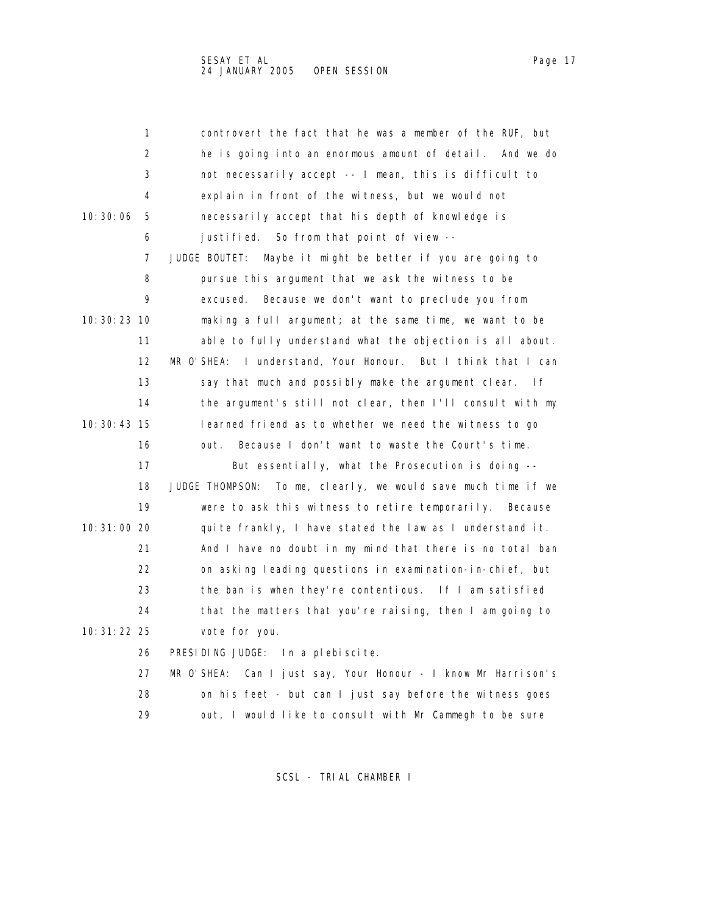1 controvert the fact that he was a member of the RUF, but 2 he is going into an enormous amount of detail. And we do 3 not necessarily accept -- I mean, this is difficult to 4 explain in front of the witness, but we would not 10:30:06 5 necessarily accept that his depth of knowledge is 6 justified. So from that point of view -- 7 JUDGE BOUTET: Maybe it might be better if you are going to 8 pursue this argument that we ask the witness to be 9 excused. Because we don't want to preclude you from 10:30:23 10 making a full argument; at the same time, we want to be 11 able to fully understand what the objection is all about. 12 MR O'SHEA: I understand, Your Honour. But I think that I can 13 say that much and possibly make the argument clear. If 14 the argument's still not clear, then I'll consult with my 10:30:43 15 learned friend as to whether we need the witness to go 16 out. Because I don't want to waste the Court's time. 17 But essentially, what the Prosecution is doing -- 18 JUDGE THOMPSON: To me, clearly, we would save much time if we 19 were to ask this witness to retire temporarily. Because 10:31:00 20 quite frankly, I have stated the law as I understand it. 21 And I have no doubt in my mind that there is no total ban 22 on asking leading questions in examination-in-chief, but 23 the ban is when they're contentious. If I am satisfied 24 that the matters that you're raising, then I am going to 10:31:22 25 vote for you. 26 PRESIDING JUDGE: In a plebiscite.

 27 MR O'SHEA: Can I just say, Your Honour - I know Mr Harrison's 28 on his feet - but can I just say before the witness goes 29 out, I would like to consult with Mr Cammegh to be sure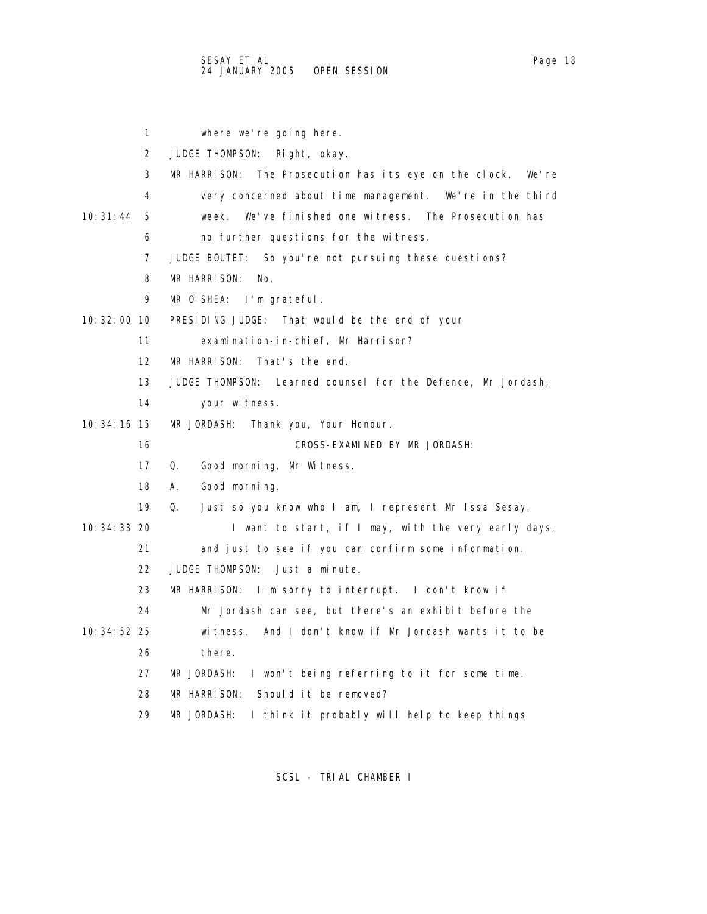|               | 1  | where we're going here.                                            |
|---------------|----|--------------------------------------------------------------------|
|               | 2  | JUDGE THOMPSON: Right, okay.                                       |
|               | 3  | MR HARRISON:<br>The Prosecution has its eye on the clock.<br>We're |
|               | 4  | very concerned about time management. We're in the third           |
| 10:31:44      | 5  | We've finished one witness. The Prosecution has<br>week.           |
|               | 6  | no further questions for the witness.                              |
|               | 7  | JUDGE BOUTET: So you're not pursuing these questions?              |
|               | 8  | MR HARRISON:<br>No.                                                |
|               | 9  | MR O'SHEA: I'm grateful.                                           |
| 10: 32: 00 10 |    | PRESIDING JUDGE: That would be the end of your                     |
|               | 11 | examination-in-chief, Mr Harrison?                                 |
|               | 12 | MR HARRISON:<br>That's the end.                                    |
|               | 13 | JUDGE THOMPSON: Learned counsel for the Defence, Mr Jordash,       |
|               | 14 | your witness.                                                      |
| 10: 34: 16 15 |    | MR JORDASH: Thank you, Your Honour.                                |
|               | 16 | CROSS-EXAMINED BY MR JORDASH:                                      |
|               |    | Good morning, Mr Witness.<br>Q.                                    |
|               | 17 |                                                                    |
|               | 18 | Good morning.<br>А.                                                |
|               | 19 | Q.<br>Just so you know who I am, I represent Mr Issa Sesay.        |
| 10: 34: 33 20 |    | I want to start, if I may, with the very early days,               |
|               | 21 | and just to see if you can confirm some information.               |
|               | 22 | JUDGE THOMPSON:<br>Just a minute.                                  |
|               | 23 | MR HARRISON: I'm sorry to interrupt. I don't know if               |
|               | 24 | Mr Jordash can see, but there's an exhibit before the              |
| 10: 34: 52 25 |    | And I don't know if Mr Jordash wants it to be<br>witness.          |
|               | 26 | there.                                                             |
|               | 27 | MR JORDASH: I won't being referring to it for some time.           |
|               | 28 | MR HARRISON:<br>Should it be removed?                              |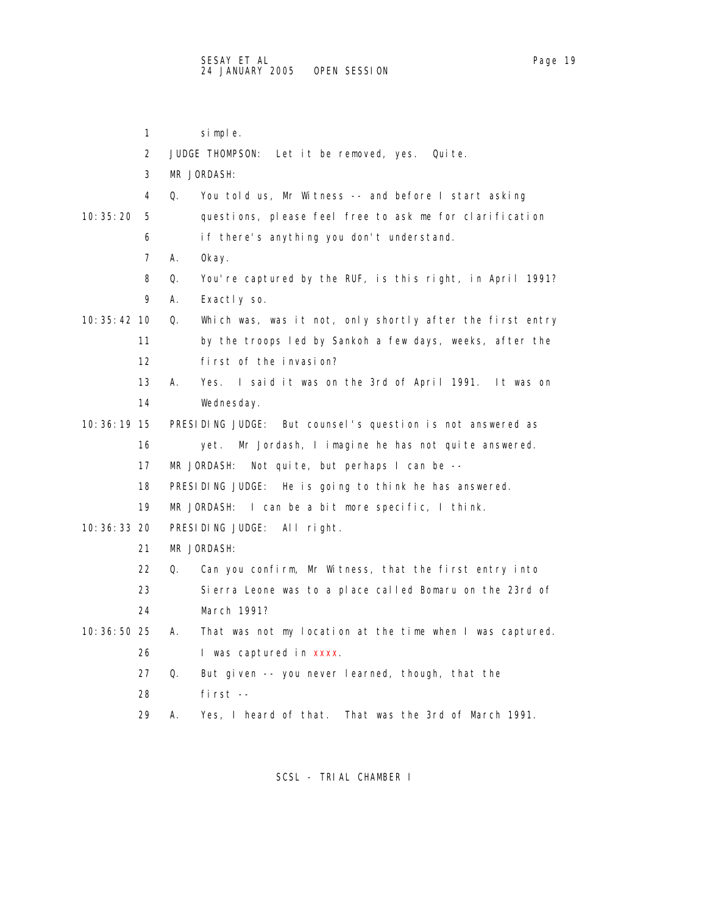|               | 1  | simple.                                                         |
|---------------|----|-----------------------------------------------------------------|
|               | 2  | JUDGE THOMPSON:<br>Let it be removed, yes.<br>Quite.            |
|               | 3  | MR JORDASH:                                                     |
|               | 4  | Q.<br>You told us, Mr Witness -- and before I start asking      |
| 10: 35: 20    | 5  | questions, please feel free to ask me for clarification         |
|               | 6  | if there's anything you don't understand.                       |
|               | 7  | А.<br>0kay.                                                     |
|               | 8  | You're captured by the RUF, is this right, in April 1991?<br>Q. |
|               | 9  | А.<br>Exactly so.                                               |
| 10: 35: 42 10 |    | Q.<br>Which was, was it not, only shortly after the first entry |
|               | 11 | by the troops led by Sankoh a few days, weeks, after the        |
|               | 12 | first of the invasion?                                          |
|               | 13 | I said it was on the 3rd of April 1991. It was on<br>А.<br>Yes. |
|               | 14 | Wednesday.                                                      |
| 10: 36: 19 15 |    | PRESIDING JUDGE:<br>But counsel's question is not answered as   |
|               | 16 | Mr Jordash, I imagine he has not quite answered.<br>yet.        |
|               | 17 | MR JORDASH:<br>Not quite, but perhaps I can be --               |
|               | 18 | PRESIDING JUDGE: He is going to think he has answered.          |
|               | 19 | MR JORDASH:<br>I can be a bit more specific, I think.           |
| 10: 36: 33 20 |    | PRESIDING JUDGE: All right.                                     |
|               | 21 | MR JORDASH:                                                     |
|               | 22 | Can you confirm, Mr Witness, that the first entry into<br>Q.    |
|               | 23 | Sierra Leone was to a place called Bomaru on the 23rd of        |
|               | 24 | March 1991?                                                     |
| 10: 36: 50 25 |    | That was not my location at the time when I was captured.<br>А. |
|               | 26 | I was captured in xxxx.                                         |
|               | 27 | Q.<br>But given -- you never learned, though, that the          |
|               | 28 | first --                                                        |
|               | 29 | Yes, I heard of that.<br>That was the 3rd of March 1991.<br>А.  |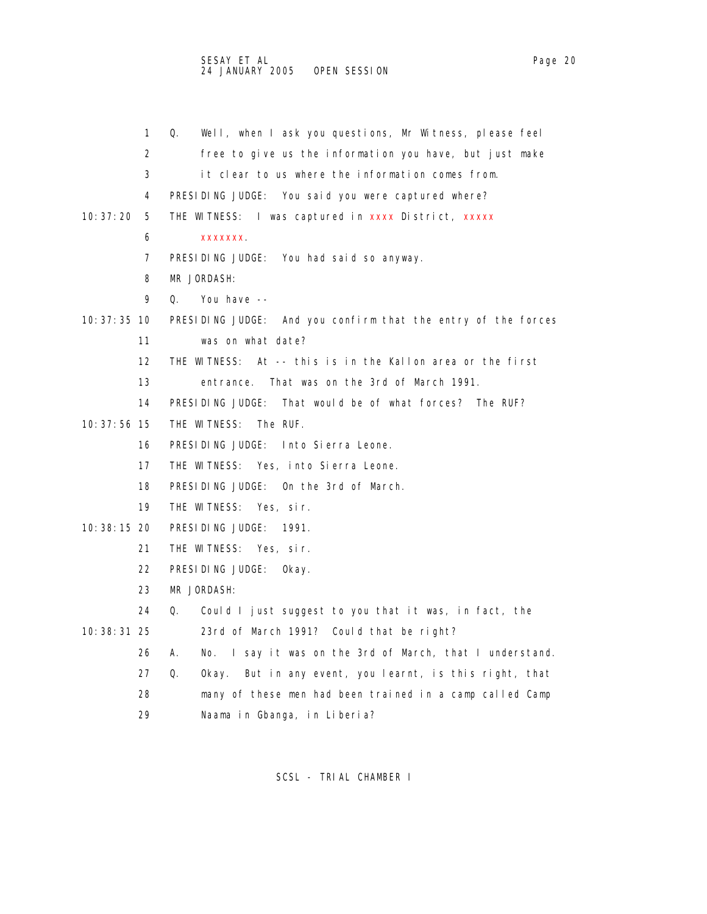|               | 1                 | Well, when I ask you questions, Mr Witness, please feel<br>Q.    |
|---------------|-------------------|------------------------------------------------------------------|
|               | 2                 | free to give us the information you have, but just make          |
|               | 3                 | it clear to us where the information comes from.                 |
|               | 4                 | PRESIDING JUDGE: You said you were captured where?               |
| 10:37:20      | 5                 | THE WITNESS: I was captured in xxxx District, xxxxx              |
|               | 6                 | <b>XXXXXXX</b>                                                   |
|               | 7                 | PRESIDING JUDGE: You had said so anyway.                         |
|               | 8                 | MR JORDASH:                                                      |
|               | 9                 | 0.<br>You have --                                                |
| $10:37:35$ 10 |                   | PRESIDING JUDGE: And you confirm that the entry of the forces    |
|               | 11                | was on what date?                                                |
|               | $12 \overline{ }$ | THE WITNESS: At -- this is in the Kallon area or the first       |
|               | 13                | That was on the 3rd of March 1991.<br>entrance.                  |
|               | 14                | PRESIDING JUDGE:<br>That would be of what forces? The RUF?       |
| 10: 37: 56 15 |                   | THE WITNESS: The RUF.                                            |
|               | 16                | PRESIDING JUDGE: Into Sierra Leone.                              |
|               | 17                | THE WITNESS: Yes, into Sierra Leone.                             |
|               | 18                | PRESIDING JUDGE: On the 3rd of March.                            |
|               | 19                | THE WITNESS: Yes. sir.                                           |
| 10: 38: 15 20 |                   | PRESIDING JUDGE:<br>1991.                                        |
|               | 21                | THE WITNESS: Yes, sir.                                           |
|               | 22                | PRESIDING JUDGE:<br>0kay.                                        |
|               | 23                | MR JORDASH:                                                      |
|               | 24                | Could I just suggest to you that it was, in fact, the<br>Q.      |
| 10: 38: 31 25 |                   | 23rd of March 1991? Could that be right?                         |
|               | 26                | No. I say it was on the 3rd of March, that I understand.<br>А.   |
|               | 27                | Q.<br>But in any event, you learnt, is this right, that<br>0kay. |
|               | 28                | many of these men had been trained in a camp called Camp         |
|               |                   |                                                                  |

29 Naama in Gbanga, in Liberia?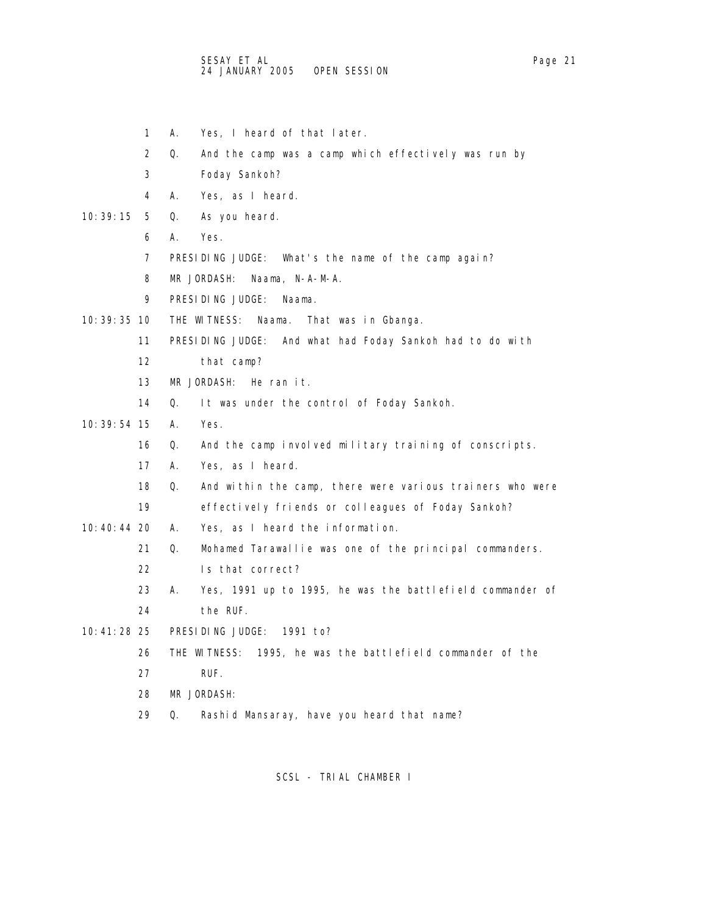- 1 A. Yes, I heard of that later.
- 2 Q. And the camp was a camp which effectively was run by
- 3 Foday Sankoh?
- 4 A. Yes, as I heard.
- 10:39:15 5 Q. As you heard.
	- 6 A. Yes.
	- 7 PRESIDING JUDGE: What's the name of the camp again?
	- 8 MR JORDASH: Naama, N-A-M-A.
	- 9 PRESIDING JUDGE: Naama.
- 10:39:35 10 THE WITNESS: Naama. That was in Gbanga.
	- 11 PRESIDING JUDGE: And what had Foday Sankoh had to do with
	- 12 that camp?
	- 13 MR JORDASH: He ran it.
	- 14 Q. It was under the control of Foday Sankoh.
- 10:39:54 15 A. Yes.
	- 16 Q. And the camp involved military training of conscripts.
	- 17 A. Yes, as I heard.
	- 18 Q. And within the camp, there were various trainers who were
	- 19 effectively friends or colleagues of Foday Sankoh?
- 10:40:44 20 A. Yes, as I heard the information.
	- 21 Q. Mohamed Tarawallie was one of the principal commanders.
	- 22 Is that correct?
	- 23 A. Yes, 1991 up to 1995, he was the battlefield commander of
	- 24 the RUF.
- 10:41:28 25 PRESIDING JUDGE: 1991 to?
	- 26 THE WITNESS: 1995, he was the battlefield commander of the
	- 27 RUF.
	- 28 MR JORDASH:
	- 29 Q. Rashid Mansaray, have you heard that name?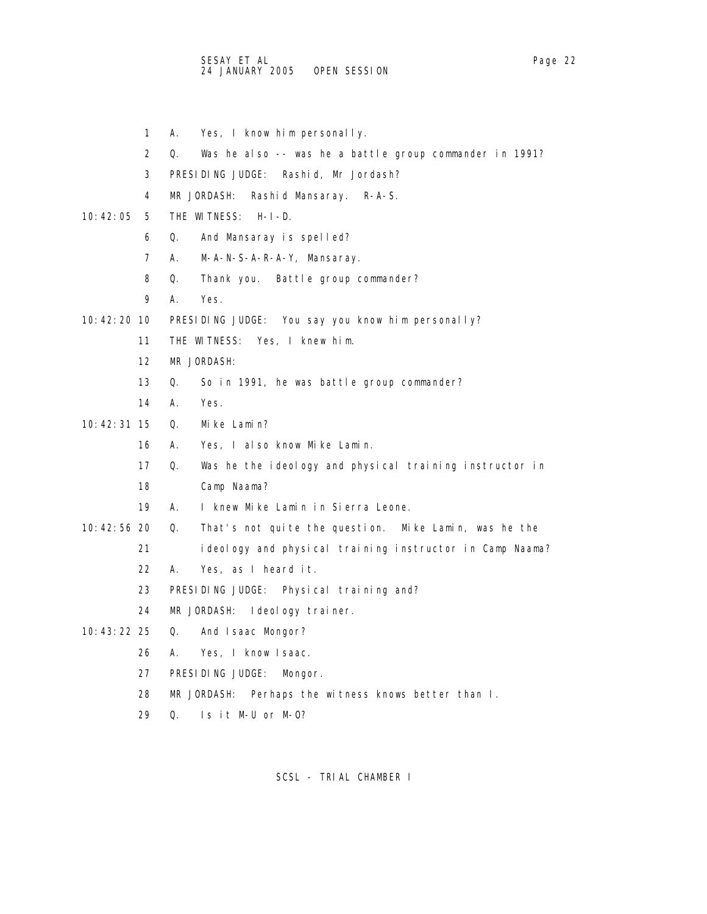- 1 A. Yes, I know him personally.
- 2 Q. Was he also -- was he a battle group commander in 1991?
- 3 PRESIDING JUDGE: Rashid, Mr Jordash?
- 4 MR JORDASH: Rashid Mansaray. R-A-S.
- 10:42:05 5 THE WITNESS: H-I-D.
	- 6 Q. And Mansaray is spelled?
	- 7 A. M-A-N-S-A-R-A-Y, Mansaray.
	- 8 Q. Thank you. Battle group commander?
	- 9 A. Yes.
- 10:42:20 10 PRESIDING JUDGE: You say you know him personally?
	- 11 THE WITNESS: Yes, I knew him.
	- 12 MR JORDASH:
	- 13 Q. So in 1991, he was battle group commander?
	- 14 A. Yes.
- 10:42:31 15 Q. Mike Lamin?
	- 16 A. Yes, I also know Mike Lamin.
	- 17 Q. Was he the ideology and physical training instructor in
	- 18 Camp Naama?
	- 19 A. I knew Mike Lamin in Sierra Leone.
- 10:42:56 20 Q. That's not quite the question. Mike Lamin, was he the
	- 21 ideology and physical training instructor in Camp Naama?
		- 22 A. Yes, as I heard it.
		- 23 PRESIDING JUDGE: Physical training and?
		- 24 MR JORDASH: Ideology trainer.
- 10:43:22 25 Q. And Isaac Mongor?
	- 26 A. Yes, I know Isaac.
	- 27 PRESIDING JUDGE: Mongor.
	- 28 MR JORDASH: Perhaps the witness knows better than I.
	- 29 Q. Is it M-U or M-O?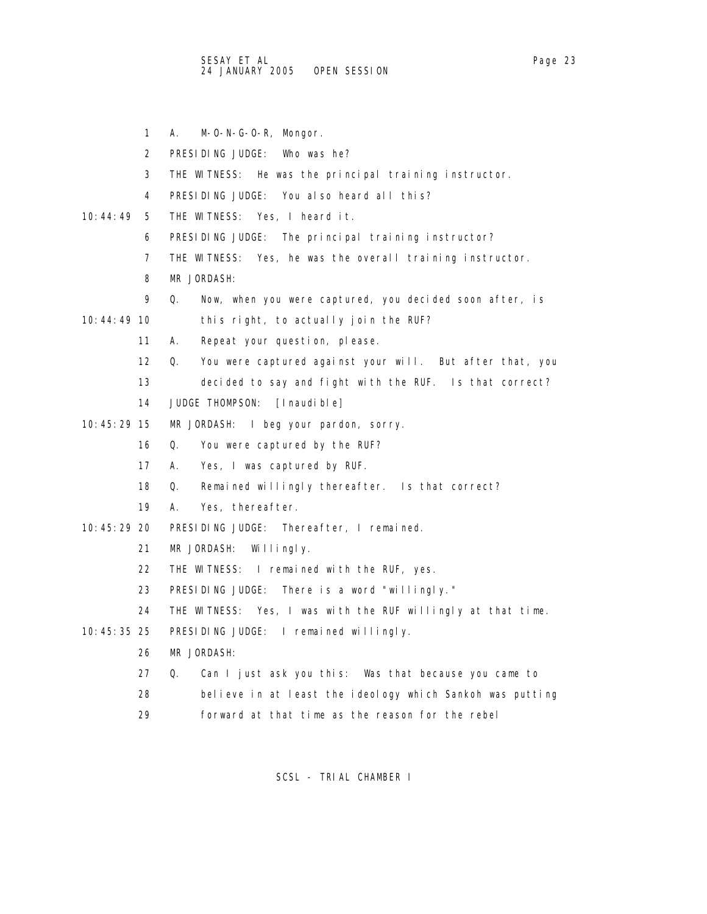1 A. M-O-N-G-O-R, Mongor.

2 PRESIDING JUDGE: Who was he?

- 3 THE WITNESS: He was the principal training instructor.
- 4 PRESIDING JUDGE: You also heard all this?
- 10:44:49 5 THE WITNESS: Yes, I heard it.
	- 6 PRESIDING JUDGE: The principal training instructor?
	- 7 THE WITNESS: Yes, he was the overall training instructor.
	- 8 MR JORDASH:
	- 9 Q. Now, when you were captured, you decided soon after, is

10:44:49 10 this right, to actually join the RUF?

- 11 A. Repeat your question, please.
- 12 Q. You were captured against your will. But after that, you
- 13 decided to say and fight with the RUF. Is that correct?
- 14 JUDGE THOMPSON: [Inaudible]
- 10:45:29 15 MR JORDASH: I beg your pardon, sorry.
	- 16 Q. You were captured by the RUF?
	- 17 A. Yes, I was captured by RUF.
	- 18 Q. Remained willingly thereafter. Is that correct?
	- 19 A. Yes, thereafter.
- 10:45:29 20 PRESIDING JUDGE: Thereafter, I remained.
	- 21 MR JORDASH: Willingly.
	- 22 THE WITNESS: I remained with the RUF, yes.
	- 23 PRESIDING JUDGE: There is a word "willingly."
	- 24 THE WITNESS: Yes, I was with the RUF willingly at that time.
- 10:45:35 25 PRESIDING JUDGE: I remained willingly.
	- 26 MR JORDASH:
	- 27 Q. Can I just ask you this: Was that because you came to
	- 28 believe in at least the ideology which Sankoh was putting
	- 29 forward at that time as the reason for the rebel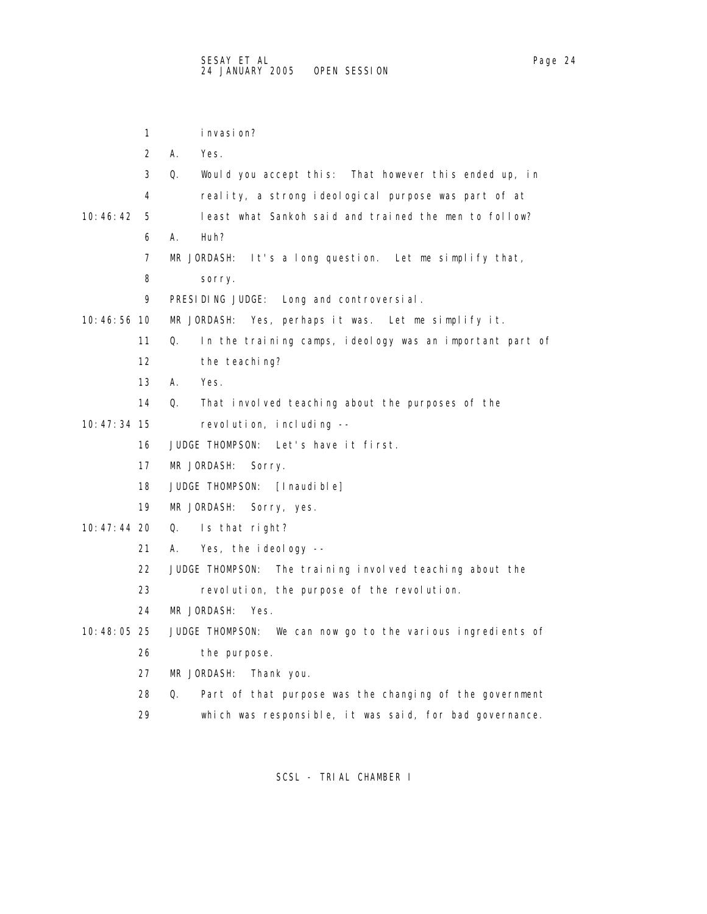1 invasion? 2 A. Yes. 3 Q. Would you accept this: That however this ended up, in 4 reality, a strong ideological purpose was part of at 10:46:42 5 least what Sankoh said and trained the men to follow? 6 A. Huh? 7 MR JORDASH: It's a long question. Let me simplify that, 8 sorry. 9 PRESIDING JUDGE: Long and controversial. 10:46:56 10 MR JORDASH: Yes, perhaps it was. Let me simplify it. 11 Q. In the training camps, ideology was an important part of 12 the teaching? 13 A. Yes. 14 Q. That involved teaching about the purposes of the 10:47:34 15 revolution, including -- 16 JUDGE THOMPSON: Let's have it first. 17 MR JORDASH: Sorry. 18 JUDGE THOMPSON: [Inaudible] 19 MR JORDASH: Sorry, yes. 10:47:44 20 Q. Is that right? 21 A. Yes, the ideology -- 22 JUDGE THOMPSON: The training involved teaching about the 23 revolution, the purpose of the revolution. 24 MR JORDASH: Yes. 10:48:05 25 JUDGE THOMPSON: We can now go to the various ingredients of 26 the purpose. 27 MR JORDASH: Thank you. 28 Q. Part of that purpose was the changing of the government 29 which was responsible, it was said, for bad governance.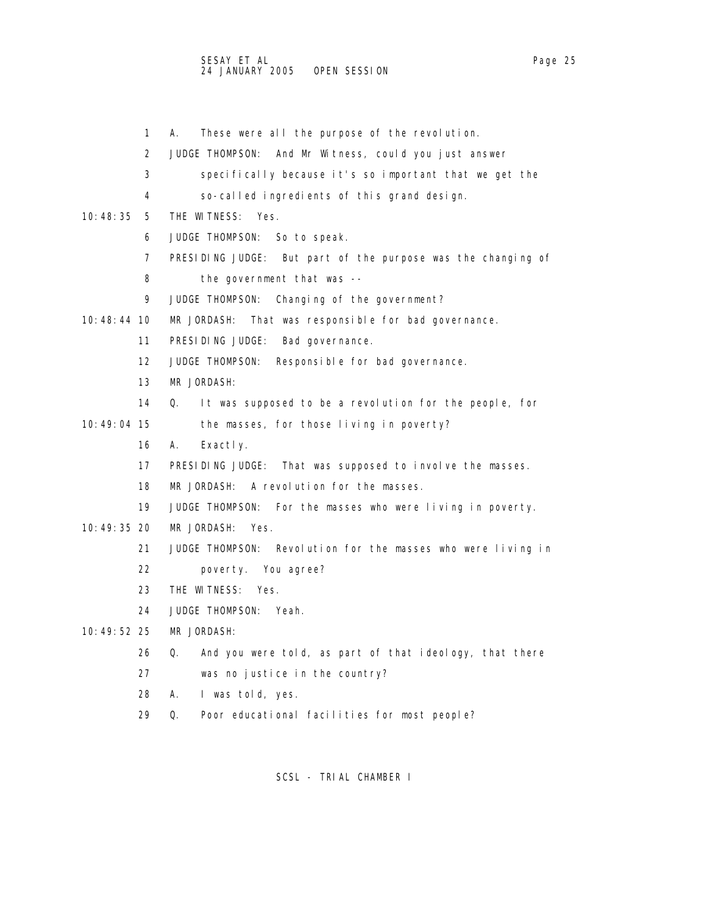1 A. These were all the purpose of the revolution.

- 2 JUDGE THOMPSON: And Mr Witness, could you just answer 3 specifically because it's so important that we get the 4 so-called ingredients of this grand design. 10:48:35 5 THE WITNESS: Yes. 6 JUDGE THOMPSON: So to speak. 7 PRESIDING JUDGE: But part of the purpose was the changing of 8 the government that was -- 9 JUDGE THOMPSON: Changing of the government? 10:48:44 10 MR JORDASH: That was responsible for bad governance. 11 PRESIDING JUDGE: Bad governance. 12 JUDGE THOMPSON: Responsible for bad governance. 13 MR JORDASH: 14 Q. It was supposed to be a revolution for the people, for 10:49:04 15 the masses, for those living in poverty? 16 A. Exactly. 17 PRESIDING JUDGE: That was supposed to involve the masses. 18 MR JORDASH: A revolution for the masses. 19 JUDGE THOMPSON: For the masses who were living in poverty. 10:49:35 20 MR JORDASH: Yes. 21 JUDGE THOMPSON: Revolution for the masses who were living in 22 poverty. You agree? 23 THE WITNESS: Yes. 24 JUDGE THOMPSON: Yeah. 10:49:52 25 MR JORDASH: 26 Q. And you were told, as part of that ideology, that there 27 was no justice in the country? 28 A. I was told, yes.
	- 29 Q. Poor educational facilities for most people?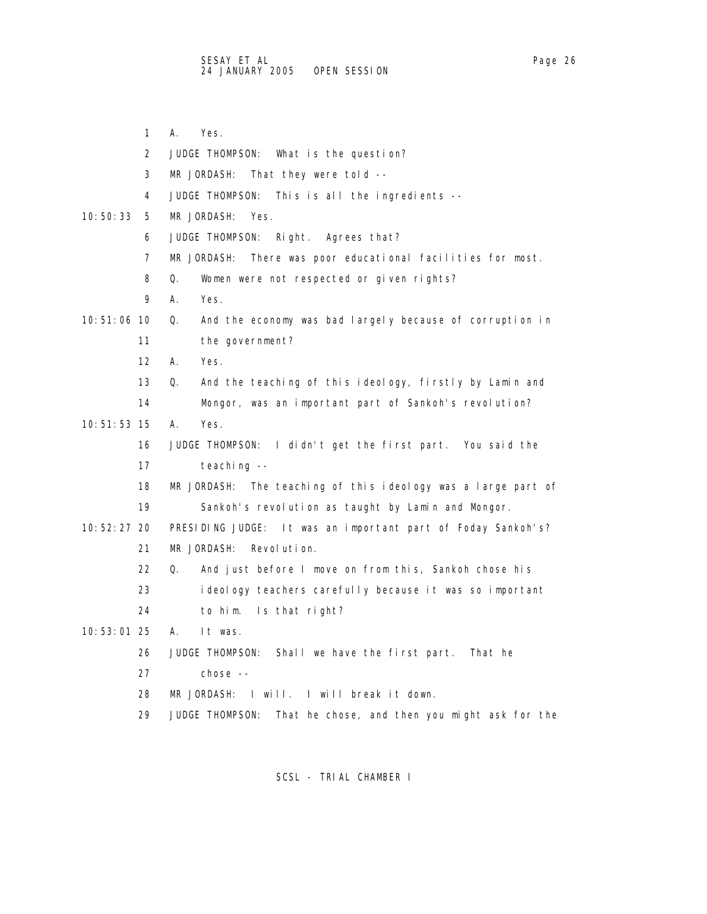- 1 A. Yes.
- 2 JUDGE THOMPSON: What is the question?
- 3 MR JORDASH: That they were told --
- 4 JUDGE THOMPSON: This is all the ingredients --
- 10:50:33 5 MR JORDASH: Yes.
	- 6 JUDGE THOMPSON: Right. Agrees that?
	- 7 MR JORDASH: There was poor educational facilities for most.
	- 8 Q. Women were not respected or given rights?
	- 9 A. Yes.
- 10:51:06 10 Q. And the economy was bad largely because of corruption in 11 the government?
	- 12 A. Yes.
	- 13 Q. And the teaching of this ideology, firstly by Lamin and
	- 14 Mongor, was an important part of Sankoh's revolution?
- 10:51:53 15 A. Yes.
	- 16 JUDGE THOMPSON: I didn't get the first part. You said the 17 teaching --
	- 18 MR JORDASH: The teaching of this ideology was a large part of 19 Sankoh's revolution as taught by Lamin and Mongor.
- 10:52:27 20 PRESIDING JUDGE: It was an important part of Foday Sankoh's? 21 MR JORDASH: Revolution.
	- 22 Q. And just before I move on from this, Sankoh chose his
	- 23 ideology teachers carefully because it was so important
	- 24 to him. Is that right?
- 10:53:01 25 A. It was.
	- 26 JUDGE THOMPSON: Shall we have the first part. That he
	- 27 chose --
	- 28 MR JORDASH: I will. I will break it down.
	- 29 JUDGE THOMPSON: That he chose, and then you might ask for the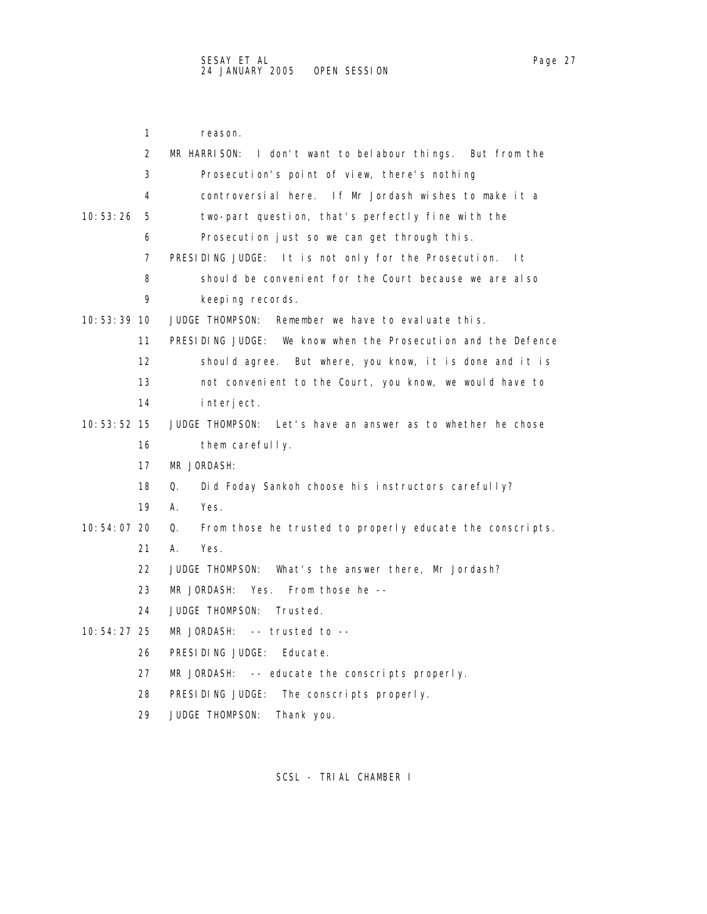|               | 1                 | reason.                                                         |
|---------------|-------------------|-----------------------------------------------------------------|
|               | 2                 | MR HARRISON: I don't want to belabour things. But from the      |
|               | 3                 | Prosecution's point of view, there's nothing                    |
|               | 4                 | controversial here. If Mr Jordash wishes to make it a           |
| 10: 53: 26    | 5                 | two-part question, that's perfectly fine with the               |
|               | 6                 | Prosecution just so we can get through this.                    |
|               | 7                 | PRESIDING JUDGE: It is not only for the Prosecution.<br>l t     |
|               | 8                 | should be convenient for the Court because we are also          |
|               | 9                 | keeping records.                                                |
| $10:53:39$ 10 |                   | JUDGE THOMPSON:<br>Remember we have to evaluate this.           |
|               | 11                | PRESIDING JUDGE: We know when the Prosecution and the Defence   |
|               | $12 \overline{ }$ | should agree. But where, you know, it is done and it is         |
|               | 13                | not convenient to the Court, you know, we would have to         |
|               | 14                | interject.                                                      |
| 10:53:52 15   |                   | Let's have an answer as to whether he chose<br>JUDGE THOMPSON:  |
|               | 16                | them carefully.                                                 |
|               | 17                | MR JORDASH:                                                     |
|               | 18                | 0.<br>Did Foday Sankoh choose his instructors carefully?        |
|               | 19                | А.<br>Yes.                                                      |
| 10:54:07 20   |                   | Q.<br>From those he trusted to properly educate the conscripts. |
|               | 21                | Yes.<br>А.                                                      |
|               | 22                | JUDGE THOMPSON:<br>What's the answer there, Mr Jordash?         |
|               | 23                | MR JORDASH:<br>Yes. From those he --                            |
|               | 24                | JUDGE THOMPSON:<br>Trusted.                                     |
| 10: 54: 27 25 |                   | $MR$ JORDASH: -- trusted to --                                  |
|               | 26                | PRESIDING JUDGE:<br>Educate.                                    |
|               | 27                | $MR$ JORDASH: $-$ - educate the conscripts properly.            |
|               | 28                | PRESIDING JUDGE:<br>The conscripts properly.                    |
|               | 29                | <b>JUDGE THOMPSON:</b><br>Thank you.                            |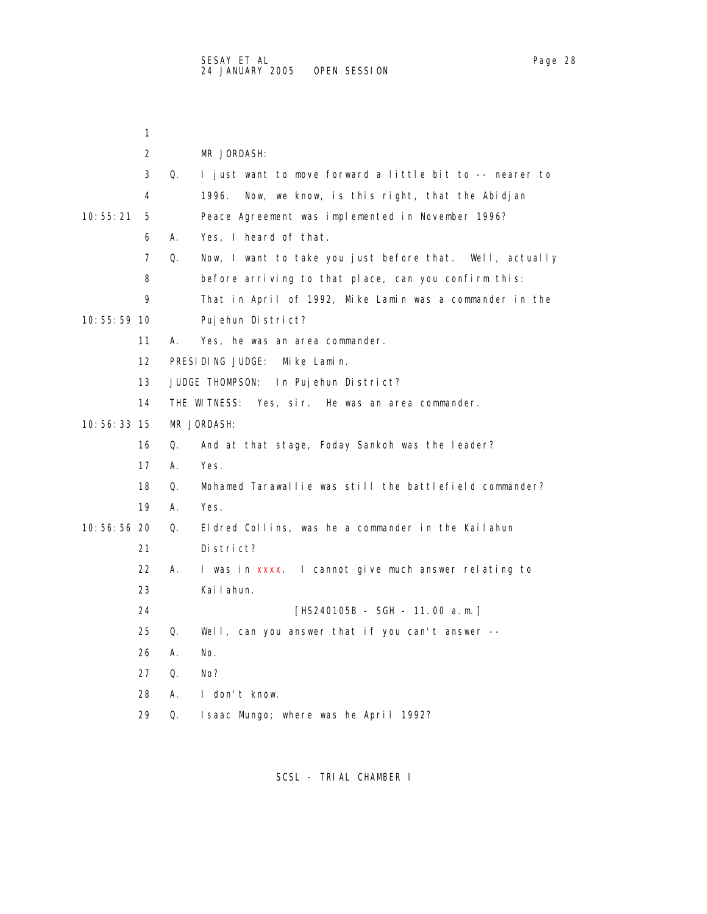|               | 1  |    |                                                          |
|---------------|----|----|----------------------------------------------------------|
|               | 2  |    | MR JORDASH:                                              |
|               | 3  | Q. | I just want to move forward a little bit to -- nearer to |
|               | 4  |    | 1996.<br>Now, we know, is this right, that the Abidjan   |
| 10: 55: 21    | 5  |    | Peace Agreement was implemented in November 1996?        |
|               | 6  | А. | Yes, I heard of that.                                    |
|               | 7  | Q. | Now, I want to take you just before that. Well, actually |
|               | 8  |    | before arriving to that place, can you confirm this:     |
|               | 9  |    | That in April of 1992, Mike Lamin was a commander in the |
| 10: 55: 59 10 |    |    | Pujehun District?                                        |
|               | 11 | А. | Yes, he was an area commander.                           |
|               | 12 |    | PRESIDING JUDGE: Mike Lamin.                             |
|               | 13 |    | JUDGE THOMPSON: In Pujehun District?                     |
|               | 14 |    | THE WITNESS: Yes, sir. He was an area commander.         |
| 10:56:33 15   |    |    | MR JORDASH:                                              |
|               | 16 | Q. | And at that stage, Foday Sankoh was the leader?          |
|               | 17 | А. | Yes.                                                     |
|               | 18 | Q. | Mohamed Tarawallie was still the battlefield commander?  |
|               | 19 | А. | Yes.                                                     |
| 10:56:56 20   |    | Q. | Eldred Collins, was he a commander in the Kailahun       |
|               | 21 |    | District?                                                |
|               | 22 | А. | I was in xxxx. I cannot give much answer relating to     |
|               | 23 |    | Kai I ahun.                                              |
|               | 24 |    | [HS240105B - SGH - 11.00 a.m.]                           |
|               | 25 | Q. | Well, can you answer that if you can't answer --         |
|               | 26 | А. | No.                                                      |
|               | 27 | 0. | No?                                                      |
|               | 28 | А. | I don't know.                                            |
|               | 29 | Q. | Isaac Mungo; where was he April 1992?                    |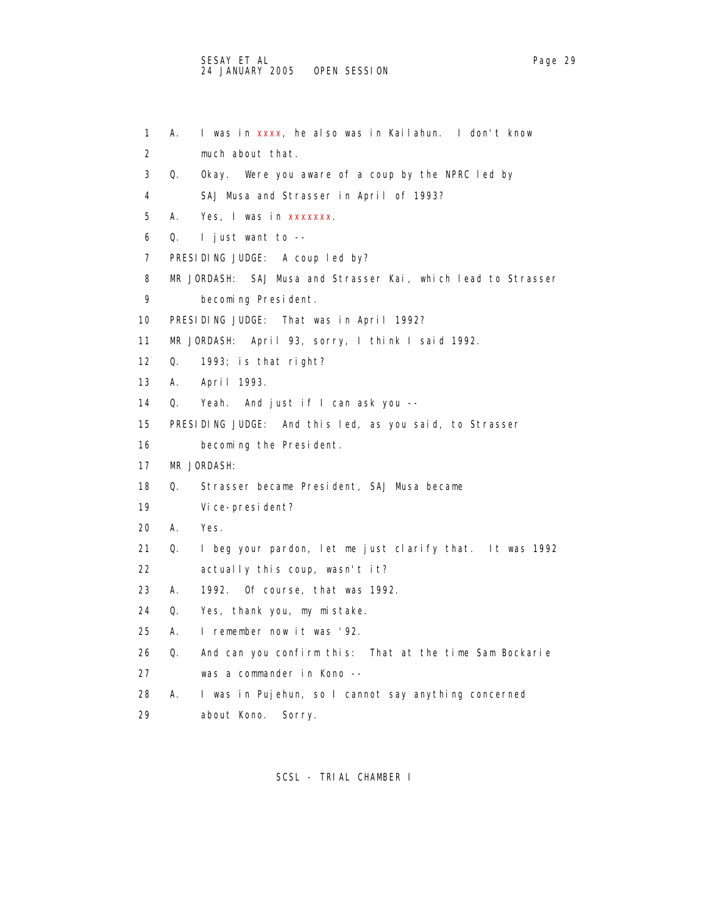```
 1 A. I was in xxxx, he also was in Kailahun. I don't know 
 2 much about that. 
 3 Q. Okay. Were you aware of a coup by the NPRC led by 
 4 SAJ Musa and Strasser in April of 1993? 
5 A. Yes, I was in xxxxxxx.
 6 Q. I just want to -- 
 7 PRESIDING JUDGE: A coup led by? 
 8 MR JORDASH: SAJ Musa and Strasser Kai, which lead to Strasser 
 9 becoming President. 
 10 PRESIDING JUDGE: That was in April 1992? 
 11 MR JORDASH: April 93, sorry, I think I said 1992. 
 12 Q. 1993; is that right? 
 13 A. April 1993. 
 14 Q. Yeah. And just if I can ask you -- 
 15 PRESIDING JUDGE: And this led, as you said, to Strasser 
 16 becoming the President. 
 17 MR JORDASH: 
 18 Q. Strasser became President, SAJ Musa became 
 19 Vice-president? 
 20 A. Yes. 
 21 Q. I beg your pardon, let me just clarify that. It was 1992 
 22 actually this coup, wasn't it? 
 23 A. 1992. Of course, that was 1992. 
 24 Q. Yes, thank you, my mistake. 
 25 A. I remember now it was '92. 
 26 Q. And can you confirm this: That at the time Sam Bockarie 
 27 was a commander in Kono -- 
 28 A. I was in Pujehun, so I cannot say anything concerned
```
29 about Kono. Sorry.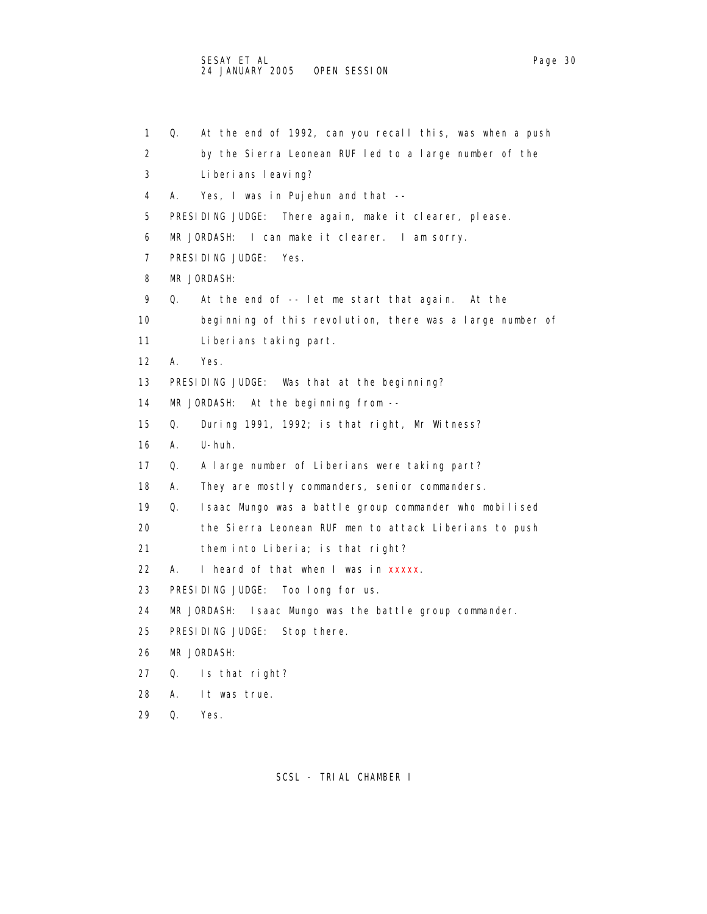1 Q. At the end of 1992, can you recall this, was when a push 2 by the Sierra Leonean RUF led to a large number of the 3 Liberians leaving? 4 A. Yes, I was in Pujehun and that -- 5 PRESIDING JUDGE: There again, make it clearer, please. 6 MR JORDASH: I can make it clearer. I am sorry. 7 PRESIDING JUDGE: Yes. 8 MR JORDASH: 9 Q. At the end of -- let me start that again. At the 10 beginning of this revolution, there was a large number of 11 Liberians taking part. 12 A. Yes. 13 PRESIDING JUDGE: Was that at the beginning? 14 MR JORDASH: At the beginning from -- 15 Q. During 1991, 1992; is that right, Mr Witness? 16 A. U-huh. 17 Q. A large number of Liberians were taking part? 18 A. They are mostly commanders, senior commanders. 19 Q. Isaac Mungo was a battle group commander who mobilised 20 the Sierra Leonean RUF men to attack Liberians to push 21 them into Liberia; is that right? 22 A. I heard of that when I was in xxxxx. 23 PRESIDING JUDGE: Too long for us. 24 MR JORDASH: Isaac Mungo was the battle group commander. 25 PRESIDING JUDGE: Stop there. 26 MR JORDASH: 27 Q. Is that right? 28 A. It was true. 29 Q. Yes.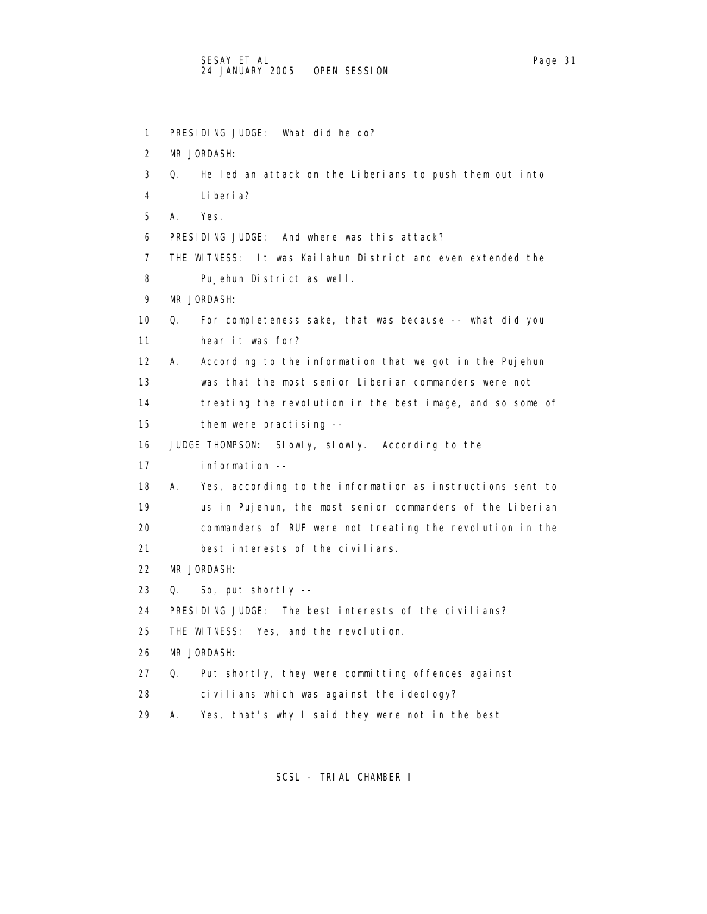```
 1 PRESIDING JUDGE: What did he do? 
 2 MR JORDASH: 
 3 Q. He led an attack on the Liberians to push them out into 
 4 Liberia? 
 5 A. Yes. 
 6 PRESIDING JUDGE: And where was this attack? 
 7 THE WITNESS: It was Kailahun District and even extended the 
 8 Pujehun District as well. 
 9 MR JORDASH: 
 10 Q. For completeness sake, that was because -- what did you 
 11 hear it was for? 
 12 A. According to the information that we got in the Pujehun 
 13 was that the most senior Liberian commanders were not 
 14 treating the revolution in the best image, and so some of 
 15 them were practising -- 
 16 JUDGE THOMPSON: Slowly, slowly. According to the 
 17 information -- 
 18 A. Yes, according to the information as instructions sent to 
 19 us in Pujehun, the most senior commanders of the Liberian 
 20 commanders of RUF were not treating the revolution in the 
 21 best interests of the civilians. 
 22 MR JORDASH: 
 23 Q. So, put shortly -- 
 24 PRESIDING JUDGE: The best interests of the civilians? 
 25 THE WITNESS: Yes, and the revolution. 
 26 MR JORDASH: 
 27 Q. Put shortly, they were committing offences against 
 28 civilians which was against the ideology? 
 29 A. Yes, that's why I said they were not in the best
```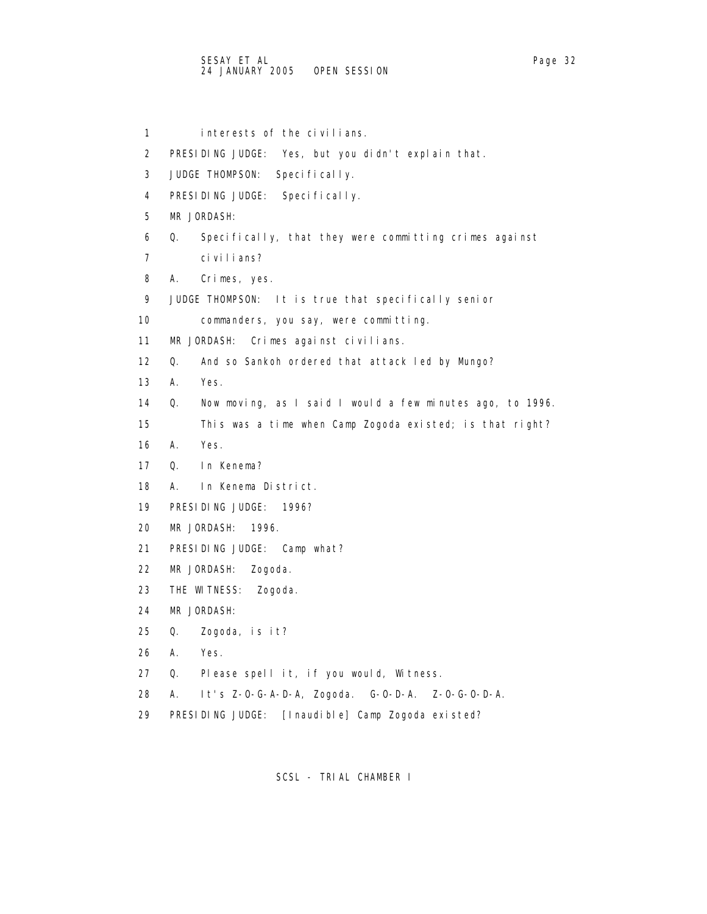1 interests of the civilians. 2 PRESIDING JUDGE: Yes, but you didn't explain that. 3 JUDGE THOMPSON: Specifically. 4 PRESIDING JUDGE: Specifically. 5 MR JORDASH: 6 Q. Specifically, that they were committing crimes against 7 civilians? 8 A. Crimes, yes. 9 JUDGE THOMPSON: It is true that specifically senior 10 commanders, you say, were committing. 11 MR JORDASH: Crimes against civilians. 12 Q. And so Sankoh ordered that attack led by Mungo? 13 A. Yes. 14 Q. Now moving, as I said I would a few minutes ago, to 1996. 15 This was a time when Camp Zogoda existed; is that right? 16 A. Yes. 17 Q. In Kenema? 18 A. In Kenema District. 19 PRESIDING JUDGE: 1996? 20 MR JORDASH: 1996. 21 PRESIDING JUDGE: Camp what? 22 MR JORDASH: Zogoda. 23 THE WITNESS: Zogoda. 24 MR JORDASH:

- 25 Q. Zogoda, is it?
- 26 A. Yes.
- 27 Q. Please spell it, if you would, Witness.
- 28 A. It's Z-O-G-A-D-A, Zogoda. G-O-D-A. Z-O-G-O-D-A.
- 29 PRESIDING JUDGE: [Inaudible] Camp Zogoda existed?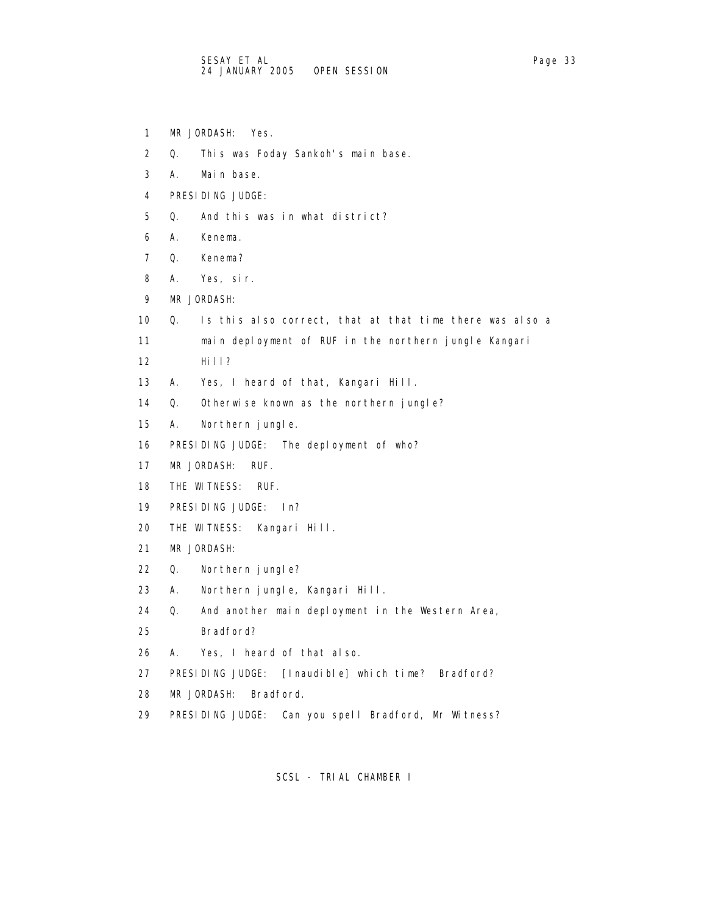- 1 MR JORDASH: Yes.
- 2 Q. This was Foday Sankoh's main base.
- 3 A. Main base.
- 4 PRESIDING JUDGE:
- 5 Q. And this was in what district?
- 6 A. Kenema.
- 7 Q. Kenema?
- 8 A. Yes, sir.
- 9 MR JORDASH:
- 10 Q. Is this also correct, that at that time there was also a
- 11 main deployment of RUF in the northern jungle Kangari
- 12 Hill?
- 13 A. Yes, I heard of that, Kangari Hill.
- 14 Q. Otherwise known as the northern jungle?
- 15 A. Northern jungle.
- 16 PRESIDING JUDGE: The deployment of who?
- 17 MR JORDASH: RUF.
- 18 THE WITNESS: RUF.
- 19 PRESIDING JUDGE: In?
- 20 THE WITNESS: Kangari Hill.
- 21 MR JORDASH:
- 22 Q. Northern jungle?
- 23 A. Northern jungle, Kangari Hill.
- 24 Q. And another main deployment in the Western Area,
- 25 Bradford?
- 26 A. Yes, I heard of that also.
- 27 PRESIDING JUDGE: [Inaudible] which time? Bradford?
- 28 MR JORDASH: Bradford.
- 29 PRESIDING JUDGE: Can you spell Bradford, Mr Witness?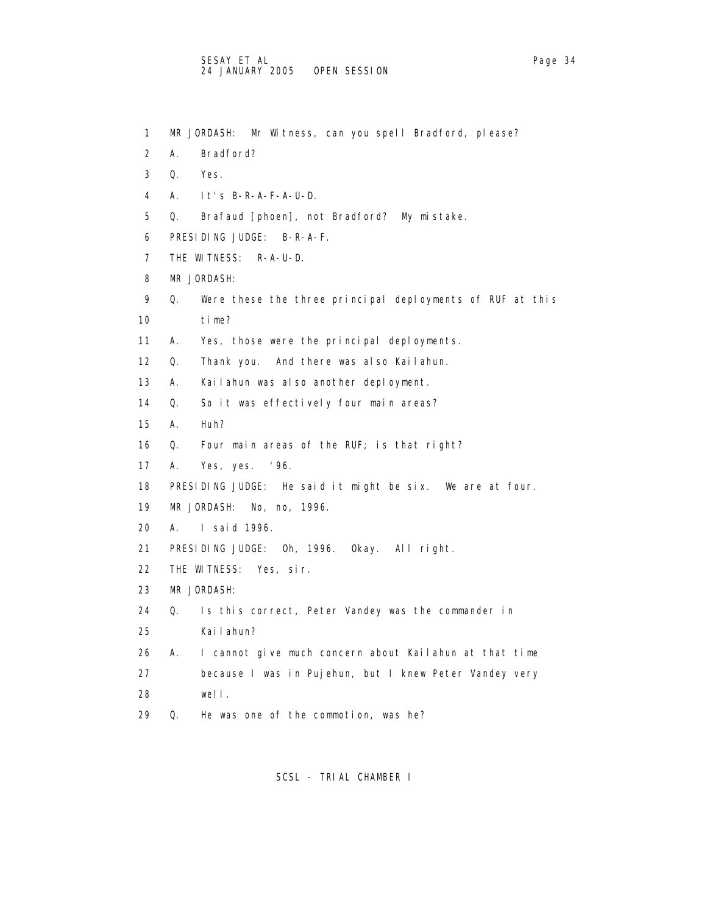- 1 MR JORDASH: Mr Witness, can you spell Bradford, please?
- 2 A. Bradford?
- 3 Q. Yes.
- 4 A. It's B-R-A-F-A-U-D.
- 5 Q. Brafaud [phoen], not Bradford? My mistake.
- 6 PRESIDING JUDGE: B-R-A-F.
- 7 THE WITNESS: R-A-U-D.
- 8 MR JORDASH:
- 9 Q. Were these the three principal deployments of RUF at this 10 time?
- 11 A. Yes, those were the principal deployments.
- 12 Q. Thank you. And there was also Kailahun.
- 13 A. Kailahun was also another deployment.
- 14 Q. So it was effectively four main areas?
- 15 A. Huh?
- 16 Q. Four main areas of the RUF; is that right?
- 17 A. Yes, yes. '96.
- 18 PRESIDING JUDGE: He said it might be six. We are at four.
- 19 MR JORDASH: No, no, 1996.
- 20 A. I said 1996.
- 21 PRESIDING JUDGE: Oh, 1996. Okay. All right.
- 22 THE WITNESS: Yes, sir.
- 23 MR JORDASH:
- 24 Q. Is this correct, Peter Vandey was the commander in
- 25 Kailahun?
- 26 A. I cannot give much concern about Kailahun at that time
- 27 because I was in Pujehun, but I knew Peter Vandey very
- 28 well.
- 29 Q. He was one of the commotion, was he?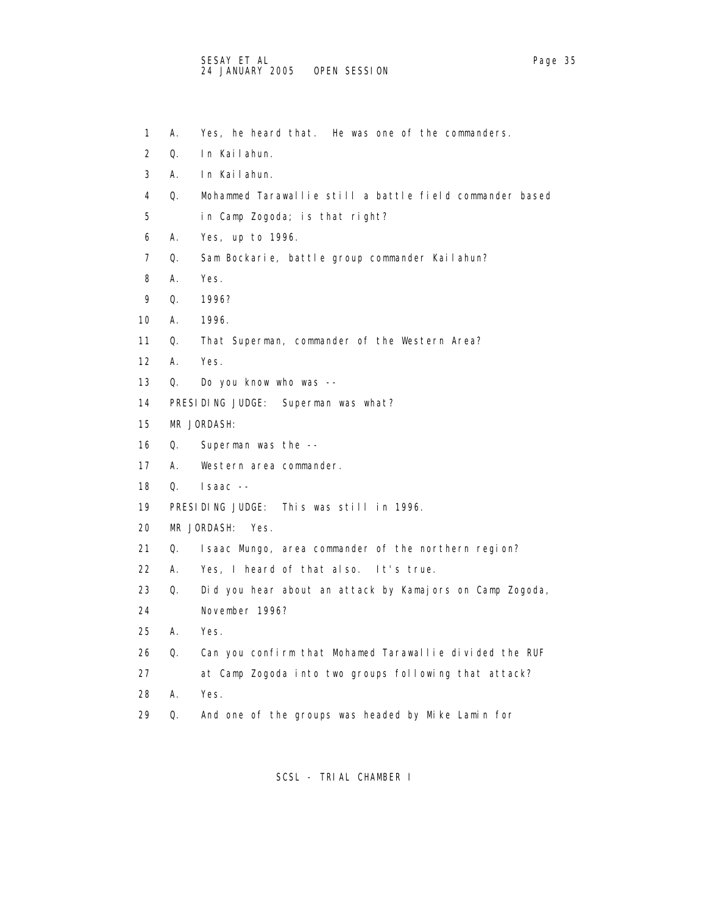- 1 A. Yes, he heard that. He was one of the commanders.
- 2 Q. In Kailahun.
- 3 A. In Kailahun.
- 4 Q. Mohammed Tarawallie still a battle field commander based
- 5 in Camp Zogoda; is that right?
- 6 A. Yes, up to 1996.
- 7 Q. Sam Bockarie, battle group commander Kailahun?
- 8 A. Yes.
- 9 Q. 1996?
- 10 A. 1996.
- 11 Q. That Superman, commander of the Western Area?
- 12 A. Yes.
- 13 Q. Do you know who was --
- 14 PRESIDING JUDGE: Superman was what?
- 15 MR JORDASH:
- 16 Q. Superman was the --
- 17 A. Western area commander.
- 18 Q. Isaac --
- 19 PRESIDING JUDGE: This was still in 1996.
- 20 MR JORDASH: Yes.
- 21 Q. Isaac Mungo, area commander of the northern region?
- 22 A. Yes, I heard of that also. It's true.
- 23 Q. Did you hear about an attack by Kamajors on Camp Zogoda,
- 24 November 1996?
- 25 A. Yes.
- 26 Q. Can you confirm that Mohamed Tarawallie divided the RUF
- 27 at Camp Zogoda into two groups following that attack?
- 28 A. Yes.
- 29 Q. And one of the groups was headed by Mike Lamin for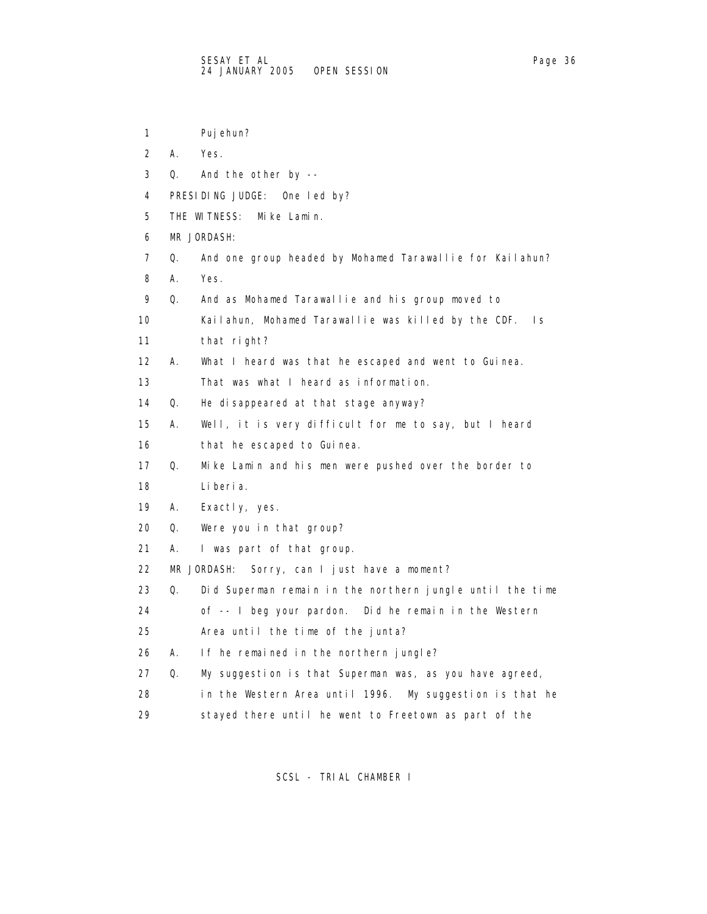1 Pujehun?

| 2  | А. | Yes.                                                       |
|----|----|------------------------------------------------------------|
| 3  | Q. | And the other by --                                        |
| 4  |    | PRESIDING JUDGE: One led by?                               |
| 5  |    | THE WITNESS:<br>Mike Lamin.                                |
| 6  |    | MR JORDASH:                                                |
| 7  | Q. | And one group headed by Mohamed Tarawallie for Kailahun?   |
| 8  | А. | Yes.                                                       |
| 9  | Q. | And as Mohamed Tarawallie and his group moved to           |
| 10 |    | Kailahun, Mohamed Tarawallie was killed by the CDF.<br>Is. |
| 11 |    | that right?                                                |
| 12 | А. | What I heard was that he escaped and went to Guinea.       |
| 13 |    | That was what I heard as information.                      |
| 14 | Q. | He disappeared at that stage anyway?                       |
| 15 | А. | Well, it is very difficult for me to say, but I heard      |
| 16 |    | that he escaped to Guinea.                                 |
| 17 | Q. | Mike Lamin and his men were pushed over the border to      |
| 18 |    | Li beri a.                                                 |
| 19 | А. | Exactly, yes.                                              |
| 20 | Q. | Were you in that group?                                    |
| 21 | А. | I was part of that group.                                  |
| 22 |    | Sorry, can I just have a moment?<br>MR JORDASH:            |
| 23 | Q. | Did Superman remain in the northern jungle until the time  |
| 24 |    | of -- I beg your pardon. Did he remain in the Western      |
| 25 |    | Area until the time of the junta?                          |
| 26 | А. | If he remained in the northern jungle?                     |
| 27 | Q. | My suggestion is that Superman was, as you have agreed,    |
| 28 |    | in the Western Area until 1996. My suggestion is that he   |
|    |    |                                                            |

29 stayed there until he went to Freetown as part of the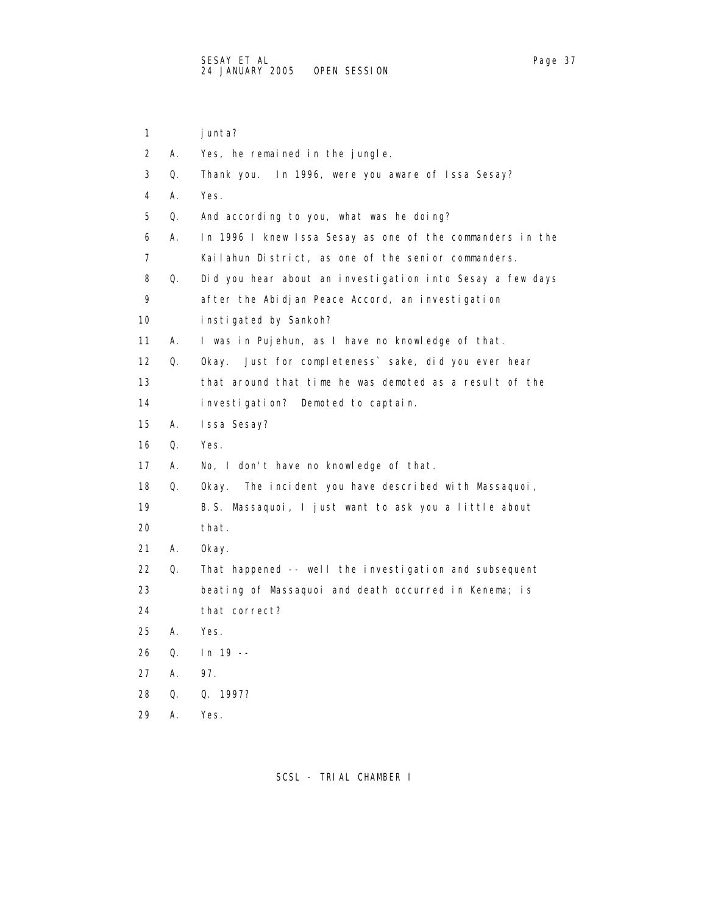1 junta? 2 A. Yes, he remained in the jungle. 3 Q. Thank you. In 1996, were you aware of Issa Sesay? 4 A. Yes. 5 Q. And according to you, what was he doing? 6 A. In 1996 I knew Issa Sesay as one of the commanders in the 7 Kailahun District, as one of the senior commanders. 8 Q. Did you hear about an investigation into Sesay a few days 9 after the Abidjan Peace Accord, an investigation 10 instigated by Sankoh? 11 A. I was in Pujehun, as I have no knowledge of that. 12 Q. Okay. Just for completeness` sake, did you ever hear 13 that around that time he was demoted as a result of the 14 investigation? Demoted to captain. 15 A. Issa Sesay? 16 Q. Yes. 17 A. No, I don't have no knowledge of that. 18 Q. Okay. The incident you have described with Massaquoi, 19 B.S. Massaquoi, I just want to ask you a little about 20 that. 21 A. Okay. 22 Q. That happened -- well the investigation and subsequent 23 beating of Massaquoi and death occurred in Kenema; is 24 that correct? 25 A. Yes. 26 Q. In 19 -- 27 A. 97. 28 Q. Q. 1997?

29 A. Yes.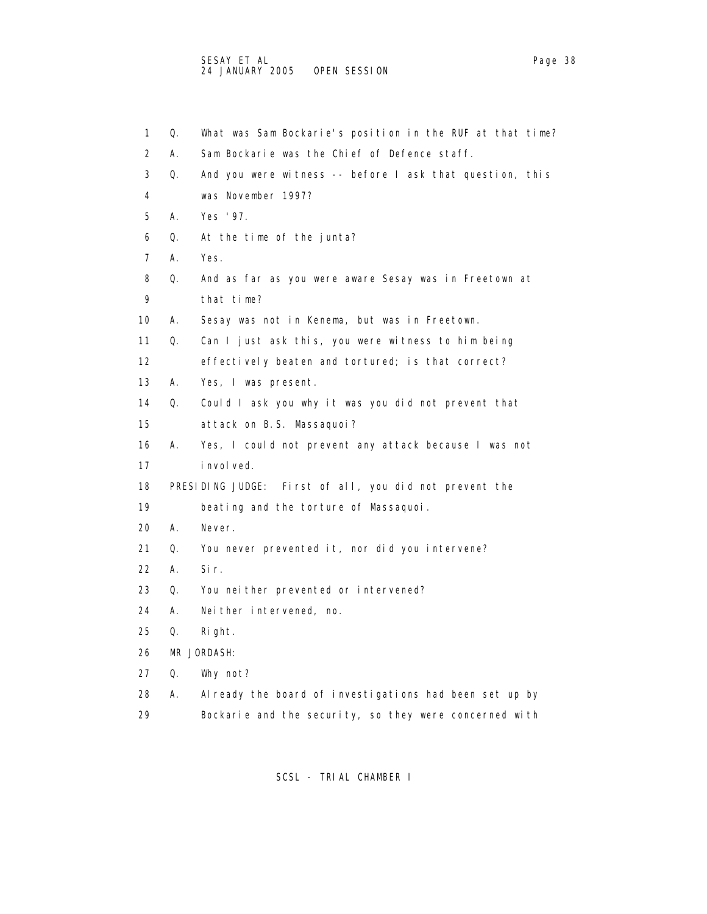1 Q. What was Sam Bockarie's position in the RUF at that time? 2 A. Sam Bockarie was the Chief of Defence staff. 3 Q. And you were witness -- before I ask that question, this

- 5 A. Yes '97.
- 6 Q. At the time of the junta?

4 was November 1997?

- 7 A. Yes.
- 8 Q. And as far as you were aware Sesay was in Freetown at 9 that time?
- 10 A. Sesay was not in Kenema, but was in Freetown.
- 11 Q. Can I just ask this, you were witness to him being
- 12 effectively beaten and tortured; is that correct?
- 13 A. Yes, I was present.
- 14 Q. Could I ask you why it was you did not prevent that 15 attack on B.S. Massaquoi?
- 16 A. Yes, I could not prevent any attack because I was not 17 involved.
- 18 PRESIDING JUDGE: First of all, you did not prevent the
- 19 beating and the torture of Massaquoi.
- 20 A. Never.
- 21 Q. You never prevented it, nor did you intervene?
- 22 A. Sir.
- 23 Q. You neither prevented or intervened?
- 24 A. Neither intervened, no.
- 25 Q. Right.
- 26 MR JORDASH:
- 27 Q. Why not?
- 28 A. Already the board of investigations had been set up by
- 29 Bockarie and the security, so they were concerned with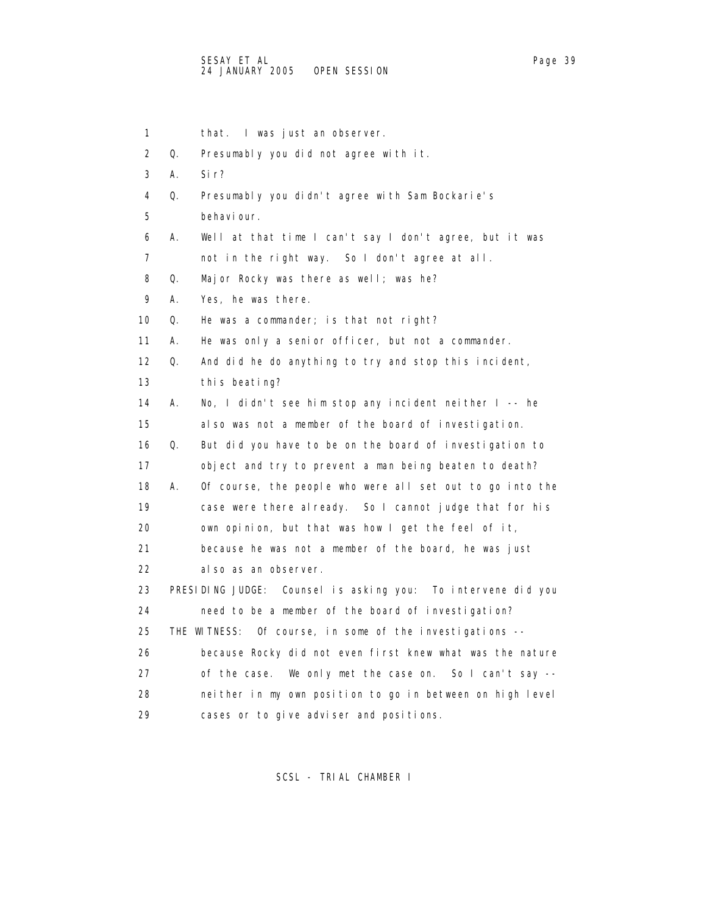1 that. I was just an observer. 2 Q. Presumably you did not agree with it. 3 A. Sir? 4 Q. Presumably you didn't agree with Sam Bockarie's 5 behaviour. 6 A. Well at that time I can't say I don't agree, but it was 7 not in the right way. So I don't agree at all. 8 Q. Major Rocky was there as well; was he? 9 A. Yes, he was there. 10 Q. He was a commander; is that not right? 11 A. He was only a senior officer, but not a commander. 12 Q. And did he do anything to try and stop this incident, 13 this beating? 14 A. No, I didn't see him stop any incident neither I -- he 15 also was not a member of the board of investigation. 16 Q. But did you have to be on the board of investigation to 17 object and try to prevent a man being beaten to death? 18 A. Of course, the people who were all set out to go into the 19 case were there already. So I cannot judge that for his 20 own opinion, but that was how I get the feel of it, 21 because he was not a member of the board, he was just 22 also as an observer. 23 PRESIDING JUDGE: Counsel is asking you: To intervene did you 24 need to be a member of the board of investigation? 25 THE WITNESS: Of course, in some of the investigations -- 26 because Rocky did not even first knew what was the nature 27 of the case. We only met the case on. So I can't say -- 28 neither in my own position to go in between on high level 29 cases or to give adviser and positions.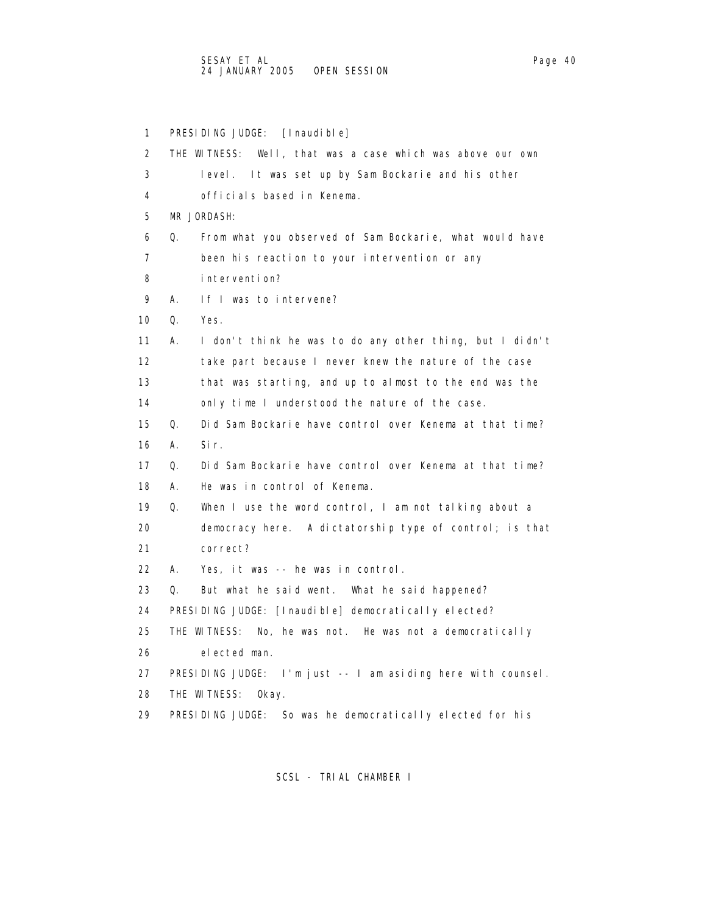1 PRESIDING JUDGE: [Inaudible] 2 THE WITNESS: Well, that was a case which was above our own 3 level. It was set up by Sam Bockarie and his other 4 officials based in Kenema. 5 MR JORDASH: 6 Q. From what you observed of Sam Bockarie, what would have 7 been his reaction to your intervention or any 8 intervention? 9 A. If I was to intervene? 10 Q. Yes. 11 A. I don't think he was to do any other thing, but I didn't 12 take part because I never knew the nature of the case 13 that was starting, and up to almost to the end was the 14 only time I understood the nature of the case. 15 Q. Did Sam Bockarie have control over Kenema at that time? 16 A. Sir. 17 Q. Did Sam Bockarie have control over Kenema at that time? 18 A. He was in control of Kenema. 19 Q. When I use the word control, I am not talking about a 20 democracy here. A dictatorship type of control; is that 21 correct? 22 A. Yes, it was -- he was in control. 23 Q. But what he said went. What he said happened? 24 PRESIDING JUDGE: [Inaudible] democratically elected? 25 THE WITNESS: No, he was not. He was not a democratically 26 elected man. 27 PRESIDING JUDGE: I'm just -- I am asiding here with counsel. 28 THE WITNESS: Okay. 29 PRESIDING JUDGE: So was he democratically elected for his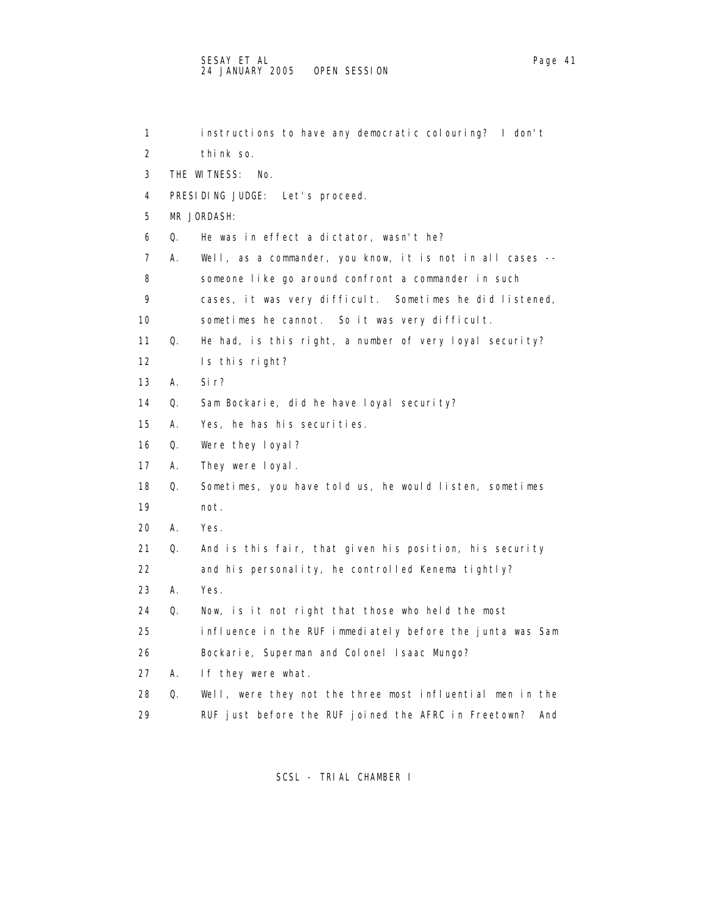## SESAY ET AL Page 41 and the set of the set of the set of the set of the set of the set of the set of the set o 24 JANUARY 2005 OPEN SESSION

| 1                 |    | instructions to have any democratic colouring? I don't      |
|-------------------|----|-------------------------------------------------------------|
| 2                 |    | think so.                                                   |
| 3                 |    | THE WITNESS:<br>No.                                         |
| 4                 |    | PRESIDING JUDGE: Let's proceed.                             |
| 5                 |    | MR JORDASH:                                                 |
| 6                 | Q. | He was in effect a dictator, wasn't he?                     |
| 7                 | А. | Well, as a commander, you know, it is not in all cases --   |
| 8                 |    | someone like go around confront a commander in such         |
| 9                 |    | cases, it was very difficult. Sometimes he did listened,    |
| 10                |    | sometimes he cannot. So it was very difficult.              |
| 11                | Q. | He had, is this right, a number of very loyal security?     |
| $12 \overline{ }$ |    | Is this right?                                              |
| 13                | Α. | Si r?                                                       |
| 14                | Q. | Sam Bockarie, did he have loyal security?                   |
| 15                | А. | Yes, he has his securities.                                 |
| 16                | Q. | Were they loyal?                                            |
| 17                | Α. | They were loyal.                                            |
| 18                | Q. | Sometimes, you have told us, he would listen, sometimes     |
| 19                |    | not.                                                        |
| 20                | А. | Yes.                                                        |
| 21                | Q. | And is this fair, that given his position, his security     |
| 22                |    | and his personality, he controlled Kenema tightly?          |
| 23                | Α. | Yes.                                                        |
| 24                | Q. | Now, is it not right that those who held the most           |
| 25                |    | influence in the RUF immediately before the junta was Sam   |
| 26                |    | Bockarie, Superman and Colonel Isaac Mungo?                 |
| 27                | А. | If they were what.                                          |
| 28                | Q. | Well, were they not the three most influential men in the   |
| 29                |    | RUF just before the RUF joined the AFRC in Freetown?<br>And |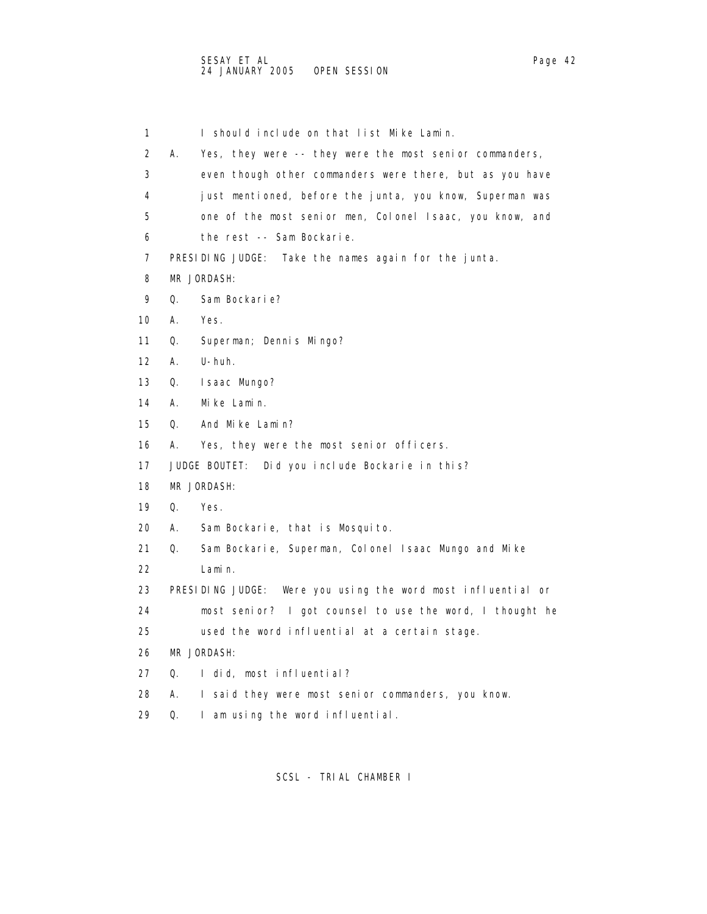1 I should include on that list Mike Lamin. 2 A. Yes, they were -- they were the most senior commanders, 3 even though other commanders were there, but as you have 4 just mentioned, before the junta, you know, Superman was 5 one of the most senior men, Colonel Isaac, you know, and 6 the rest -- Sam Bockarie. 7 PRESIDING JUDGE: Take the names again for the junta. 8 MR JORDASH: 9 Q. Sam Bockarie? 10 A. Yes. 11 Q. Superman; Dennis Mingo? 12 A. U-huh. 13 Q. Isaac Mungo? 14 A. Mike Lamin. 15 Q. And Mike Lamin? 16 A. Yes, they were the most senior officers. 17 JUDGE BOUTET: Did you include Bockarie in this? 18 MR JORDASH: 19 Q. Yes. 20 A. Sam Bockarie, that is Mosquito. 21 Q. Sam Bockarie, Superman, Colonel Isaac Mungo and Mike 22 Lamin. 23 PRESIDING JUDGE: Were you using the word most influential or 24 most senior? I got counsel to use the word, I thought he 25 used the word influential at a certain stage. 26 MR JORDASH: 27 Q. I did, most influential? 28 A. I said they were most senior commanders, you know. 29 Q. I am using the word influential.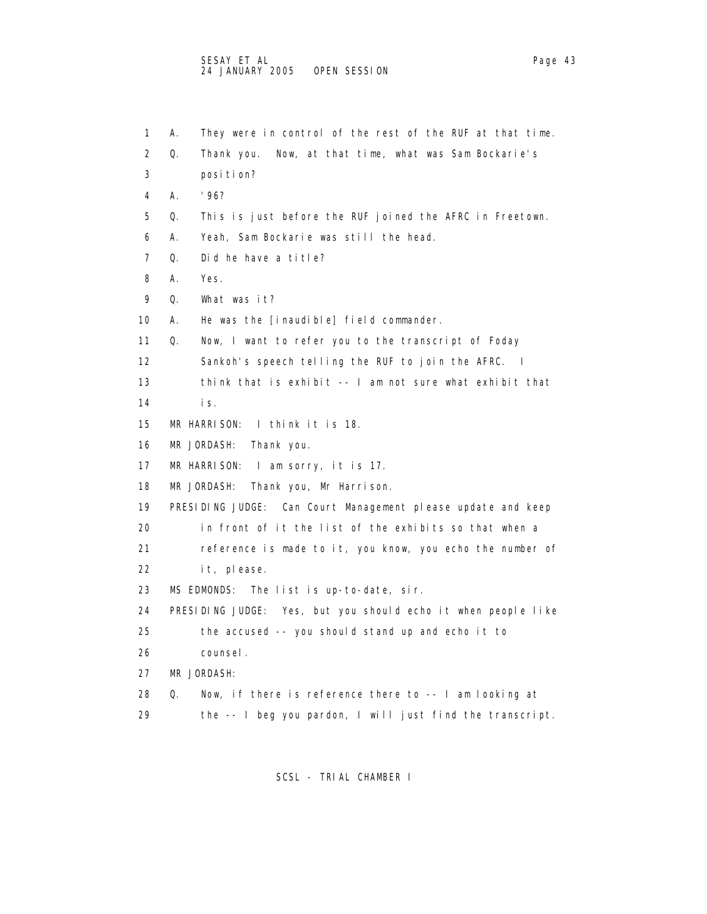1 A. They were in control of the rest of the RUF at that time. 2 Q. Thank you. Now, at that time, what was Sam Bockarie's 3 position? 4 A. '96? 5 Q. This is just before the RUF joined the AFRC in Freetown. 6 A. Yeah, Sam Bockarie was still the head. 7 Q. Did he have a title? 8 A. Yes. 9 Q. What was it? 10 A. He was the [inaudible] field commander. 11 Q. Now, I want to refer you to the transcript of Foday 12 Sankoh's speech telling the RUF to join the AFRC. I 13 think that is exhibit -- I am not sure what exhibit that 14 is. 15 MR HARRISON: I think it is 18. 16 MR JORDASH: Thank you. 17 MR HARRISON: I am sorry, it is 17. 18 MR JORDASH: Thank you, Mr Harrison. 19 PRESIDING JUDGE: Can Court Management please update and keep 20 in front of it the list of the exhibits so that when a 21 reference is made to it, you know, you echo the number of 22 it, please. 23 MS EDMONDS: The list is up-to-date, sir. 24 PRESIDING JUDGE: Yes, but you should echo it when people like 25 the accused -- you should stand up and echo it to 26 counsel. 27 MR JORDASH: 28 Q. Now, if there is reference there to -- I am looking at

29 the -- I beg you pardon, I will just find the transcript.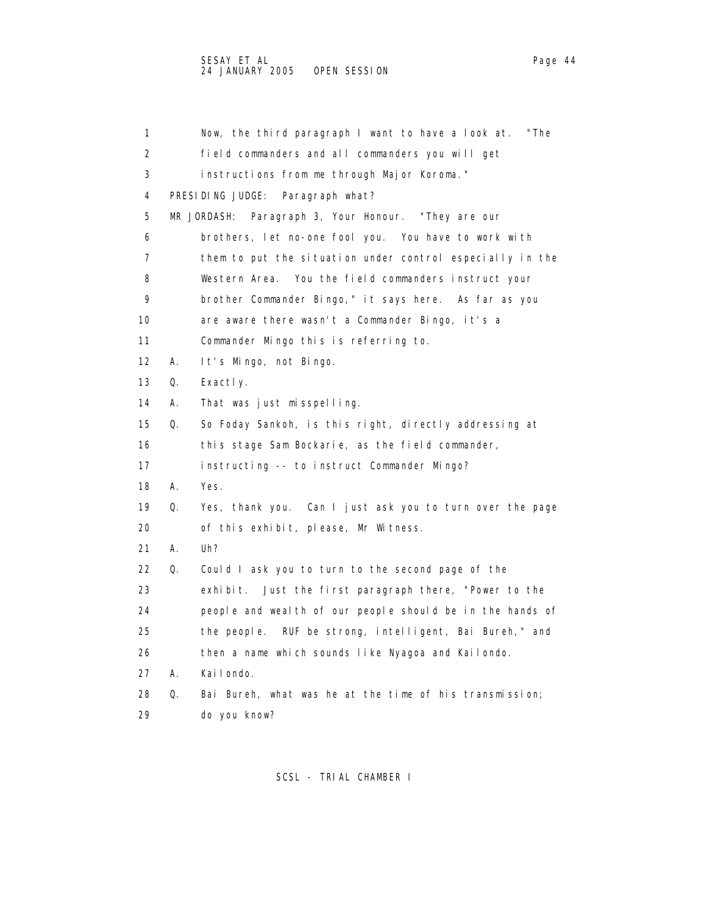| 1                 |    | Now, the third paragraph I want to have a look at.<br>"The |
|-------------------|----|------------------------------------------------------------|
| 2                 |    | field commanders and all commanders you will get           |
| 3                 |    | instructions from me through Major Koroma."                |
| 4                 |    | PRESIDING JUDGE:<br>Paragraph what?                        |
| 5                 |    | Paragraph 3, Your Honour. "They are our<br>MR JORDASH:     |
| 6                 |    | brothers, let no-one fool you. You have to work with       |
| 7                 |    | them to put the situation under control especially in the  |
| 8                 |    | Western Area. You the field commanders instruct your       |
| 9                 |    | brother Commander Bingo," it says here. As far as you      |
| 10                |    | are aware there wasn't a Commander Bingo, it's a           |
| 11                |    | Commander Mingo this is referring to.                      |
| $12 \overline{ }$ | А. | It's Mingo, not Bingo.                                     |
| 13                | Q. | Exactly.                                                   |
| 14                | А. | That was just misspelling.                                 |
| 15                | Q. | So Foday Sankoh, is this right, directly addressing at     |
| 16                |    | this stage Sam Bockarie, as the field commander,           |
| 17                |    | instructing -- to instruct Commander Mingo?                |
| 18                | А. | Yes.                                                       |
| 19                | Q. | Yes, thank you. Can I just ask you to turn over the page   |
| 20                |    | of this exhibit, please, Mr Witness.                       |
| 21                | А. | Uh?                                                        |
| 22                | Q. | Could I ask you to turn to the second page of the          |
| 23                |    | exhibit. Just the first paragraph there, "Power to the     |
| 24                |    | people and weal th of our people should be in the hands of |
| 25                |    | RUF be strong, intelligent, Bai Bureh," and<br>the people. |
| 26                |    | then a name which sounds like Nyagoa and Kailondo.         |
| 27                | А. | Kailondo.                                                  |
| 28                | Q. | Bai Bureh, what was he at the time of his transmission;    |
| 29                |    | do you know?                                               |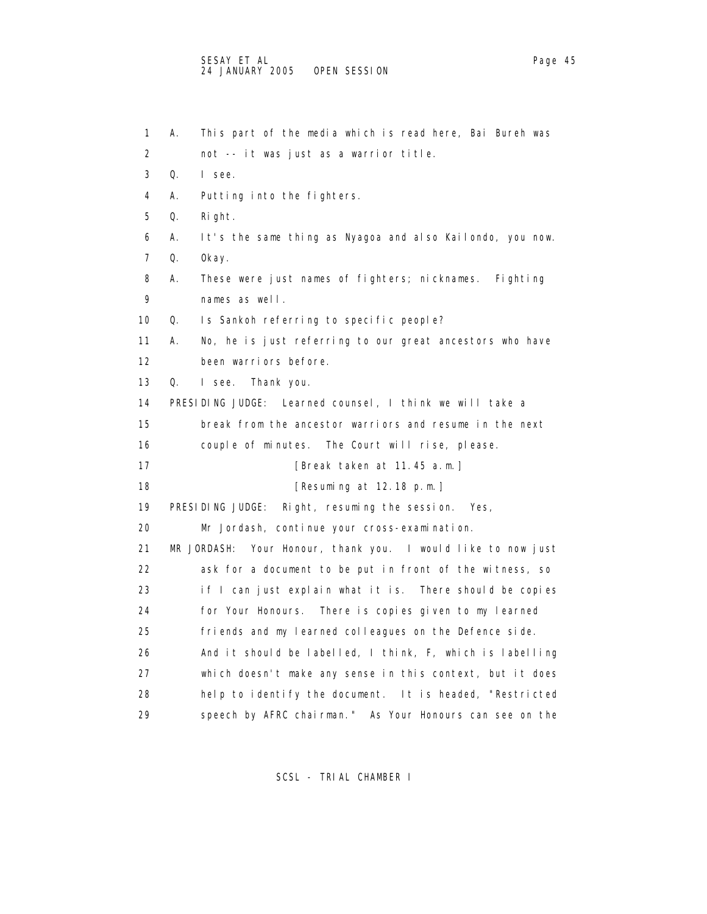| 1                 | This part of the media which is read here, Bai Bureh was<br>А.  |
|-------------------|-----------------------------------------------------------------|
| 2                 | not -- it was just as a warrior title.                          |
| 3                 | Q.<br>I see.                                                    |
| 4                 | А.<br>Putting into the fighters.                                |
| 5                 | Right.<br>Q.                                                    |
| 6                 | It's the same thing as Nyagoa and also Kailondo, you now.<br>А. |
| 7                 | Q.<br>0kay.                                                     |
| 8                 | These were just names of fighters; nicknames.<br>А.<br>Fighting |
| 9                 | names as well.                                                  |
| 10                | Is Sankoh referring to specific people?<br>Q.                   |
| 11                | А.<br>No, he is just referring to our great ancestors who have  |
| $12 \overline{ }$ | been warriors before.                                           |
| 13                | Q.<br>I see.<br>Thank you.                                      |
| 14                | PRESIDING JUDGE: Learned counsel, I think we will take a        |
| 15                | break from the ancestor warriors and resume in the next         |
| 16                | couple of minutes. The Court will rise, please.                 |
| 17                | [Break taken at 11.45 a.m.]                                     |
| 18                | [Resuming at 12.18 p.m.]                                        |
| 19                | PRESIDING JUDGE:<br>Right, resuming the session. Yes,           |
| 20                | Mr Jordash, continue your cross-examination.                    |
| 21                | MR JORDASH:<br>Your Honour, thank you. I would like to now just |
| 22                | ask for a document to be put in front of the witness, so        |
| 23                | if I can just explain what it is. There should be copies        |
| 24                | for Your Honours. There is copies given to my learned           |
| 25                | friends and my learned colleagues on the Defence side.          |
| 26                | And it should be labelled, I think, F, which is labelling       |
| 27                | which doesn't make any sense in this context, but it does       |
| 28                | help to identify the document. It is headed, "Restricted        |
| 29                | speech by AFRC chairman." As Your Honours can see on the        |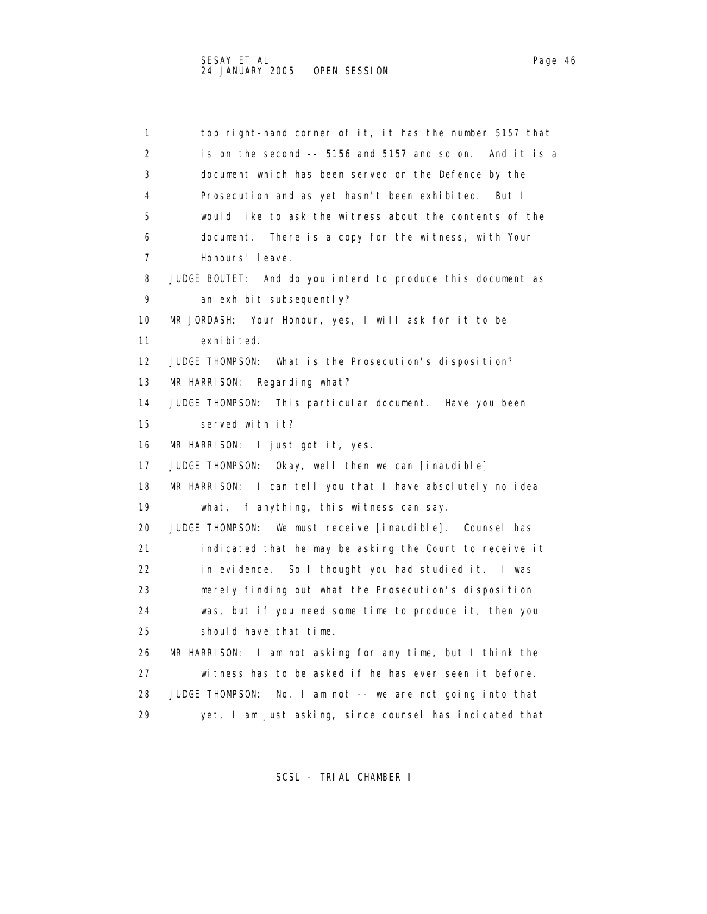1 top right-hand corner of it, it has the number 5157 that 2 is on the second -- 5156 and 5157 and so on. And it is a

 3 document which has been served on the Defence by the 4 Prosecution and as yet hasn't been exhibited. But I 5 would like to ask the witness about the contents of the 6 document. There is a copy for the witness, with Your 7 Honours' leave. 8 JUDGE BOUTET: And do you intend to produce this document as 9 an exhibit subsequently? 10 MR JORDASH: Your Honour, yes, I will ask for it to be 11 exhibited. 12 JUDGE THOMPSON: What is the Prosecution's disposition? 13 MR HARRISON: Regarding what? 14 JUDGE THOMPSON: This particular document. Have you been 15 served with it? 16 MR HARRISON: I just got it, yes. 17 JUDGE THOMPSON: Okay, well then we can [inaudible] 18 MR HARRISON: I can tell you that I have absolutely no idea 19 what, if anything, this witness can say. 20 JUDGE THOMPSON: We must receive [inaudible]. Counsel has 21 indicated that he may be asking the Court to receive it 22 in evidence. So I thought you had studied it. I was 23 merely finding out what the Prosecution's disposition 24 was, but if you need some time to produce it, then you 25 should have that time. 26 MR HARRISON: I am not asking for any time, but I think the 27 witness has to be asked if he has ever seen it before. 28 JUDGE THOMPSON: No, I am not -- we are not going into that

SCSL - TRIAL CHAMBER I

29 yet, I am just asking, since counsel has indicated that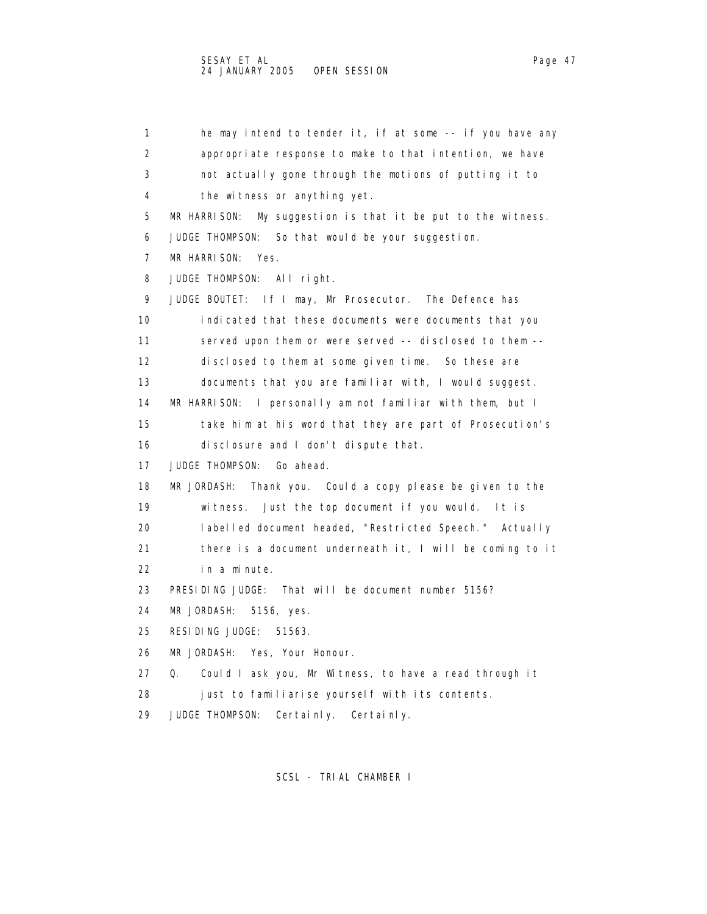1 he may intend to tender it, if at some -- if you have any 2 appropriate response to make to that intention, we have 3 not actually gone through the motions of putting it to 4 the witness or anything yet. 5 MR HARRISON: My suggestion is that it be put to the witness. 6 JUDGE THOMPSON: So that would be your suggestion. 7 MR HARRISON: Yes. 8 JUDGE THOMPSON: All right. 9 JUDGE BOUTET: If I may, Mr Prosecutor. The Defence has 10 indicated that these documents were documents that you 11 served upon them or were served -- disclosed to them -- 12 disclosed to them at some given time. So these are 13 documents that you are familiar with, I would suggest. 14 MR HARRISON: I personally am not familiar with them, but I 15 take him at his word that they are part of Prosecution's 16 disclosure and I don't dispute that. 17 JUDGE THOMPSON: Go ahead. 18 MR JORDASH: Thank you. Could a copy please be given to the 19 witness. Just the top document if you would. It is 20 labelled document headed, "Restricted Speech." Actually 21 there is a document underneath it, I will be coming to it 22 in a minute. 23 PRESIDING JUDGE: That will be document number 5156? 24 MR JORDASH: 5156, yes. 25 RESIDING JUDGE: 51563. 26 MR JORDASH: Yes, Your Honour. 27 Q. Could I ask you, Mr Witness, to have a read through it 28 just to familiarise yourself with its contents. 29 JUDGE THOMPSON: Certainly. Certainly.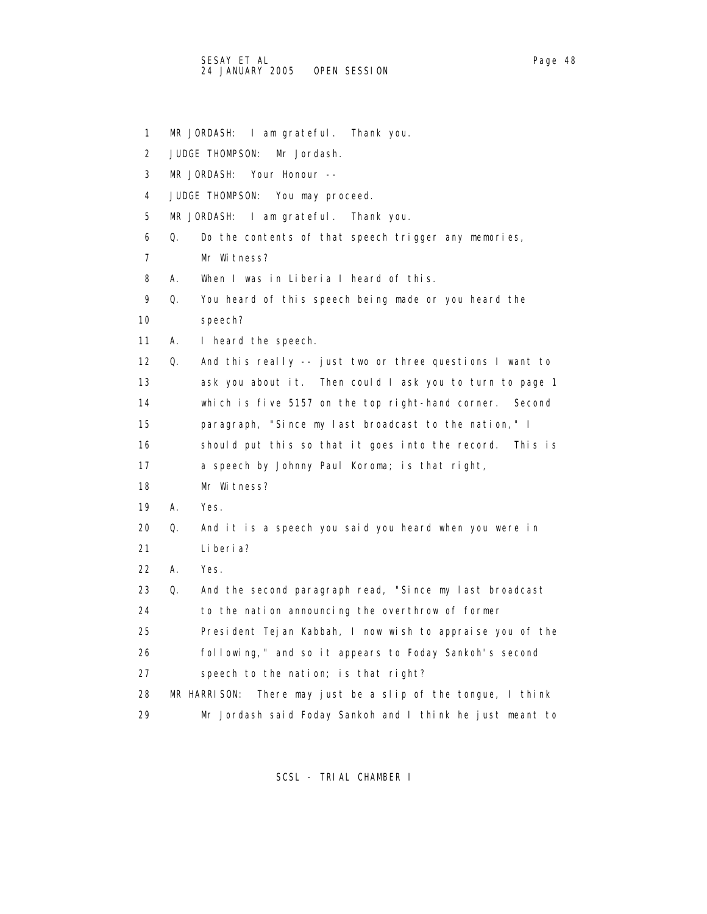1 MR JORDASH: I am grateful. Thank you. 2 JUDGE THOMPSON: Mr Jordash. 3 MR JORDASH: Your Honour -- 4 JUDGE THOMPSON: You may proceed. 5 MR JORDASH: I am grateful. Thank you. 6 Q. Do the contents of that speech trigger any memories, 7 Mr Witness? 8 A. When I was in Liberia I heard of this. 9 Q. You heard of this speech being made or you heard the 10 speech? 11 A. I heard the speech. 12 Q. And this really -- just two or three questions I want to 13 ask you about it. Then could I ask you to turn to page 1 14 which is five 5157 on the top right-hand corner. Second 15 paragraph, "Since my last broadcast to the nation," I 16 should put this so that it goes into the record. This is 17 a speech by Johnny Paul Koroma; is that right, 18 Mr Witness? 19 A. Yes. 20 Q. And it is a speech you said you heard when you were in 21 Liberia? 22 A. Yes. 23 Q. And the second paragraph read, "Since my last broadcast 24 to the nation announcing the overthrow of former 25 President Tejan Kabbah, I now wish to appraise you of the 26 following," and so it appears to Foday Sankoh's second 27 speech to the nation; is that right? 28 MR HARRISON: There may just be a slip of the tongue, I think 29 Mr Jordash said Foday Sankoh and I think he just meant to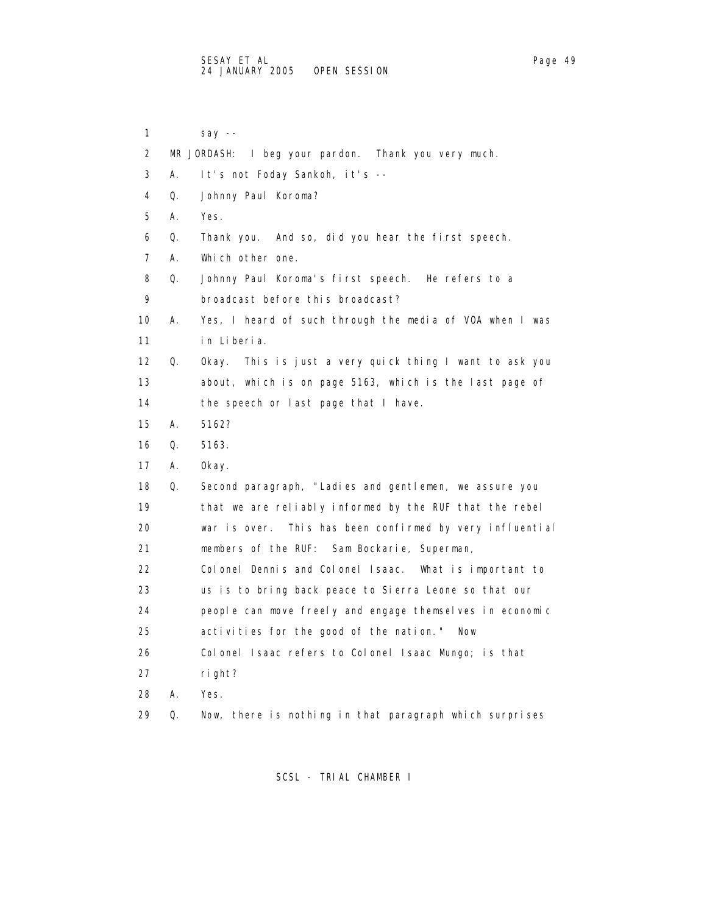1 say -- 2 MR JORDASH: I beg your pardon. Thank you very much. 3 A. It's not Foday Sankoh, it's -- 4 Q. Johnny Paul Koroma? 5 A. Yes. 6 Q. Thank you. And so, did you hear the first speech. 7 A. Which other one. 8 Q. Johnny Paul Koroma's first speech. He refers to a 9 broadcast before this broadcast? 10 A. Yes, I heard of such through the media of VOA when I was 11 in Liberia. 12 Q. Okay. This is just a very quick thing I want to ask you 13 about, which is on page 5163, which is the last page of 14 the speech or last page that I have. 15 A. 5162? 16 Q. 5163. 17 A. Okay. 18 Q. Second paragraph, "Ladies and gentlemen, we assure you 19 that we are reliably informed by the RUF that the rebel 20 war is over. This has been confirmed by very influential 21 members of the RUF: Sam Bockarie, Superman, 22 Colonel Dennis and Colonel Isaac. What is important to 23 us is to bring back peace to Sierra Leone so that our 24 people can move freely and engage themselves in economic 25 activities for the good of the nation." Now 26 Colonel Isaac refers to Colonel Isaac Mungo; is that 27 right? 28 A. Yes. 29 Q. Now, there is nothing in that paragraph which surprises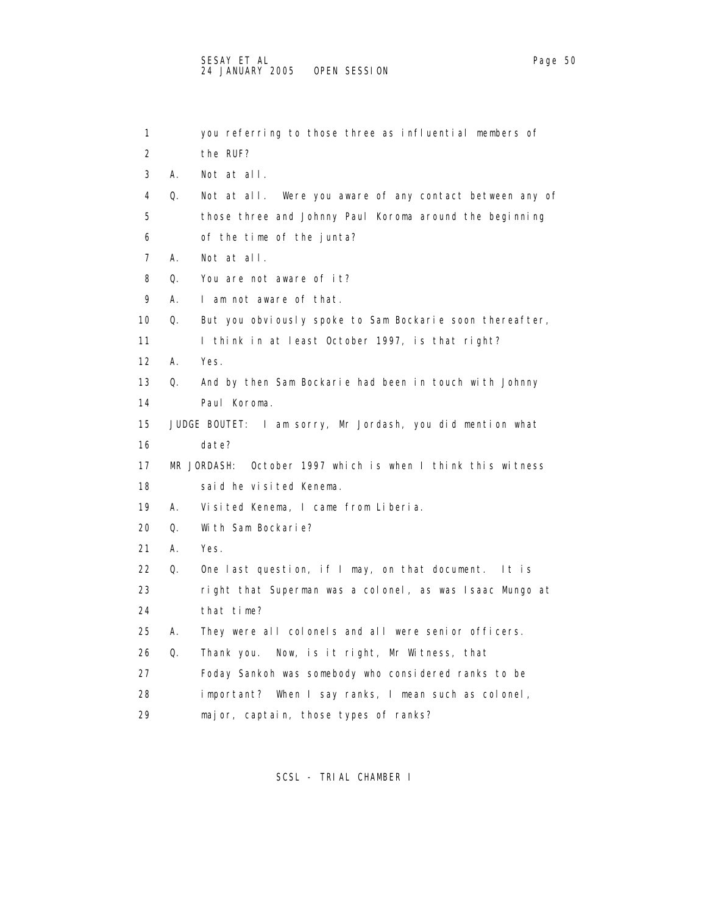| 1                 |    | you referring to those three as influential members of      |
|-------------------|----|-------------------------------------------------------------|
| 2                 |    | the RUF?                                                    |
| 3                 | А. | Not at all.                                                 |
| 4                 | Q. | Not at all. Were you aware of any contact between any of    |
| 5                 |    | those three and Johnny Paul Koroma around the beginning     |
| 6                 |    | of the time of the junta?                                   |
| 7                 | А. | Not at all.                                                 |
| 8                 | 0. | You are not aware of it?                                    |
| 9                 | А. | I am not aware of that.                                     |
| 10                | Q. | But you obviously spoke to Sam Bockarie soon thereafter,    |
| 11                |    | I think in at least October 1997, is that right?            |
| $12 \overline{ }$ | А. | Yes.                                                        |
| 13                | Q. | And by then Sam Bockarie had been in touch with Johnny      |
| 14                |    | Paul Koroma.                                                |
| 15                |    | JUDGE BOUTET: I am sorry, Mr Jordash, you did mention what  |
| 16                |    | date?                                                       |
| 17                |    | MR JORDASH: October 1997 which is when I think this witness |
| 18                |    | said he visited Kenema.                                     |
| 19                | А. | Visited Kenema, I came from Liberia.                        |
| 20                | Q. | With Sam Bockarie?                                          |
| 21                | А. | Yes.                                                        |
| 22                | Q. | One last question, if I may, on that document.<br>ltis      |
| 23                |    | right that Superman was a colonel, as was Isaac Mungo at    |
| 24                |    | that time?                                                  |
| 25                | А. | They were all colonels and all were senior officers.        |
| 26                | Q. | Now, is it right, Mr Witness, that<br>Thank you.            |
| 27                |    | Foday Sankoh was somebody who considered ranks to be        |
| 28                |    | important? When I say ranks, I mean such as colonel,        |
| 29                |    | major, captain, those types of ranks?                       |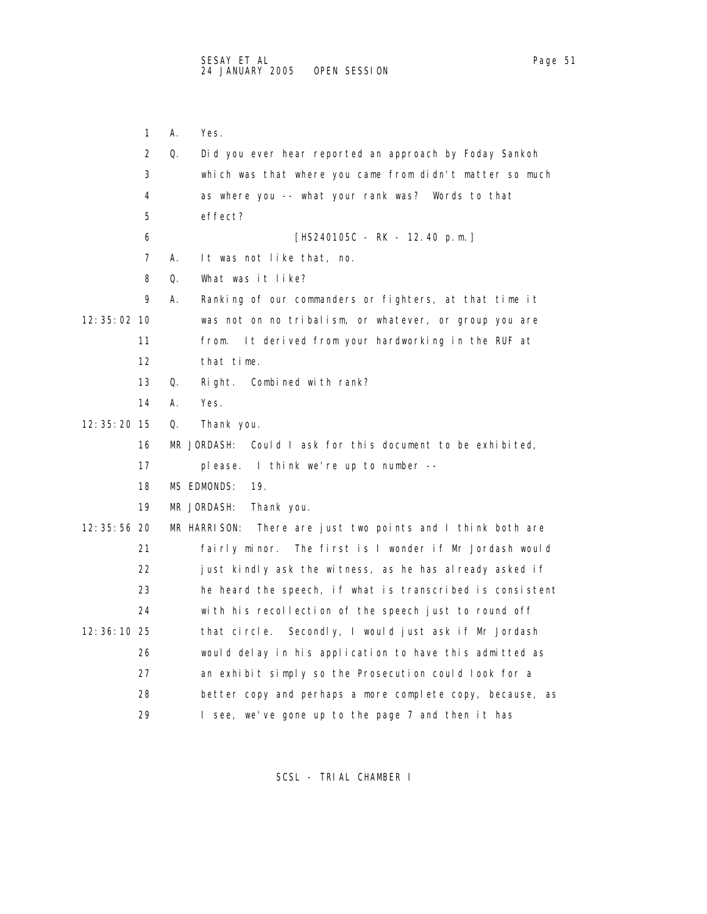2 Q. Did you ever hear reported an approach by Foday Sankoh 3 which was that where you came from didn't matter so much 4 as where you -- what your rank was? Words to that 5 effect? 6 [HS240105C - RK - 12.40 p.m.] 7 A. It was not like that, no. 8 Q. What was it like? 9 A. Ranking of our commanders or fighters, at that time it 12:35:02 10 was not on no tribalism, or whatever, or group you are 11 from. It derived from your hardworking in the RUF at 12 that time. 13 Q. Right. Combined with rank? 12:35:20 15 Q. Thank you. 16 MR JORDASH: Could I ask for this document to be exhibited, 17 please. I think we're up to number -- 18 MS EDMONDS: 19.

19 MR JORDASH: Thank you.

14 A. Yes.

1 A. Yes.

 12:35:56 20 MR HARRISON: There are just two points and I think both are 21 fairly minor. The first is I wonder if Mr Jordash would 22 just kindly ask the witness, as he has already asked if 23 he heard the speech, if what is transcribed is consistent 24 with his recollection of the speech just to round off 12:36:10 25 that circle. Secondly, I would just ask if Mr Jordash 26 would delay in his application to have this admitted as 27 an exhibit simply so the Prosecution could look for a 28 better copy and perhaps a more complete copy, because, as 29 I see, we've gone up to the page 7 and then it has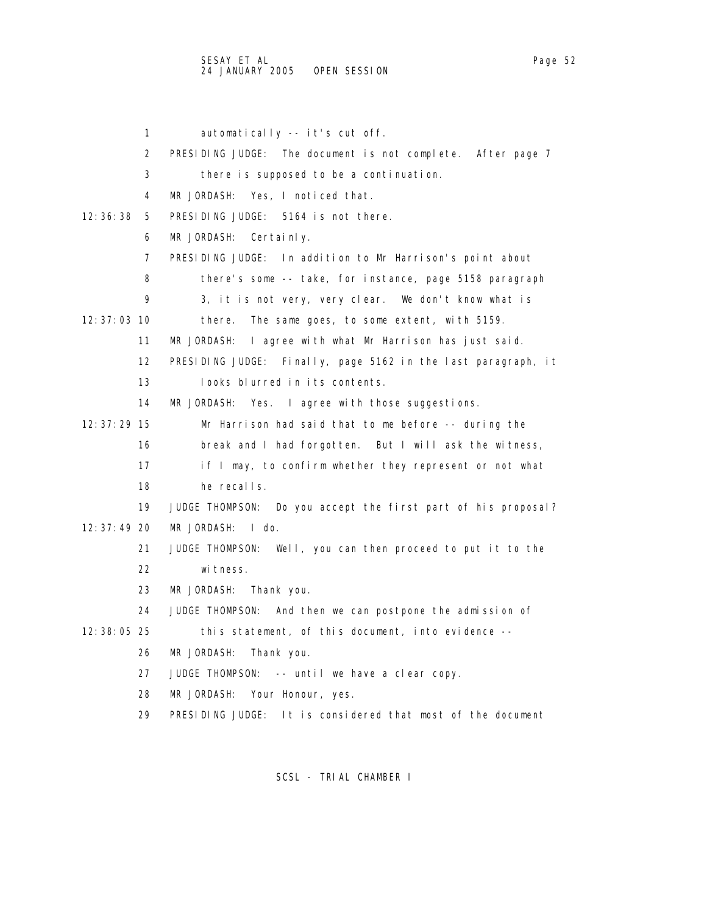1 automatically -- it's cut off. 2 PRESIDING JUDGE: The document is not complete. After page 7 3 there is supposed to be a continuation. 4 MR JORDASH: Yes, I noticed that. 12:36:38 5 PRESIDING JUDGE: 5164 is not there. 6 MR JORDASH: Certainly. 7 PRESIDING JUDGE: In addition to Mr Harrison's point about 8 there's some -- take, for instance, page 5158 paragraph 9 3, it is not very, very clear. We don't know what is 12:37:03 10 there. The same goes, to some extent, with 5159. 11 MR JORDASH: I agree with what Mr Harrison has just said. 12 PRESIDING JUDGE: Finally, page 5162 in the last paragraph, it 13 looks blurred in its contents. 14 MR JORDASH: Yes. I agree with those suggestions. 12:37:29 15 Mr Harrison had said that to me before -- during the 16 break and I had forgotten. But I will ask the witness, 17 if I may, to confirm whether they represent or not what 18 he recalls. 19 JUDGE THOMPSON: Do you accept the first part of his proposal? 12:37:49 20 MR JORDASH: I do. 21 JUDGE THOMPSON: Well, you can then proceed to put it to the 22 witness. 23 MR JORDASH: Thank you. 24 JUDGE THOMPSON: And then we can postpone the admission of 12:38:05 25 this statement, of this document, into evidence -- 26 MR JORDASH: Thank you. 27 JUDGE THOMPSON: -- until we have a clear copy. 28 MR JORDASH: Your Honour, yes. 29 PRESIDING JUDGE: It is considered that most of the document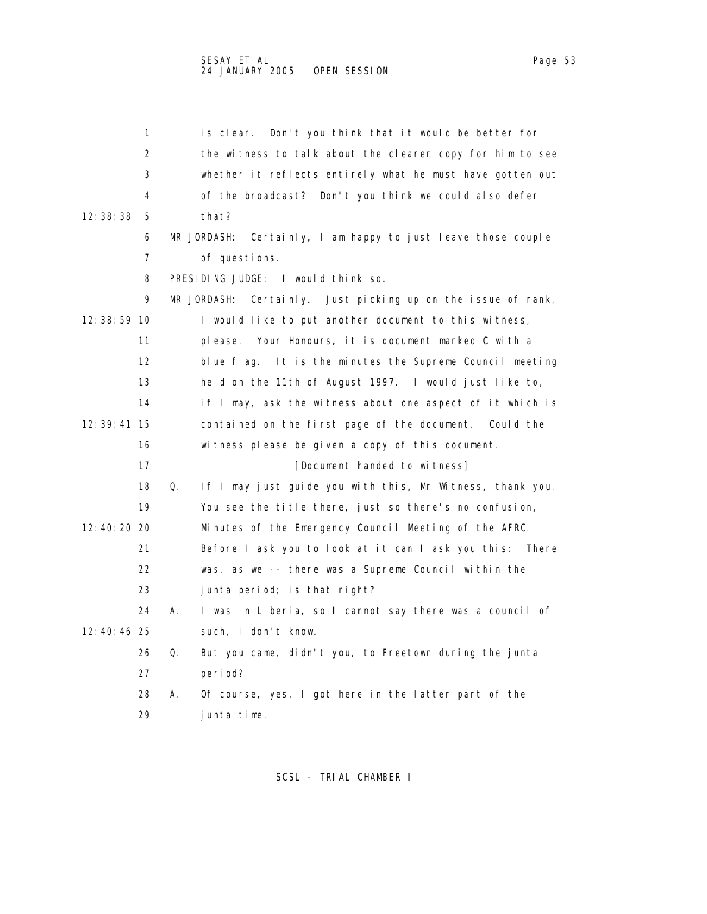1 is clear. Don't you think that it would be better for 2 the witness to talk about the clearer copy for him to see 3 whether it reflects entirely what he must have gotten out 4 of the broadcast? Don't you think we could also defer 12:38:38 5 that? 6 MR JORDASH: Certainly, I am happy to just leave those couple 7 of questions. 8 PRESIDING JUDGE: I would think so. 9 MR JORDASH: Certainly. Just picking up on the issue of rank, 12:38:59 10 I would like to put another document to this witness, 11 please. Your Honours, it is document marked C with a 12 blue flag. It is the minutes the Supreme Council meeting 13 held on the 11th of August 1997. I would just like to, 14 if I may, ask the witness about one aspect of it which is 12:39:41 15 contained on the first page of the document. Could the 16 witness please be given a copy of this document. 17 **Intervalle Contract Contract Contract Contract Contract Contract Contract Contract Contract Contract Contract Contract Contract Contract Contract Contract Contract Contract Contract Contract Contract Contract Contract**  18 Q. If I may just guide you with this, Mr Witness, thank you. 19 You see the title there, just so there's no confusion, 12:40:20 20 Minutes of the Emergency Council Meeting of the AFRC. 21 Before I ask you to look at it can I ask you this: There

22 was, as we -- there was a Supreme Council within the

- 23 junta period; is that right?
- 24 A. I was in Liberia, so I cannot say there was a council of 12:40:46 25 such, I don't know.
	- 26 Q. But you came, didn't you, to Freetown during the junta 27 period?
		- 28 A. Of course, yes, I got here in the latter part of the 29 junta time.

- 
- 
- 
-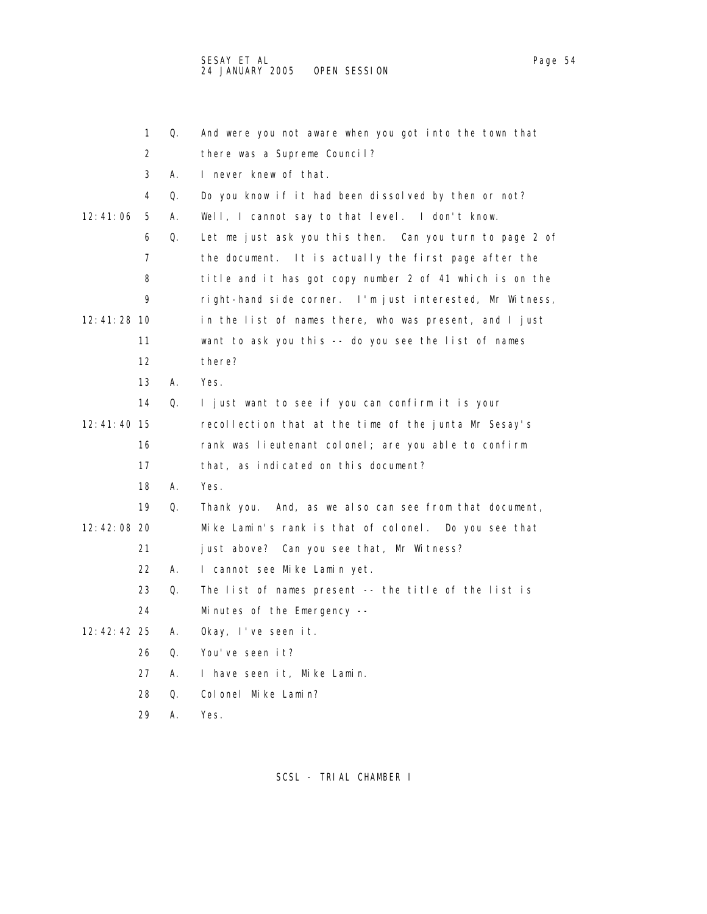|             | 1                 | Q. | And were you not aware when you got into the town that   |
|-------------|-------------------|----|----------------------------------------------------------|
|             | 2                 |    | there was a Supreme Council?                             |
|             | 3                 | А. | I never knew of that.                                    |
|             | 4                 | Q. | Do you know if it had been dissolved by then or not?     |
| 12: 41: 06  | 5                 | А. | Well, I cannot say to that level. I don't know.          |
|             | 6                 | Q. | Let me just ask you this then. Can you turn to page 2 of |
|             | 7                 |    | the document. It is actually the first page after the    |
|             | 8                 |    | title and it has got copy number 2 of 41 which is on the |
|             | 9                 |    | right-hand side corner. I'm just interested, Mr Witness, |
| 12:41:28 10 |                   |    | in the list of names there, who was present, and I just  |
|             | 11                |    | want to ask you this -- do you see the list of names     |
|             | $12 \overline{ }$ |    | there?                                                   |
|             | 13                | А. | Yes.                                                     |
|             | 14                | Q. | I just want to see if you can confirm it is your         |
| 12:41:40 15 |                   |    | recollection that at the time of the junta Mr Sesay's    |
|             | 16                |    | rank was lieutenant colonel; are you able to confirm     |
|             | 17                |    | that, as indicated on this document?                     |
|             | 18                | А. | Yes.                                                     |
|             | 19                | Q. | Thank you. And, as we also can see from that document,   |
| 12:42:08 20 |                   |    | Mike Lamin's rank is that of colonel. Do you see that    |
|             | 21                |    | just above? Can you see that, Mr Witness?                |
|             | 22                | А. | I cannot see Mike Lamin yet.                             |
|             | 23                | Q. | The list of names present -- the title of the list is    |
|             | 24                |    | Minutes of the Emergency --                              |
| 12:42:42 25 |                   | А. | Okay, I've seen it.                                      |
|             | 26                | 0. | You've seen it?                                          |
|             | 27                | А. | I have seen it, Mike Lamin.                              |
|             | 28                | 0. | Colonel Mike Lamin?                                      |
|             | 29                | А. | Yes.                                                     |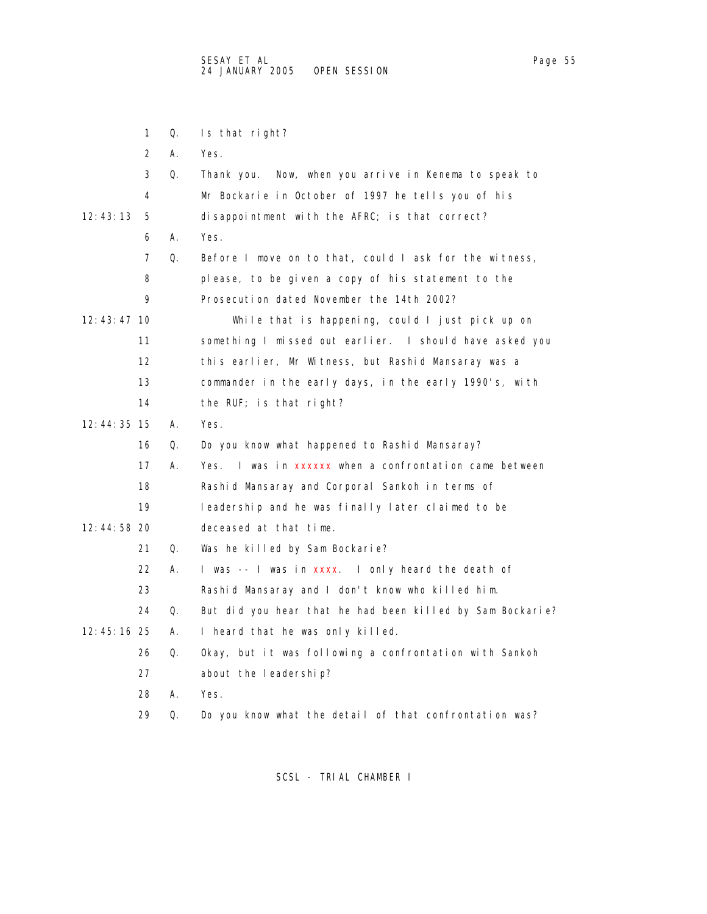|             | 1                 | Q. | Is that right?                                            |
|-------------|-------------------|----|-----------------------------------------------------------|
|             | 2                 | А. | Yes.                                                      |
|             | 3                 | Q. | Thank you.<br>Now, when you arrive in Kenema to speak to  |
|             | 4                 |    | Mr Bockarie in October of 1997 he tells you of his        |
| 12: 43: 13  | 5                 |    | disappointment with the AFRC; is that correct?            |
|             | 6                 | А. | Yes.                                                      |
|             | 7                 | Q. | Before I move on to that, could I ask for the witness,    |
|             | 8                 |    | please, to be given a copy of his statement to the        |
|             | 9                 |    | Prosecution dated November the 14th 2002?                 |
| 12:43:47 10 |                   |    | While that is happening, could I just pick up on          |
|             | 11                |    | something I missed out earlier. I should have asked you   |
|             | $12 \overline{ }$ |    | this earlier, Mr Witness, but Rashid Mansaray was a       |
|             | 13                |    | commander in the early days, in the early 1990's, with    |
|             | 14                |    | the RUF; is that right?                                   |
| 12:44:35 15 |                   | А. | Yes.                                                      |
|             | 16                | Q. | Do you know what happened to Rashid Mansaray?             |
|             | 17                | А. | I was in xxxxxx when a confrontation came between<br>Yes. |
|             | 18                |    | Rashid Mansaray and Corporal Sankoh in terms of           |
|             | 19                |    | leadership and he was finally later claimed to be         |
| 12:44:58 20 |                   |    | deceased at that time.                                    |
|             | 21                | Q. | Was he killed by Sam Bockarie?                            |
|             | 22                | А. | I was -- I was in xxxx. I only heard the death of         |
|             | 23                |    | Rashid Mansaray and I don't know who killed him.          |
|             | 24                | Q. | But did you hear that he had been killed by Sam Bockarie? |
| 12:45:16 25 |                   | А. | I heard that he was only killed.                          |
|             | 26                | Q. | Okay, but it was following a confrontation with Sankoh    |
|             | 27                |    | about the leadership?                                     |
|             | 28                | А. | Yes.                                                      |
|             | 29                | Q. | Do you know what the detail of that confrontation was?    |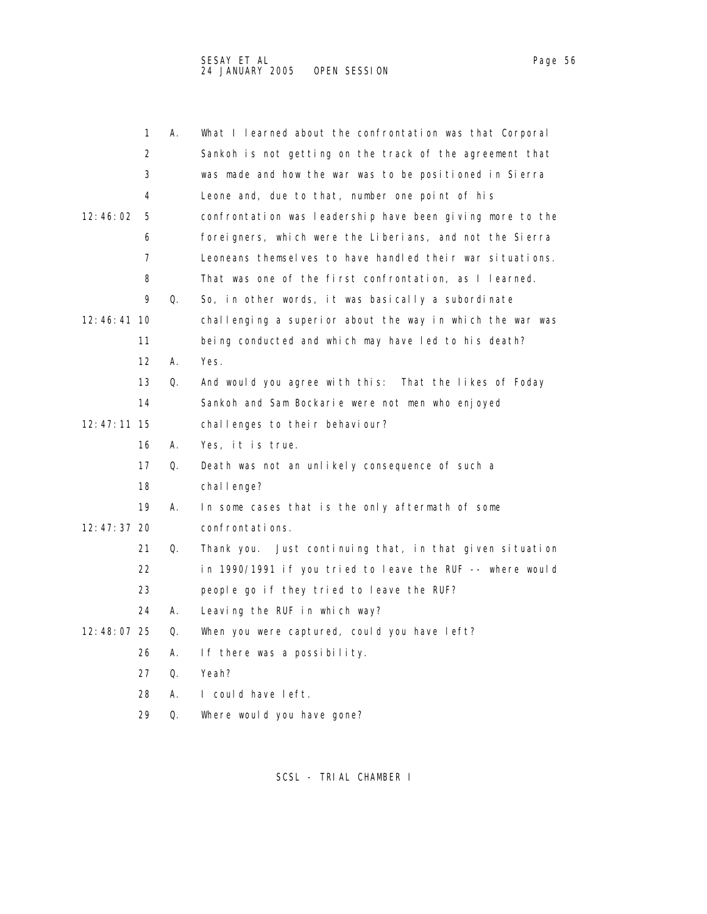| ane, | ۱r |
|------|----|
|      |    |

|               | 1                 | А. | What I learned about the confrontation was that Corporal  |
|---------------|-------------------|----|-----------------------------------------------------------|
|               | 2                 |    | Sankoh is not getting on the track of the agreement that  |
|               | 3                 |    | was made and how the war was to be positioned in Sierra   |
|               | 4                 |    | Leone and, due to that, number one point of his           |
| 12: 46: 02    | 5                 |    | confrontation was leadership have been giving more to the |
|               | 6                 |    | foreigners, which were the Liberians, and not the Sierra  |
|               | 7                 |    | Leoneans themselves to have handled their war situations. |
|               | 8                 |    | That was one of the first confrontation, as I learned.    |
|               | 9                 | Q. | So, in other words, it was basically a subordinate        |
| 12:46:41 10   |                   |    | challenging a superior about the way in which the war was |
|               | 11                |    | being conducted and which may have led to his death?      |
|               | $12 \overline{ }$ | А. | Yes.                                                      |
|               | 13                | Q. | And would you agree with this: That the likes of Foday    |
|               | 14                |    | Sankoh and Sam Bockarie were not men who enjoyed          |
| 12: 47: 11 15 |                   |    | challenges to their behaviour?                            |
|               | 16                | А. | Yes, it is true.                                          |
|               | 17                | Q. | Death was not an unlikely consequence of such a           |
|               | 18                |    | chal I enge?                                              |
|               | 19                | А. | In some cases that is the only aftermath of some          |
| 12: 47: 37 20 |                   |    | confrontations.                                           |
|               | 21                | Q. | Thank you. Just continuing that, in that given situation  |
|               | 22                |    | in 1990/1991 if you tried to leave the RUF -- where would |
|               | 23                |    | people go if they tried to leave the RUF?                 |
|               | 24                | А. | Leaving the RUF in which way?                             |
| 12:48:07 25   |                   | 0. | When you were captured, could you have left?              |
|               | 26                | А. | If there was a possibility.                               |
|               | 27                | Q. | Yeah?                                                     |
|               | 28                | А. | I could have left.                                        |
|               | 29                | Q. | Where would you have gone?                                |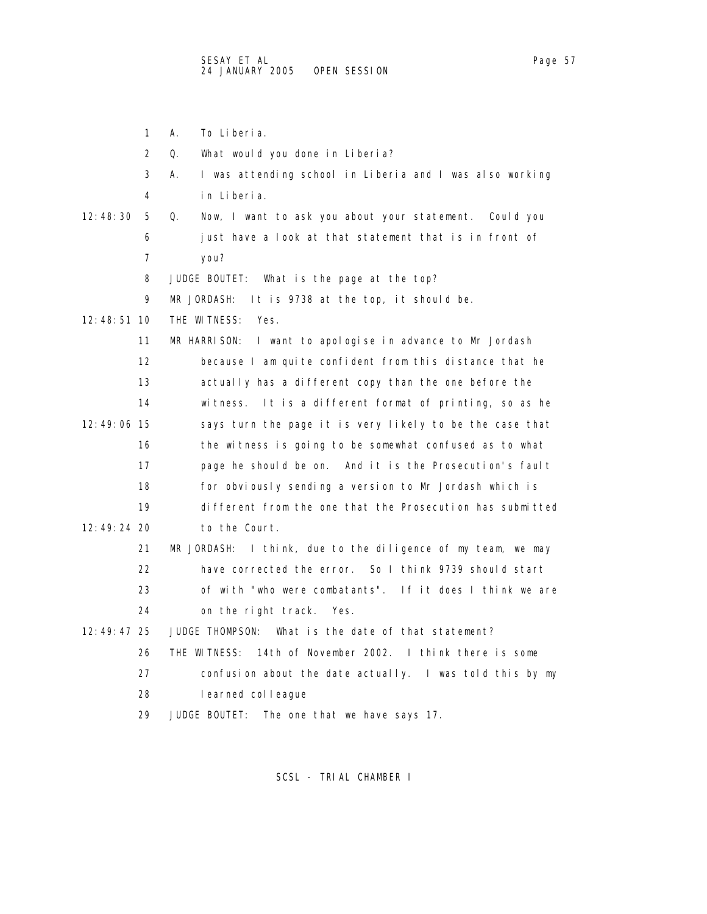1 A. To Liberia. 2 Q. What would you done in Liberia? 3 A. I was attending school in Liberia and I was also working 4 in Liberia. 12:48:30 5 Q. Now, I want to ask you about your statement. Could you 6 just have a look at that statement that is in front of 7 you? 8 JUDGE BOUTET: What is the page at the top? 9 MR JORDASH: It is 9738 at the top, it should be. 12:48:51 10 THE WITNESS: Yes. 11 MR HARRISON: I want to apologise in advance to Mr Jordash 12 because I am quite confident from this distance that he 13 actually has a different copy than the one before the 14 witness. It is a different format of printing, so as he 12:49:06 15 says turn the page it is very likely to be the case that 16 the witness is going to be somewhat confused as to what 17 page he should be on. And it is the Prosecution's fault 18 for obviously sending a version to Mr Jordash which is 19 different from the one that the Prosecution has submitted 12:49:24 20 to the Court. 21 MR JORDASH: I think, due to the diligence of my team, we may 22 have corrected the error. So I think 9739 should start 23 of with "who were combatants". If it does I think we are 24 on the right track. Yes. 12:49:47 25 JUDGE THOMPSON: What is the date of that statement? 26 THE WITNESS: 14th of November 2002. I think there is some 27 confusion about the date actually. I was told this by my 28 learned colleague 29 JUDGE BOUTET: The one that we have says 17.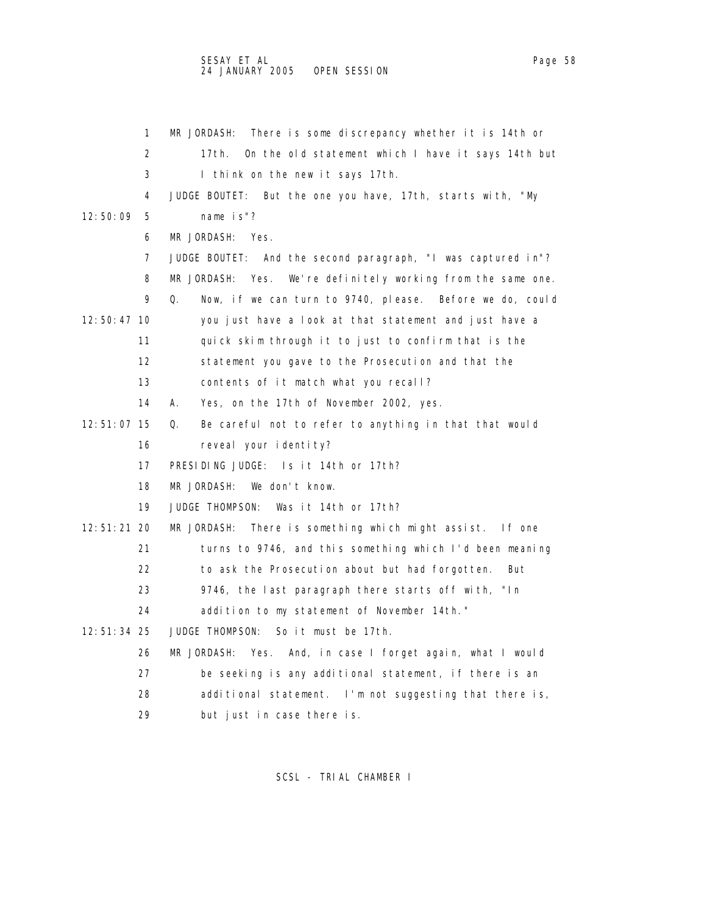2 17th. On the old statement which I have it says 14th but 3 I think on the new it says 17th. 4 JUDGE BOUTET: But the one you have, 17th, starts with, "My 12:50:09 5 name is"? 6 MR JORDASH: Yes. 7 JUDGE BOUTET: And the second paragraph, "I was captured in"? 8 MR JORDASH: Yes. We're definitely working from the same one. 9 Q. Now, if we can turn to 9740, please. Before we do, could 12:50:47 10 you just have a look at that statement and just have a 11 quick skim through it to just to confirm that is the 12 statement you gave to the Prosecution and that the 13 contents of it match what you recall? 14 A. Yes, on the 17th of November 2002, yes. 12:51:07 15 Q. Be careful not to refer to anything in that that would

1 MR JORDASH: There is some discrepancy whether it is 14th or

16 reveal your identity?

17 PRESIDING JUDGE: Is it 14th or 17th?

18 MR JORDASH: We don't know.

19 JUDGE THOMPSON: Was it 14th or 17th?

12:51:21 20 MR JORDASH: There is something which might assist. If one

21 turns to 9746, and this something which I'd been meaning

22 to ask the Prosecution about but had forgotten. But

23 9746, the last paragraph there starts off with, "In

24 addition to my statement of November 14th."

12:51:34 25 JUDGE THOMPSON: So it must be 17th.

26 MR JORDASH: Yes. And, in case I forget again, what I would

27 be seeking is any additional statement, if there is an

28 additional statement. I'm not suggesting that there is,

29 but just in case there is.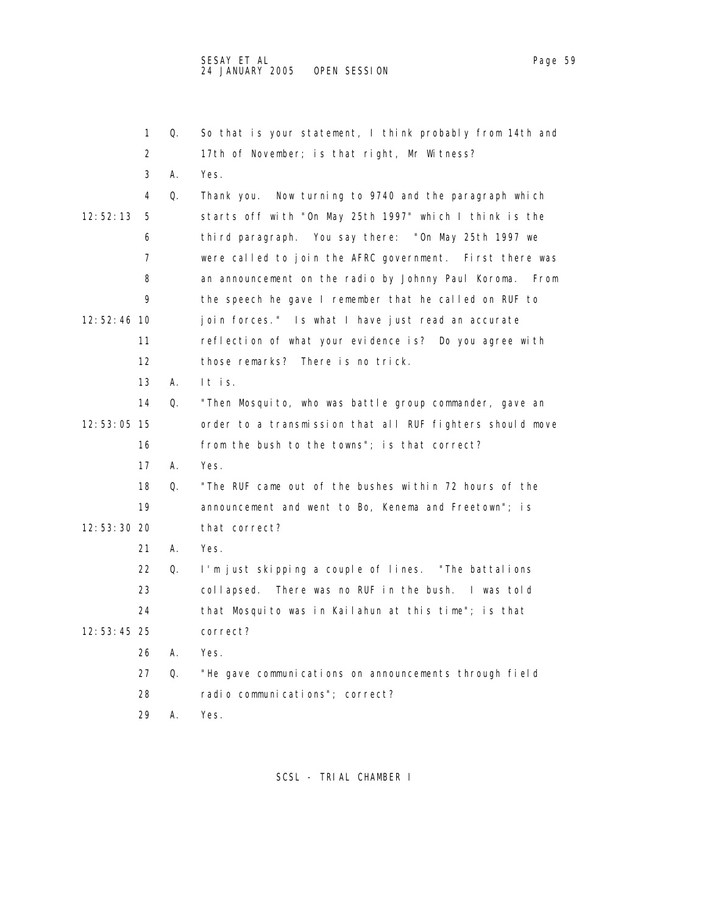|               | 1  | Q. | So that is your statement, I think probably from 14th and   |
|---------------|----|----|-------------------------------------------------------------|
|               | 2  |    | 17th of November; is that right, Mr Witness?                |
|               | 3  | А. | Yes.                                                        |
|               | 4  | Q. | Thank you. Now turning to 9740 and the paragraph which      |
| 12: 52: 13    | 5  |    | starts off with "On May 25th 1997" which I think is the     |
|               | 6  |    | third paragraph. You say there: "On May 25th 1997 we        |
|               | 7  |    | were called to join the AFRC government. First there was    |
|               | 8  |    | an announcement on the radio by Johnny Paul Koroma.<br>From |
|               | 9  |    | the speech he gave I remember that he called on RUF to      |
| 12:52:46 10   |    |    | join forces." Is what I have just read an accurate          |
|               | 11 |    | reflection of what your evidence is? Do you agree with      |
|               | 12 |    | those remarks? There is no trick.                           |
|               | 13 | А. | It is.                                                      |
|               | 14 | Q. | "Then Mosquito, who was battle group commander, gave an     |
| 12:53:05 15   |    |    | order to a transmission that all RUF fighters should move   |
|               | 16 |    | from the bush to the towns"; is that correct?               |
|               | 17 | А. | Yes.                                                        |
|               | 18 | Q. | "The RUF came out of the bushes within 72 hours of the      |
|               | 19 |    | announcement and went to Bo, Kenema and Freetown"; is       |
| $12:53:30$ 20 |    |    | that correct?                                               |
|               | 21 | А. | Yes.                                                        |
|               | 22 | Q. | I'm just skipping a couple of lines. "The battalions        |
|               | 23 |    | There was no RUF in the bush. I was told<br>collapsed.      |
|               | 24 |    | that Mosquito was in Kailahun at this time"; is that        |
| 12:53:45 25   |    |    | correct?                                                    |
|               | 26 | А. | Yes.                                                        |
|               | 27 | Q. | "He gave communications on announcements through field      |
|               | 28 |    | radio communications"; correct?                             |
|               |    |    |                                                             |

29 A. Yes.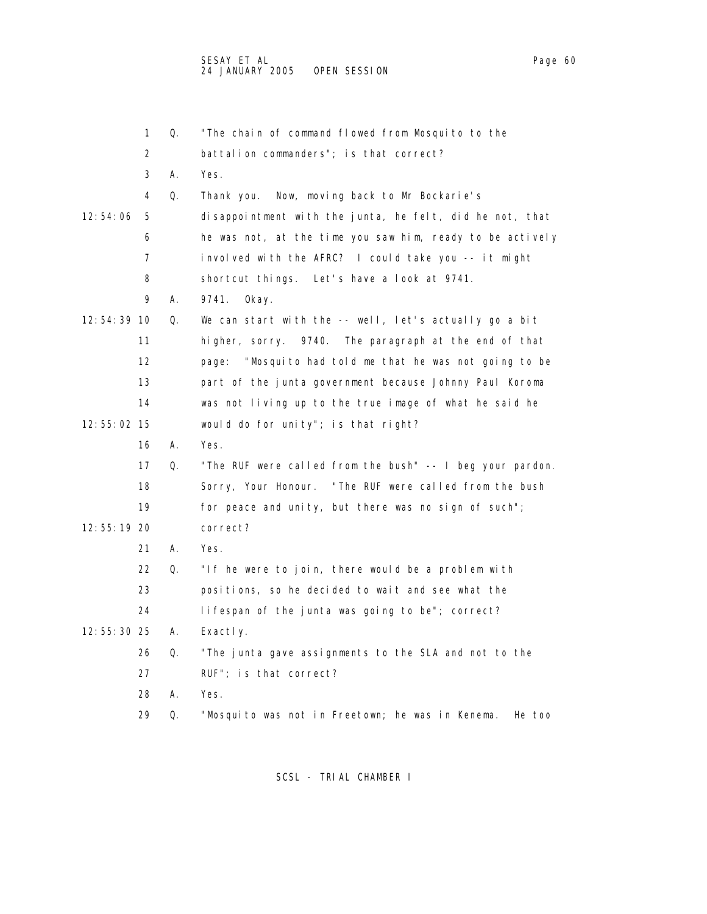|             | 1  | Q. | "The chain of command flowed from Mosquito to the          |
|-------------|----|----|------------------------------------------------------------|
|             | 2  |    | battalion commanders"; is that correct?                    |
|             | 3  | А. | Yes.                                                       |
|             | 4  | Q. | Thank you. Now, moving back to Mr Bockarie's               |
| 12:54:06    | 5  |    | disappointment with the junta, he felt, did he not, that   |
|             | 6  |    | he was not, at the time you saw him, ready to be actively  |
|             | 7  |    | involved with the AFRC? I could take you -- it might       |
|             | 8  |    | shortcut things. Let's have a look at 9741.                |
|             | 9  | Α. | 9741.<br>0kay.                                             |
| 12:54:39 10 |    | Q. | We can start with the -- well, let's actually go a bit     |
|             | 11 |    | higher, sorry. 9740. The paragraph at the end of that      |
|             | 12 |    | "Mosquito had told me that he was not going to be<br>page: |
|             | 13 |    | part of the junta government because Johnny Paul Koroma    |
|             | 14 |    | was not living up to the true image of what he said he     |
| 12:55:02 15 |    |    | would do for unity"; is that right?                        |
|             | 16 | А. | Yes.                                                       |
|             | 17 | Q. | "The RUF were called from the bush" -- I beg your pardon.  |
|             | 18 |    | Sorry, Your Honour. "The RUF were called from the bush     |
|             | 19 |    | for peace and unity, but there was no sign of such";       |
| 12:55:19 20 |    |    | correct?                                                   |
|             | 21 | А. | Yes.                                                       |
|             | 22 | Q. | "If he were to join, there would be a problem with         |
|             | 23 |    | positions, so he decided to wait and see what the          |
|             | 24 |    | lifespan of the junta was going to be"; correct?           |
| 12:55:30 25 |    | А. | Exactly.                                                   |
|             | 26 | Q. | "The junta gave assignments to the SLA and not to the      |
|             | 27 |    | RUF"; is that correct?                                     |
|             | 28 | Α. | Yes.                                                       |
|             | 29 | Q. | "Mosquito was not in Freetown; he was in Kenema.<br>He too |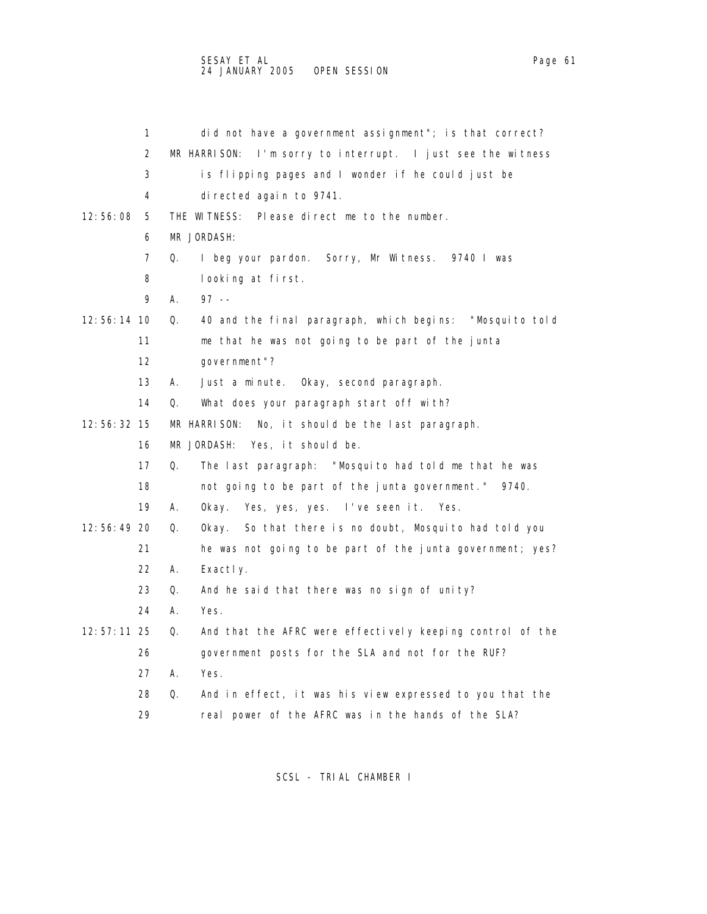1 did not have a government assignment"; is that correct? 2 MR HARRISON: I'm sorry to interrupt. I just see the witness 3 is flipping pages and I wonder if he could just be 4 directed again to 9741. 12:56:08 5 THE WITNESS: Please direct me to the number. 6 MR JORDASH: 7 Q. I beg your pardon. Sorry, Mr Witness. 9740 I was 8 looking at first. 9 A. 97 -- 12:56:14 10 Q. 40 and the final paragraph, which begins: "Mosquito told 11 me that he was not going to be part of the junta 12 government"? 13 A. Just a minute. Okay, second paragraph. 14 Q. What does your paragraph start off with? 12:56:32 15 MR HARRISON: No, it should be the last paragraph. 16 MR JORDASH: Yes, it should be. 17 Q. The last paragraph: "Mosquito had told me that he was 18 not going to be part of the junta government." 9740. 19 A. Okay. Yes, yes, yes. I've seen it. Yes. 12:56:49 20 Q. Okay. So that there is no doubt, Mosquito had told you 21 he was not going to be part of the junta government; yes? 22 A. Exactly. 23 Q. And he said that there was no sign of unity? 24 A. Yes. 12:57:11 25 Q. And that the AFRC were effectively keeping control of the 26 government posts for the SLA and not for the RUF? 27 A. Yes. 28 Q. And in effect, it was his view expressed to you that the

29 real power of the AFRC was in the hands of the SLA?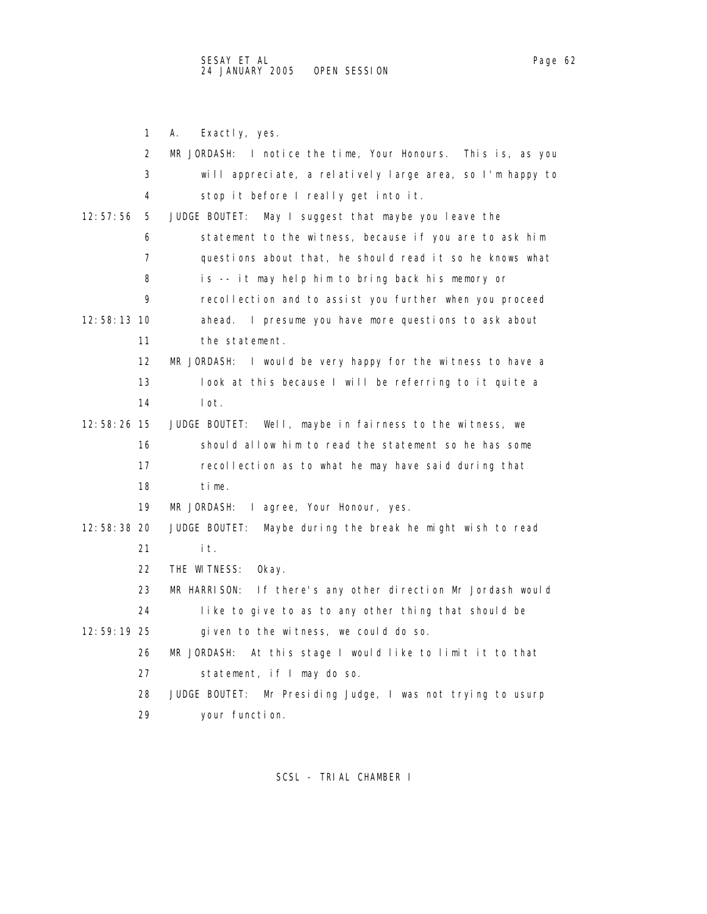1 A. Exactly, yes. 2 MR JORDASH: I notice the time, Your Honours. This is, as you 3 will appreciate, a relatively large area, so I'm happy to 4 stop it before I really get into it. 12:57:56 5 JUDGE BOUTET: May I suggest that maybe you leave the 6 statement to the witness, because if you are to ask him 7 questions about that, he should read it so he knows what 8 is -- it may help him to bring back his memory or 9 recollection and to assist you further when you proceed 12:58:13 10 ahead. I presume you have more questions to ask about 11 the statement. 12 MR JORDASH: I would be very happy for the witness to have a 13 look at this because I will be referring to it quite a 14 lot. 12:58:26 15 JUDGE BOUTET: Well, maybe in fairness to the witness, we 16 should allow him to read the statement so he has some 17 recollection as to what he may have said during that 18 time. 19 MR JORDASH: I agree, Your Honour, yes. 12:58:38 20 JUDGE BOUTET: Maybe during the break he might wish to read 21 it. 22 THE WITNESS: Okay. 23 MR HARRISON: If there's any other direction Mr Jordash would 24 like to give to as to any other thing that should be 12:59:19 25 given to the witness, we could do so. 26 MR JORDASH: At this stage I would like to limit it to that 27 statement, if I may do so. 28 JUDGE BOUTET: Mr Presiding Judge, I was not trying to usurp 29 your function.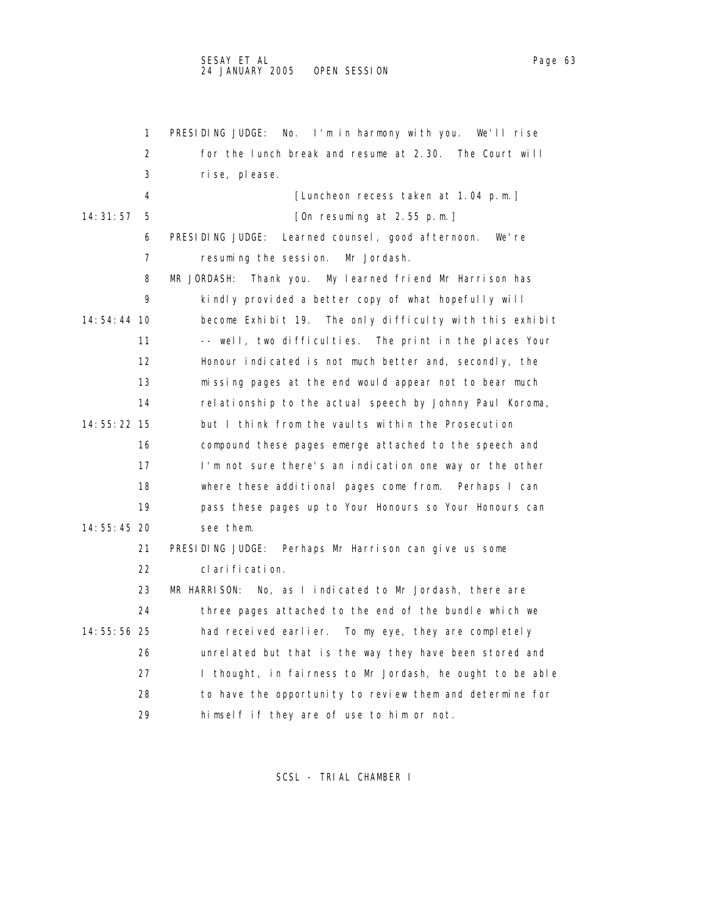|               | 1  | No. I'm in harmony with you. We'll rise<br>PRESIDING JUDGE:    |
|---------------|----|----------------------------------------------------------------|
|               | 2  | for the lunch break and resume at 2.30. The Court will         |
|               | 3  | rise, please.                                                  |
|               | 4  | [Luncheon recess taken at 1.04 p.m.]                           |
| 14:31:57      | 5  | [On resuming at 2.55 p.m.]                                     |
|               | 6  | PRESIDING JUDGE:<br>Learned counsel, good afternoon.<br>We're  |
|               | 7  | resuming the session.<br>Mr Jordash.                           |
|               | 8  | MR JORDASH:<br>Thank you.<br>My learned friend Mr Harrison has |
|               | 9  | kindly provided a better copy of what hopefully will           |
| 14:54:44 10   |    | become Exhibit 19. The only difficulty with this exhibit       |
|               | 11 | -- well, two difficulties. The print in the places Your        |
|               | 12 | Honour indicated is not much better and, secondly, the         |
|               | 13 | missing pages at the end would appear not to bear much         |
|               | 14 | relationship to the actual speech by Johnny Paul Koroma,       |
| 14: 55: 22 15 |    | but I think from the vaults within the Prosecution             |
|               | 16 | compound these pages emerge attached to the speech and         |
|               | 17 | I'm not sure there's an indication one way or the other        |
|               | 18 | where these additional pages come from. Perhaps I can          |
|               | 19 | pass these pages up to Your Honours so Your Honours can        |
| 14: 55: 45 20 |    | see them.                                                      |
|               | 21 | PRESIDING JUDGE:<br>Perhaps Mr Harrison can give us some       |
|               | 22 | clarification.                                                 |
|               | 23 | MR HARRISON: No, as I indicated to Mr Jordash, there are       |
|               | 24 | three pages attached to the end of the bundle which we         |
| 14:55:56 25   |    | had received earlier. To my eye, they are completely           |
|               | 26 | unrelated but that is the way they have been stored and        |
|               | 27 | I thought, in fairness to Mr Jordash, he ought to be able      |
|               | 28 | to have the opportunity to review them and determine for       |
|               | 29 | himself if they are of use to him or not.                      |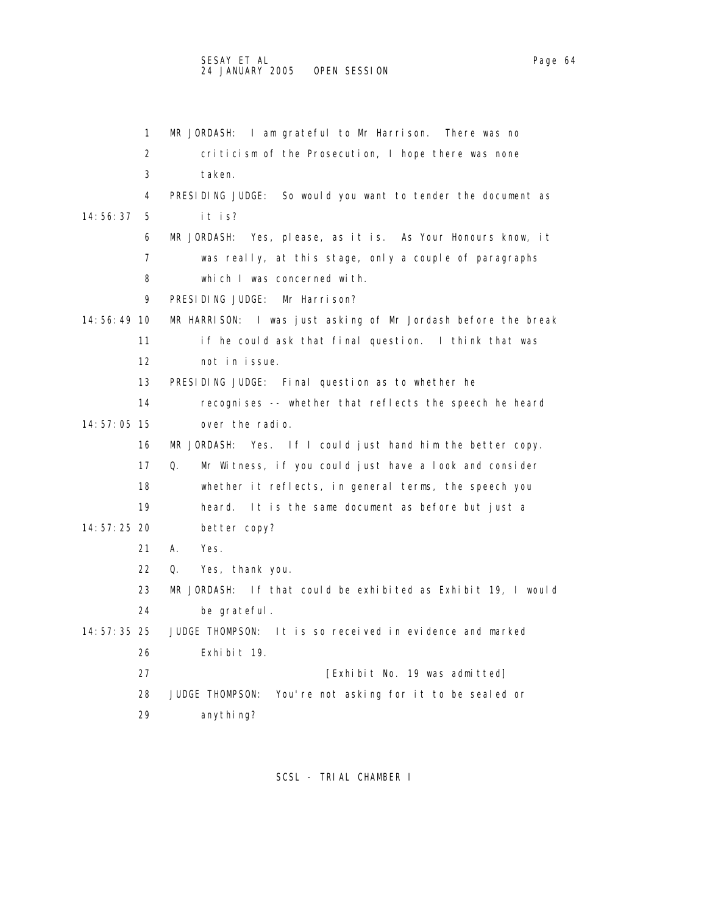| 1                 | MR JORDASH: I am grateful to Mr Harrison. There was no         |
|-------------------|----------------------------------------------------------------|
| 2                 | criticism of the Prosecution, I hope there was none            |
| 3                 | taken.                                                         |
| 4                 | PRESIDING JUDGE: So would you want to tender the document as   |
| 14: 56: 37<br>5   | it is?                                                         |
| 6                 | Yes, please, as it is. As Your Honours know, it<br>MR JORDASH: |
| 7                 | was really, at this stage, only a couple of paragraphs         |
| 8                 | which I was concerned with.                                    |
| 9                 | PRESIDING JUDGE:<br>Mr Harrison?                               |
| 14:56:49 10       | MR HARRISON: I was just asking of Mr Jordash before the break  |
| 11                | if he could ask that final question. I think that was          |
| $12 \overline{ }$ | not in issue.                                                  |
| 13                | PRESIDING JUDGE: Final question as to whether he               |
| 14                | recognises -- whether that reflects the speech he heard        |
| 14:57:05 15       | over the radio.                                                |
| 16                | MR JORDASH: Yes. If I could just hand him the better copy.     |
| 17                | Q.<br>Mr Witness, if you could just have a look and consider   |
| 18                | whether it reflects, in general terms, the speech you          |
| 19                | It is the same document as before but just a<br>heard.         |
| 14:57:25 20       | better copy?                                                   |
| 21                | А.<br>Yes.                                                     |
| 22                | Yes, thank you.<br>Q.                                          |
| 23                | MR JORDASH: If that could be exhibited as Exhibit 19, I would  |
| 24                | be grateful.                                                   |
| 14: 57: 35 25     | JUDGE THOMPSON:<br>It is so received in evidence and marked    |
| 26                | Exhi bi t 19.                                                  |
| 27                | [Exhibit No. 19 was admitted]                                  |
| 28                | JUDGE THOMPSON:<br>You're not asking for it to be sealed or    |
| 29                | anythi ng?                                                     |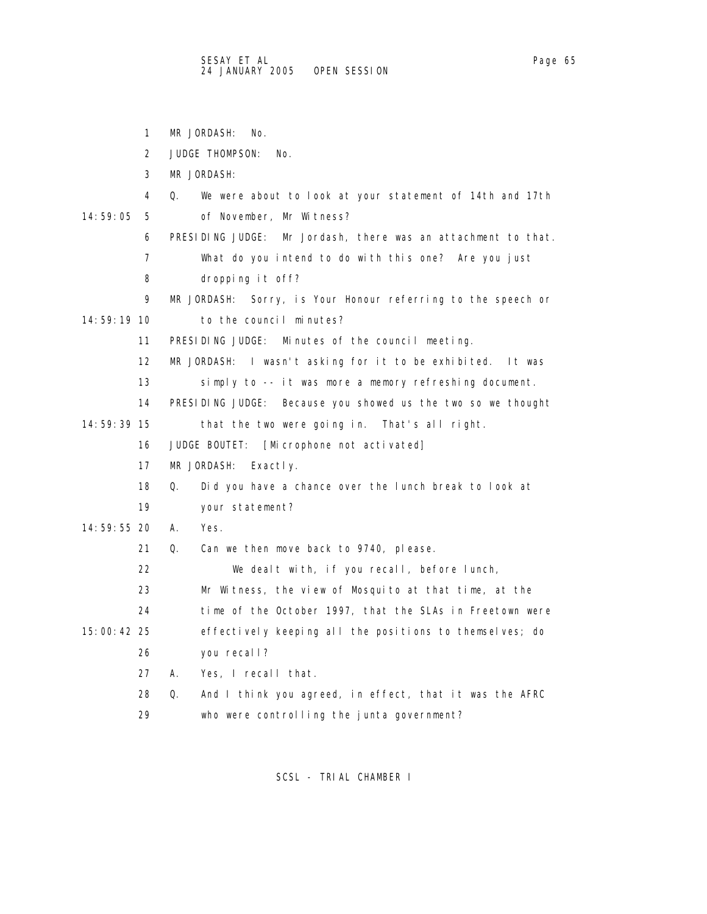1 MR JORDASH: No. 2 JUDGE THOMPSON: No. 3 MR JORDASH: 4 Q. We were about to look at your statement of 14th and 17th 14:59:05 5 of November, Mr Witness? 6 PRESIDING JUDGE: Mr Jordash, there was an attachment to that. 7 What do you intend to do with this one? Are you just 8 dropping it off? 9 MR JORDASH: Sorry, is Your Honour referring to the speech or 14:59:19 10 to the council minutes? 11 PRESIDING JUDGE: Minutes of the council meeting. 12 MR JORDASH: I wasn't asking for it to be exhibited. It was 13 simply to -- it was more a memory refreshing document. 14 PRESIDING JUDGE: Because you showed us the two so we thought 14:59:39 15 that the two were going in. That's all right. 16 JUDGE BOUTET: [Microphone not activated] 17 MR JORDASH: Exactly. 18 Q. Did you have a chance over the lunch break to look at 19 your statement? 14:59:55 20 A. Yes. 21 Q. Can we then move back to 9740, please. 22 We dealt with, if you recall, before lunch, 23 Mr Witness, the view of Mosquito at that time, at the 24 time of the October 1997, that the SLAs in Freetown were 15:00:42 25 effectively keeping all the positions to themselves; do 26 you recall? 27 A. Yes, I recall that. 28 Q. And I think you agreed, in effect, that it was the AFRC 29 who were controlling the junta government?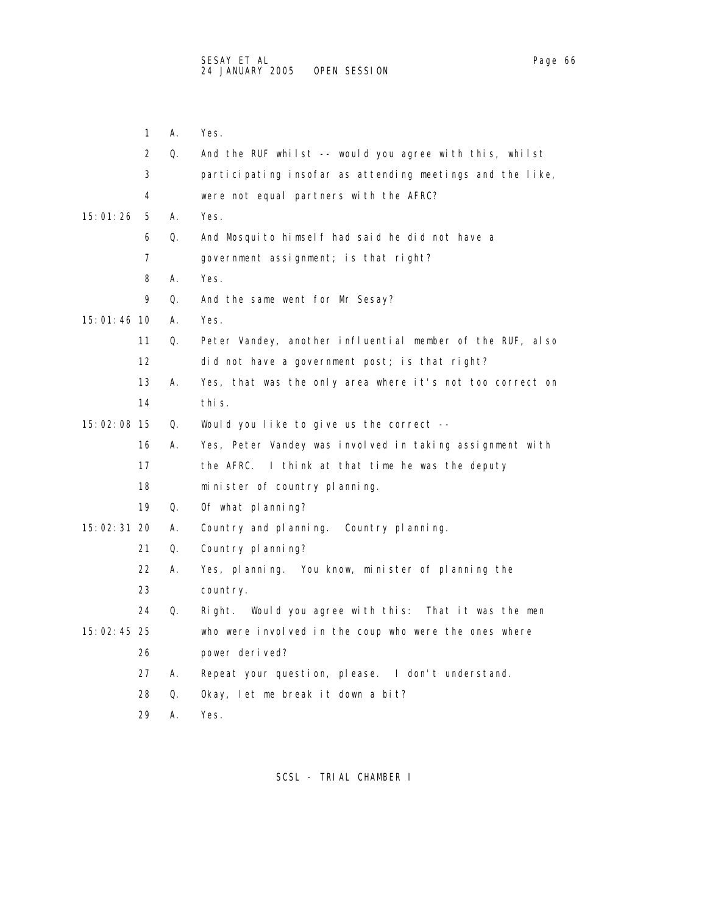1 A. Yes. 2 Q. And the RUF whilst -- would you agree with this, whilst 3 participating insofar as attending meetings and the like, 4 were not equal partners with the AFRC? 15:01:26 5 A. Yes. 6 Q. And Mosquito himself had said he did not have a 7 government assignment; is that right? 8 A. Yes. 9 Q. And the same went for Mr Sesay? 15:01:46 10 A. Yes. 11 Q. Peter Vandey, another influential member of the RUF, also 12 did not have a government post; is that right? 13 A. Yes, that was the only area where it's not too correct on 14 this. 15:02:08 15 Q. Would you like to give us the correct -- 16 A. Yes, Peter Vandey was involved in taking assignment with 17 the AFRC. I think at that time he was the deputy 18 minister of country planning. 19 Q. Of what planning? 15:02:31 20 A. Country and planning. Country planning. 21 Q. Country planning? 22 A. Yes, planning. You know, minister of planning the 23 country. 24 Q. Right. Would you agree with this: That it was the men 15:02:45 25 who were involved in the coup who were the ones where 26 power derived? 27 A. Repeat your question, please. I don't understand. 28 Q. Okay, let me break it down a bit? 29 A. Yes.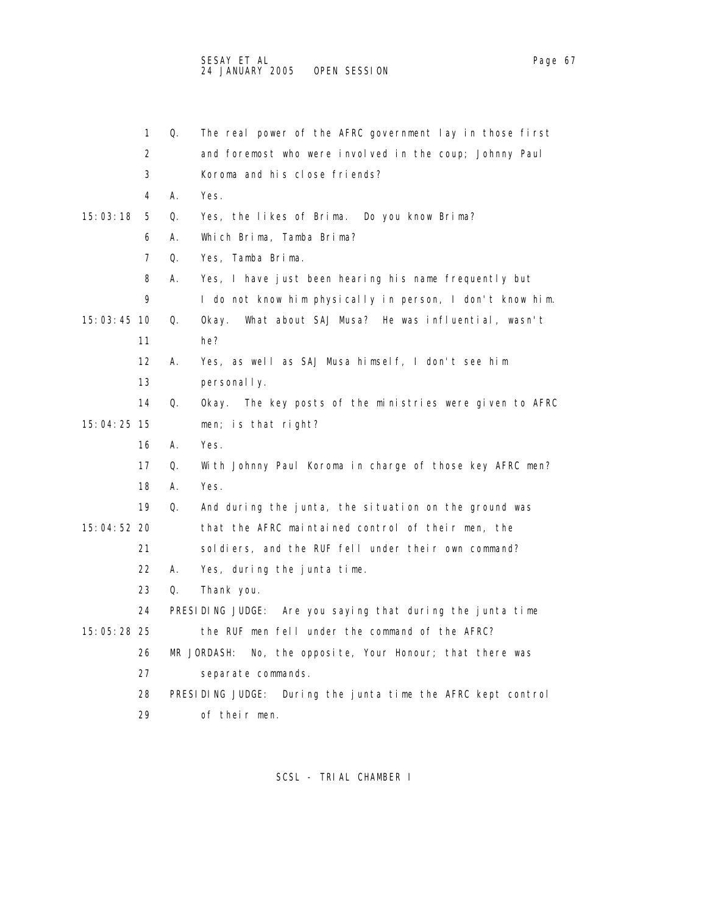|             | 1                 | Q.         | The real power of the AFRC government lay in those first        |
|-------------|-------------------|------------|-----------------------------------------------------------------|
|             | 2                 |            | and foremost who were involved in the coup; Johnny Paul         |
|             | 3                 |            | Koroma and his close friends?                                   |
|             | 4                 | А.         | Yes.                                                            |
| 15:03:18    | 5                 | Q.         | Yes, the likes of Brima. Do you know Brima?                     |
|             | 6                 | А.         | Which Brima, Tamba Brima?                                       |
|             | 7                 | Q.         | Yes, Tamba Brima.                                               |
|             | 8                 | А.         | Yes, I have just been hearing his name frequently but           |
|             | 9                 |            | I do not know him physically in person, I don't know him.       |
| 15:03:45 10 |                   | Q.         | What about SAJ Musa? He was influential, wasn't<br>0kay.        |
|             | 11                |            | he?                                                             |
|             | $12 \overline{ }$ | А.         | Yes, as well as SAJ Musa himself, I don't see him               |
|             | 13                |            | personal I y.                                                   |
|             | 14                | Q.         | The key posts of the ministries were given to AFRC<br>0kay.     |
| 15:04:25 15 |                   |            | men; is that right?                                             |
|             | 16                | А.         | Yes.                                                            |
|             | 17                | Q.         | With Johnny Paul Koroma in charge of those key AFRC men?        |
|             | 18                | А.         | Yes.                                                            |
|             | 19                | Q.         | And during the junta, the situation on the ground was           |
| 15:04:52 20 |                   |            | that the AFRC maintained control of their men, the              |
|             | 21                |            | soldiers, and the RUF fell under their own command?             |
|             | 22                | А.         | Yes, during the junta time.                                     |
|             | 23                | $\Omega$ . | Thank you.                                                      |
|             | 24                |            | PRESIDING JUDGE: Are you saying that during the junta time      |
| 15:05:28 25 |                   |            | the RUF men fell under the command of the AFRC?                 |
|             | 26                |            | MR JORDASH:<br>No, the opposite, Your Honour; that there was    |
|             | 27                |            | separate commands.                                              |
|             | 28                |            | PRESIDING JUDGE:<br>During the junta time the AFRC kept control |
|             | 29                |            | of their men.                                                   |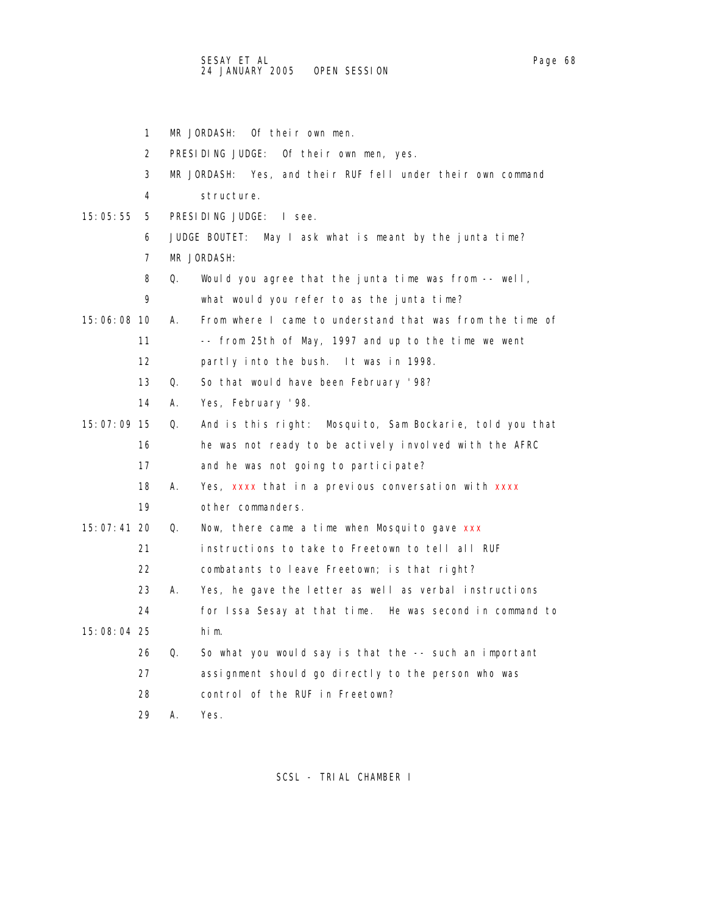|             | 1                 | MR JORDASH:<br>Of their own men.                                  |
|-------------|-------------------|-------------------------------------------------------------------|
|             | 2                 | PRESIDING JUDGE:<br>Of their own men, yes.                        |
|             | 3                 | MR JORDASH: Yes, and their RUF fell under their own command       |
|             | 4                 | structure.                                                        |
| 15:05:55    | 5                 | PRESIDING JUDGE: I see.                                           |
|             | 6                 | JUDGE BOUTET:<br>May I ask what is meant by the junta time?       |
|             | 7                 | MR JORDASH:                                                       |
|             | 8                 | Q.<br>Would you agree that the junta time was from $-$ well,      |
|             | 9                 | what would you refer to as the junta time?                        |
| 15:06:08 10 |                   | From where I came to understand that was from the time of<br>А.   |
|             | 11                | -- from 25th of May, 1997 and up to the time we went              |
|             | $12 \overline{ }$ | partly into the bush. It was in 1998.                             |
|             | 13                | So that would have been February '98?<br>$\Omega$ .               |
|             | 14                | А.<br>Yes, February '98.                                          |
| 15:07:09 15 |                   | Mosquito, Sam Bockarie, told you that<br>Q.<br>And is this right: |
|             | 16                | he was not ready to be actively involved with the AFRC            |
|             | 17                | and he was not going to participate?                              |
|             | 18                | А.<br>Yes, xxxx that in a previous conversation with xxxx         |
|             | 19                | other commanders.                                                 |
| 15:07:41 20 |                   | Q.<br>Now, there came a time when Mosquito gave xxx               |
|             | 21                | instructions to take to Freetown to tell all RUF                  |
|             | 22                | combatants to leave Freetown; is that right?                      |
|             | 23                | Yes, he gave the letter as well as verbal instructions<br>А.      |
|             | 24                | for Issa Sesay at that time. He was second in command to          |
| 15:08:04 25 |                   | him.                                                              |
|             | 26                | Q.<br>So what you would say is that the -- such an important      |
|             | 27                | assignment should go directly to the person who was               |
|             | 28                | control of the RUF in Freetown?                                   |
|             | 29                | А.<br>Yes.                                                        |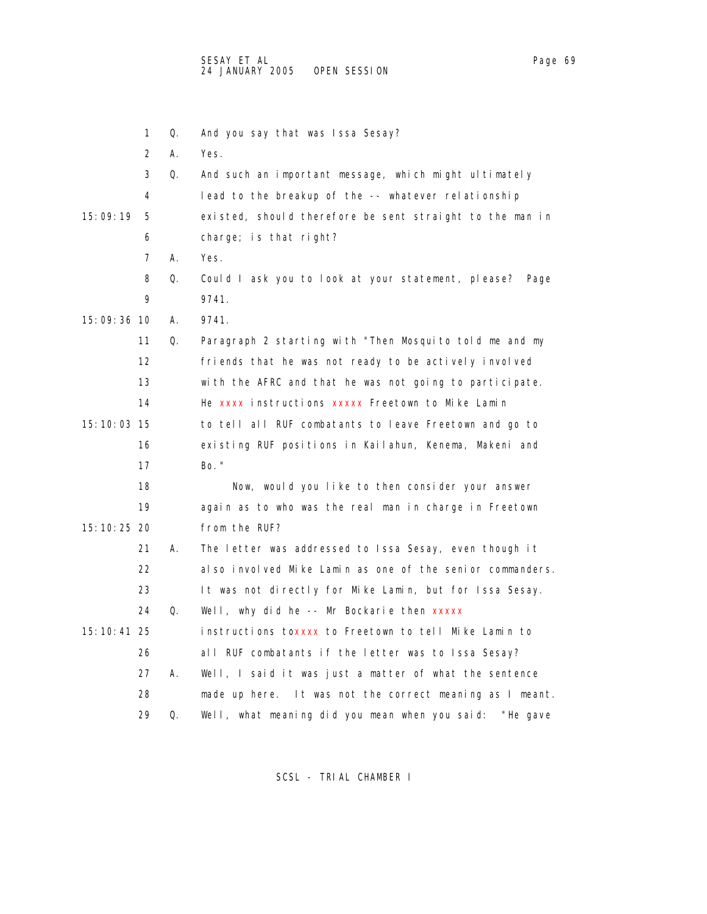|               | 2  | А. | Yes.                                                       |
|---------------|----|----|------------------------------------------------------------|
|               | 3  | Q. | And such an important message, which might ultimately      |
|               | 4  |    | lead to the breakup of the -- whatever relationship        |
| 15:09:19      | 5  |    | existed, should therefore be sent straight to the man in   |
|               | 6  |    | $charge;$ is that right?                                   |
|               | 7  | А. | Yes.                                                       |
|               | 8  | Q. | Could I ask you to look at your statement, please?<br>Page |
|               | 9  |    | 9741.                                                      |
| 15:09:36 10   |    | А. | 9741.                                                      |
|               | 11 | Q. | Paragraph 2 starting with "Then Mosquito told me and my    |
|               | 12 |    | friends that he was not ready to be actively involved      |
|               | 13 |    | with the AFRC and that he was not going to participate.    |
|               | 14 |    | He xxxx instructions xxxxx Freetown to Mike Lamin          |
| 15: 10: 03 15 |    |    | to tell all RUF combatants to leave Freetown and go to     |
|               | 16 |    | existing RUF positions in Kailahun, Kenema, Makeni and     |
|               | 17 |    | Bo. "                                                      |
|               | 18 |    | Now, would you like to then consider your answer           |
|               | 19 |    | again as to who was the real man in charge in Freetown     |
| 15:10:25 20   |    |    | from the RUF?                                              |
|               | 21 | А. | The letter was addressed to Issa Sesay, even though it     |
|               | 22 |    | also involved Mike Lamin as one of the senior commanders.  |
|               | 23 |    | It was not directly for Mike Lamin, but for Issa Sesay.    |
|               | 24 | Q. | Well, why did he -- Mr Bockarie then xxxxx                 |
| 15: 10: 41 25 |    |    | instructions toxxxx to Freetown to tell Mike Lamin to      |
|               | 26 |    | all RUF combatants if the letter was to Issa Sesay?        |
|               | 27 | А. | Well, I said it was just a matter of what the sentence     |
|               | 28 |    | made up here. It was not the correct meaning as I meant.   |
|               | 29 | Q. | Well, what meaning did you mean when you said:<br>"He gave |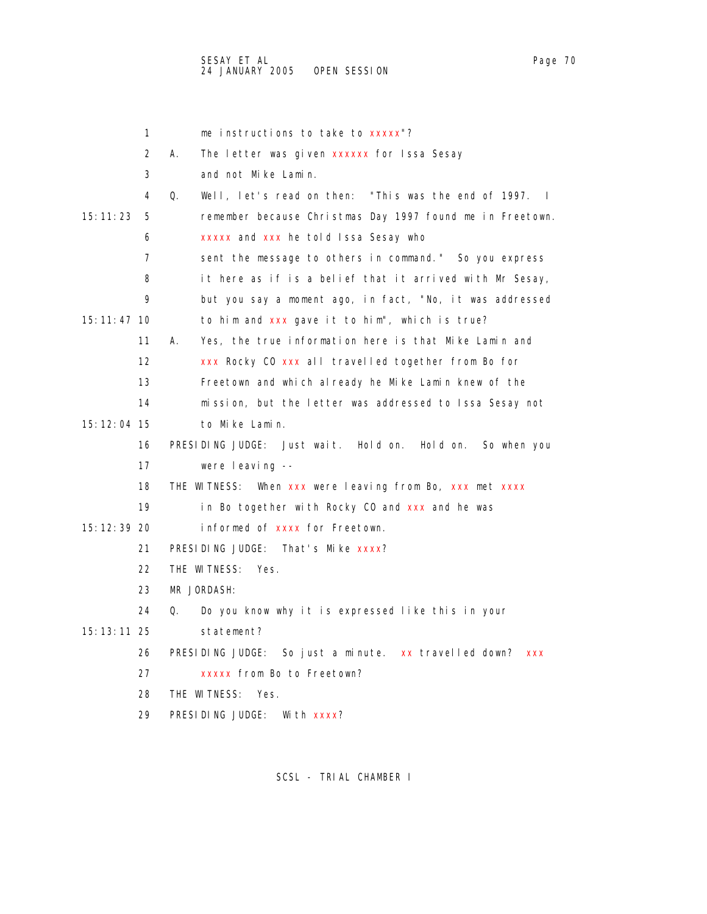|               | 1  | me instructions to take to xxxxx"?                                           |
|---------------|----|------------------------------------------------------------------------------|
|               | 2  | А.<br>The letter was given xxxxxx for Issa Sesay                             |
|               | 3  | and not Mike Lamin.                                                          |
|               | 4  | Well, let's read on then: "This was the end of 1997.<br>Q.<br>$\blacksquare$ |
| 15:11:23      | 5  | remember because Christmas Day 1997 found me in Freetown.                    |
|               | 6  | xxxxx and xxx he told Issa Sesay who                                         |
|               | 7  | sent the message to others in command." So you express                       |
|               | 8  | it here as if is a belief that it arrived with Mr Sesay,                     |
|               | 9  | but you say a moment ago, in fact, "No, it was addressed                     |
| 15: 11: 47 10 |    | to him and xxx gave it to him", which is true?                               |
|               | 11 | Yes, the true information here is that Mike Lamin and<br>А.                  |
|               | 12 | xxx Rocky CO xxx all travelled together from Bo for                          |
|               | 13 | Freetown and which already he Mike Lamin knew of the                         |
|               | 14 | mission, but the letter was addressed to Issa Sesay not                      |
| 15: 12: 04 15 |    | to Mike Lamin.                                                               |
|               | 16 | PRESIDING JUDGE: Just wait. Hold on. Hold on.<br>So when you                 |
|               | 17 | were leaving --                                                              |
|               | 18 | THE WITNESS: When xxx were leaving from Bo, xxx met xxxx                     |
|               | 19 | in Bo together with Rocky CO and xxx and he was                              |
| 15: 12: 39 20 |    | informed of xxxx for Freetown.                                               |
|               | 21 | PRESIDING JUDGE: That's Mike xxxx?                                           |
|               | 22 | THE WITNESS:<br>Yes.                                                         |
|               | 23 | MR JORDASH:                                                                  |
|               | 24 | Q.<br>Do you know why it is expressed like this in your                      |
| 15: 13: 11 25 |    | statement?                                                                   |
|               | 26 | So just a minute. xx travelled down? xxx<br>PRESIDING JUDGE:                 |
|               | 27 | XXXXX from Bo to Freetown?                                                   |
|               | 28 | THE WITNESS:<br>Yes.                                                         |
|               | 29 | PRESIDING JUDGE:<br>With xxxx?                                               |
|               |    |                                                                              |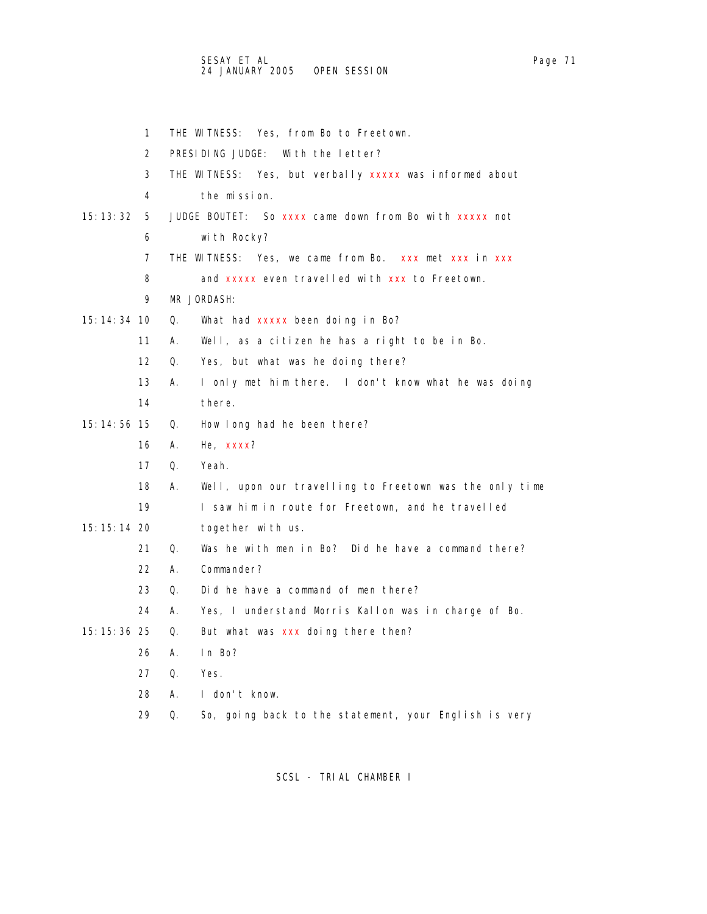1 THE WITNESS: Yes, from Bo to Freetown. 2 PRESIDING JUDGE: With the letter? 3 THE WITNESS: Yes, but verbally xxxxx was informed about 4 the mission. 15:13:32 5 JUDGE BOUTET: So xxxx came down from Bo with xxxxx not 6 with Rocky? 7 THE WITNESS: Yes, we came from Bo. xxx met xxx in xxx 8 and xxxxx even travelled with xxx to Freetown. 9 MR JORDASH: 15:14:34 10  $Q.$  What had  $xxxxx$  been doing in Bo? 11 A. Well, as a citizen he has a right to be in Bo. 12 Q. Yes, but what was he doing there? 13 A. I only met him there. I don't know what he was doing 14 there. 15:14:56 15 Q. How long had he been there? 16 A. He, xxxx? 17 Q. Yeah. 18 A. Well, upon our travelling to Freetown was the only time 19 I saw him in route for Freetown, and he travelled 15:15:14 20 together with us. 21 Q. Was he with men in Bo? Did he have a command there? 22 A. Commander? 23 Q. Did he have a command of men there? 24 A. Yes, I understand Morris Kallon was in charge of Bo. 15:15:36 25 Q. But what was xxx doing there then? 26 A. In Bo? 27 Q. Yes. 28 A. I don't know.

29 Q. So, going back to the statement, your English is very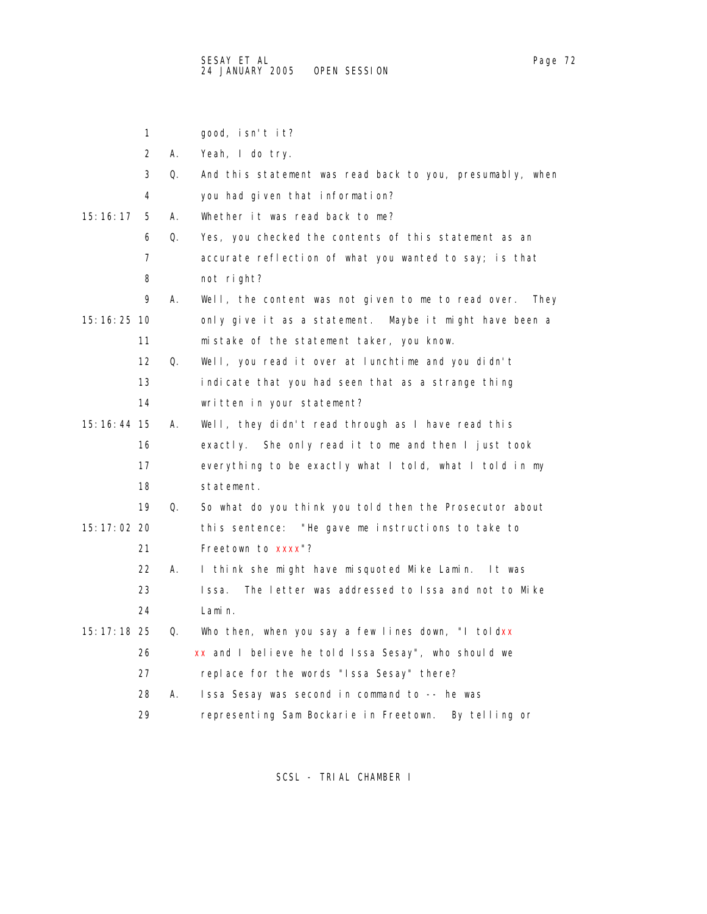|               | 1                 |    | good, isn't it?                                             |
|---------------|-------------------|----|-------------------------------------------------------------|
|               | 2                 | А. | Yeah, I do try.                                             |
|               | 3                 | Q. | And this statement was read back to you, presumably, when   |
|               | 4                 |    | you had given that information?                             |
| 15: 16: 17    | 5                 | А. | Whether it was read back to me?                             |
|               | 6                 | Q. | Yes, you checked the contents of this statement as an       |
|               | 7                 |    | accurate reflection of what you wanted to say; is that      |
|               | 8                 |    | not right?                                                  |
|               | 9                 | А. | Well, the content was not given to me to read over.<br>They |
| 15:16:25 10   |                   |    | only give it as a statement.<br>Maybe it might have been a  |
|               | 11                |    | mistake of the statement taker, you know.                   |
|               | $12 \overline{ }$ | Q. | Well, you read it over at lunchtime and you didn't          |
|               | 13                |    | indicate that you had seen that as a strange thing          |
|               | 14                |    | written in your statement?                                  |
| 15: 16: 44 15 |                   | А. | Well, they didn't read through as I have read this          |
|               | 16                |    | exactly. She only read it to me and then I just took        |
|               | 17                |    | everything to be exactly what I told, what I told in my     |
|               | 18                |    | statement.                                                  |
|               | 19                | Q. | So what do you think you told then the Prosecutor about     |
| 15:17:02 20   |                   |    | this sentence: "He gave me instructions to take to          |
|               | 21                |    | Freetown to xxxx"?                                          |
|               | 22                | А. | I think she might have misquoted Mike Lamin.<br>lt was      |
|               | 23                |    | The letter was addressed to Issa and not to Mike<br>Issa.   |
|               | 24                |    | Lamin.                                                      |
| 15: 17: 18 25 |                   | Q. | Who then, when you say a few lines down, "I toldxx          |
|               | 26                |    | xx and I believe he told Issa Sesay", who should we         |
|               | 27                |    | replace for the words "Issa Sesay" there?                   |
|               | 28                | А. | Issa Sesay was second in command to -- he was               |
|               | 29                |    | representing Sam Bockarie in Freetown. By telling or        |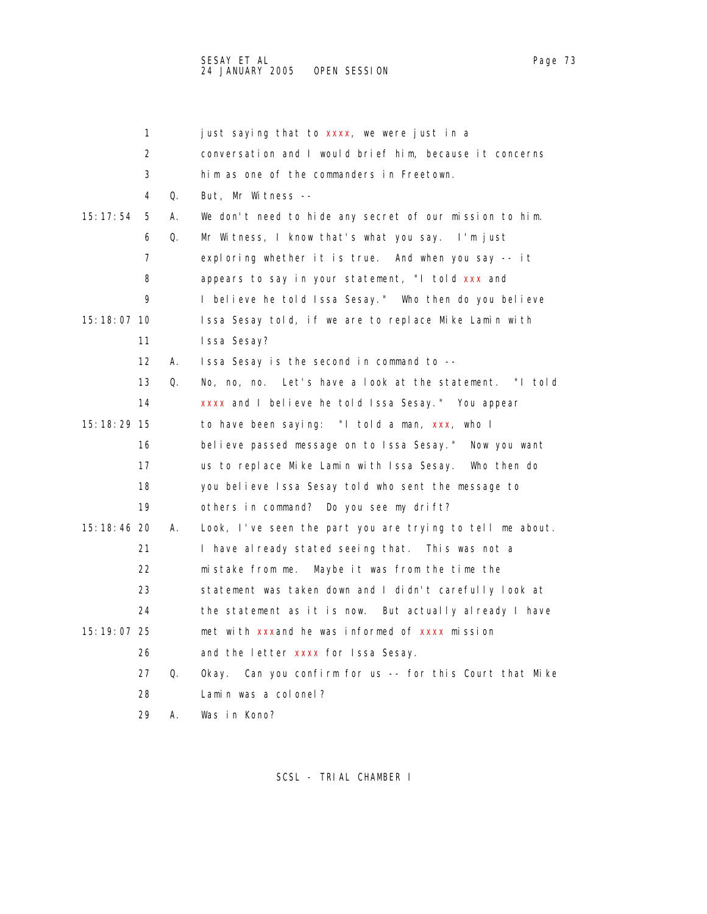SESAY ET AL Page 73 24 JANUARY 2005 OPEN SESSION

1 just saying that to xxxx, we were just in a 2 conversation and I would brief him, because it concerns 3 him as one of the commanders in Freetown. 4 Q. But, Mr Witness -- 15:17:54 5 A. We don't need to hide any secret of our mission to him. 6 Q. Mr Witness, I know that's what you say. I'm just 7 exploring whether it is true. And when you say -- it 8 appears to say in your statement, "I told xxx and 9 I believe he told Issa Sesay." Who then do you believe 15:18:07 10 Issa Sesay told, if we are to replace Mike Lamin with 11 Issa Sesay? 12 A. Issa Sesay is the second in command to -- 13 Q. No, no, no. Let's have a look at the statement. "I told 14 xxxx and I believe he told Issa Sesay." You appear 15:18:29 15 to have been saying: "I told a man, xxx, who I 16 believe passed message on to Issa Sesay." Now you want 17 us to replace Mike Lamin with Issa Sesay. Who then do 18 you believe Issa Sesay told who sent the message to 19 others in command? Do you see my drift? 15:18:46 20 A. Look, I've seen the part you are trying to tell me about. 21 I have already stated seeing that. This was not a 22 mistake from me. Maybe it was from the time the 23 statement was taken down and I didn't carefully look at 24 the statement as it is now. But actually already I have

 15:19:07 25 met with xxxand he was informed of xxxx mission 26 and the letter xxxx for Issa Sesay. 27 Q. Okay. Can you confirm for us -- for this Court that Mike

28 Lamin was a colonel?

29 A. Was in Kono?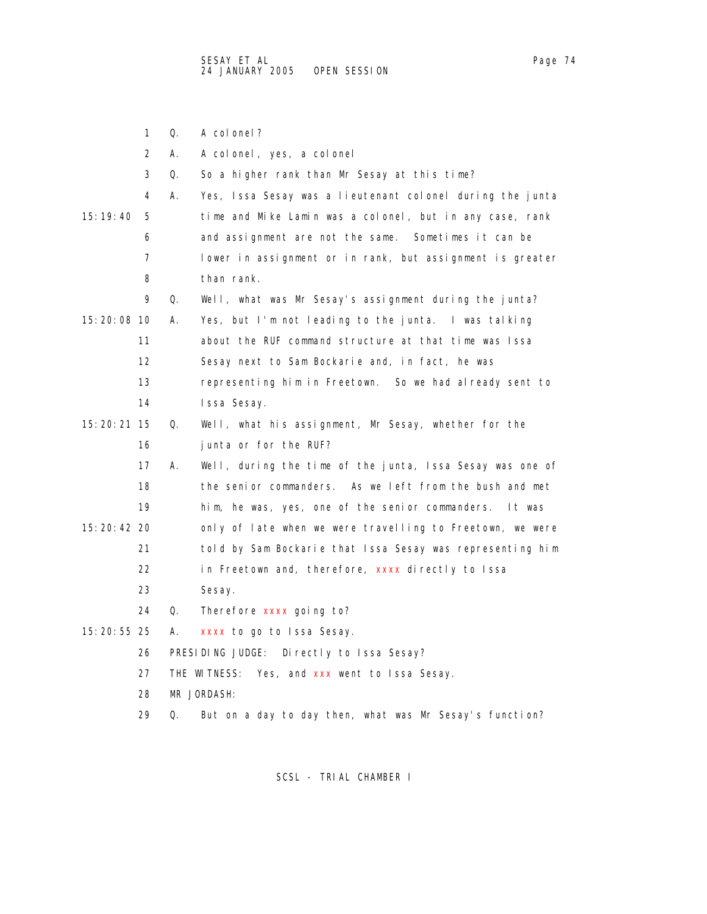|               | 1  | Q. | A col onel?                                               |
|---------------|----|----|-----------------------------------------------------------|
|               | 2  | А. | A colonel, yes, a colonel                                 |
|               | 3  | Q. | So a higher rank than Mr Sesay at this time?              |
|               | 4  | А. | Yes, Issa Sesay was a lieutenant colonel during the junta |
| 15: 19: 40    | 5  |    | time and Mike Lamin was a colonel, but in any case, rank  |
|               | 6  |    | and assignment are not the same. Sometimes it can be      |
|               | 7  |    | lower in assignment or in rank, but assignment is greater |
|               | 8  |    | than rank.                                                |
|               | 9  | Q. | Well, what was Mr Sesay's assignment during the junta?    |
| 15:20:08 10   |    | А. | Yes, but I'm not leading to the junta. I was talking      |
|               | 11 |    | about the RUF command structure at that time was Issa     |
|               | 12 |    | Sesay next to Sam Bockarie and, in fact, he was           |
|               | 13 |    | representing him in Freetown. So we had already sent to   |
|               | 14 |    | Issa Sesay.                                               |
| 15: 20: 21 15 |    | Q. | Well, what his assignment, Mr Sesay, whether for the      |
|               | 16 |    | junta or for the RUF?                                     |
|               | 17 | А. | Well, during the time of the junta, Issa Sesay was one of |
|               | 18 |    | the senior commanders. As we left from the bush and met   |
|               | 19 |    | him, he was, yes, one of the senior commanders. It was    |
| 15: 20: 42 20 |    |    | only of late when we were travelling to Freetown, we were |
|               | 21 |    | told by Sam Bockarie that Issa Sesay was representing him |
|               | 22 |    | in Freetown and, therefore, xxxx directly to Issa         |
|               | 23 |    | Sesay.                                                    |
|               | 24 | Q. | Therefore xxxx going to?                                  |
| 15:20:55 25   |    | А. | xxxx to go to Issa Sesay.                                 |
|               | 26 |    | PRESIDING JUDGE: Directly to Issa Sesay?                  |
|               | 27 |    | Yes, and xxx went to Issa Sesay.<br>THE WITNESS:          |
|               | 28 |    | MR JORDASH:                                               |
|               | 29 | 0. | But on a day to day then, what was Mr Sesay's function?   |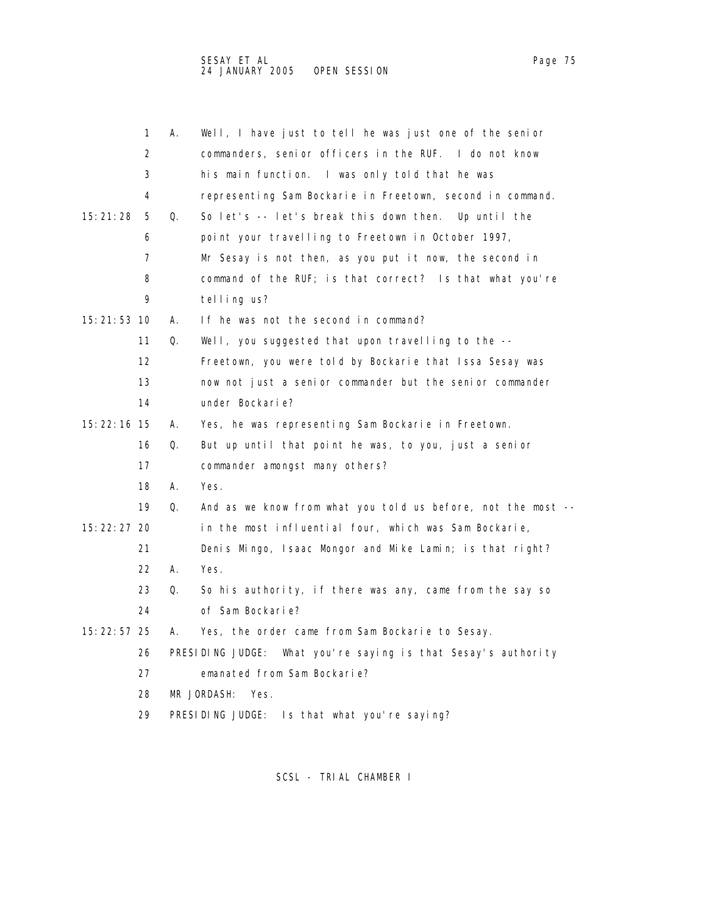|               | 1                 | А. | Well, I have just to tell he was just one of the senior       |
|---------------|-------------------|----|---------------------------------------------------------------|
|               | 2                 |    | commanders, senior officers in the RUF. I do not know         |
|               | 3                 |    | his main function. I was only told that he was                |
|               | 4                 |    | representing Sam Bockarie in Freetown, second in command.     |
| 15:21:28      | 5                 | Q. | So let's -- let's break this down then. Up until the          |
|               | 6                 |    | point your travelling to Freetown in October 1997,            |
|               | 7                 |    | Mr Sesay is not then, as you put it now, the second in        |
|               | 8                 |    | command of the RUF; is that correct? Is that what you're      |
|               | 9                 |    | telling us?                                                   |
| 15:21:53 10   |                   | А. | If he was not the second in command?                          |
|               | 11                | Q. | Well, you suggested that upon travelling to the $-$ -         |
|               | $12 \overline{ }$ |    | Freetown, you were told by Bockarie that Issa Sesay was       |
|               | 13                |    | now not just a senior commander but the senior commander      |
|               | 14                |    | under Bockarie?                                               |
| 15:22:16 15   |                   | А. | Yes, he was representing Sam Bockarie in Freetown.            |
|               | 16                | Q. | But up until that point he was, to you, just a senior         |
|               | 17                |    | commander amongst many others?                                |
|               | 18                | А. | Yes.                                                          |
|               | 19                | Q. | And as we know from what you told us before, not the most --  |
| 15: 22: 27 20 |                   |    | in the most influential four, which was Sam Bockarie,         |
|               | 21                |    | Denis Mingo, Isaac Mongor and Mike Lamin; is that right?      |
|               | 22                | А. | Yes.                                                          |
|               | 23                | Q. | So his authority, if there was any, came from the say so      |
|               | 24                |    | of Sam Bockarie?                                              |
| 15: 22: 57 25 |                   | А. | Yes, the order came from Sam Bockarie to Sesay.               |
|               | 26                |    | PRESIDING JUDGE: What you're saying is that Sesay's authority |
|               | 27                |    | emanated from Sam Bockarie?                                   |
|               | 28                |    | MR JORDASH:<br>Yes.                                           |
|               | 29                |    | PRESIDING JUDGE: Is that what you're saying?                  |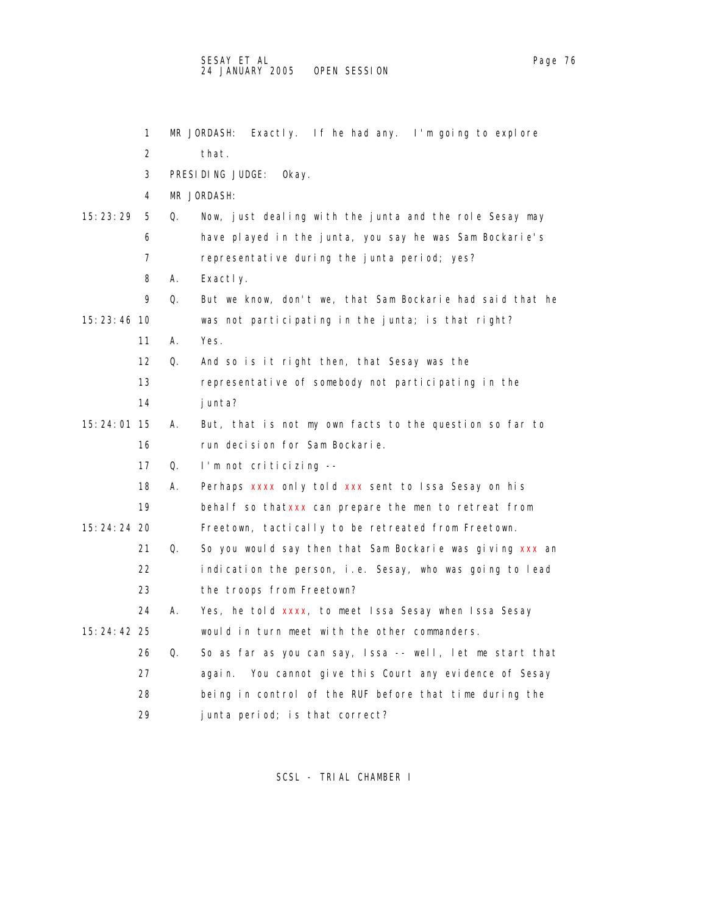|               | 1                 |    | Exactly. If he had any. I'm going to explore<br>MR JORDASH: |
|---------------|-------------------|----|-------------------------------------------------------------|
|               | 2                 |    | that.                                                       |
|               | 3                 |    | PRESIDING JUDGE:<br>Okay.                                   |
|               | 4                 |    | MR JORDASH:                                                 |
| 15: 23: 29    | 5                 | Q. | Now, just dealing with the junta and the role Sesay may     |
|               | 6                 |    | have played in the junta, you say he was Sam Bockarie's     |
|               | 7                 |    | representative during the junta period; yes?                |
|               | 8                 | А. | Exactly.                                                    |
|               | 9                 | Q. | But we know, don't we, that Sam Bockarie had said that he   |
| 15: 23: 46 10 |                   |    | was not participating in the junta; is that right?          |
|               | 11                | А. | Yes.                                                        |
|               | $12 \overline{ }$ | Q. | And so is it right then, that Sesay was the                 |
|               | 13                |    | representative of somebody not participating in the         |
|               | 14                |    | junta?                                                      |
| 15: 24: 01 15 |                   | А. | But, that is not my own facts to the question so far to     |
|               | 16                |    | run decision for Sam Bockarie.                              |
|               | 17                | Q. | I'm not criticizing --                                      |
|               | 18                | А. | Perhaps xxxx only told xxx sent to Issa Sesay on his        |
|               | 19                |    | behalf so thatxxx can prepare the men to retreat from       |
| 15: 24: 24 20 |                   |    | Freetown, tactically to be retreated from Freetown.         |
|               | 21                | Q. | So you would say then that Sam Bockarie was giving xxx an   |
|               | 22                |    | indication the person, i.e. Sesay, who was going to lead    |
|               | 23                |    | the troops from Freetown?                                   |
|               | 24                | А. | Yes, he told xxxx, to meet Issa Sesay when Issa Sesay       |
| 15:24:42 25   |                   |    | would in turn meet with the other commanders.               |
|               | 26                | Q. | So as far as you can say, Issa -- well, let me start that   |
|               | 27                |    | again. You cannot give this Court any evidence of Sesay     |
|               | 28                |    | being in control of the RUF before that time during the     |
|               | 29                |    | junta period; is that correct?                              |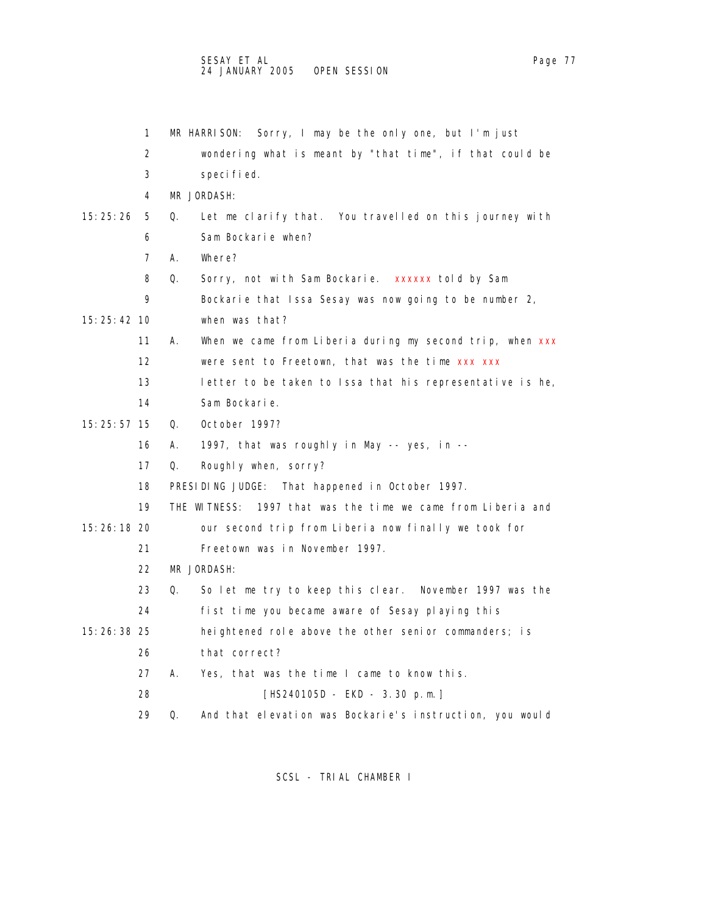|               | 1  | Sorry, I may be the only one, but I'm just<br>MR HARRISON:      |
|---------------|----|-----------------------------------------------------------------|
|               | 2  | wondering what is meant by "that time", if that could be        |
|               | 3  | specified.                                                      |
|               | 4  | MR JORDASH:                                                     |
| 15: 25: 26    | 5  | 0.<br>Let me clarify that. You travelled on this journey with   |
|               | 6  | Sam Bockarie when?                                              |
|               | 7  | А.<br>Where?                                                    |
|               | 8  | Q.<br>Sorry, not with Sam Bockarie. xxxxxx told by Sam          |
|               | 9  | Bockarie that Issa Sesay was now going to be number 2,          |
| 15: 25: 42 10 |    | when was that?                                                  |
|               | 11 | When we came from Liberia during my second trip, when xxx<br>А. |
|               | 12 | were sent to Freetown, that was the time xxx xxx                |
|               | 13 | letter to be taken to Issa that his representative is he,       |
|               | 14 | Sam Bockarie.                                                   |
| 15: 25: 57 15 |    | October 1997?<br>Q.                                             |
|               | 16 | А.<br>1997, that was roughly in May -- yes, in --               |
|               | 17 | Roughly when, sorry?<br>Q.                                      |
|               | 18 | PRESIDING JUDGE:<br>That happened in October 1997.              |
|               | 19 | THE WITNESS: 1997 that was the time we came from Liberia and    |
| 15: 26: 18 20 |    | our second trip from Liberia now finally we took for            |
|               | 21 | Freetown was in November 1997.                                  |
|               | 22 | MR JORDASH:                                                     |
|               | 23 | So let me try to keep this clear. November 1997 was the<br>0.   |
|               | 24 | fist time you became aware of Sesay playing this                |
| 15: 26: 38 25 |    | heightened role above the other senior commanders; is           |
|               | 26 | that correct?                                                   |
|               | 27 | Yes, that was the time I came to know this.<br>А.               |
|               | 28 | [HS240105D - EKD - 3.30 p.m.]                                   |
|               | 29 | And that elevation was Bockarie's instruction, you would<br>Q.  |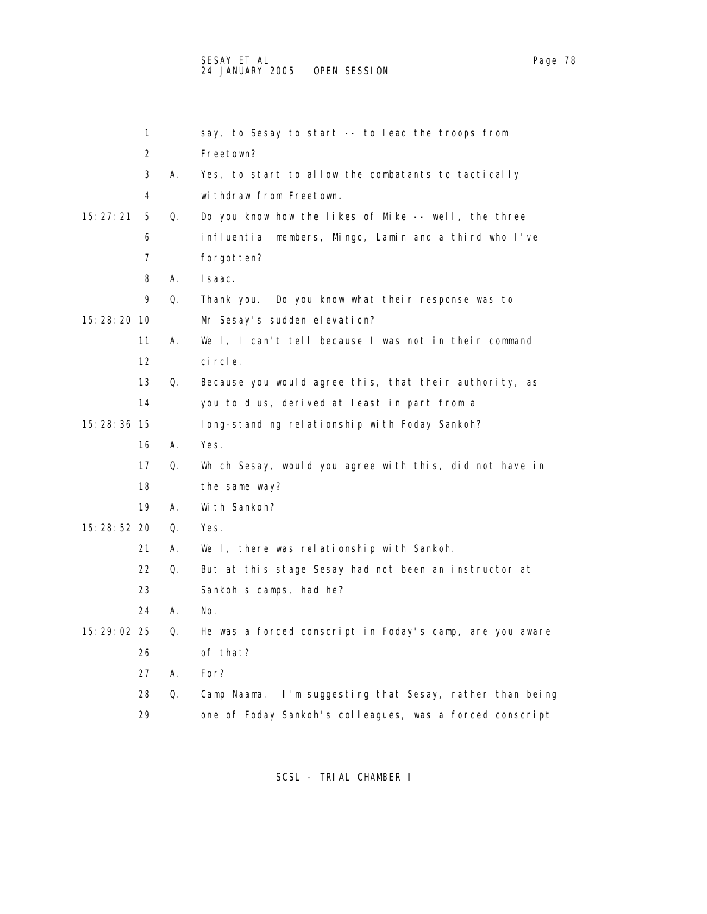1 say, to Sesay to start -- to lead the troops from 2 Freetown? 3 A. Yes, to start to allow the combatants to tactically 4 withdraw from Freetown. 15:27:21 5 Q. Do you know how the likes of Mike -- well, the three 6 influential members, Mingo, Lamin and a third who I've 7 forgotten? 8 A. Isaac. 9 Q. Thank you. Do you know what their response was to 15:28:20 10 Mr Sesay's sudden elevation? 11 A. Well, I can't tell because I was not in their command 12 circle. 13 Q. Because you would agree this, that their authority, as 14 you told us, derived at least in part from a 15:28:36 15 long-standing relationship with Foday Sankoh? 16 A. Yes. 17 Q. Which Sesay, would you agree with this, did not have in 18 the same way? 19 A. With Sankoh? 15:28:52 20 Q. Yes. 21 A. Well, there was relationship with Sankoh. 22 Q. But at this stage Sesay had not been an instructor at 23 Sankoh's camps, had he? 24 A. No. 15:29:02 25 Q. He was a forced conscript in Foday's camp, are you aware 26 of that? 27 A. For? 28 Q. Camp Naama. I'm suggesting that Sesay, rather than being 29 one of Foday Sankoh's colleagues, was a forced conscript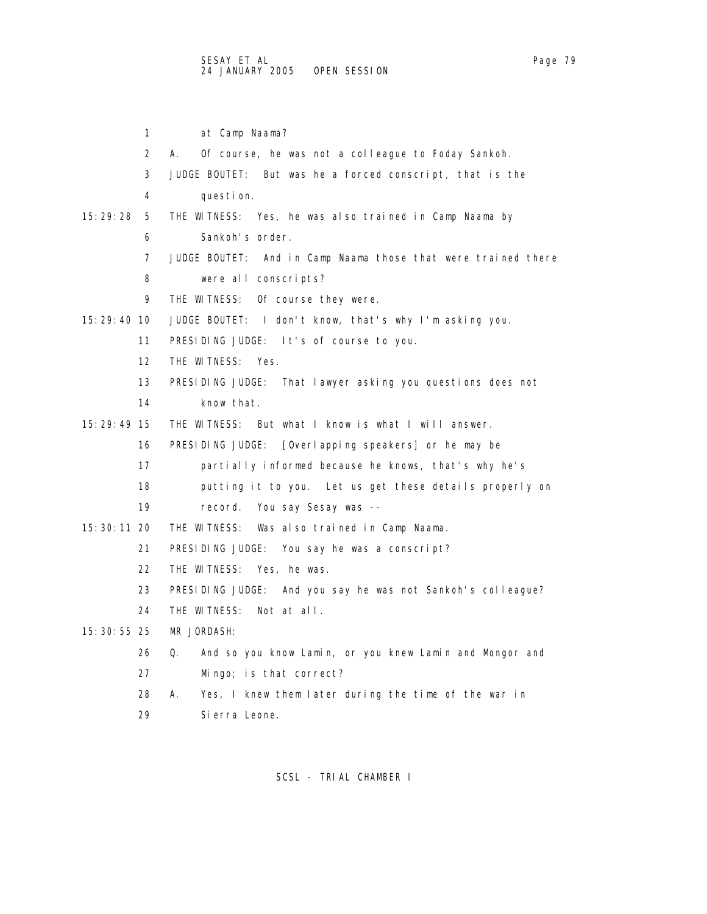1 at Camp Naama? 2 A. Of course, he was not a colleague to Foday Sankoh. 3 JUDGE BOUTET: But was he a forced conscript, that is the 4 question. 15:29:28 5 THE WITNESS: Yes, he was also trained in Camp Naama by 6 Sankoh's order. 7 JUDGE BOUTET: And in Camp Naama those that were trained there 8 were all conscripts? 9 THE WITNESS: Of course they were. 15:29:40 10 JUDGE BOUTET: I don't know, that's why I'm asking you. 11 PRESIDING JUDGE: It's of course to you. 12 THE WITNESS: Yes. 13 PRESIDING JUDGE: That lawyer asking you questions does not 14 know that. 15:29:49 15 THE WITNESS: But what I know is what I will answer. 16 PRESIDING JUDGE: [Overlapping speakers] or he may be 17 partially informed because he knows, that's why he's 18 putting it to you. Let us get these details properly on 19 record. You say Sesay was -- 15:30:11 20 THE WITNESS: Was also trained in Camp Naama. 21 PRESIDING JUDGE: You say he was a conscript? 22 THE WITNESS: Yes, he was. 23 PRESIDING JUDGE: And you say he was not Sankoh's colleague? 24 THE WITNESS: Not at all. 15:30:55 25 MR JORDASH: 26 Q. And so you know Lamin, or you knew Lamin and Mongor and 27 Mingo; is that correct? 28 A. Yes, I knew them later during the time of the war in

29 Sierra Leone.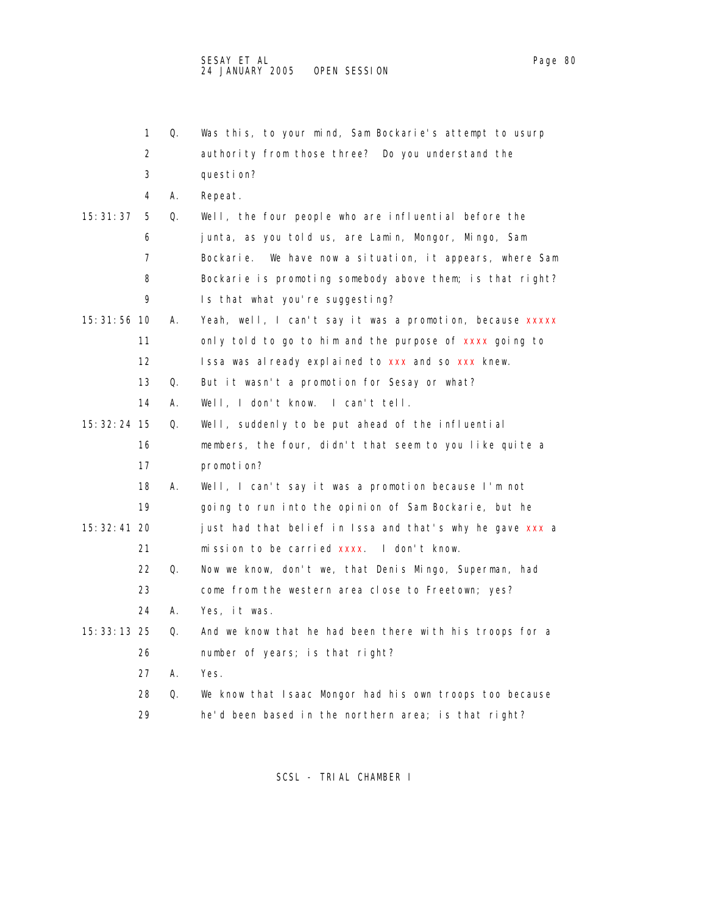|               | 1                 | Q. | Was this, to your mind, Sam Bockarie's attempt to usurp   |
|---------------|-------------------|----|-----------------------------------------------------------|
|               | 2                 |    | authority from those three? Do you understand the         |
|               | 3                 |    | question?                                                 |
|               | 4                 | А. | Repeat.                                                   |
| 15: 31: 37    | 5                 | Q. | Well, the four people who are influential before the      |
|               | 6                 |    | junta, as you told us, are Lamin, Mongor, Mingo, Sam      |
|               | 7                 |    | Bockarie. We have now a situation, it appears, where Sam  |
|               | 8                 |    | Bockarie is promoting somebody above them; is that right? |
|               | 9                 |    | Is that what you're suggesting?                           |
| 15: 31: 56 10 |                   | А. | Yeah, well, I can't say it was a promotion, because xxxxx |
|               | 11                |    | only told to go to him and the purpose of xxxx going to   |
|               | $12 \overline{ }$ |    | Issa was already explained to xxx and so xxx knew.        |
|               | 13                | Q. | But it wasn't a promotion for Sesay or what?              |
|               | 14                | А. | l can't tell.<br>Well, I don't know.                      |
| 15: 32: 24 15 |                   | Q. | Well, suddenly to be put ahead of the influential         |
|               | 16                |    | members, the four, didn't that seem to you like quite a   |
|               | 17                |    | promotion?                                                |
|               | 18                | А. | Well, I can't say it was a promotion because I'm not      |
|               | 19                |    | going to run into the opinion of Sam Bockarie, but he     |
| 15: 32: 41 20 |                   |    | just had that belief in Issa and that's why he gave xxx a |
|               | 21                |    | mission to be carried xxxx. I don't know.                 |
|               | 22                | Q. | Now we know, don't we, that Denis Mingo, Superman, had    |
|               | 23                |    | come from the western area close to Freetown; yes?        |
|               | 24                | А. | Yes, it was.                                              |
| 15: 33: 13 25 |                   | Q. | And we know that he had been there with his troops for a  |
|               | 26                |    | number of years; is that right?                           |
|               | 27                | А. | Yes.                                                      |
|               | 28                | Q. | We know that Isaac Mongor had his own troops too because  |
|               | 29                |    | he'd been based in the northern area; is that right?      |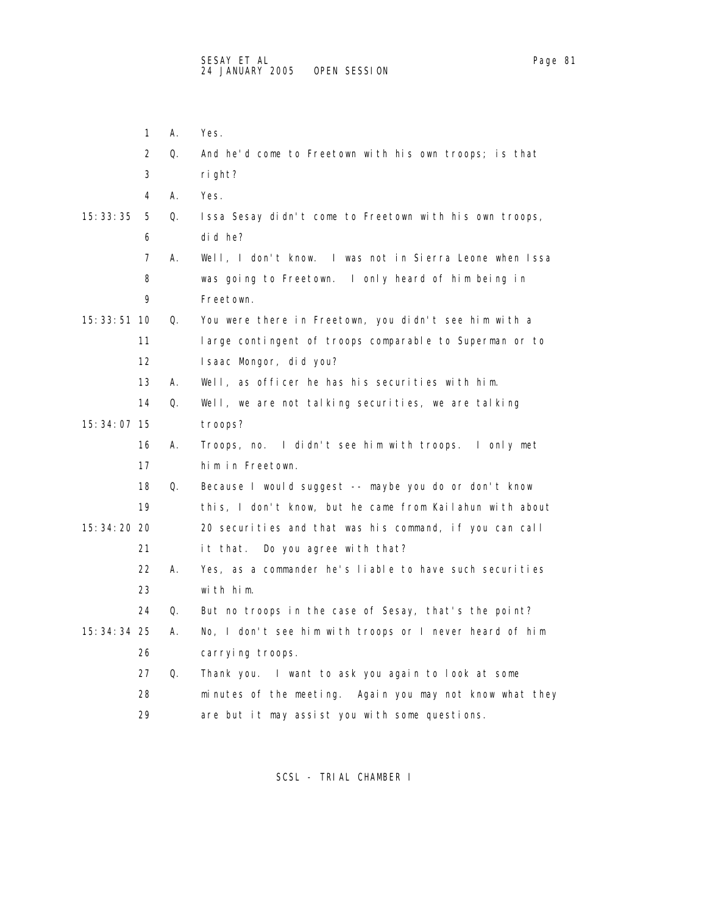1 A. Yes.

- 
- 2 Q. And he'd come to Freetown with his own troops; is that 3 right? 4 A. Yes. 15:33:35 5 Q. Issa Sesay didn't come to Freetown with his own troops, 6 did he? 7 A. Well, I don't know. I was not in Sierra Leone when Issa 8 was going to Freetown. I only heard of him being in 9 Freetown. 15:33:51 10 Q. You were there in Freetown, you didn't see him with a 11 large contingent of troops comparable to Superman or to 12 Isaac Mongor, did you? 13 A. Well, as officer he has his securities with him. 14 Q. Well, we are not talking securities, we are talking 15:34:07 15 troops? 16 A. Troops, no. I didn't see him with troops. I only met 17 him in Freetown. 18 Q. Because I would suggest -- maybe you do or don't know 19 this, I don't know, but he came from Kailahun with about 15:34:20 20 20 securities and that was his command, if you can call 21 it that. Do you agree with that? 22 A. Yes, as a commander he's liable to have such securities 23 with him. 24 Q. But no troops in the case of Sesay, that's the point? 15:34:34 25 A. No, I don't see him with troops or I never heard of him 26 carrying troops. 27 Q. Thank you. I want to ask you again to look at some 28 minutes of the meeting. Again you may not know what they 29 are but it may assist you with some questions.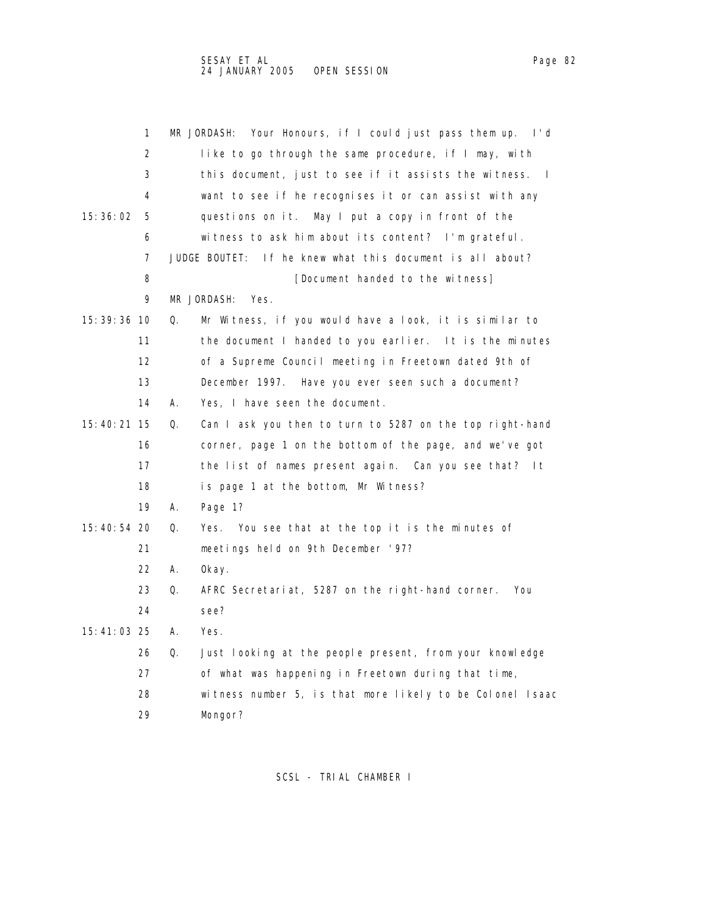|               | 1                 |    | Your Honours, if I could just pass them up.<br>MR JORDASH:<br>l'd       |
|---------------|-------------------|----|-------------------------------------------------------------------------|
|               | 2                 |    | like to go through the same procedure, if I may, with                   |
|               | 3                 |    | this document, just to see if it assists the witness.<br>$\blacksquare$ |
|               | 4                 |    | want to see if he recognises it or can assist with any                  |
| 15: 36: 02    | 5                 |    | questions on it. May I put a copy in front of the                       |
|               | 6                 |    | witness to ask him about its content? I'm grateful.                     |
|               | 7                 |    | If he knew what this document is all about?<br>JUDGE BOUTET:            |
|               | 8                 |    | [Document handed to the witness]                                        |
|               | 9                 |    | MR JORDASH:<br>Yes.                                                     |
| 15: 39: 36 10 |                   | Q. | Mr Witness, if you would have a look, it is similar to                  |
|               | 11                |    | the document I handed to you earlier. It is the minutes                 |
|               | $12 \overline{ }$ |    | of a Supreme Council meeting in Freetown dated 9th of                   |
|               | 13                |    | December 1997. Have you ever seen such a document?                      |
|               | 14                | Α. | Yes, I have seen the document.                                          |
| 15:40:21 15   |                   | Q. | Can I ask you then to turn to 5287 on the top right-hand                |
|               | 16                |    | corner, page 1 on the bottom of the page, and we've got                 |
|               | 17                |    | the list of names present again. Can you see that? It                   |
|               | 18                |    | is page 1 at the bottom, Mr Witness?                                    |
|               | 19                | А. | Page 1?                                                                 |
| 15:40:54 20   |                   | Q. | You see that at the top it is the minutes of<br>Yes.                    |
|               | 21                |    | meetings held on 9th December '97?                                      |
|               | 22                | А. | 0kay.                                                                   |
|               | 23                | Q. | AFRC Secretariat, 5287 on the right-hand corner.<br>You                 |
|               | 24                |    | see?                                                                    |
| 15:41:03 25   |                   | А. | Yes.                                                                    |
|               | 26                | Q. | Just looking at the people present, from your knowledge                 |
|               | 27                |    | of what was happening in Freetown during that time,                     |
|               | 28                |    | witness number 5, is that more likely to be Colonel Isaac               |
|               | 29                |    | Mongor?                                                                 |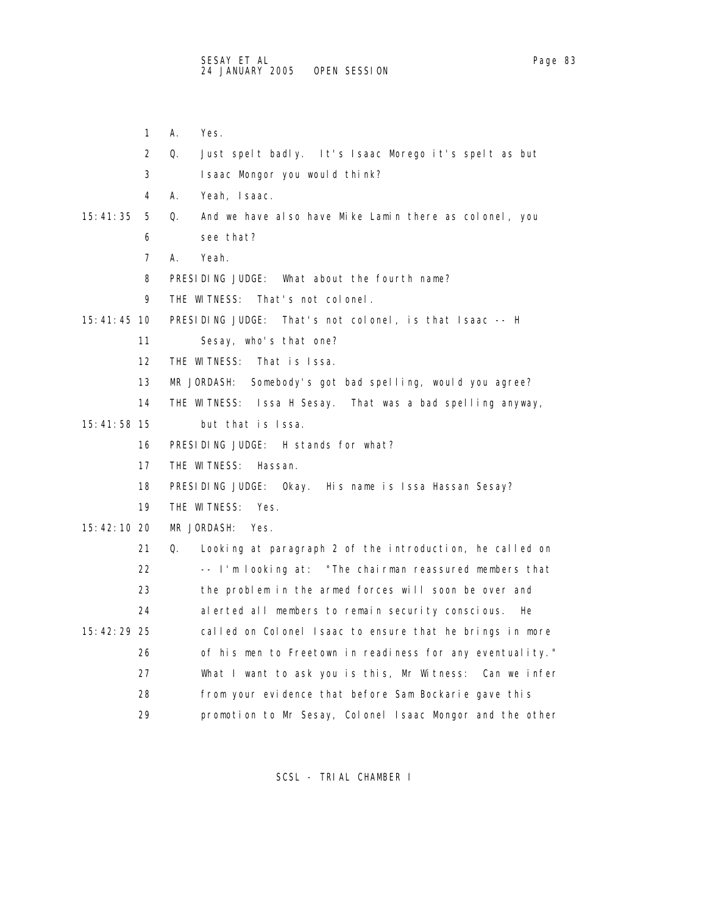- 1 A. Yes.
- 2 Q. Just spelt badly. It's Isaac Morego it's spelt as but
- 3 Isaac Mongor you would think?
- 4 A. Yeah, Isaac.

## 15:41:35 5 Q. And we have also have Mike Lamin there as colonel, you 6 see that?

- 
- 7 A. Yeah.
- 8 PRESIDING JUDGE: What about the fourth name?
- 9 THE WITNESS: That's not colonel.
- 15:41:45 10 PRESIDING JUDGE: That's not colonel, is that Isaac -- H
	- 11 Sesay, who's that one?
	- 12 THE WITNESS: That is Issa.
	- 13 MR JORDASH: Somebody's got bad spelling, would you agree?
	- 14 THE WITNESS: Issa H Sesay. That was a bad spelling anyway,
- 15:41:58 15 but that is Issa.
	- 16 PRESIDING JUDGE: H stands for what?
	- 17 THE WITNESS: Hassan.
	- 18 PRESIDING JUDGE: Okay. His name is Issa Hassan Sesay?
	- 19 THE WITNESS: Yes.

## 15:42:10 20 MR JORDASH: Yes.

|               | 21 | Q. | Looking at paragraph 2 of the introduction, he called on  |
|---------------|----|----|-----------------------------------------------------------|
|               | 22 |    | -- I'm looking at: "The chairman reassured members that   |
|               | 23 |    | the problem in the armed forces will soon be over and     |
|               | 24 |    | alerted all members to remain security conscious. He      |
| $15:42:29$ 25 |    |    | called on Colonel Isaac to ensure that he brings in more  |
|               | 26 |    | of his men to Freetown in readiness for any eventuality." |
|               | 27 |    | What I want to ask you is this, Mr Witness: Can we infer  |
|               | 28 |    | from your evidence that before Sam Bockarie gave this     |
|               | 29 |    | promotion to Mr Sesay, Colonel Isaac Mongor and the other |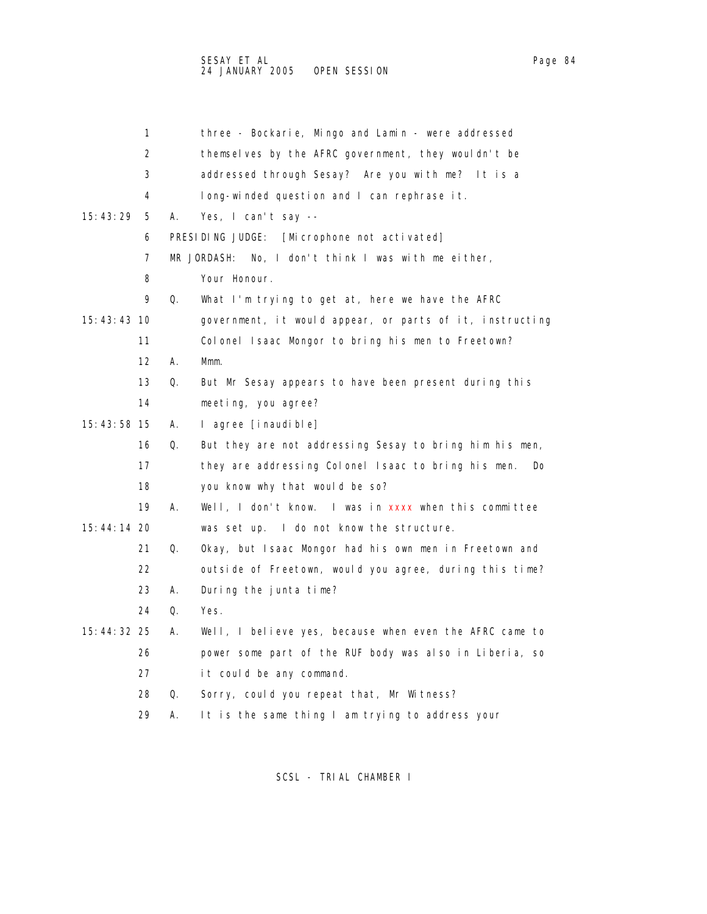|               | 1                 |    | three - Bockarie, Mingo and Lamin - were addressed               |
|---------------|-------------------|----|------------------------------------------------------------------|
|               | 2                 |    | themselves by the AFRC government, they wouldn't be              |
|               | 3                 |    | addressed through Sesay? Are you with me? It is a                |
|               | 4                 |    | long-winded question and I can rephrase it.                      |
| 15:43:29      | 5                 | А. | Yes, I can't say --                                              |
|               | 6                 |    | PRESIDING JUDGE:<br>[Microphone not activated]                   |
|               | 7                 |    | MR JORDASH: No, I don't think I was with me either,              |
|               | 8                 |    | Your Honour.                                                     |
|               | 9                 | Q. | What I'm trying to get at, here we have the AFRC                 |
| 15: 43: 43 10 |                   |    | government, it would appear, or parts of it, instructing         |
|               | 11                |    | Colonel Isaac Mongor to bring his men to Freetown?               |
|               | $12 \overline{ }$ | А. | Mmm.                                                             |
|               | 13                | Q. | But Mr Sesay appears to have been present during this            |
|               | 14                |    | meeting, you agree?                                              |
| 15:43:58 15   |                   | А. | l agree [inaudible]                                              |
|               | 16                | Q. | But they are not addressing Sesay to bring him his men,          |
|               | 17                |    | they are addressing Colonel Isaac to bring his men.<br><b>Do</b> |
|               | 18                |    | you know why that would be so?                                   |
|               | 19                | А. | Well, I don't know. I was in xxxx when this committee            |
| 15:44:14 20   |                   |    | was set up. I do not know the structure.                         |
|               | 21                | Q. | Okay, but Isaac Mongor had his own men in Freetown and           |
|               | 22                |    | outside of Freetown, would you agree, during this time?          |
|               | 23                | А. | During the junta time?                                           |
|               | 24                | Q. | Yes.                                                             |
| 15: 44: 32 25 |                   | А. | Well, I believe yes, because when even the AFRC came to          |
|               | 26                |    | power some part of the RUF body was also in Liberia, so          |
|               | 27                |    | it could be any command.                                         |
|               | 28                | Q. | Sorry, could you repeat that, Mr Witness?                        |
|               | 29                | А. | It is the same thing I am trying to address your                 |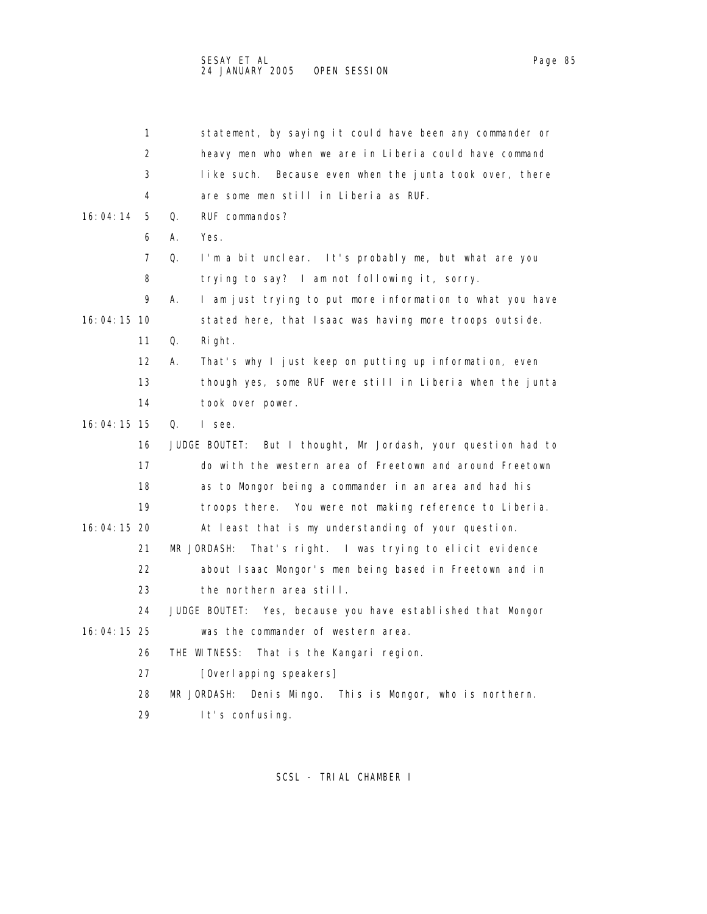|               | 1                 | statement, by saying it could have been any commander or         |
|---------------|-------------------|------------------------------------------------------------------|
|               | 2                 | heavy men who when we are in Liberia could have command          |
|               | 3                 | Because even when the junta took over, there<br>like such.       |
|               | 4                 | are some men still in Liberia as RUF.                            |
| 16: 04: 14    | 5.                | Q.<br>RUF commandos?                                             |
|               | 6                 | А.<br>Yes.                                                       |
|               | 7                 | Q.<br>I'm a bit unclear. It's probably me, but what are you      |
|               | 8                 | trying to say? I am not following it, sorry.                     |
|               | 9                 | I am just trying to put more information to what you have<br>А.  |
| 16:04:15 10   |                   | stated here, that Isaac was having more troops outside.          |
|               | 11                | Q.<br>Right.                                                     |
|               | $12 \overline{ }$ | That's why I just keep on putting up information, even<br>А.     |
|               | 13                | though yes, some RUF were still in Liberia when the junta        |
|               | 14                | took over power.                                                 |
| 16:04:15 15   |                   | Q.<br>I see.                                                     |
|               | 16                | But I thought, Mr Jordash, your question had to<br>JUDGE BOUTET: |
|               | 17                | do with the western area of Freetown and around Freetown         |
|               | 18                | as to Mongor being a commander in an area and had his            |
|               | 19                | troops there. You were not making reference to Liberia.          |
| $16:04:15$ 20 |                   | At least that is my understanding of your question.              |
|               | 21                | MR JORDASH:<br>That's right. I was trying to elicit evidence     |
|               | 22                | about Isaac Mongor's men being based in Freetown and in          |
|               | 23                | the northern area still.                                         |
|               | 24                | JUDGE BOUTET: Yes, because you have established that Mongor      |
| 16:04:15 25   |                   | was the commander of western area.                               |
|               | 26                | THE WITNESS:<br>That is the Kangari region.                      |
|               | 27                | [Overl apping speakers]                                          |
|               | 28                | Denis Mingo. This is Mongor, who is northern.<br>MR JORDASH:     |
|               | 29                | It's confusing.                                                  |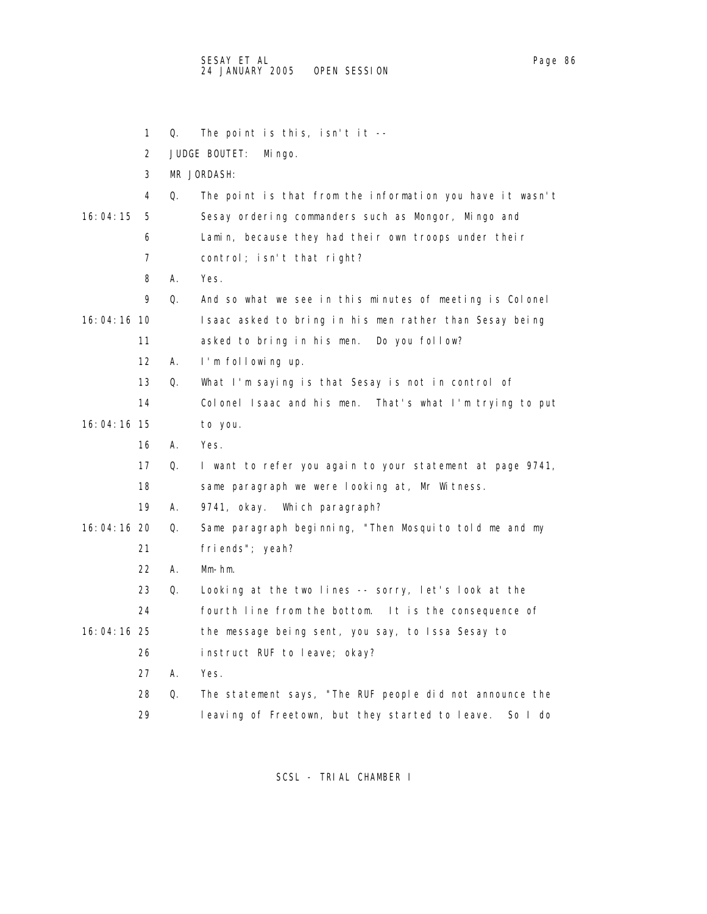1 Q. The point is this, isn't it -- 2 JUDGE BOUTET: Mingo. 3 MR JORDASH: 4 Q. The point is that from the information you have it wasn't 16:04:15 5 Sesay ordering commanders such as Mongor, Mingo and 6 Lamin, because they had their own troops under their 7 control; isn't that right? 8 A. Yes. 9 Q. And so what we see in this minutes of meeting is Colonel 16:04:16 10 Isaac asked to bring in his men rather than Sesay being 11 asked to bring in his men. Do you follow? 12 A. I'm following up. 13 Q. What I'm saying is that Sesay is not in control of 14 Colonel Isaac and his men. That's what I'm trying to put 16:04:16 15 to you. 16 A. Yes. 17 Q. I want to refer you again to your statement at page 9741, 18 same paragraph we were looking at, Mr Witness. 19 A. 9741, okay. Which paragraph? 16:04:16 20 Q. Same paragraph beginning, "Then Mosquito told me and my 21 friends"; yeah? 22 A. Mm-hm. 23 Q. Looking at the two lines -- sorry, let's look at the 24 fourth line from the bottom. It is the consequence of 16:04:16 25 the message being sent, you say, to Issa Sesay to 26 instruct RUF to leave; okay? 27 A. Yes. 28 Q. The statement says, "The RUF people did not announce the 29 leaving of Freetown, but they started to leave. So I do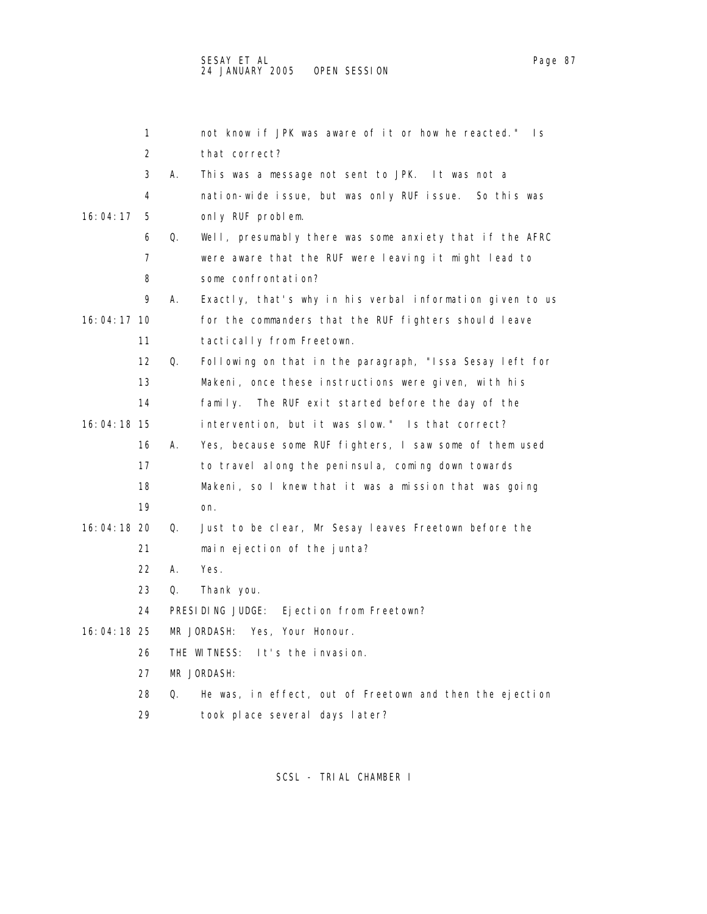1 not know if JPK was aware of it or how he reacted." Is 2 that correct? 3 A. This was a message not sent to JPK. It was not a 4 nation-wide issue, but was only RUF issue. So this was 16:04:17 5 only RUF problem. 6 Q. Well, presumably there was some anxiety that if the AFRC 7 were aware that the RUF were leaving it might lead to 8 some confrontation? 9 A. Exactly, that's why in his verbal information given to us 16:04:17 10 for the commanders that the RUF fighters should leave 11 tactically from Freetown. 12 Q. Following on that in the paragraph, "Issa Sesay left for 13 Makeni, once these instructions were given, with his 14 family. The RUF exit started before the day of the 16:04:18 15 intervention, but it was slow." Is that correct? 16 A. Yes, because some RUF fighters, I saw some of them used 17 to travel along the peninsula, coming down towards 18 Makeni, so I knew that it was a mission that was going 19 on. 16:04:18 20 Q. Just to be clear, Mr Sesay leaves Freetown before the 21 main ejection of the junta? 22 A. Yes. 23 Q. Thank you. 24 PRESIDING JUDGE: Ejection from Freetown? 16:04:18 25 MR JORDASH: Yes, Your Honour. 26 THE WITNESS: It's the invasion. 27 MR JORDASH: 28 Q. He was, in effect, out of Freetown and then the ejection 29 took place several days later?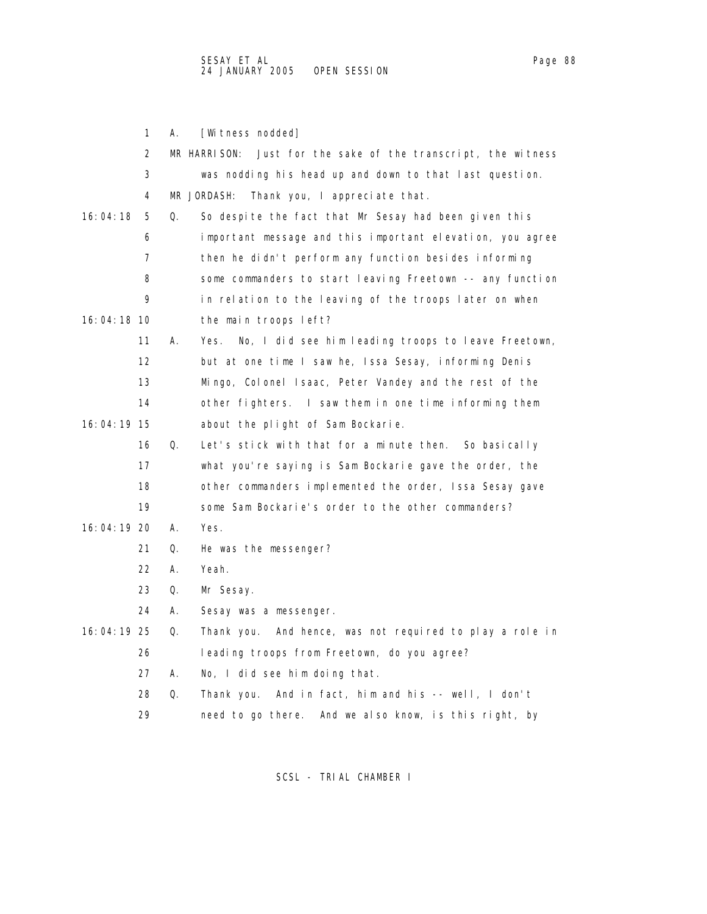|             | 1  | А. | [Witness nodded]                                                 |
|-------------|----|----|------------------------------------------------------------------|
|             | 2  |    | MR HARRISON:<br>Just for the sake of the transcript, the witness |
|             | 3  |    | was nodding his head up and down to that last question.          |
|             | 4  |    | MR JORDASH:<br>Thank you, I appreciate that.                     |
| 16:04:18    | 5  | Q. | So despite the fact that Mr Sesay had been given this            |
|             | 6  |    | important message and this important elevation, you agree        |
|             | 7  |    | then he didn't perform any function besides informing            |
|             | 8  |    | some commanders to start leaving Freetown -- any function        |
|             | 9  |    | in relation to the leaving of the troops later on when           |
| 16:04:18 10 |    |    | the main troops left?                                            |
|             | 11 | А. | No, I did see him leading troops to leave Freetown,<br>Yes.      |
|             | 12 |    | but at one time I saw he, Issa Sesay, informing Denis            |
|             | 13 |    | Mingo, Colonel Isaac, Peter Vandey and the rest of the           |
|             | 14 |    | other fighters. I saw them in one time informing them            |
| 16:04:19 15 |    |    | about the plight of Sam Bockarie.                                |
|             | 16 | Q. | Let's stick with that for a minute then. So basically            |
|             | 17 |    | what you're saying is Sam Bockarie gave the order, the           |
|             | 18 |    | other commanders implemented the order, Issa Sesay gave          |
|             | 19 |    | some Sam Bockarie's order to the other commanders?               |
| 16:04:19 20 |    | А. | Yes.                                                             |
|             | 21 | Q. | He was the messenger?                                            |
|             | 22 | А. | Yeah.                                                            |
|             | 23 | Q. | Mr Sesay.                                                        |
|             | 24 | А. | Sesay was a messenger.                                           |
| 16:04:19 25 |    | Q. | And hence, was not required to play a role in<br>Thank you.      |
|             | 26 |    | leading troops from Freetown, do you agree?                      |
|             | 27 | А. | No, I did see him doing that.                                    |
|             | 28 | Q. | Thank you. And in fact, him and his -- well, I don't             |
|             | 29 |    | need to go there.<br>And we also know, is this right, by         |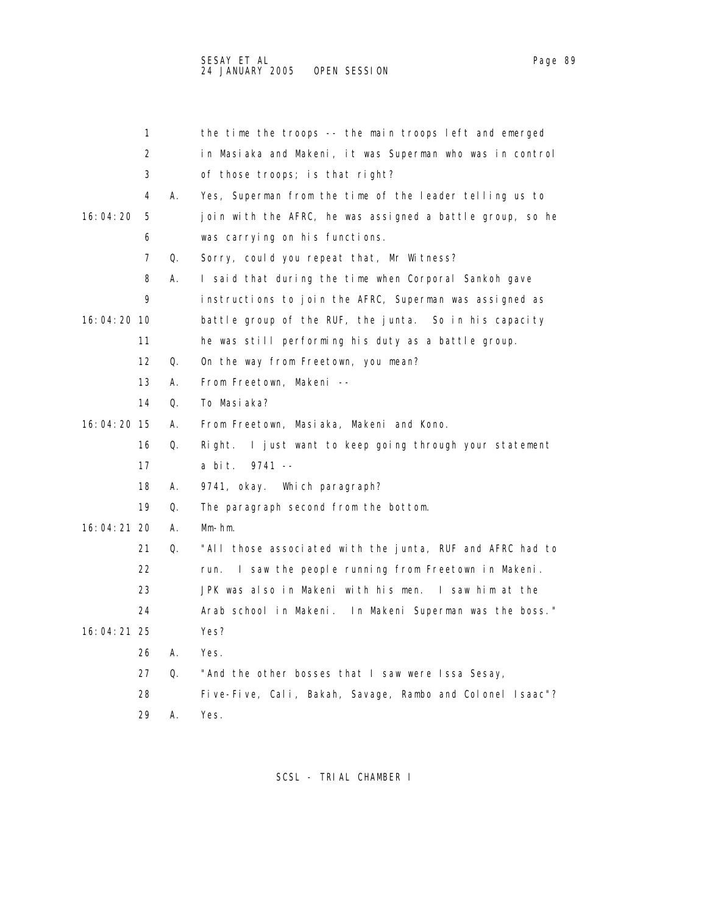|             | 1                 |    | the time the troops -- the main troops left and emerged    |
|-------------|-------------------|----|------------------------------------------------------------|
|             | 2                 |    | in Masiaka and Makeni, it was Superman who was in control  |
|             | 3                 |    | of those troops; is that right?                            |
|             | 4                 | А. | Yes, Superman from the time of the leader telling us to    |
| 16:04:20    | 5                 |    | join with the AFRC, he was assigned a battle group, so he  |
|             | 6                 |    | was carrying on his functions.                             |
|             | 7                 | Q. | Sorry, could you repeat that, Mr Witness?                  |
|             | 8                 | А. | I said that during the time when Corporal Sankoh gave      |
|             | 9                 |    | instructions to join the AFRC, Superman was assigned as    |
| 16:04:20 10 |                   |    | battle group of the RUF, the junta. So in his capacity     |
|             | 11                |    | he was still performing his duty as a battle group.        |
|             | $12 \overline{ }$ | Q. | On the way from Freetown, you mean?                        |
|             | 13                | А. | From Freetown, Makeni --                                   |
|             | 14                | Q. | To Masiaka?                                                |
| 16:04:20 15 |                   | А. | From Freetown, Masiaka, Makeni and Kono.                   |
|             | 16                | Q. | I just want to keep going through your statement<br>Right. |
|             | 17                |    | a bit. 9741 --                                             |
|             | 18                | А. | 9741, okay. Which paragraph?                               |
|             | 19                | Q. | The paragraph second from the bottom.                      |
| 16:04:21 20 |                   | А. | $Mm-hm$ .                                                  |
|             | 21                | Q. | "All those associated with the junta, RUF and AFRC had to  |
|             | 22                |    | I saw the people running from Freetown in Makeni.<br>run.  |
|             | 23                |    | JPK was also in Makeni with his men. I saw him at the      |
|             | 24                |    | Arab school in Makeni. In Makeni Superman was the boss."   |
| 16:04:21 25 |                   |    | Yes?                                                       |
|             |                   |    |                                                            |

26 A. Yes.

- 27 Q. "And the other bosses that I saw were Issa Sesay,
- 28 Five-Five, Cali, Bakah, Savage, Rambo and Colonel Isaac"?
- 29 A. Yes.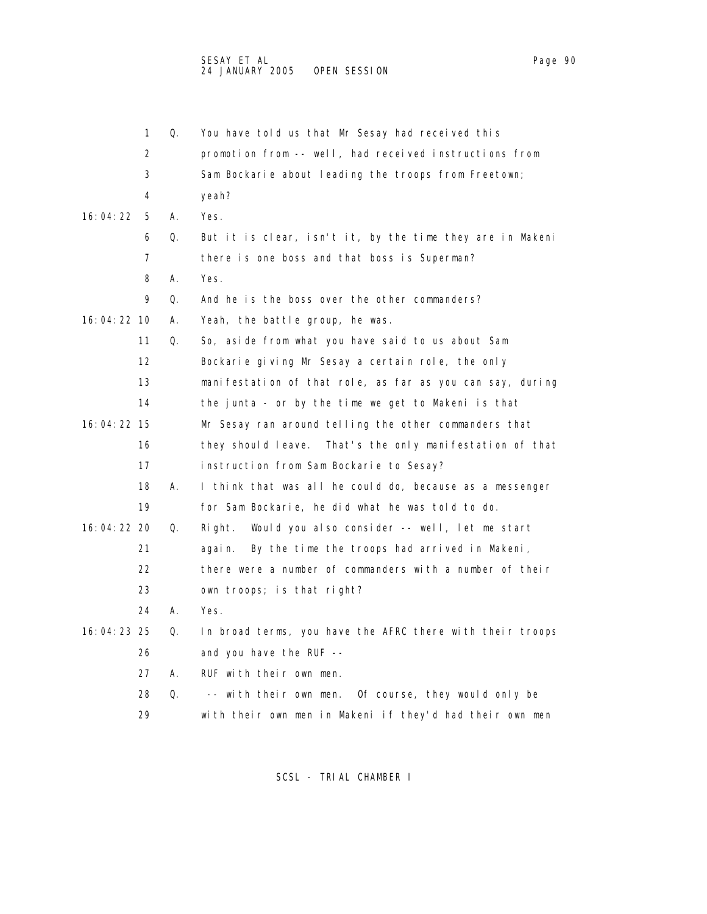|               | 1  | Q. | You have told us that Mr Sesay had received this          |
|---------------|----|----|-----------------------------------------------------------|
|               | 2  |    | promotion from -- well, had received instructions from    |
|               | 3  |    | Sam Bockarie about leading the troops from Freetown;      |
|               | 4  |    | yeah?                                                     |
| 16: 04: 22    | 5  | А. | Yes.                                                      |
|               | 6  | Q. | But it is clear, isn't it, by the time they are in Makeni |
|               | 7  |    | there is one boss and that boss is Superman?              |
|               | 8  | А. | Yes.                                                      |
|               | 9  | Q. | And he is the boss over the other commanders?             |
| 16: 04: 22 10 |    | А. | Yeah, the battle group, he was.                           |
|               | 11 | Q. | So, aside from what you have said to us about Sam         |
|               | 12 |    | Bockarie giving Mr Sesay a certain role, the only         |
|               | 13 |    | manifestation of that role, as far as you can say, during |
|               | 14 |    | the junta - or by the time we get to Makeni is that       |
| 16:04:22 15   |    |    | Mr Sesay ran around telling the other commanders that     |
|               | 16 |    | they should leave. That's the only manifestation of that  |
|               | 17 |    | instruction from Sam Bockarie to Sesay?                   |
|               | 18 | А. | I think that was all he could do, because as a messenger  |
|               | 19 |    | for Sam Bockarie, he did what he was told to do.          |
| 16:04:22 20   |    | Q. | Would you also consider -- well, let me start<br>Ri ght.  |
|               | 21 |    | By the time the troops had arrived in Makeni,<br>agai n.  |
|               | 22 |    | there were a number of commanders with a number of their  |
|               | 23 |    | own troops; is that right?                                |
|               | 24 | А. | Yes.                                                      |
| 16:04:23 25   |    | Q. | In broad terms, you have the AFRC there with their troops |
|               | 26 |    | and you have the RUF --                                   |
|               | 27 | А. | RUF with their own men.                                   |
|               | 28 | 0. | -- with their own men. Of course, they would only be      |
|               | 29 |    | with their own men in Makeni if they'd had their own men  |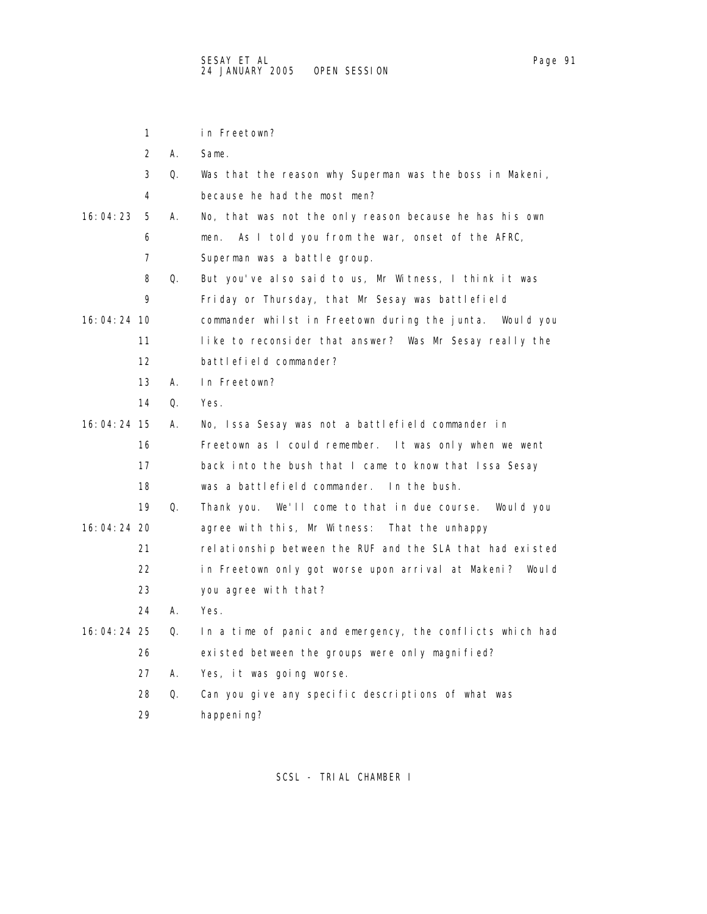1 in Freetown? 2 A. Same. 3 Q. Was that the reason why Superman was the boss in Makeni, 4 because he had the most men? 16:04:23 5 A. No, that was not the only reason because he has his own 6 men. As I told you from the war, onset of the AFRC, 7 Superman was a battle group. 8 Q. But you've also said to us, Mr Witness, I think it was 9 Friday or Thursday, that Mr Sesay was battlefield 16:04:24 10 commander whilst in Freetown during the junta. Would you 11 like to reconsider that answer? Was Mr Sesay really the 12 battlefield commander? 13 A. In Freetown? 14 Q. Yes. 16:04:24 15 A. No, Issa Sesay was not a battlefield commander in 16 Freetown as I could remember. It was only when we went 17 back into the bush that I came to know that Issa Sesay 18 was a battlefield commander. In the bush. 19 Q. Thank you. We'll come to that in due course. Would you 16:04:24 20 agree with this, Mr Witness: That the unhappy 21 relationship between the RUF and the SLA that had existed 22 in Freetown only got worse upon arrival at Makeni? Would 23 you agree with that? 24 A. Yes. 16:04:24 25 Q. In a time of panic and emergency, the conflicts which had 26 existed between the groups were only magnified? 27 A. Yes, it was going worse. 28 Q. Can you give any specific descriptions of what was 29 happening?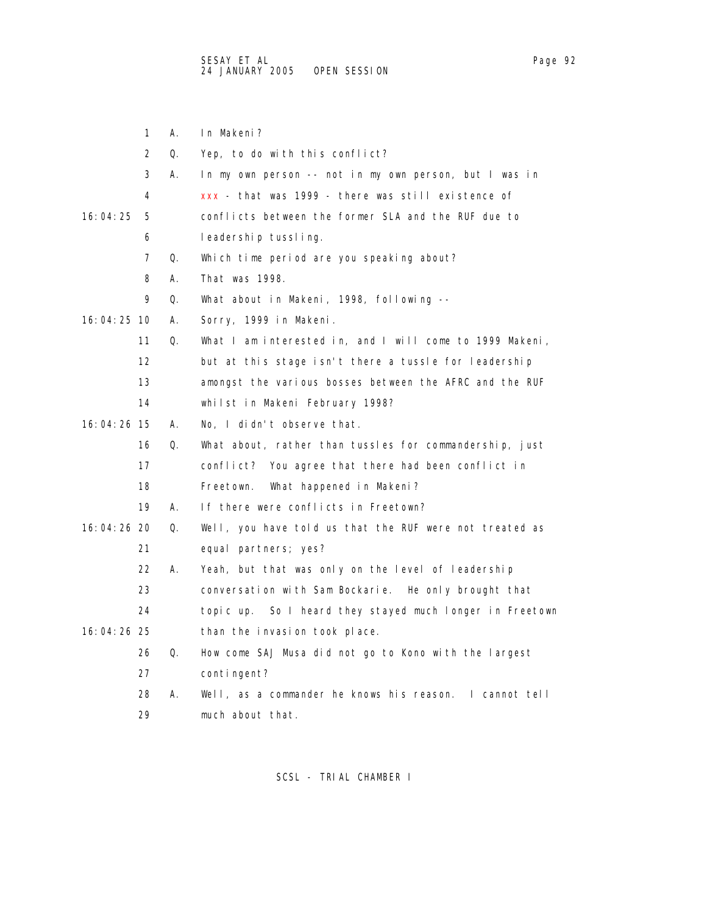|               | 1                 | А. | In Makeni?                                                  |
|---------------|-------------------|----|-------------------------------------------------------------|
|               | 2                 | 0. | Yep, to do with this conflict?                              |
|               | 3                 | А. | In my own person -- not in my own person, but I was in      |
|               | 4                 |    | xxx - that was 1999 - there was still existence of          |
| 16:04:25      | 5                 |    | conflicts between the former SLA and the RUF due to         |
|               | 6                 |    | leadershiptussling.                                         |
|               | 7                 | Q. | Which time period are you speaking about?                   |
|               | 8                 | А. | That was 1998.                                              |
|               | 9                 | Q. | What about in Makeni, 1998, following --                    |
| 16:04:25 10   |                   | А. | Sorry, 1999 in Makeni.                                      |
|               | 11                | Q. | What I am interested in, and I will come to 1999 Makeni,    |
|               | $12 \overline{ }$ |    | but at this stage isn't there a tussle for leadership       |
|               | 13                |    | amongst the various bosses between the AFRC and the RUF     |
|               | 14                |    | whilst in Makeni February 1998?                             |
| $16:04:26$ 15 |                   | А. | No, I didn't observe that.                                  |
|               | 16                | Q. | What about, rather than tussles for commandership, just     |
|               | 17                |    | conflict? You agree that there had been conflict in         |
|               | 18                |    | Freetown.<br>What happened in Makeni?                       |
|               | 19                | А. | If there were conflicts in Freetown?                        |
| 16:04:26 20   |                   | Q. | Well, you have told us that the RUF were not treated as     |
|               | 21                |    | equal partners; yes?                                        |
|               | 22                | А. | Yeah, but that was only on the level of leadership          |
|               | 23                |    | conversation with Sam Bockarie. He only brought that        |
|               | 24                |    | So I heard they stayed much longer in Freetown<br>topic up. |
| 16:04:26 25   |                   |    | than the invasion took place.                               |
|               | 26                | Q. | How come SAJ Musa did not go to Kono with the largest       |
|               | 27                |    | contingent?                                                 |
|               | 28                | А. | Well, as a commander he knows his reason. I cannot tell     |
|               | 29                |    | much about that.                                            |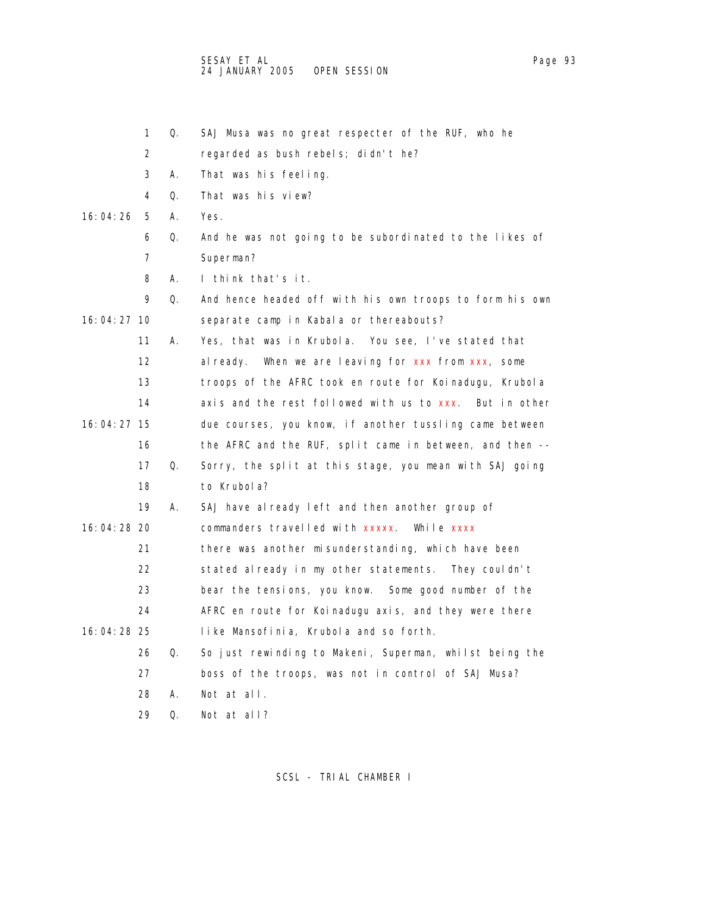SESAY ET AL Page 93 (1999) A SESAY ET ALL PAGE 2014 A SESAY ET ALL PAGE 2014 A SESAY ET ALL PAGE 2014 A SESAY E 24 JANUARY 2005 OPEN SESSION

|               | 1  | Q. | SAJ Musa was no great respecter of the RUF, who he       |
|---------------|----|----|----------------------------------------------------------|
|               | 2  |    | regarded as bush rebels; didn't he?                      |
|               | 3  | А. | That was his feeling.                                    |
|               | 4  | 0. | That was his view?                                       |
| 16:04:26      | 5  | А. | Yes.                                                     |
|               | 6  | Q. | And he was not going to be subordinated to the likes of  |
|               | 7  |    | Superman?                                                |
|               | 8  | А. | I think that's it.                                       |
|               | 9  | Q. | And hence headed off with his own troops to form his own |
| 16:04:27 10   |    |    | separate camp in Kabala or thereabouts?                  |
|               | 11 | А. | Yes, that was in Krubola. You see, I've stated that      |
|               | 12 |    | When we are leaving for xxx from xxx, some<br>al ready.  |
|               | 13 |    | troops of the AFRC took en route for Koinadugu, Krubola  |
|               | 14 |    | axis and the rest followed with us to xxx. But in other  |
| 16:04:27 15   |    |    | due courses, you know, if another tussling came between  |
|               | 16 |    | the AFRC and the RUF, split came in between, and then -- |
|               | 17 | Q. | Sorry, the split at this stage, you mean with SAJ going  |
|               | 18 |    | to Krubola?                                              |
|               | 19 | А. | SAJ have already left and then another group of          |
| $16:04:28$ 20 |    |    | commanders travelled with xxxxx. While xxxx              |
|               | 21 |    | there was another misunderstanding, which have been      |
|               | 22 |    | stated already in my other statements. They couldn't     |
|               | 23 |    | bear the tensions, you know. Some good number of the     |
|               | 24 |    | AFRC en route for Koinadugu axis, and they were there    |
| 16:04:28 25   |    |    | like Mansofinia, Krubola and so forth.                   |
|               | 26 | Q. | So just rewinding to Makeni, Superman, whilst being the  |
|               | 27 |    | boss of the troops, was not in control of SAJ Musa?      |
|               | 28 | А. | Not at all.                                              |
|               | 29 | 0. | Not at all?                                              |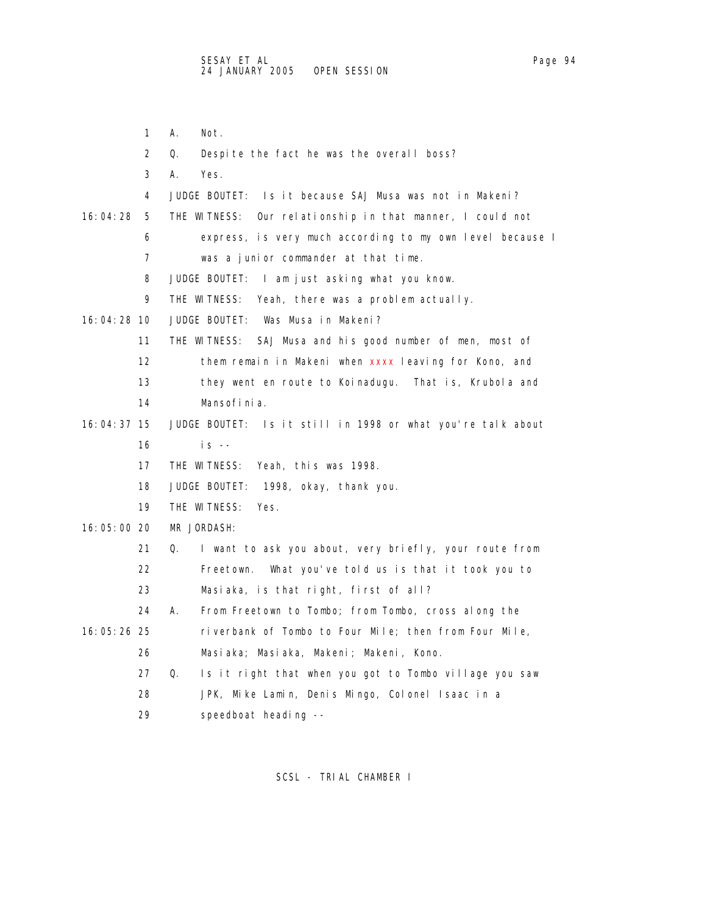- 
- 1 A. Not. 2 Q. Despite the fact he was the overall boss? 3 A. Yes. 4 JUDGE BOUTET: Is it because SAJ Musa was not in Makeni? 16:04:28 5 THE WITNESS: Our relationship in that manner, I could not 6 express, is very much according to my own level because I 7 was a junior commander at that time. 8 JUDGE BOUTET: I am just asking what you know. 9 THE WITNESS: Yeah, there was a problem actually. 16:04:28 10 JUDGE BOUTET: Was Musa in Makeni? 11 THE WITNESS: SAJ Musa and his good number of men, most of 12 them remain in Makeni when xxxx leaving for Kono, and 13 they went en route to Koinadugu. That is, Krubola and 14 Mansofinia. 16:04:37 15 JUDGE BOUTET: Is it still in 1998 or what you're talk about 16 is -- 17 THE WITNESS: Yeah, this was 1998. 18 JUDGE BOUTET: 1998, okay, thank you. 19 THE WITNESS: Yes. 16:05:00 20 MR JORDASH: 21 Q. I want to ask you about, very briefly, your route from 22 Freetown. What you've told us is that it took you to 23 Masiaka, is that right, first of all? 24 A. From Freetown to Tombo; from Tombo, cross along the 16:05:26 25 riverbank of Tombo to Four Mile; then from Four Mile, 26 Masiaka; Masiaka, Makeni; Makeni, Kono. 27 Q. Is it right that when you got to Tombo village you saw 28 JPK, Mike Lamin, Denis Mingo, Colonel Isaac in a 29 speedboat heading --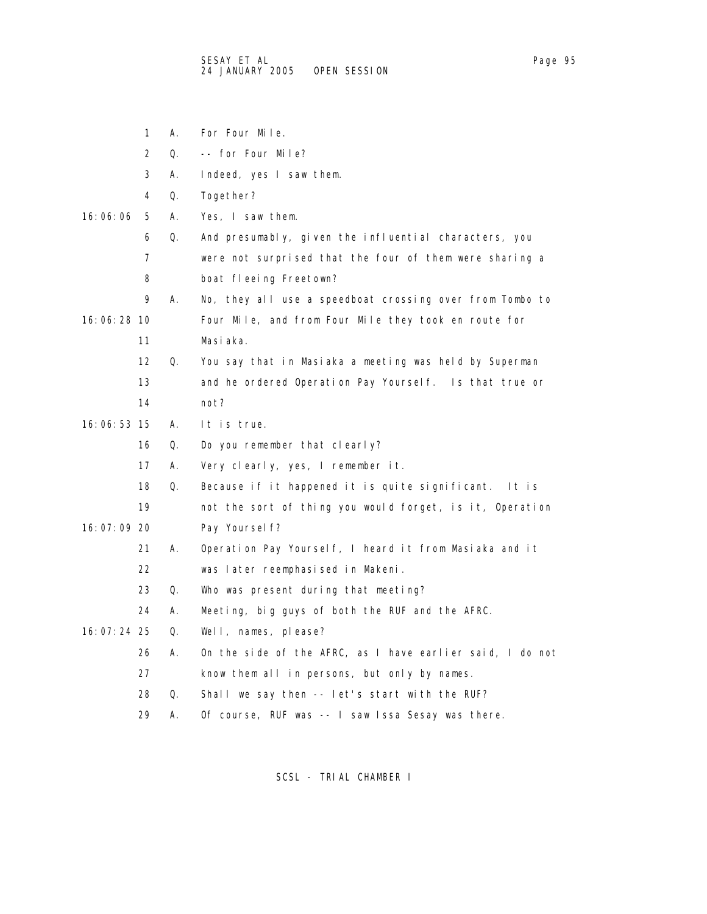- 1 A. For Four Mile.
- 2 Q. -- for Four Mile?
- 3 A. Indeed, yes I saw them.
- 4 Q. Together?

## 16:06:06 5 A. Yes, I saw them.

- 6 Q. And presumably, given the influential characters, you
- 7 were not surprised that the four of them were sharing a 8 boat fleeing Freetown?
- 9 A. No, they all use a speedboat crossing over from Tombo to 16:06:28 10 Four Mile, and from Four Mile they took en route for
	- 11 Masiaka.
	- 12 Q. You say that in Masiaka a meeting was held by Superman 13 and he ordered Operation Pay Yourself. Is that true or
	- 14 not?
- 16:06:53 15 A. It is true.
	- 16 Q. Do you remember that clearly?
	- 17 A. Very clearly, yes, I remember it.
	- 18 Q. Because if it happened it is quite significant. It is
- 19 not the sort of thing you would forget, is it, Operation 16:07:09 20 Pay Yourself?
	- 21 A. Operation Pay Yourself, I heard it from Masiaka and it
	- 22 was later reemphasised in Makeni.
	- 23 Q. Who was present during that meeting?
	- 24 A. Meeting, big guys of both the RUF and the AFRC.
- 16:07:24 25 Q. Well, names, please?
	- 26 A. On the side of the AFRC, as I have earlier said, I do not
	- 27 know them all in persons, but only by names.
	- 28 Q. Shall we say then -- let's start with the RUF?
	- 29 A. Of course, RUF was -- I saw Issa Sesay was there.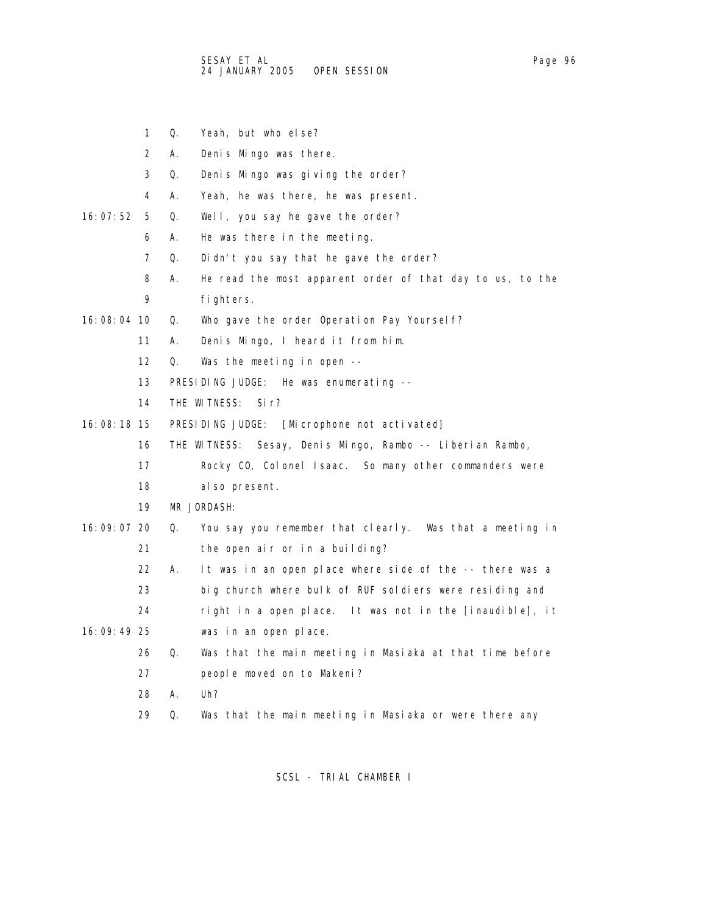- 1 Q. Yeah, but who else?
- 2 A. Denis Mingo was there.
- 3 Q. Denis Mingo was giving the order?
- 4 A. Yeah, he was there, he was present.
- 16:07:52 5 Q. Well, you say he gave the order?
	- 6 A. He was there in the meeting.
	- 7 Q. Didn't you say that he gave the order?
	- 8 A. He read the most apparent order of that day to us, to the 9 fighters.
- 16:08:04 10 Q. Who gave the order Operation Pay Yourself?
	- 11 A. Denis Mingo, I heard it from him.
	- 12 Q. Was the meeting in open --
	- 13 PRESIDING JUDGE: He was enumerating --
	- 14 THE WITNESS: Sir?
- 16:08:18 15 PRESIDING JUDGE: [Microphone not activated]
	- 16 THE WITNESS: Sesay, Denis Mingo, Rambo -- Liberian Rambo,
	- 17 Rocky CO, Colonel Isaac. So many other commanders were
	- 18 also present.
	- 19 MR JORDASH:
- 16:09:07 20 Q. You say you remember that clearly. Was that a meeting in 21 the open air or in a building?
	- 22 A. It was in an open place where side of the -- there was a
	- 23 big church where bulk of RUF soldiers were residing and
- 24 right in a open place. It was not in the [inaudible], it 16:09:49 25 was in an open place.
	- 26 Q. Was that the main meeting in Masiaka at that time before 27 people moved on to Makeni?
	- 28 A. Uh?
	- 29 Q. Was that the main meeting in Masiaka or were there any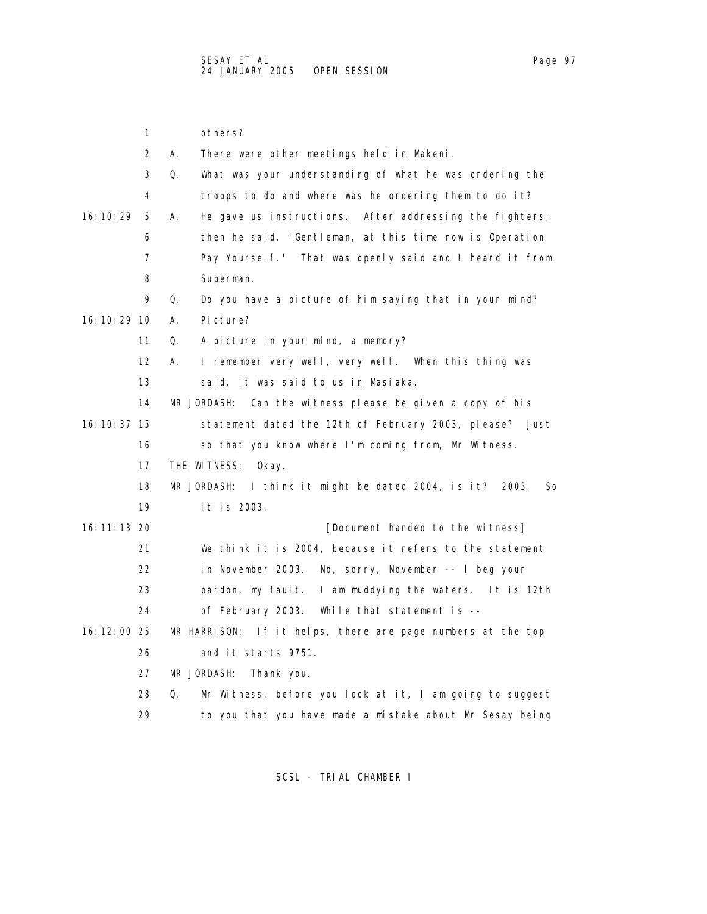|               | 1  | others?                                                           |
|---------------|----|-------------------------------------------------------------------|
|               | 2  | А.<br>There were other meetings held in Makeni.                   |
|               | 3  | What was your understanding of what he was ordering the<br>Q.     |
|               | 4  | troops to do and where was he ordering them to do it?             |
| 16: 10: 29    | 5  | А.<br>He gave us instructions. After addressing the fighters,     |
|               | 6  | then he said, "Gentleman, at this time now is Operation           |
|               | 7  | Pay Yoursel f." That was openly said and I heard it from          |
|               | 8  | Superman.                                                         |
|               | 9  | Q.<br>Do you have a picture of him saying that in your mind?      |
| 16: 10: 29 10 |    | Picture?<br>А.                                                    |
|               | 11 | A picture in your mind, a memory?<br>Q.                           |
|               | 12 | I remember very well, very well. When this thing was<br>А.        |
|               | 13 | said, it was said to us in Masiaka.                               |
|               | 14 | Can the witness please be given a copy of his<br>MR JORDASH:      |
| 16: 10: 37 15 |    | statement dated the 12th of February 2003, please? Just           |
|               | 16 | so that you know where I'm coming from, Mr Witness.               |
|               | 17 | THE WITNESS:<br>0kay.                                             |
|               | 18 | I think it might be dated 2004, is it? 2003.<br>MR JORDASH:<br>So |
|               | 19 | it is 2003.                                                       |
| 16: 11: 13 20 |    | [Document handed to the witness]                                  |
|               | 21 | We think it is 2004, because it refers to the statement           |
|               | 22 | in November 2003.<br>No, sorry, November -- I beg your            |
|               | 23 | pardon, my fault. I am muddying the waters. It is 12th            |
|               | 24 | of February 2003. While that statement is --                      |
| 16:12:00 25   |    | MR HARRISON: If it helps, there are page numbers at the top       |
|               | 26 | and it starts 9751.                                               |
|               | 27 | MR JORDASH:<br>Thank you.                                         |
|               | 28 | Q.<br>Mr Witness, before you look at it, I am going to suggest    |
|               | 29 | to you that you have made a mistake about Mr Sesay being          |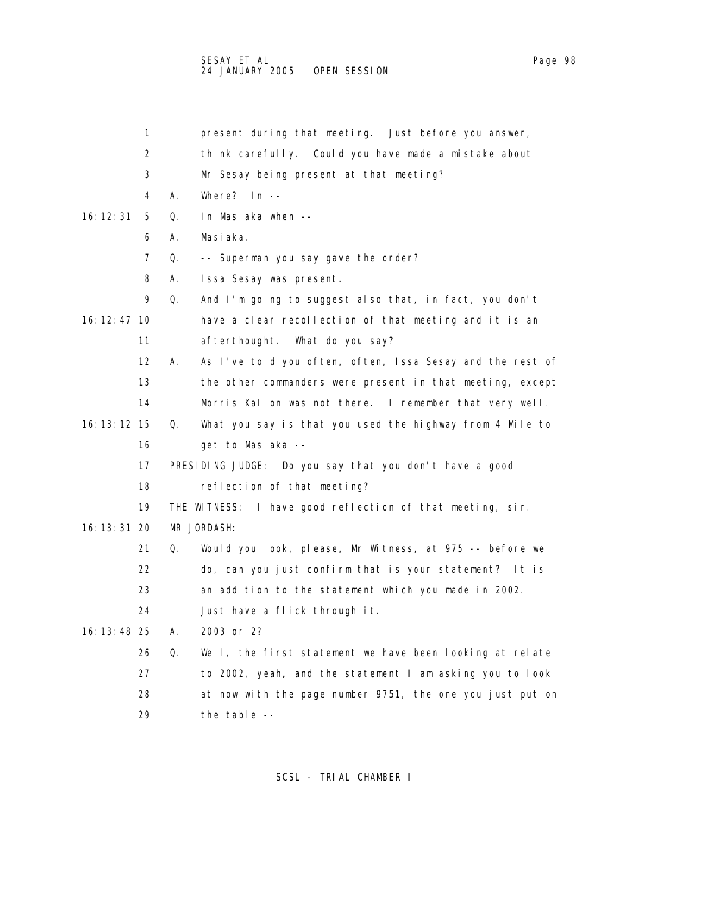SESAY ET AL Page 98 24 JANUARY 2005 OPEN SESSION

 1 present during that meeting. Just before you answer, 2 think carefully. Could you have made a mistake about 3 Mr Sesay being present at that meeting? 4 A. Where? In -- 16:12:31 5 Q. In Masiaka when -- 6 A. Masiaka. 7 Q. -- Superman you say gave the order? 8 A. Issa Sesay was present. 9 Q. And I'm going to suggest also that, in fact, you don't 16:12:47 10 have a clear recollection of that meeting and it is an 11 afterthought. What do you say? 12 A. As I've told you often, often, Issa Sesay and the rest of 13 the other commanders were present in that meeting, except 14 Morris Kallon was not there. I remember that very well. 16:13:12 15 Q. What you say is that you used the highway from 4 Mile to 16 get to Masiaka -- 17 PRESIDING JUDGE: Do you say that you don't have a good 18 reflection of that meeting? 19 THE WITNESS: I have good reflection of that meeting, sir. 16:13:31 20 MR JORDASH: 21 Q. Would you look, please, Mr Witness, at 975 -- before we 22 do, can you just confirm that is your statement? It is 23 an addition to the statement which you made in 2002. 24 Just have a flick through it. 16:13:48 25 A. 2003 or 2? 26 Q. Well, the first statement we have been looking at relate 27 to 2002, yeah, and the statement I am asking you to look 28 at now with the page number 9751, the one you just put on 29 the table --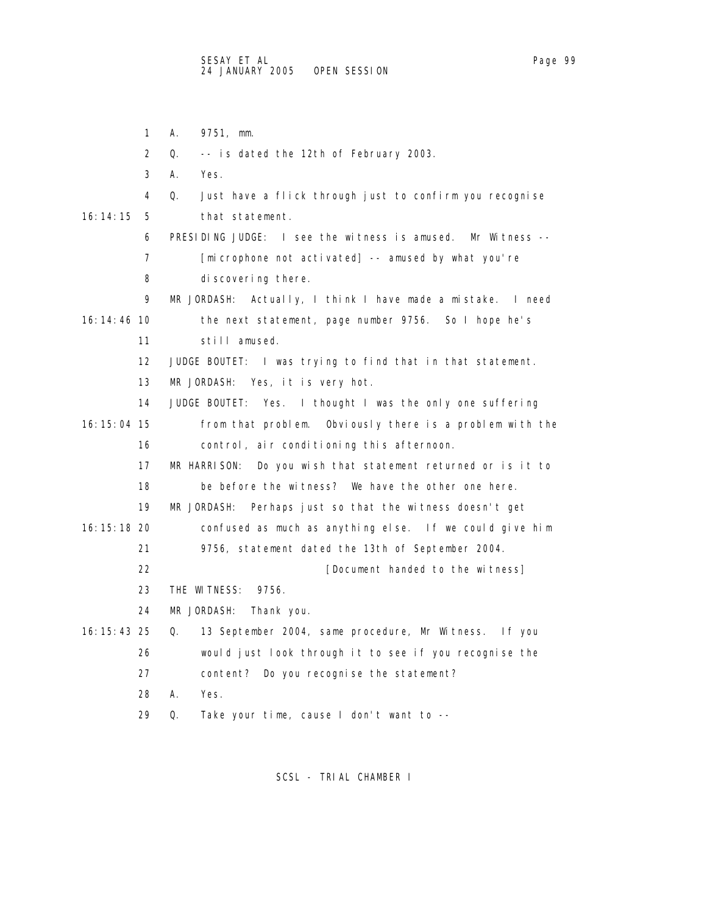1 A. 9751, mm. 2 Q. -- is dated the 12th of February 2003. 3 A. Yes. 4 Q. Just have a flick through just to confirm you recognise 16:14:15 5 that statement. 6 PRESIDING JUDGE: I see the witness is amused. Mr Witness -- 7 [microphone not activated] -- amused by what you're 8 discovering there. 9 MR JORDASH: Actually, I think I have made a mistake. I need 16:14:46 10 the next statement, page number 9756. So I hope he's 11 still amused. 12 JUDGE BOUTET: I was trying to find that in that statement. 13 MR JORDASH: Yes, it is very hot. 14 JUDGE BOUTET: Yes. I thought I was the only one suffering 16:15:04 15 from that problem. Obviously there is a problem with the 16 control, air conditioning this afternoon. 17 MR HARRISON: Do you wish that statement returned or is it to 18 be before the witness? We have the other one here. 19 MR JORDASH: Perhaps just so that the witness doesn't get 16:15:18 20 confused as much as anything else. If we could give him 21 9756, statement dated the 13th of September 2004. 22 **Example 22 EXECUTE:** [Document handed to the witness] 23 THE WITNESS: 9756. 24 MR JORDASH: Thank you. 16:15:43 25 Q. 13 September 2004, same procedure, Mr Witness. If you 26 would just look through it to see if you recognise the 27 content? Do you recognise the statement? 28 A. Yes. 29 Q. Take your time, cause I don't want to --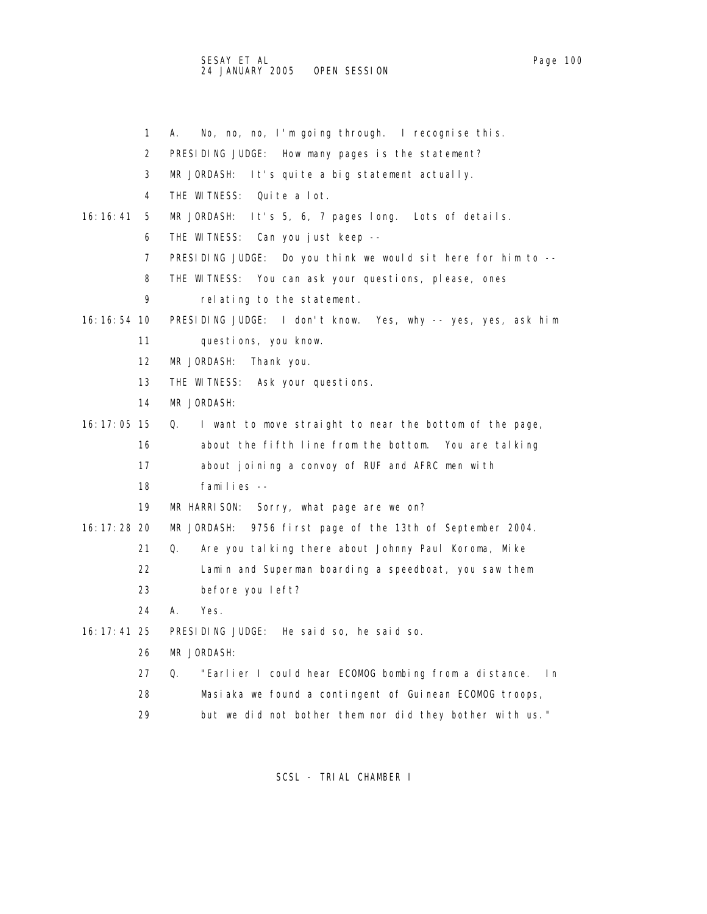SESAY ET AL Page 100 24 JANUARY 2005 OPEN SESSION

- 1 A. No, no, no, I'm going through. I recognise this.
- 2 PRESIDING JUDGE: How many pages is the statement?
- 3 MR JORDASH: It's quite a big statement actually.
- 4 THE WITNESS: Quite a lot.
- 16:16:41 5 MR JORDASH: It's 5, 6, 7 pages long. Lots of details.
	- 6 THE WITNESS: Can you just keep --
	- 7 PRESIDING JUDGE: Do you think we would sit here for him to --
	- 8 THE WITNESS: You can ask your questions, please, ones
	- 9 relating to the statement.
- 16:16:54 10 PRESIDING JUDGE: I don't know. Yes, why -- yes, yes, ask him
	- 11 questions, you know.
	- 12 MR JORDASH: Thank you.
	- 13 THE WITNESS: Ask your questions.
	- 14 MR JORDASH:
- 16:17:05 15 Q. I want to move straight to near the bottom of the page, 16 about the fifth line from the bottom. You are talking
	- 17 about joining a convoy of RUF and AFRC men with
	- 18 families --
	- 19 MR HARRISON: Sorry, what page are we on?
- 16:17:28 20 MR JORDASH: 9756 first page of the 13th of September 2004.
	- 21 Q. Are you talking there about Johnny Paul Koroma, Mike
	- 22 Lamin and Superman boarding a speedboat, you saw them
	- 23 before you left?
	- 24 A. Yes.
- 16:17:41 25 PRESIDING JUDGE: He said so, he said so.
	- 26 MR JORDASH:
	- 27 Q. "Earlier I could hear ECOMOG bombing from a distance. In
	- 28 Masiaka we found a contingent of Guinean ECOMOG troops,
	- 29 but we did not bother them nor did they bother with us."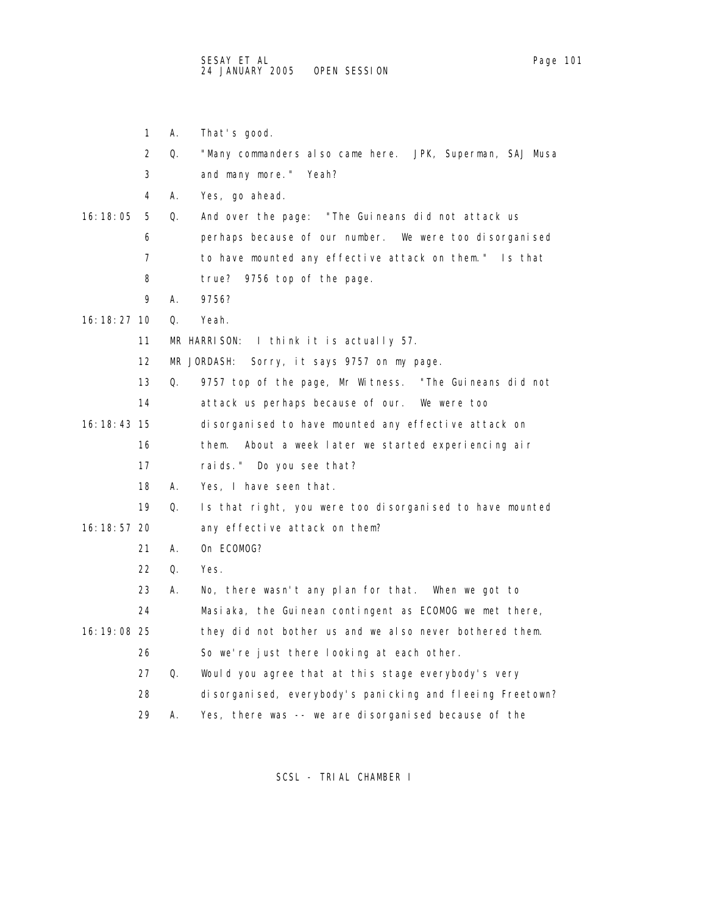|               | 1  | А. | That's good.                                              |
|---------------|----|----|-----------------------------------------------------------|
|               | 2  | Q. | "Many commanders also came here. JPK, Superman, SAJ Musa  |
|               | 3  |    | and many more." Yeah?                                     |
|               | 4  | А. | Yes, go ahead.                                            |
| 16: 18: 05    | 5  | Q. | And over the page: "The Guineans did not attack us        |
|               | 6  |    | perhaps because of our number. We were too disorganised   |
|               | 7  |    | to have mounted any effective attack on them." Is that    |
|               | 8  |    | true?<br>9756 top of the page.                            |
|               | 9  | А. | 9756?                                                     |
| 16: 18: 27 10 |    | Q. | Yeah.                                                     |
|               | 11 |    | MR HARRISON:<br>I think it is actually 57.                |
|               | 12 |    | MR JORDASH:<br>Sorry, it says 9757 on my page.            |
|               | 13 | Q. | 9757 top of the page, Mr Witness. "The Guineans did not   |
|               | 14 |    | attack us perhaps because of our.<br>We were too          |
| 16: 18: 43 15 |    |    | disorganised to have mounted any effective attack on      |
|               | 16 |    | them.<br>About a week later we started experiencing air   |
|               | 17 |    | raids." Do you see that?                                  |
|               | 18 | А. | Yes, I have seen that.                                    |
|               | 19 | Q. | Is that right, you were too disorganised to have mounted  |
| 16: 18: 57 20 |    |    | any effective attack on them?                             |
|               | 21 | А. | On ECOMOG?                                                |
|               | 22 | Q. | Yes.                                                      |
|               | 23 | А. | No, there wasn't any plan for that. When we got to        |
|               | 24 |    | Masiaka, the Guinean contingent as ECOMOG we met there,   |
| 16: 19: 08 25 |    |    | they did not bother us and we also never bothered them.   |
|               | 26 |    | So we're just there looking at each other.                |
|               | 27 | Q. | Would you agree that at this stage everybody's very       |
|               | 28 |    | disorganised, everybody's panicking and fleeing Freetown? |
|               | 29 | Α. | Yes, there was -- we are disorganised because of the      |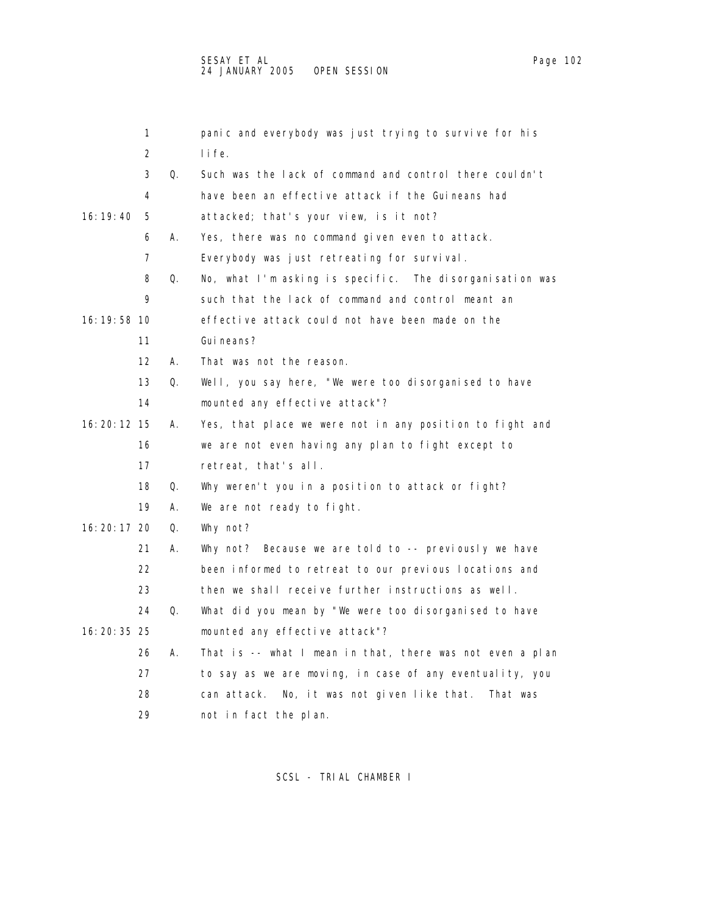|               | 1                 |    | panic and everybody was just trying to survive for his     |
|---------------|-------------------|----|------------------------------------------------------------|
|               | 2                 |    | l i fe.                                                    |
|               | 3                 | Q. | Such was the lack of command and control there couldn't    |
|               | 4                 |    | have been an effective attack if the Guineans had          |
| 16: 19: 40    | 5                 |    | attacked; that's your view, is it not?                     |
|               | 6                 | А. | Yes, there was no command given even to attack.            |
|               | 7                 |    | Everybody was just retreating for survival.                |
|               | 8                 | Q. | No, what I'm asking is specific. The disorganisation was   |
|               | 9                 |    | such that the lack of command and control meant an         |
| 16: 19: 58 10 |                   |    | effective attack could not have been made on the           |
|               | 11                |    | Gui neans?                                                 |
|               | $12 \overline{ }$ | А. | That was not the reason.                                   |
|               | 13                | Q. | Well, you say here, "We were too disorganised to have      |
|               | 14                |    | mounted any effective attack"?                             |
| 16: 20: 12 15 |                   | А. | Yes, that place we were not in any position to fight and   |
|               | 16                |    | we are not even having any plan to fight except to         |
|               | 17                |    | retreat, that's all.                                       |
|               | 18                | Q. | Why weren't you in a position to attack or fight?          |
|               | 19                | А. | We are not ready to fight.                                 |
| 16: 20: 17 20 |                   | Q. | Why not?                                                   |
|               | 21                | Α. | Why not? Because we are told to -- previously we have      |
|               | 22                |    | been informed to retreat to our previous locations and     |
|               | 23                |    | then we shall receive further instructions as well.        |
|               | 24                | Q. | What did you mean by "We were too disorganised to have     |
| 16: 20: 35 25 |                   |    | mounted any effective attack"?                             |
|               | 26                | А. | That is -- what I mean in that, there was not even a plan  |
|               | 27                |    | to say as we are moving, in case of any eventuality, you   |
|               | 28                |    | No, it was not given like that.<br>can attack.<br>That was |
|               | 29                |    | not in fact the plan.                                      |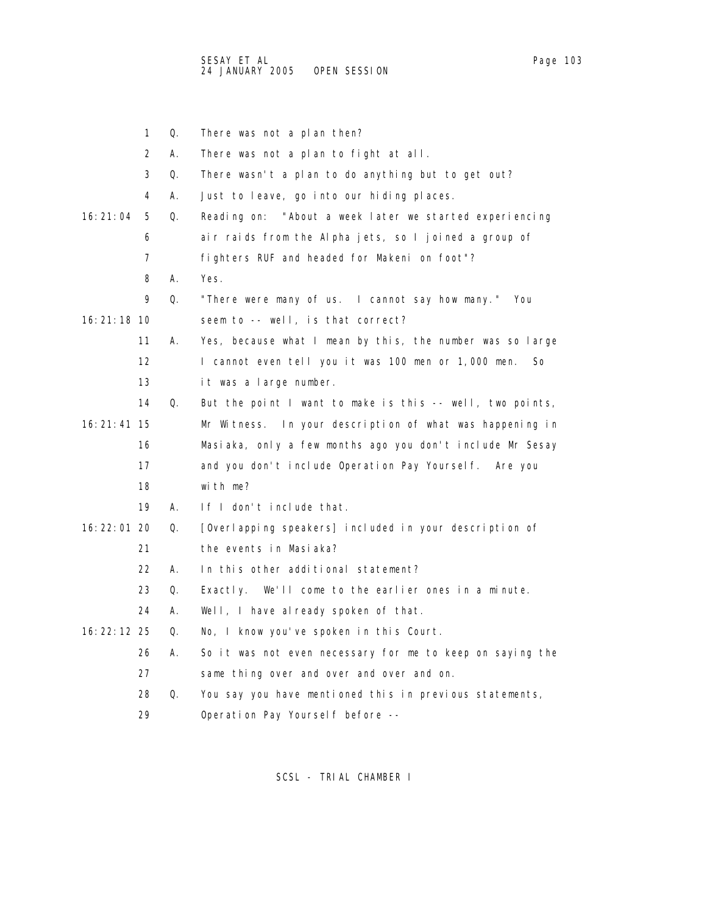|               | 1  | Q. | There was not a plan then?                                |
|---------------|----|----|-----------------------------------------------------------|
|               | 2  | Α. | There was not a plan to fight at all.                     |
|               | 3  | Q. | There wasn't a plan to do anything but to get out?        |
|               | 4  | А. | Just to leave, go into our hiding places.                 |
| 16: 21: 04    | 5  | Q. | Reading on: "About a week later we started experiencing   |
|               | 6  |    | air raids from the Alpha jets, so I joined a group of     |
|               | 7  |    | fighters RUF and headed for Makeni on foot"?              |
|               | 8  | А. | Yes.                                                      |
|               | 9  | Q. | "There were many of us. I cannot say how many." You       |
| 16: 21: 18 10 |    |    | seem to -- well, is that correct?                         |
|               | 11 | Α. | Yes, because what I mean by this, the number was so large |
|               | 12 |    | I cannot even tell you it was 100 men or 1,000 men.<br>So |
|               | 13 |    | it was a large number.                                    |
|               | 14 | Q. | But the point I want to make is this -- well, two points, |
| 16: 21: 41 15 |    |    | Mr Witness. In your description of what was happening in  |
|               | 16 |    | Masiaka, only a few months ago you don't include Mr Sesay |
|               | 17 |    | and you don't include Operation Pay Yourself. Are you     |
|               | 18 |    | with me?                                                  |
|               | 19 | А. | If I don't include that.                                  |
| 16: 22: 01 20 |    | Q. | [Overlapping speakers] included in your description of    |
|               | 21 |    | the events in Masiaka?                                    |
|               | 22 | А. | In this other additional statement?                       |
|               | 23 | Q. | We'll come to the earlier ones in a minute.<br>Exactly.   |
|               | 24 | А. | Well, I have already spoken of that.                      |
| 16: 22: 12 25 |    | Q. | No, I know you've spoken in this Court.                   |
|               | 26 | Α. | So it was not even necessary for me to keep on saying the |
|               | 27 |    | same thing over and over and over and on.                 |
|               | 28 | Q. | You say you have mentioned this in previous statements,   |
|               | 29 |    | Operation Pay Yourself before --                          |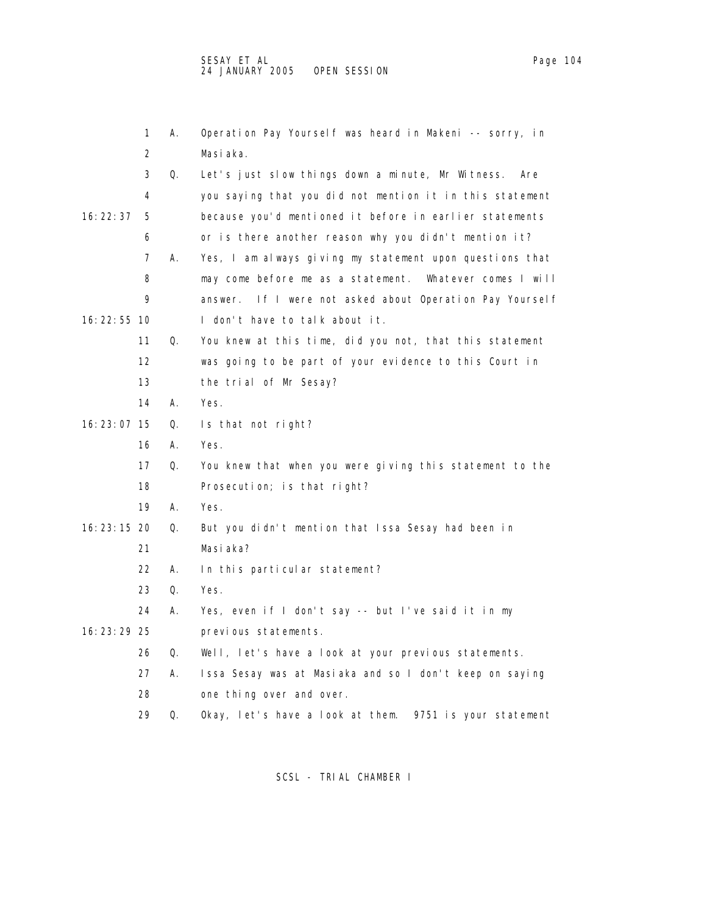|               | 1  | А. | Operation Pay Yourself was heard in Makeni -- sorry, in     |
|---------------|----|----|-------------------------------------------------------------|
|               | 2  |    | Masi aka.                                                   |
|               | 3  | Q. | Let's just slow things down a minute, Mr Witness.<br>Are    |
|               | 4  |    | you saying that you did not mention it in this statement    |
| 16: 22: 37    | 5  |    | because you'd mentioned it before in earlier statements     |
|               | 6  |    | or is there another reason why you didn't mention it?       |
|               | 7  | А. | Yes, I am always giving my statement upon questions that    |
|               | 8  |    | may come before me as a statement.<br>Whatever comes I will |
|               | 9  |    | If I were not asked about Operation Pay Yourself<br>answer. |
| 16: 22: 55 10 |    |    | I don't have to talk about it.                              |
|               | 11 | Q. | You knew at this time, did you not, that this statement     |
|               | 12 |    | was going to be part of your evidence to this Court in      |
|               | 13 |    | the trial of Mr Sesay?                                      |
|               | 14 | Α. | Yes.                                                        |
| 16: 23: 07 15 |    | Q. | Is that not right?                                          |
|               | 16 | Α. | Yes.                                                        |
|               | 17 | Q. | You knew that when you were giving this statement to the    |
|               | 18 |    | Prosecution; is that right?                                 |
|               | 19 | А. | Yes.                                                        |
| 16: 23: 15 20 |    | Q. | But you didn't mention that Issa Sesay had been in          |
|               | 21 |    | Masi aka?                                                   |
|               | 22 | А. | In this particular statement?                               |
|               | 23 | Q. | Yes.                                                        |
|               | 24 | А. | Yes, even if I don't say -- but I've said it in my          |
| 16: 23: 29 25 |    |    | previous statements.                                        |
|               | 26 | Q. | Well, let's have a look at your previous statements.        |
|               | 27 | А. | Issa Sesay was at Masiaka and so I don't keep on saying     |
|               | 28 |    | one thing over and over.                                    |
|               | 29 | Q. | Okay, let's have a look at them.<br>9751 is your statement  |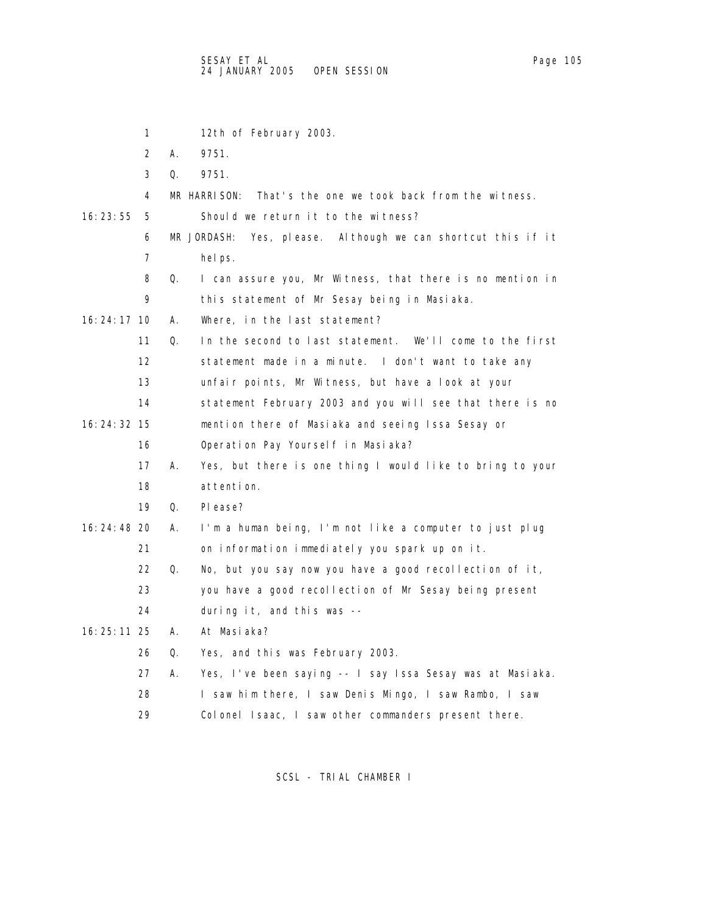1 12th of February 2003. 2 A. 9751. 3 Q. 9751. 4 MR HARRISON: That's the one we took back from the witness. 16:23:55 5 Should we return it to the witness? 6 MR JORDASH: Yes, please. Although we can shortcut this if it 7 helps. 8 Q. I can assure you, Mr Witness, that there is no mention in 9 this statement of Mr Sesay being in Masiaka. 16:24:17 10 A. Where, in the last statement? 11 Q. In the second to last statement. We'll come to the first 12 statement made in a minute. I don't want to take any 13 unfair points, Mr Witness, but have a look at your 14 statement February 2003 and you will see that there is no 16:24:32 15 mention there of Masiaka and seeing Issa Sesay or 16 Operation Pay Yourself in Masiaka? 17 A. Yes, but there is one thing I would like to bring to your 18 attention. 19 Q. Please? 16:24:48 20 A. I'm a human being, I'm not like a computer to just plug 21 on information immediately you spark up on it. 22 Q. No, but you say now you have a good recollection of it, 23 you have a good recollection of Mr Sesay being present 24 during it, and this was -- 16:25:11 25 A. At Masiaka? 26 Q. Yes, and this was February 2003. 27 A. Yes, I've been saying -- I say Issa Sesay was at Masiaka. 28 I saw him there, I saw Denis Mingo, I saw Rambo, I saw

SCSL - TRIAL CHAMBER I

29 Colonel Isaac, I saw other commanders present there.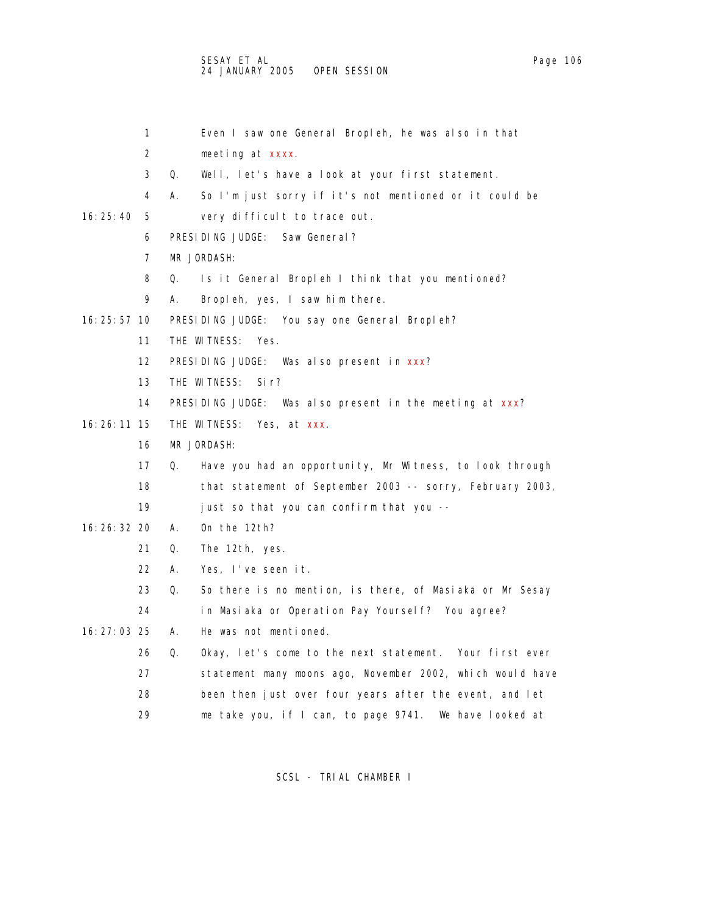|               | 1                 | Even I saw one General Bropleh, he was also in that            |
|---------------|-------------------|----------------------------------------------------------------|
|               | 2                 | meeting at xxxx.                                               |
|               | 3                 | Q.<br>Well, let's have a look at your first statement.         |
|               | 4                 | А.<br>So I'm just sorry if it's not mentioned or it could be   |
| 16: 25: 40    | 5                 | very difficult to trace out.                                   |
|               | 6                 | PRESIDING JUDGE:<br>Saw General?                               |
|               | 7                 | MR JORDASH:                                                    |
|               | 8                 | Q.<br>Is it General Bropleh I think that you mentioned?        |
|               | 9                 | Bropleh, yes, I saw him there.<br>А.                           |
| 16: 25: 57 10 |                   | PRESIDING JUDGE: You say one General Bropleh?                  |
|               | 11                | THE WITNESS:<br>Yes.                                           |
|               | $12 \overline{ }$ | PRESIDING JUDGE: Was also present in xxx?                      |
|               | 13                | THE WITNESS:<br>Sir?                                           |
|               | 14                | PRESIDING JUDGE: Was also present in the meeting at xxx?       |
| 16: 26: 11 15 |                   | THE WITNESS: Yes, at xxx.                                      |
|               | 16                | MR JORDASH:                                                    |
|               | 17                | Q.<br>Have you had an opportunity, Mr Witness, to look through |
|               | 18                | that statement of September 2003 -- sorry, February 2003,      |
|               | 19                | just so that you can confirm that you --                       |
| 16: 26: 32 20 |                   | On the 12th?<br>А.                                             |
|               | 21                | Q.<br>The 12th, yes.                                           |
|               | 22                | А.<br>Yes, I've seen it.                                       |
|               | 23                | So there is no mention, is there, of Masiaka or Mr Sesay<br>Q. |
|               | 24                | in Masiaka or Operation Pay Yourself? You agree?               |
| 16: 27: 03 25 |                   | He was not mentioned.<br>А.                                    |
|               | 26                | Okay, let's come to the next statement. Your first ever<br>Q.  |
|               | 27                | statement many moons ago, November 2002, which would have      |
|               | 28                | been then just over four years after the event, and let        |
|               | 29                | me take you, if I can, to page 9741. We have looked at         |
|               |                   |                                                                |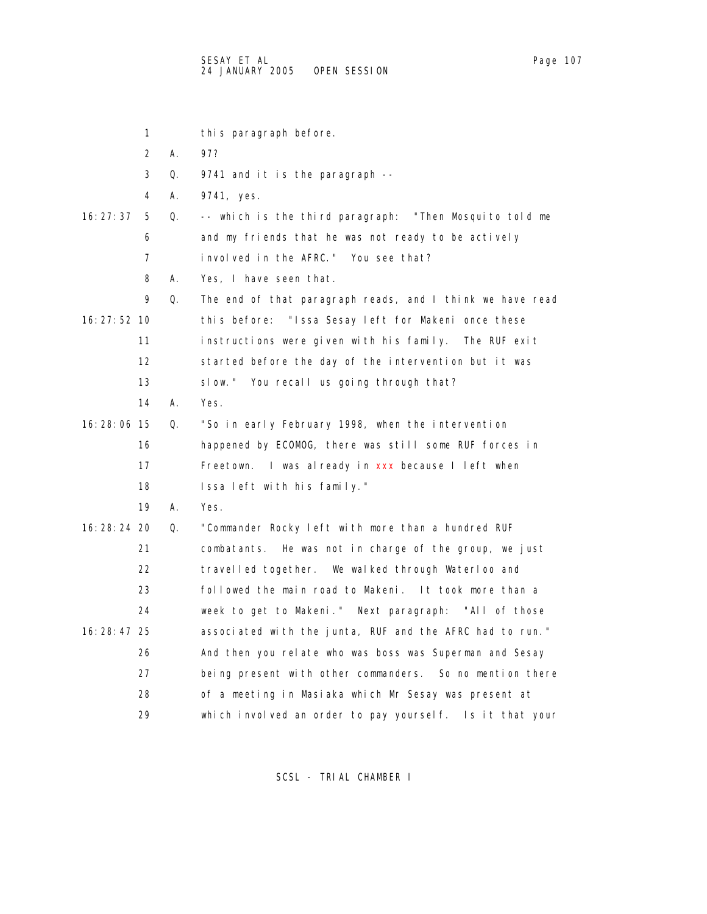|               | 1  |    | this paragraph before.                                    |
|---------------|----|----|-----------------------------------------------------------|
|               | 2  | А. | 97?                                                       |
|               | 3  | Q. | 9741 and it is the paragraph --                           |
|               | 4  | А. | 9741, yes.                                                |
| 16: 27: 37    | 5  | 0. | -- which is the third paragraph: "Then Mosquito told me   |
|               | 6  |    | and my friends that he was not ready to be actively       |
|               | 7  |    | involved in the AFRC." You see that?                      |
|               | 8  | А. | Yes, I have seen that.                                    |
|               | 9  | Q. | The end of that paragraph reads, and I think we have read |
| 16: 27: 52 10 |    |    | "Issa Sesay left for Makeni once these<br>this before:    |
|               | 11 |    | instructions were given with his family.<br>The RUF exit  |
|               | 12 |    | started before the day of the intervention but it was     |
|               | 13 |    | slow." You recall us going through that?                  |
|               | 14 | А. | Yes.                                                      |
| 16: 28: 06 15 |    | Q. | "So in early February 1998, when the intervention         |
|               | 16 |    | happened by ECOMOG, there was still some RUF forces in    |
|               | 17 |    | Freetown. I was already in xxx because I left when        |
|               | 18 |    | Issa left with his family."                               |
|               | 19 | А. | Yes.                                                      |
| 16: 28: 24 20 |    | Q. | "Commander Rocky left with more than a hundred RUF        |
|               | 21 |    | combatants. He was not in charge of the group, we just    |
|               | 22 |    | travelled together. We walked through Waterloo and        |
|               | 23 |    | followed the main road to Makeni. It took more than a     |
|               | 24 |    | week to get to Makeni." Next paragraph: "All of those     |
| 16: 28: 47 25 |    |    | associated with the junta, RUF and the AFRC had to run."  |
|               | 26 |    | And then you relate who was boss was Superman and Sesay   |
|               | 27 |    | being present with other commanders. So no mention there  |
|               | 28 |    | of a meeting in Masiaka which Mr Sesay was present at     |
|               | 29 |    | which involved an order to pay yourself. Is it that your  |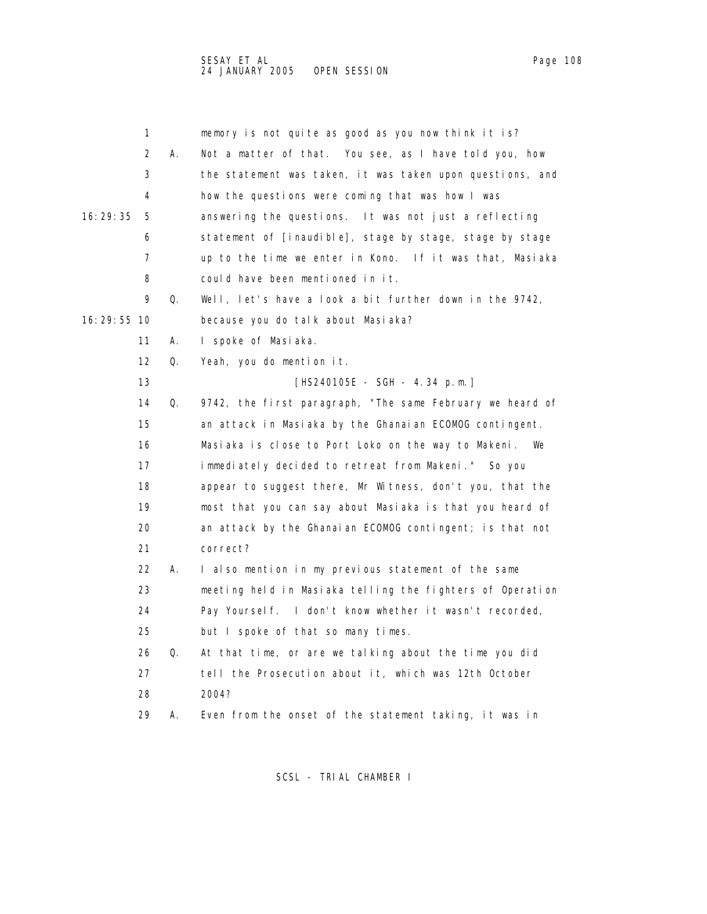| 1             |    | memory is not quite as good as you now think it is?       |
|---------------|----|-----------------------------------------------------------|
| 2             | А. | Not a matter of that. You see, as I have told you, how    |
| 3             |    | the statement was taken, it was taken upon questions, and |
| 4             |    | how the questions were coming that was how I was          |
| 16:29:35<br>5 |    | answering the questions. It was not just a reflecting     |
| 6             |    | statement of [inaudible], stage by stage, stage by stage  |
| 7             |    | up to the time we enter in Kono. If it was that, Masiaka  |
| 8             |    | could have been mentioned in it.                          |
| 9             | Q. | Well, let's have a look a bit further down in the 9742,   |
| 16: 29: 55 10 |    | because you do talk about Masiaka?                        |
| 11            | А. | I spoke of Masiaka.                                       |
| 12            | Q. | Yeah, you do mention it.                                  |
| 13            |    | [HS240105E - SGH - 4.34 p.m.]                             |
| 14            | Q. | 9742, the first paragraph, "The same February we heard of |
| 15            |    | an attack in Masiaka by the Ghanaian ECOMOG contingent.   |
| 16            |    | Masiaka is close to Port Loko on the way to Makeni. We    |
| 17            |    | immediately decided to retreat from Makeni." So you       |
| 18            |    | appear to suggest there, Mr Witness, don't you, that the  |
| 19            |    | most that you can say about Masiaka is that you heard of  |
| 20            |    | an attack by the Ghanaian ECOMOG contingent; is that not  |
| 21            |    | correct?                                                  |
| 22            | А. | I also mention in my previous statement of the same       |
| 23            |    | meeting held in Masiaka telling the fighters of Operation |
| 24            |    | Pay Yoursel f. I don't know whether it wasn't recorded,   |
| 25            |    | but I spoke of that so many times.                        |
| 26            | Q. | At that time, or are we talking about the time you did    |
| 27            |    | tell the Prosecution about it, which was 12th October     |
| 28            |    | 2004?                                                     |
| 29            | А. | Even from the onset of the statement taking, it was in    |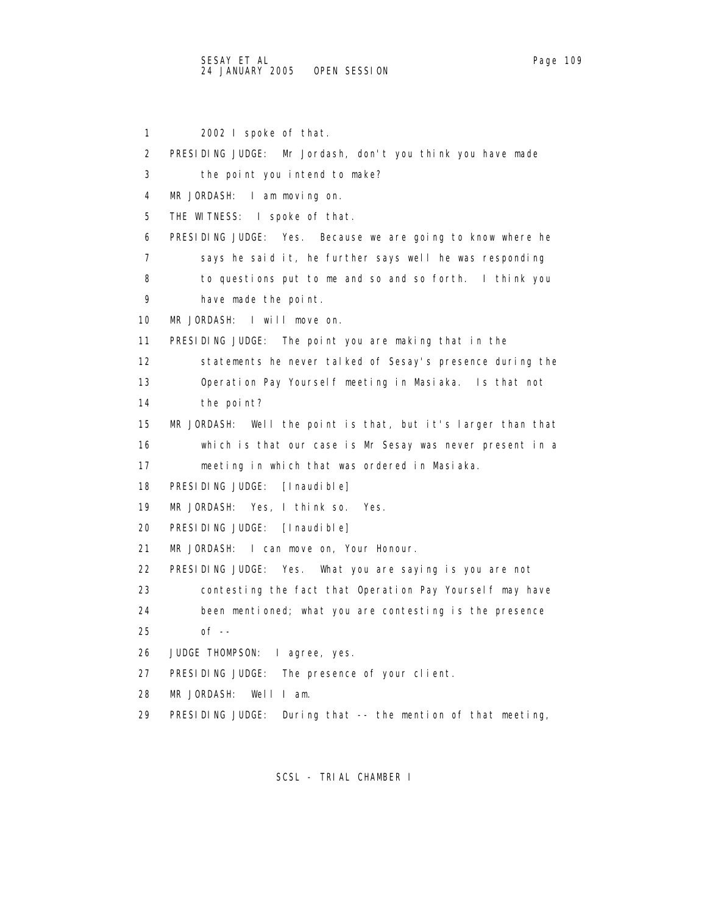1 2002 I spoke of that. 2 PRESIDING JUDGE: Mr Jordash, don't you think you have made 3 the point you intend to make? 4 MR JORDASH: I am moving on. 5 THE WITNESS: I spoke of that. 6 PRESIDING JUDGE: Yes. Because we are going to know where he 7 says he said it, he further says well he was responding 8 to questions put to me and so and so forth. I think you 9 have made the point. 10 MR JORDASH: I will move on. 11 PRESIDING JUDGE: The point you are making that in the 12 statements he never talked of Sesay's presence during the 13 Operation Pay Yourself meeting in Masiaka. Is that not 14 the point? 15 MR JORDASH: Well the point is that, but it's larger than that 16 which is that our case is Mr Sesay was never present in a 17 meeting in which that was ordered in Masiaka. 18 PRESIDING JUDGE: [Inaudible] 19 MR JORDASH: Yes, I think so. Yes. 20 PRESIDING JUDGE: [Inaudible] 21 MR JORDASH: I can move on, Your Honour. 22 PRESIDING JUDGE: Yes. What you are saying is you are not 23 contesting the fact that Operation Pay Yourself may have 24 been mentioned; what you are contesting is the presence 25 of -- 26 JUDGE THOMPSON: I agree, yes. 27 PRESIDING JUDGE: The presence of your client. 28 MR JORDASH: Well I am. 29 PRESIDING JUDGE: During that -- the mention of that meeting,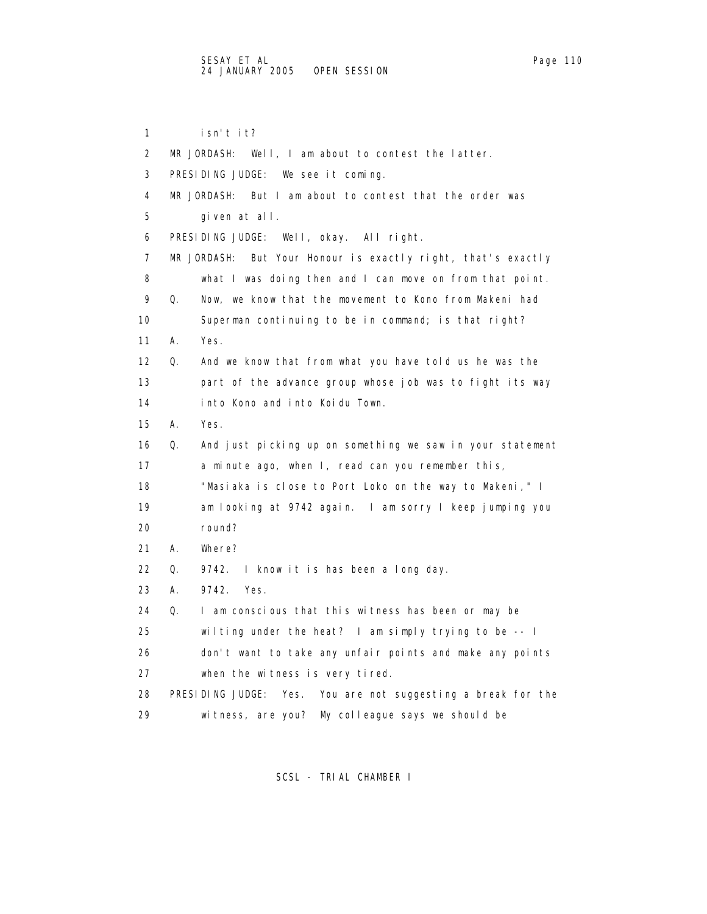1 isn't it? 2 MR JORDASH: Well, I am about to contest the latter. 3 PRESIDING JUDGE: We see it coming. 4 MR JORDASH: But I am about to contest that the order was 5 given at all. 6 PRESIDING JUDGE: Well, okay. All right. 7 MR JORDASH: But Your Honour is exactly right, that's exactly 8 what I was doing then and I can move on from that point. 9 Q. Now, we know that the movement to Kono from Makeni had 10 Superman continuing to be in command; is that right? 11 A. Yes. 12 Q. And we know that from what you have told us he was the 13 part of the advance group whose job was to fight its way 14 into Kono and into Koidu Town. 15 A. Yes. 16 Q. And just picking up on something we saw in your statement 17 a minute ago, when I, read can you remember this, 18 "Masiaka is close to Port Loko on the way to Makeni," I 19 am looking at 9742 again. I am sorry I keep jumping you 20 round? 21 A. Where? 22 Q. 9742. I know it is has been a long day. 23 A. 9742. Yes. 24 Q. I am conscious that this witness has been or may be 25 wilting under the heat? I am simply trying to be -- I 26 don't want to take any unfair points and make any points 27 when the witness is very tired. 28 PRESIDING JUDGE: Yes. You are not suggesting a break for the 29 witness, are you? My colleague says we should be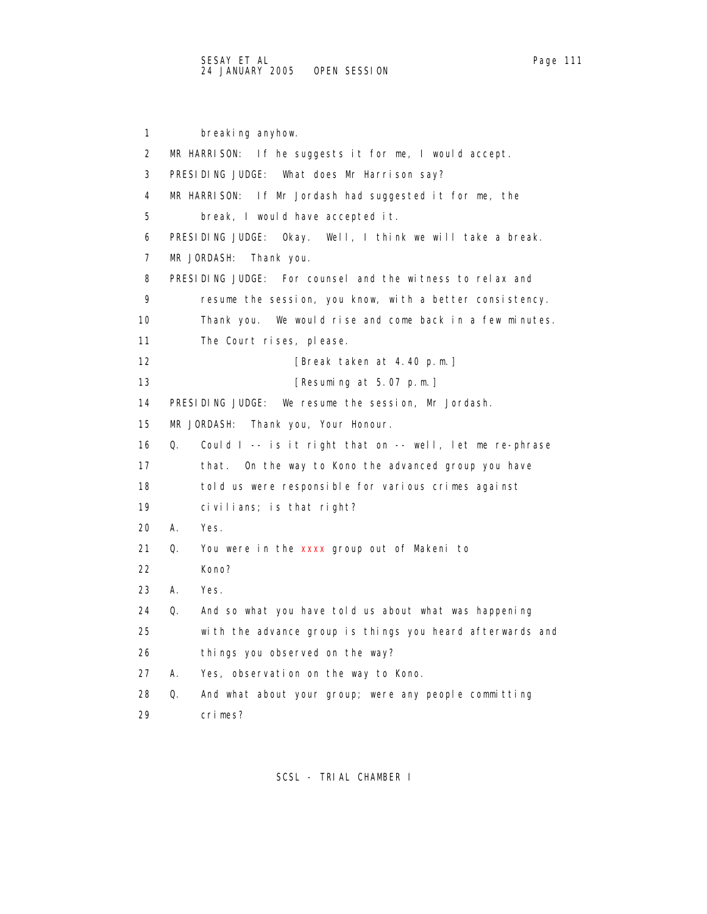1 breaking anyhow. 2 MR HARRISON: If he suggests it for me, I would accept. 3 PRESIDING JUDGE: What does Mr Harrison say? 4 MR HARRISON: If Mr Jordash had suggested it for me, the 5 break, I would have accepted it. 6 PRESIDING JUDGE: Okay. Well, I think we will take a break. 7 MR JORDASH: Thank you. 8 PRESIDING JUDGE: For counsel and the witness to relax and 9 resume the session, you know, with a better consistency. 10 Thank you. We would rise and come back in a few minutes. 11 The Court rises, please. 12 **[Break taken at 4.40 p.m.]** 13 **[Resuming at 5.07 p.m.]**  14 PRESIDING JUDGE: We resume the session, Mr Jordash. 15 MR JORDASH: Thank you, Your Honour. 16 Q. Could I -- is it right that on -- well, let me re-phrase 17 that. On the way to Kono the advanced group you have 18 told us were responsible for various crimes against 19 civilians; is that right? 20 A. Yes. 21 Q. You were in the xxxx group out of Makeni to 22 Kono? 23 A. Yes. 24 Q. And so what you have told us about what was happening 25 with the advance group is things you heard afterwards and 26 things you observed on the way? 27 A. Yes, observation on the way to Kono. 28 Q. And what about your group; were any people committing 29 crimes?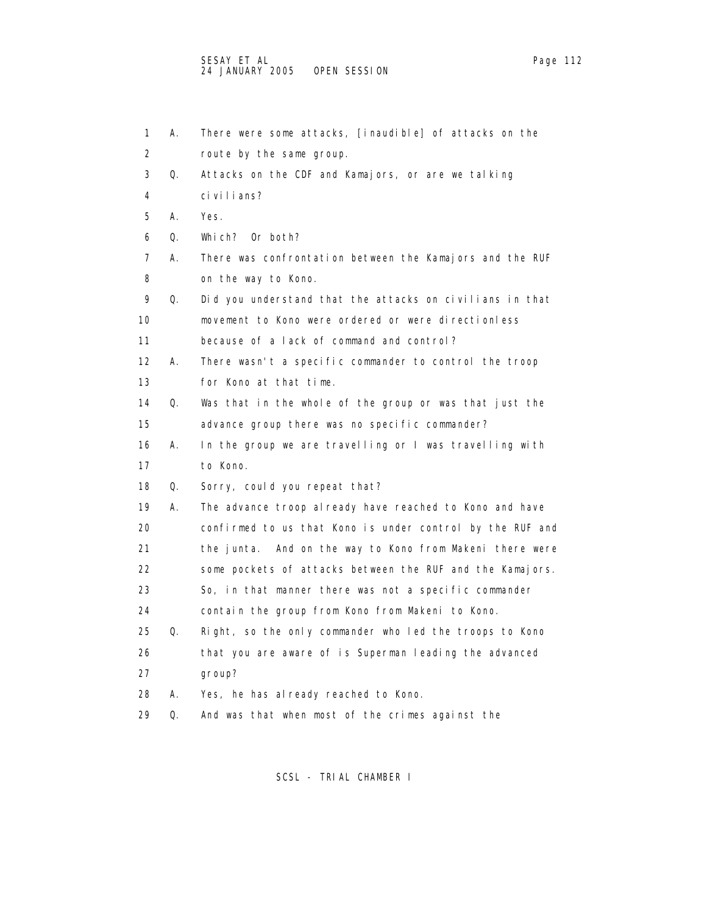| 1              | Α. | There were some attacks, [inaudible] of attacks on the    |
|----------------|----|-----------------------------------------------------------|
| 2              |    | route by the same group.                                  |
| 3              | Q. | Attacks on the CDF and Kamajors, or are we talking        |
| 4              |    | ci vi I i ans?                                            |
| 5              | Α. | Yes.                                                      |
| 6              | Q. | Which? Or both?                                           |
| $\overline{7}$ | Α. | There was confrontation between the Kamajors and the RUF  |
| 8              |    | on the way to Kono.                                       |
| 9              | Q. | Did you understand that the attacks on civilians in that  |
| 10             |    | movement to Kono were ordered or were directionless       |
| 11             |    | because of a lack of command and control?                 |
| 12             | А. | There wasn't a specific commander to control the troop    |
| 13             |    | for Kono at that time.                                    |
| 14             | Q. | Was that in the whole of the group or was that just the   |
| 15             |    | advance group there was no specific commander?            |
| 16             | А. | In the group we are travelling or I was travelling with   |
| 17             |    | to Kono.                                                  |
| 18             | Q. | Sorry, could you repeat that?                             |
| 19             | А. | The advance troop al ready have reached to Kono and have  |
| 20             |    | confirmed to us that Kono is under control by the RUF and |
| 21             |    | the junta. And on the way to Kono from Makeni there were  |
| 22             |    | some pockets of attacks between the RUF and the Kamajors. |
| 23             |    | So, in that manner there was not a specific commander     |
| 24             |    | contain the group from Kono from Makeni to Kono.          |
| 25             | Q. | Right, so the only commander who led the troops to Kono   |
| 26             |    | that you are aware of is Superman leading the advanced    |
| 27             |    | group?                                                    |
| 28             | А. | Yes, he has already reached to Kono.                      |
| 29             | Q. | And was that when most of the crimes against the          |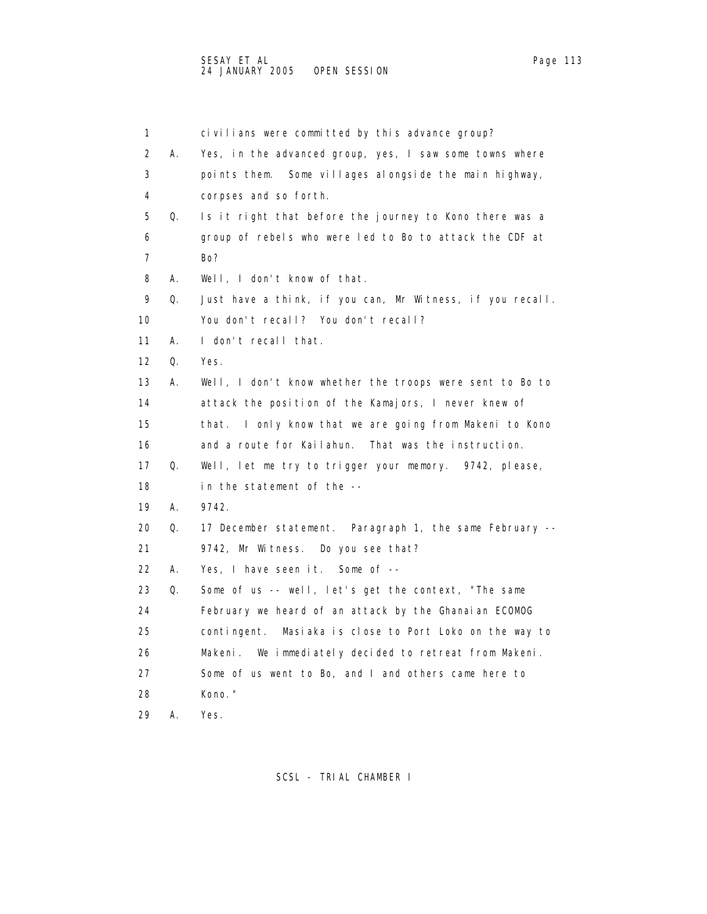1 civilians were committed by this advance group? 2 A. Yes, in the advanced group, yes, I saw some towns where 3 points them. Some villages alongside the main highway, 4 corpses and so forth. 5 Q. Is it right that before the journey to Kono there was a 6 group of rebels who were led to Bo to attack the CDF at 7 Bo? 8 A. Well, I don't know of that. 9 Q. Just have a think, if you can, Mr Witness, if you recall. 10 You don't recall? You don't recall? 11 A. I don't recall that. 12 Q. Yes. 13 A. Well, I don't know whether the troops were sent to Bo to 14 attack the position of the Kamajors, I never knew of 15 that. I only know that we are going from Makeni to Kono 16 and a route for Kailahun. That was the instruction. 17 Q. Well, let me try to trigger your memory. 9742, please, 18 in the statement of the -- 19 A. 9742. 20 Q. 17 December statement. Paragraph 1, the same February -- 21 9742, Mr Witness. Do you see that? 22 A. Yes, I have seen it. Some of -- 23 Q. Some of us -- well, let's get the context, "The same 24 February we heard of an attack by the Ghanaian ECOMOG 25 contingent. Masiaka is close to Port Loko on the way to 26 Makeni. We immediately decided to retreat from Makeni. 27 Some of us went to Bo, and I and others came here to 28 Kono." 29 A. Yes.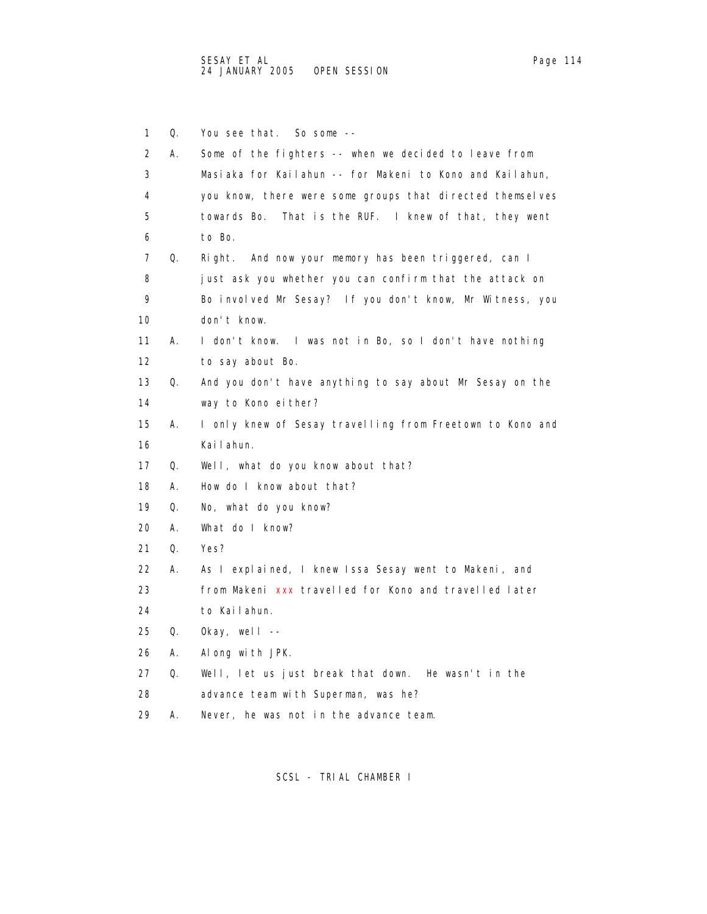| 1                 | Q. | You see that.<br>So some $--$                             |
|-------------------|----|-----------------------------------------------------------|
| 2                 | Α. | Some of the fighters -- when we decided to leave from     |
| 3                 |    | Masiaka for Kailahun -- for Makeni to Kono and Kailahun,  |
| 4                 |    | you know, there were some groups that directed themselves |
| 5                 |    | towards Bo.<br>That is the RUF. I knew of that, they went |
| 6                 |    | to Bo.                                                    |
| 7                 | Q. | And now your memory has been triggered, can I<br>Ri ght.  |
| 8                 |    | just ask you whether you can confirm that the attack on   |
| 9                 |    | Bo involved Mr Sesay? If you don't know, Mr Witness, you  |
| 10                |    | don't know.                                               |
| 11                | А. | I don't know. I was not in Bo, so I don't have nothing    |
| $12 \overline{ }$ |    | to say about Bo.                                          |
| 13                | Q. | And you don't have anything to say about Mr Sesay on the  |
| 14                |    | way to Kono either?                                       |
| 15                | А. | I only knew of Sesay travelling from Freetown to Kono and |
| 16                |    | Kai I ahun.                                               |
| 17                | Q. | Well, what do you know about that?                        |
| 18                | А. | How do I know about that?                                 |
| 19                | Q. | No, what do you know?                                     |
| 20                | А. | What do I know?                                           |
| 21                | Q. | Yes?                                                      |
| 22                | А. | As I explained, I knew Issa Sesay went to Makeni, and     |
| 23                |    | from Makeni xxx travelled for Kono and travelled later    |
| 24                |    | to Kailahun.                                              |
| 25                | Q. | Okay, well $--$                                           |
| 26                | А. | Along with JPK.                                           |
| 27                | Q. | Well, let us just break that down. He wasn't in the       |
| 28                |    | advance team with Superman, was he?                       |
| 29                | А. | Never, he was not in the advance team.                    |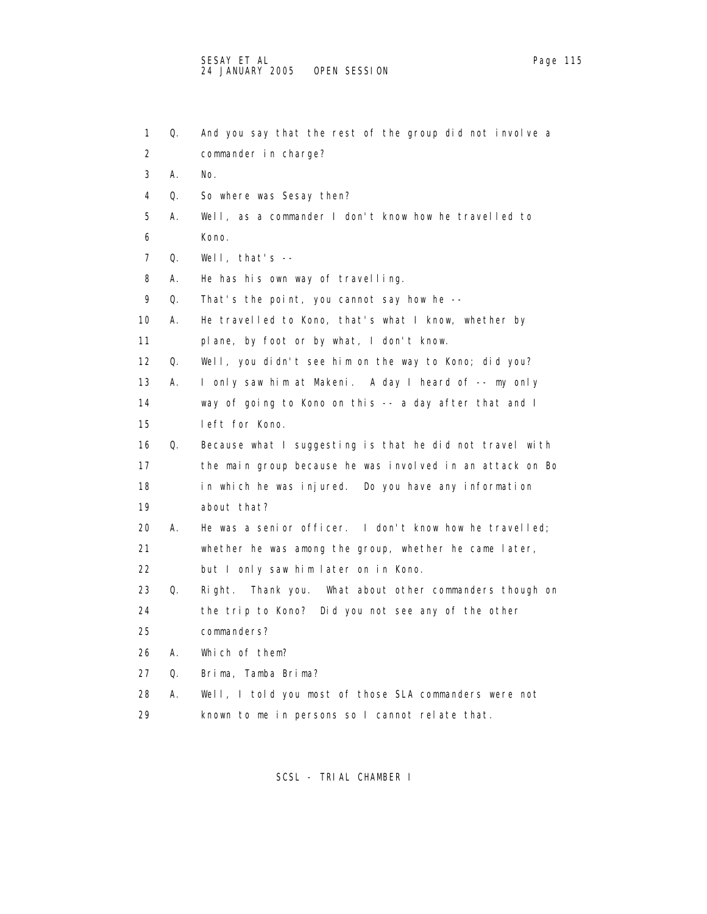| 1                 | Q. | And you say that the rest of the group did not involve a   |
|-------------------|----|------------------------------------------------------------|
| 2                 |    | commander in charge?                                       |
| 3                 | Α. | No.                                                        |
| 4                 | Q. | So where was Sesay then?                                   |
| 5                 | А. | Well, as a commander I don't know how he travelled to      |
| 6                 |    | Kono.                                                      |
| 7                 | Q. | Well, that's $-$                                           |
| 8                 | А. | He has his own way of travelling.                          |
| 9                 | Q. | That's the point, you cannot say how he --                 |
| 10                | А. | He travelled to Kono, that's what I know, whether by       |
| 11                |    | plane, by foot or by what, I don't know.                   |
| $12 \overline{ }$ | Q. | Well, you didn't see him on the way to Kono; did you?      |
| 13                | А. | I only saw him at Makeni. A day I heard of -- my only      |
| 14                |    | way of going to Kono on this -- a day after that and I     |
| 15                |    | left for Kono.                                             |
| 16                | Q. | Because what I suggesting is that he did not travel with   |
| 17                |    | the main group because he was involved in an attack on Bo  |
| 18                |    | in which he was injured. Do you have any information       |
| 19                |    | about that?                                                |
| 20                | А. | He was a senior officer. I don't know how he travelled;    |
| 21                |    | whether he was among the group, whether he came later,     |
| 22                |    | but I only saw him later on in Kono.                       |
| 23                | Q. | Right.<br>Thank you. What about other commanders though on |
| 24                |    | the trip to Kono? Did you not see any of the other         |
| 25                |    | commanders?                                                |
| 26                | А. | Which of them?                                             |
| 27                | Q. | Brima, Tamba Brima?                                        |
| 28                | А. | Well, I told you most of those SLA commanders were not     |
| 29                |    | known to me in persons so I cannot relate that.            |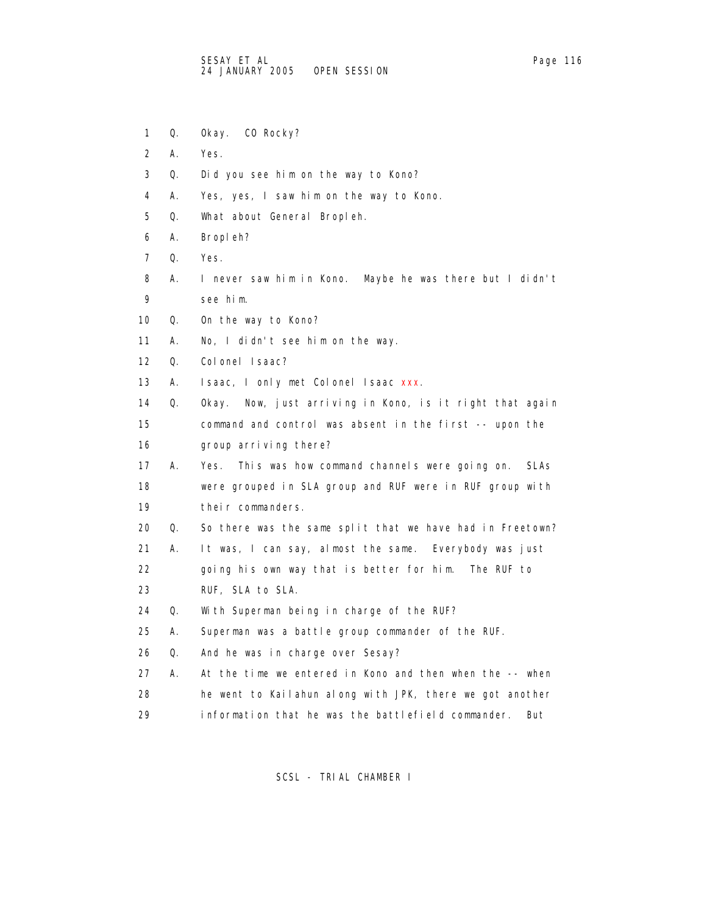- 1 Q. Okay. CO Rocky?
- 2 A. Yes.
- 3 Q. Did you see him on the way to Kono?
- 4 A. Yes, yes, I saw him on the way to Kono.
- 5 Q. What about General Bropleh.
- 6 A. Bropleh?
- 7 Q. Yes.
- 8 A. I never saw him in Kono. Maybe he was there but I didn't 9 see him.
- 10 Q. On the way to Kono?
- 11 A. No, I didn't see him on the way.
- 12 Q. Colonel Isaac?
- 13 A. Isaac, I only met Colonel Isaac xxx.
- 14 Q. Okay. Now, just arriving in Kono, is it right that again 15 command and control was absent in the first -- upon the 16 group arriving there?
- 17 A. Yes. This was how command channels were going on. SLAs 18 were grouped in SLA group and RUF were in RUF group with 19 their commanders.
- 20 Q. So there was the same split that we have had in Freetown?
- 21 A. It was, I can say, almost the same. Everybody was just
- 22 going his own way that is better for him. The RUF to
- 23 RUF, SLA to SLA.
- 24 Q. With Superman being in charge of the RUF?
- 25 A. Superman was a battle group commander of the RUF.
- 26 Q. And he was in charge over Sesay?
- 27 A. At the time we entered in Kono and then when the -- when 28 he went to Kailahun along with JPK, there we got another 29 information that he was the battlefield commander. But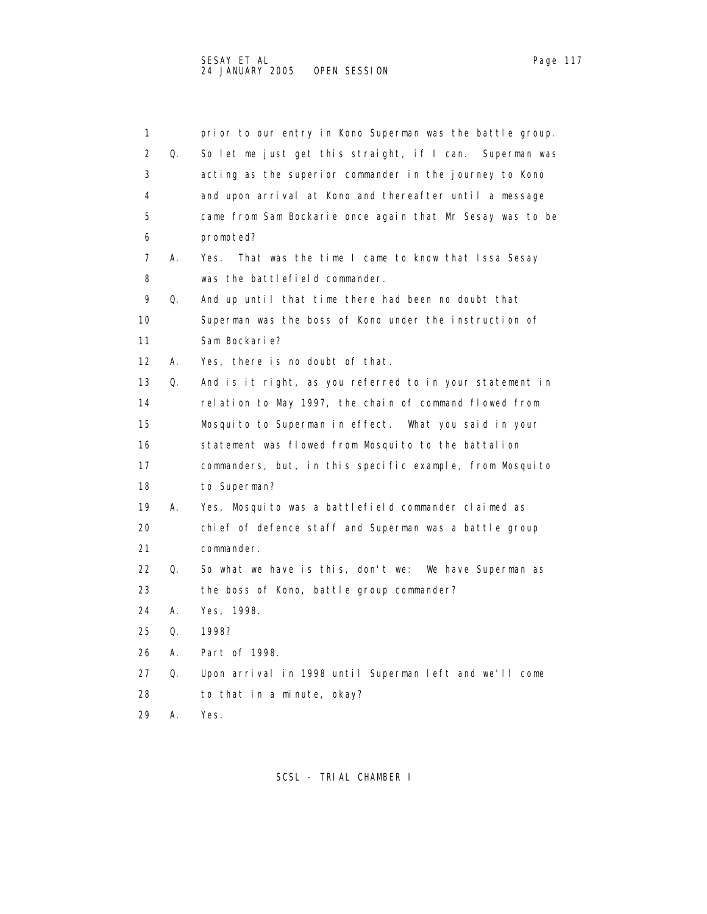| 1                 |    | prior to our entry in Kono Superman was the battle group. |
|-------------------|----|-----------------------------------------------------------|
| 2                 | Q. | So let me just get this straight, if I can. Superman was  |
| 3                 |    | acting as the superior commander in the journey to Kono   |
| 4                 |    | and upon arrival at Kono and thereafter until a message   |
| 5                 |    | came from Sam Bockarie once again that Mr Sesay was to be |
| 6                 |    | promoted?                                                 |
| 7                 | А. | That was the time I came to know that Issa Sesay<br>Yes.  |
| 8                 |    | was the battlefield commander.                            |
| 9                 | Q. | And up until that time there had been no doubt that       |
| 10                |    | Superman was the boss of Kono under the instruction of    |
| 11                |    | Sam Bockarie?                                             |
| $12 \overline{ }$ | А. | Yes, there is no doubt of that.                           |
| 13                | Q. | And is it right, as you referred to in your statement in  |
| 14                |    | relation to May 1997, the chain of command flowed from    |
| 15                |    | Mosquito to Superman in effect. What you said in your     |
| 16                |    | statement was flowed from Mosquito to the battalion       |
| 17                |    | commanders, but, in this specific example, from Mosquito  |
| 18                |    | to Superman?                                              |
| 19                | А. | Yes, Mosquito was a battlefield commander claimed as      |
| 20                |    | chief of defence staff and Superman was a battle group    |
| 21                |    | commander.                                                |
| 22                | Q. | So what we have is this, don't we:<br>We have Superman as |
| 23                |    | the boss of Kono, battle group commander?                 |
| 24                | А. | Yes, 1998.                                                |
| 25                | Q. | 1998?                                                     |
| 26                | А. | Part of 1998.                                             |
| 27                | Q. | Upon arrival in 1998 until Superman left and we'll come   |
| 28                |    | to that in a minute, okay?                                |
|                   |    |                                                           |

29 A. Yes.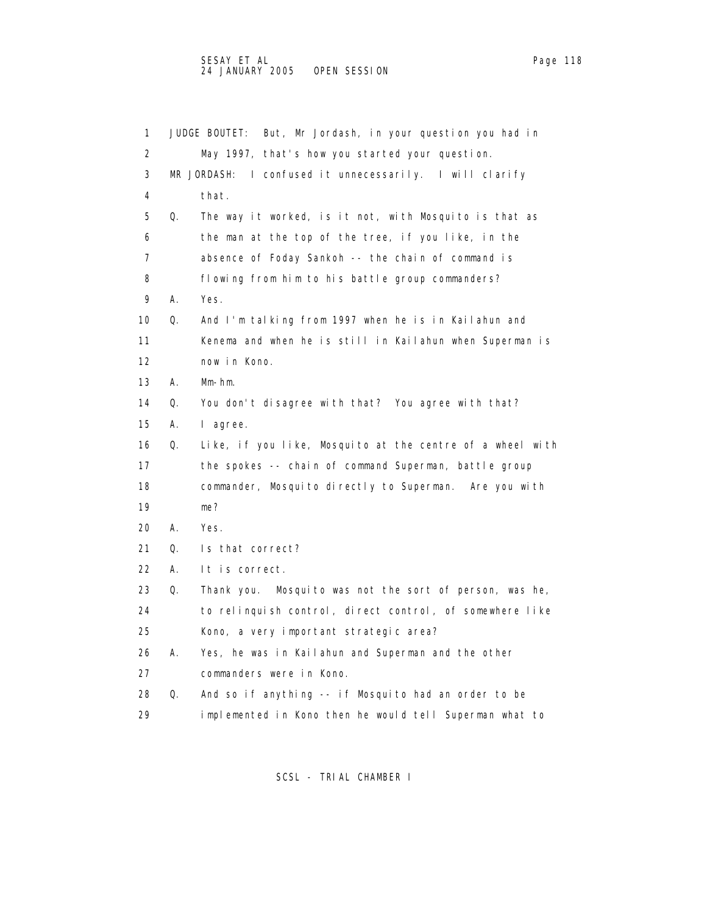| 1  |    | But, Mr Jordash, in your question you had in<br>JUDGE BOUTET: |
|----|----|---------------------------------------------------------------|
|    |    |                                                               |
| 2  |    | May 1997, that's how you started your question.               |
| 3  |    | MR JORDASH:<br>I confused it unnecessarily. I will clarify    |
| 4  |    | that.                                                         |
| 5  | Q. | The way it worked, is it not, with Mosquito is that as        |
| 6  |    | the man at the top of the tree, if you like, in the           |
| 7  |    | absence of Foday Sankoh -- the chain of command is            |
| 8  |    | flowing from him to his battle group commanders?              |
| 9  | А. | Yes.                                                          |
| 10 | Q. | And I'm talking from 1997 when he is in Kailahun and          |
| 11 |    | Kenema and when he is still in Kailahun when Superman is      |
| 12 |    | now in Kono.                                                  |
| 13 | А. | $Mm-hm.$                                                      |
| 14 | Q. | You don't disagree with that? You agree with that?            |
| 15 | А. | l agree.                                                      |
| 16 | Q. | Like, if you like, Mosquito at the centre of a wheel with     |
| 17 |    | the spokes -- chain of command Superman, battle group         |
| 18 |    | commander, Mosquito directly to Superman. Are you with        |
| 19 |    | me?                                                           |
| 20 | А. | Yes.                                                          |
| 21 | Q. | Is that correct?                                              |
| 22 | А. | It is correct.                                                |
| 23 | Q. | Mosquito was not the sort of person, was he,<br>Thank you.    |
| 24 |    | to relinguish control, direct control, of somewhere like      |
| 25 |    | Kono, a very important strategic area?                        |
| 26 | А. | Yes, he was in Kailahun and Superman and the other            |
| 27 |    | commanders were in Kono.                                      |
| 28 | Q. | And so if anything -- if Mosquito had an order to be          |
| 29 |    | implemented in Kono then he would tell Superman what to       |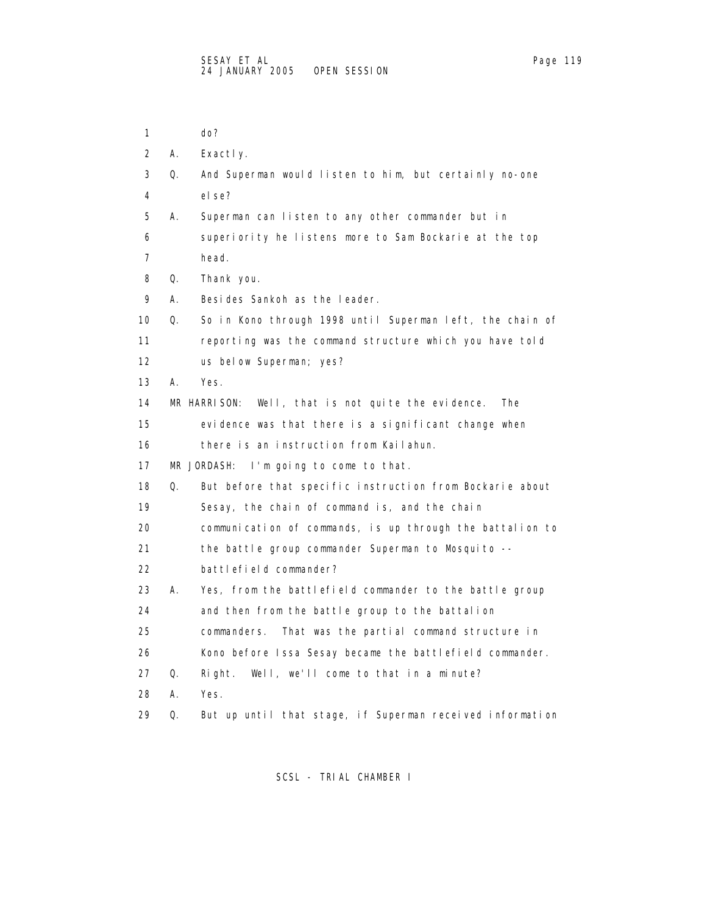1 do?

 2 A. Exactly. 3 Q. And Superman would listen to him, but certainly no-one 4 else? 5 A. Superman can listen to any other commander but in 6 superiority he listens more to Sam Bockarie at the top 7 head. 8 Q. Thank you. 9 A. Besides Sankoh as the leader. 10 Q. So in Kono through 1998 until Superman left, the chain of 11 reporting was the command structure which you have told 12 us below Superman; yes? 13 A. Yes. 14 MR HARRISON: Well, that is not quite the evidence. The 15 evidence was that there is a significant change when 16 there is an instruction from Kailahun. 17 MR JORDASH: I'm going to come to that. 18 Q. But before that specific instruction from Bockarie about 19 Sesay, the chain of command is, and the chain 20 communication of commands, is up through the battalion to 21 the battle group commander Superman to Mosquito -- 22 battlefield commander? 23 A. Yes, from the battlefield commander to the battle group 24 and then from the battle group to the battalion 25 commanders. That was the partial command structure in 26 Kono before Issa Sesay became the battlefield commander. 27 Q. Right. Well, we'll come to that in a minute? 28 A. Yes. 29 Q. But up until that stage, if Superman received information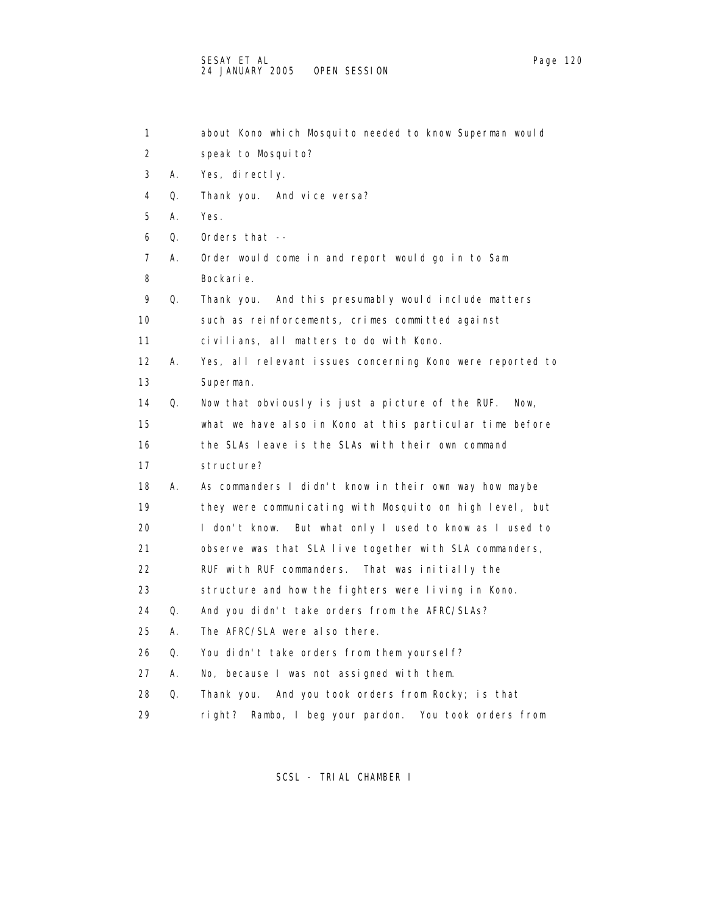| 1                 |    | about Kono which Mosquito needed to know Superman would      |
|-------------------|----|--------------------------------------------------------------|
| 2                 |    | speak to Mosquito?                                           |
| 3                 | А. | Yes, directly.                                               |
| 4                 | Q. | Thank you. And vice versa?                                   |
| 5                 | А. | Yes.                                                         |
| 6                 | Q. | Orders that --                                               |
| 7                 | А. | Order would come in and report would go in to Sam            |
| 8                 |    | Bockarie.                                                    |
| 9                 | Q. | Thank you. And this presumably would include matters         |
| 10                |    | such as reinforcements, crimes committed against             |
| 11                |    | civilians, all matters to do with Kono.                      |
| $12 \overline{ }$ | А. | Yes, all relevant issues concerning Kono were reported to    |
| 13                |    | Superman.                                                    |
| 14                | Q. | Now that obviously is just a picture of the RUF.<br>Now,     |
| 15                |    | what we have also in Kono at this particular time before     |
| 16                |    | the SLAs leave is the SLAs with their own command            |
| 17                |    | structure?                                                   |
| 18                | А. | As commanders I didn't know in their own way how maybe       |
| 19                |    | they were communicating with Mosquito on high level, but     |
| 20                |    | But what only I used to know as I used to<br>I don't know.   |
| 21                |    | observe was that SLA live together with SLA commanders,      |
| 22                |    | RUF with RUF commanders. That was initially the              |
| 23                |    | structure and how the fighters were living in Kono.          |
| 24                | Q. | And you didn't take orders from the AFRC/SLAs?               |
| 25                | А. | The AFRC/SLA were also there.                                |
| 26                | Q. | You didn't take orders from them yourself?                   |
| 27                | А. | No, because I was not assigned with them.                    |
| 28                | Q. | Thank you. And you took orders from Rocky; is that           |
| 29                |    | Rambo, I beg your pardon.<br>You took orders from<br>ri ght? |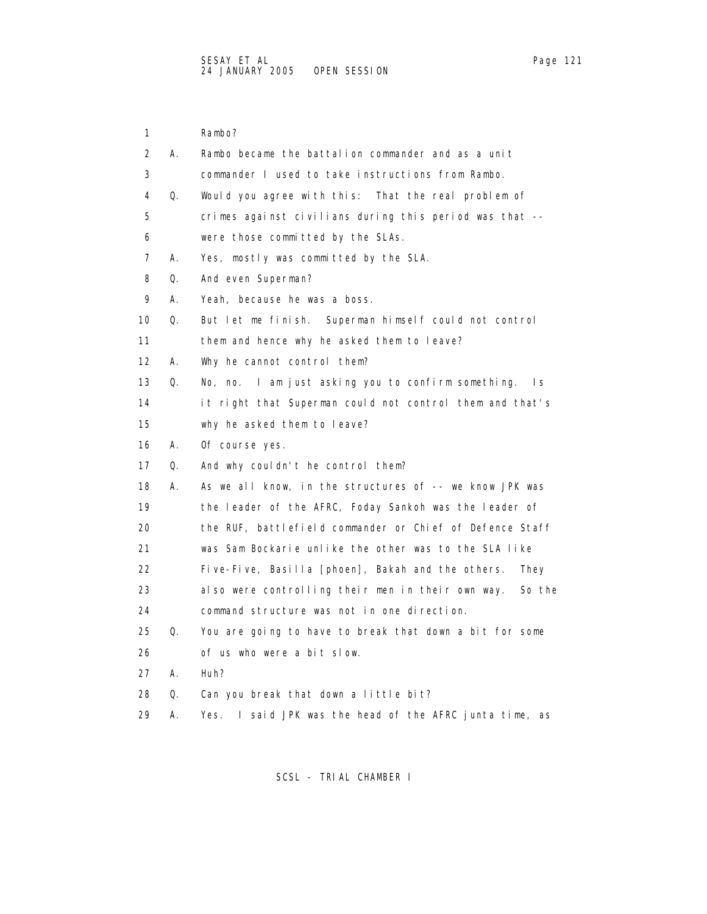| 1                 |    | Rambo?                                                      |
|-------------------|----|-------------------------------------------------------------|
| 2                 | А. | Rambo became the battalion commander and as a unit          |
| 3                 |    | commander I used to take instructions from Rambo.           |
| 4                 | Q. | Would you agree with this: That the real problem of         |
| 5                 |    | crimes against civilians during this period was that --     |
| 6                 |    | were those committed by the SLAs.                           |
| 7                 | А. | Yes, mostly was committed by the SLA.                       |
| 8                 | Q. | And even Superman?                                          |
| 9                 | А. | Yeah, because he was a boss.                                |
| 10                | Q. | But let me finish. Superman himself could not control       |
| 11                |    | them and hence why he asked them to leave?                  |
| $12 \overline{ }$ | А. | Why he cannot control them?                                 |
| 13                | Q. | No, no. I am just asking you to confirm something.<br>Is.   |
| 14                |    | it right that Superman could not control them and that's    |
| 15                |    | why he asked them to leave?                                 |
| 16                | А. | Of course yes.                                              |
| 17                | Q. | And why couldn't he control them?                           |
| 18                | А. | As we all know, in the structures of -- we know JPK was     |
| 19                |    | the leader of the AFRC, Foday Sankoh was the leader of      |
| 20                |    | the RUF, battlefield commander or Chief of Defence Staff    |
| 21                |    | was Sam Bockarie unlike the other was to the SLA like       |
| 22                |    | Five-Five, Basilla [phoen], Bakah and the others.<br>They   |
| 23                |    | also were controlling their men in their own way.<br>So the |
| 24                |    | command structure was not in one direction.                 |
| 25                | Q. | You are going to have to break that down a bit for some     |
| 26                |    | of us who were a bit slow.                                  |
| 27                | А. | Huh?                                                        |
| 28                | Q. | Can you break that down a little bit?                       |
| 29                | А. | I said JPK was the head of the AFRC junta time, as<br>Yes.  |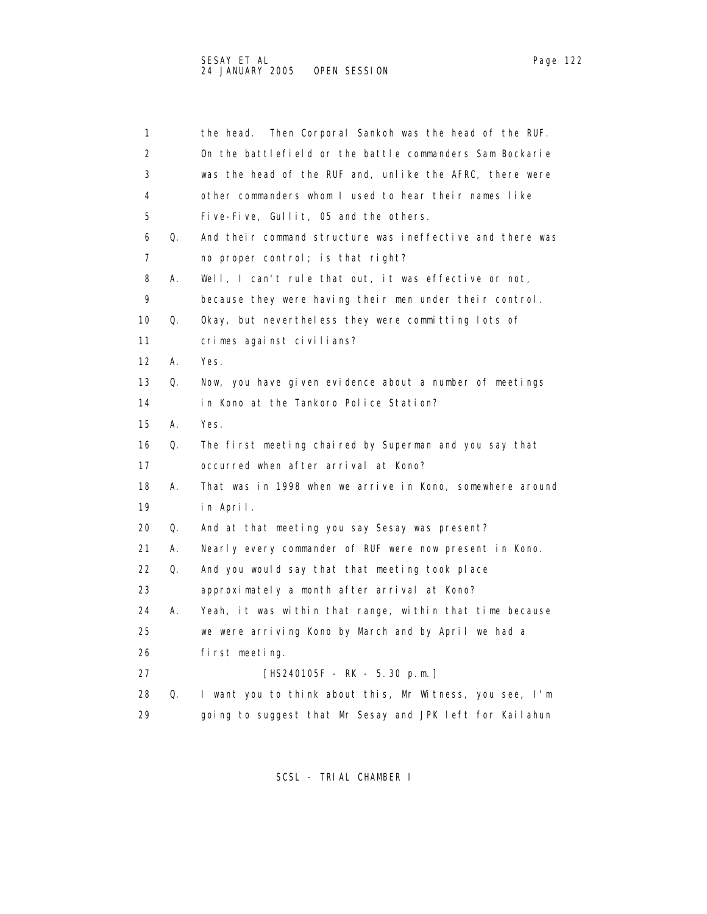| 1  |    | Then Corporal Sankoh was the head of the RUF.<br>the head. |
|----|----|------------------------------------------------------------|
| 2  |    | On the battlefield or the battle commanders Sam Bockarie   |
| 3  |    | was the head of the RUF and, unlike the AFRC, there were   |
| 4  |    | other commanders whom I used to hear their names like      |
| 5  |    | Five-Five, Gullit, 05 and the others.                      |
| 6  | Q. | And their command structure was ineffective and there was  |
| 7  |    | no proper control; is that right?                          |
| 8  | А. | Well, I can't rule that out, it was effective or not,      |
| 9  |    | because they were having their men under their control.    |
| 10 | Q. | Okay, but nevertheless they were committing lots of        |
| 11 |    | crimes against civilians?                                  |
| 12 | Α. | Yes.                                                       |
| 13 | Q. | Now, you have given evidence about a number of meetings    |
| 14 |    | in Kono at the Tankoro Police Station?                     |
| 15 | А. | Yes.                                                       |
| 16 | Q. | The first meeting chaired by Superman and you say that     |
| 17 |    | occurred when after arrival at Kono?                       |
| 18 | Α. | That was in 1998 when we arrive in Kono, somewhere around  |
| 19 |    | in April.                                                  |
| 20 | Q. | And at that meeting you say Sesay was present?             |
| 21 | А. | Nearly every commander of RUF were now present in Kono.    |
| 22 | Q. | And you would say that that meeting took place             |
| 23 |    | approximately a month after arrival at Kono?               |
| 24 | А. | Yeah, it was within that range, within that time because   |
| 25 |    | we were arriving Kono by March and by April we had a       |
| 26 |    | first meeting.                                             |
| 27 |    | [HS240105F - RK - 5.30 p.m.]                               |
| 28 | Q. | I want you to think about this, Mr Witness, you see, I'm   |
| 29 |    | going to suggest that Mr Sesay and JPK left for Kailahun   |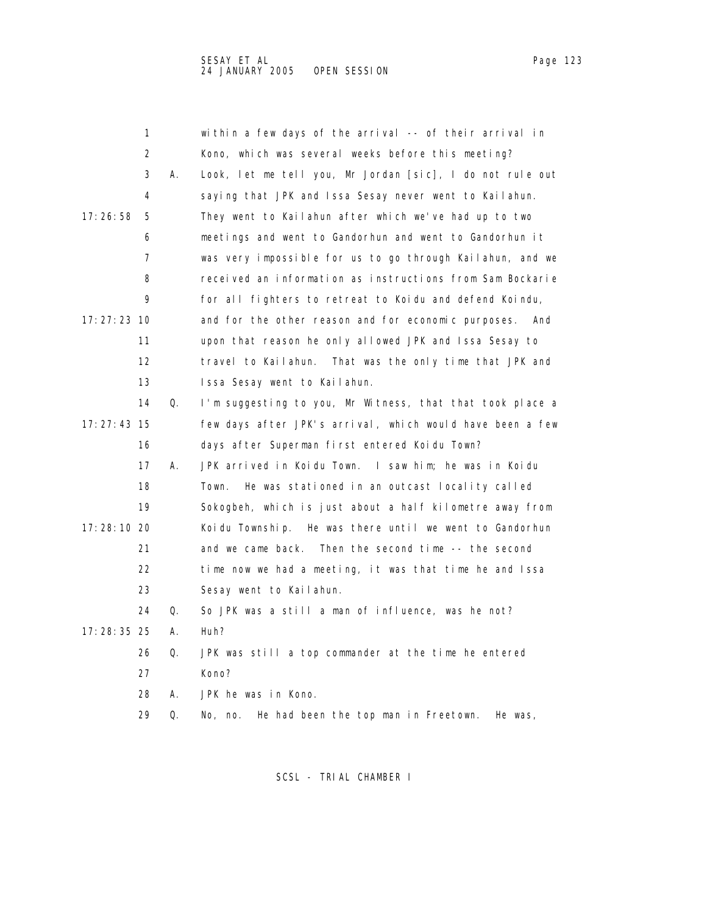1 within a few days of the arrival -- of their arrival in 2 Kono, which was several weeks before this meeting? 3 A. Look, let me tell you, Mr Jordan [sic], I do not rule out 4 saying that JPK and Issa Sesay never went to Kailahun. 17:26:58 5 They went to Kailahun after which we've had up to two 6 meetings and went to Gandorhun and went to Gandorhun it 7 was very impossible for us to go through Kailahun, and we 8 received an information as instructions from Sam Bockarie 9 for all fighters to retreat to Koidu and defend Koindu, 17:27:23 10 and for the other reason and for economic purposes. And 11 upon that reason he only allowed JPK and Issa Sesay to 12 travel to Kailahun. That was the only time that JPK and 13 Issa Sesay went to Kailahun. 14 Q. I'm suggesting to you, Mr Witness, that that took place a 17:27:43 15 few days after JPK's arrival, which would have been a few 16 days after Superman first entered Koidu Town? 17 A. JPK arrived in Koidu Town. I saw him; he was in Koidu 18 Town. He was stationed in an outcast locality called 19 Sokogbeh, which is just about a half kilometre away from 17:28:10 20 Koidu Township. He was there until we went to Gandorhun 21 and we came back. Then the second time -- the second 22 time now we had a meeting, it was that time he and Issa 23 Sesay went to Kailahun. 24 Q. So JPK was a still a man of influence, was he not? 17:28:35 25 A. Huh? 26 Q. JPK was still a top commander at the time he entered 27 Kono? 28 A. JPK he was in Kono.

SCSL - TRIAL CHAMBER I

29 Q. No, no. He had been the top man in Freetown. He was,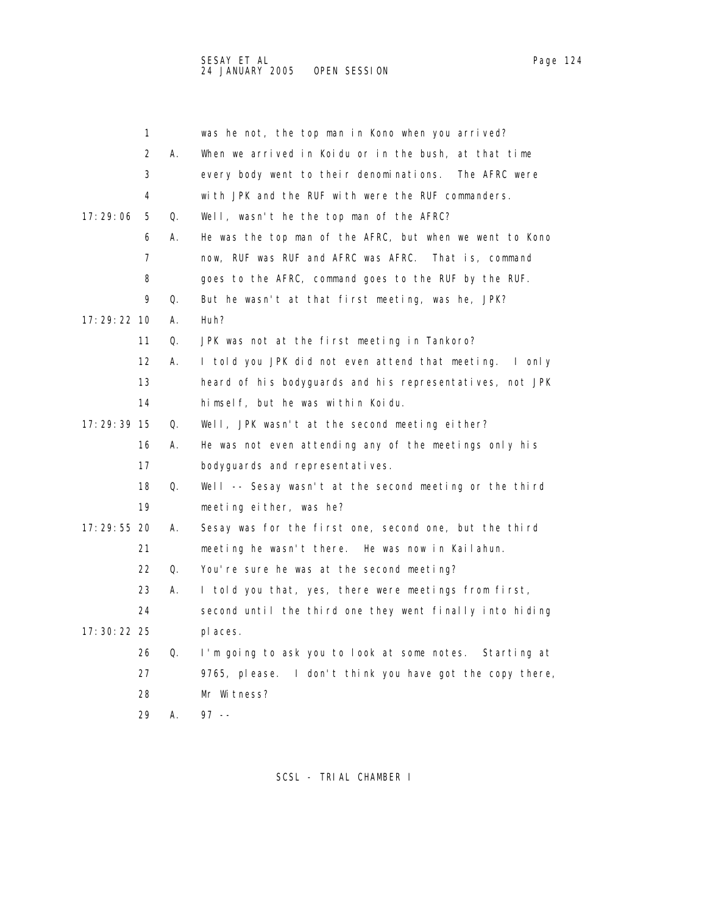|               | 1  |    | was he not, the top man in Kono when you arrived?          |
|---------------|----|----|------------------------------------------------------------|
|               | 2  | А. | When we arrived in Koidu or in the bush, at that time      |
|               | 3  |    | every body went to their denominations. The AFRC were      |
|               | 4  |    | with JPK and the RUF with were the RUF commanders.         |
| 17: 29: 06    | 5  | Q. | Well, wasn't he the top man of the AFRC?                   |
|               | 6  | А. | He was the top man of the AFRC, but when we went to Kono   |
|               | 7  |    | now, RUF was RUF and AFRC was AFRC. That is, command       |
|               | 8  |    | goes to the AFRC, command goes to the RUF by the RUF.      |
|               | 9  | Q. | But he wasn't at that first meeting, was he, JPK?          |
| 17: 29: 22 10 |    | А. | Huh?                                                       |
|               | 11 | Q. | JPK was not at the first meeting in Tankoro?               |
|               | 12 | Α. | I told you JPK did not even attend that meeting.<br>l only |
|               | 13 |    | heard of his bodyguards and his representatives, not JPK   |
|               | 14 |    | himself, but he was within Koidu.                          |
| 17: 29: 39 15 |    | Q. | Well, JPK wasn't at the second meeting either?             |
|               | 16 | А. | He was not even attending any of the meetings only his     |
|               | 17 |    | bodyguards and representatives.                            |
|               | 18 | Q. | Well -- Sesay wasn't at the second meeting or the third    |
|               | 19 |    | meeting either, was he?                                    |
| 17: 29: 55 20 |    | А. | Sesay was for the first one, second one, but the third     |
|               | 21 |    | meeting he wasn't there. He was now in Kailahun.           |
|               | 22 | Q. | You're sure he was at the second meeting?                  |
|               | 23 | А. | I told you that, yes, there were meetings from first,      |
|               | 24 |    | second until the third one they went finally into hiding   |
| 17: 30: 22 25 |    |    | pl aces.                                                   |
|               | 26 | Q. | I'm going to ask you to look at some notes. Starting at    |
|               | 27 |    | 9765, please. I don't think you have got the copy there,   |
|               | 28 |    | Mr Witness?                                                |
|               | 29 | А. | $97 - -$                                                   |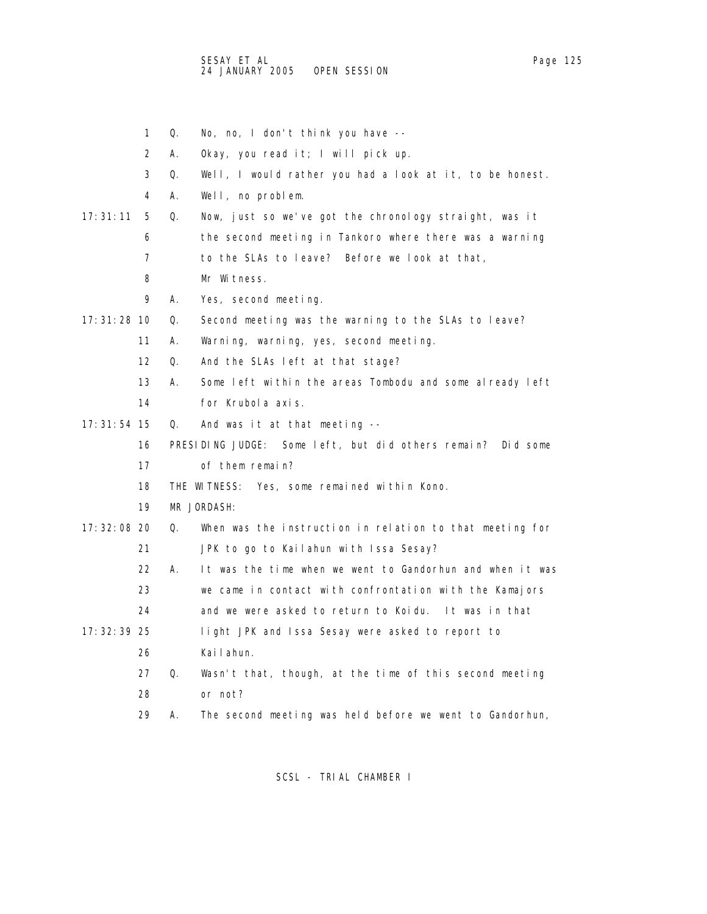1 Q. No, no, I don't think you have -- 2 A. Okay, you read it; I will pick up. 3 Q. Well, I would rather you had a look at it, to be honest. 4 A. Well, no problem. 17:31:11 5 Q. Now, just so we've got the chronology straight, was it 6 the second meeting in Tankoro where there was a warning 7 to the SLAs to leave? Before we look at that, 8 Mr Witness. 9 A. Yes, second meeting. 17:31:28 10 Q. Second meeting was the warning to the SLAs to leave? 11 A. Warning, warning, yes, second meeting. 12 Q. And the SLAs left at that stage? 13 A. Some left within the areas Tombodu and some already left 14 for Krubola axis. 17:31:54 15 Q. And was it at that meeting -- 16 PRESIDING JUDGE: Some left, but did others remain? Did some 17 of them remain? 18 THE WITNESS: Yes, some remained within Kono. 19 MR JORDASH: 17:32:08 20 Q. When was the instruction in relation to that meeting for 21 JPK to go to Kailahun with Issa Sesay? 22 A. It was the time when we went to Gandorhun and when it was 23 we came in contact with confrontation with the Kamajors 24 and we were asked to return to Koidu. It was in that 17:32:39 25 light JPK and Issa Sesay were asked to report to 26 Kailahun. 27 Q. Wasn't that, though, at the time of this second meeting 28 or not? 29 A. The second meeting was held before we went to Gandorhun,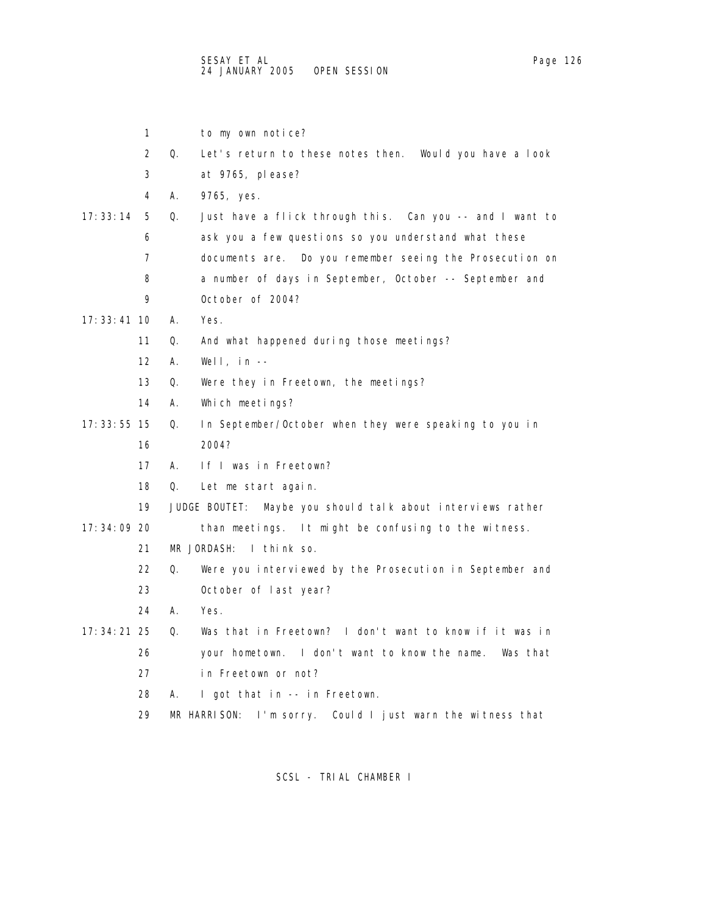|               | 1                 |    | to my own notice?                                              |
|---------------|-------------------|----|----------------------------------------------------------------|
|               | 2                 | Q. | Let's return to these notes then. Would you have a look        |
|               | 3                 |    | at 9765, please?                                               |
|               | 4                 | Α. | 9765, yes.                                                     |
| 17:33:14      | 5                 | Q. | Just have a flick through this. Can you -- and I want to       |
|               | 6                 |    | ask you a few questions so you understand what these           |
|               | 7                 |    | documents are. Do you remember seeing the Prosecution on       |
|               | 8                 |    | a number of days in September, October -- September and        |
|               | 9                 |    | October of 2004?                                               |
| 17: 33: 41 10 |                   | А. | Yes.                                                           |
|               | 11                | Q. | And what happened during those meetings?                       |
|               | $12 \overline{ }$ | А. | Well, $in$ --                                                  |
|               | 13                | Q. | Were they in Freetown, the meetings?                           |
|               | 14                | А. | Which meetings?                                                |
| 17: 33: 55 15 |                   | Q. | In September/October when they were speaking to you in         |
|               | 16                |    | 2004?                                                          |
|               | 17                | А. | If I was in Freetown?                                          |
|               | 18                | Q. | Let me start again.                                            |
|               | 19                |    | JUDGE BOUTET:<br>Maybe you should talk about interviews rather |
| 17: 34: 09 20 |                   |    | than meetings. It might be confusing to the witness.           |
|               | 21                |    | MR JORDASH:<br>I think so.                                     |
|               | 22                | Q. | Were you interviewed by the Prosecution in September and       |
|               | 23                |    | October of last year?                                          |
|               | 24                | А. | Yes.                                                           |
| $17:34:21$ 25 |                   | Q. | Was that in Freetown? I don't want to know if it was in        |
|               | 26                |    | your hometown. I don't want to know the name. Was that         |
|               | 27                |    | in Freetown or not?                                            |
|               | 28                | А. | I got that in -- in Freetown.                                  |
|               | 29                |    | I'm sorry. Could I just warn the witness that<br>MR HARRISON:  |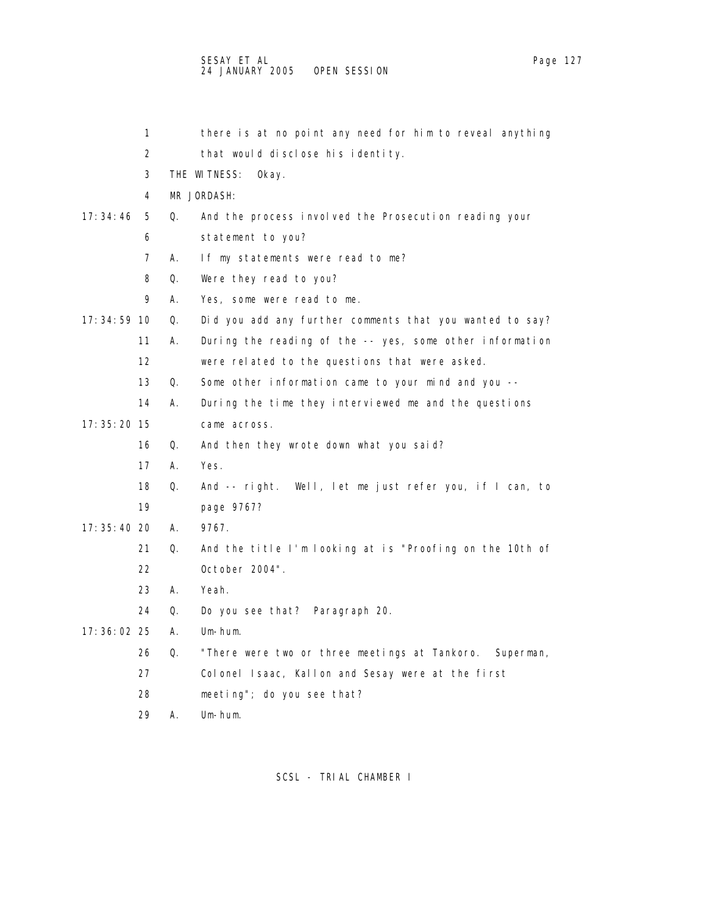|               | 1                 |    | there is at no point any need for him to reveal anything   |
|---------------|-------------------|----|------------------------------------------------------------|
|               | 2                 |    | that would disclose his identity.                          |
|               | 3                 |    | THE WITNESS:<br>0kay.                                      |
|               | 4                 |    | MR JORDASH:                                                |
| 17: 34: 46    | 5                 | Q. | And the process involved the Prosecution reading your      |
|               | 6                 |    | statement to you?                                          |
|               | 7                 | А. | If my statements were read to me?                          |
|               | 8                 | Q. | Were they read to you?                                     |
|               | 9                 | А. | Yes, some were read to me.                                 |
| $17:34:59$ 10 |                   | Q. | Did you add any further comments that you wanted to say?   |
|               | 11                | А. | During the reading of the -- yes, some other information   |
|               | $12 \overline{ }$ |    | were related to the questions that were asked.             |
|               | 13                | Q. | Some other information came to your mind and you --        |
|               | 14                | А. | During the time they interviewed me and the questions      |
| $17:35:20$ 15 |                   |    | came across.                                               |
|               | 16                | Q. | And then they wrote down what you said?                    |
|               | 17                | А. | Yes.                                                       |
|               | 18                | Q. | And -- right. Well, let me just refer you, if I can, to    |
|               | 19                |    | page 9767?                                                 |
| 17: 35: 40 20 |                   | А. | 9767.                                                      |
|               | 21                | Q. | And the title I'm looking at is "Proofing on the 10th of   |
|               | 22                |    | October 2004".                                             |
|               | 23                | Α. | Yeah.                                                      |
|               | 24                | Q. | Do you see that? Paragraph 20.                             |
| 17: 36: 02 25 |                   | А. | Um-hum.                                                    |
|               | 26                | Q. | "There were two or three meetings at Tankoro.<br>Superman, |
|               | 27                |    | Colonel Isaac, Kallon and Sesay were at the first          |
|               | 28                |    | meeting"; do you see that?                                 |
|               | 29                | А. | Um-hum.                                                    |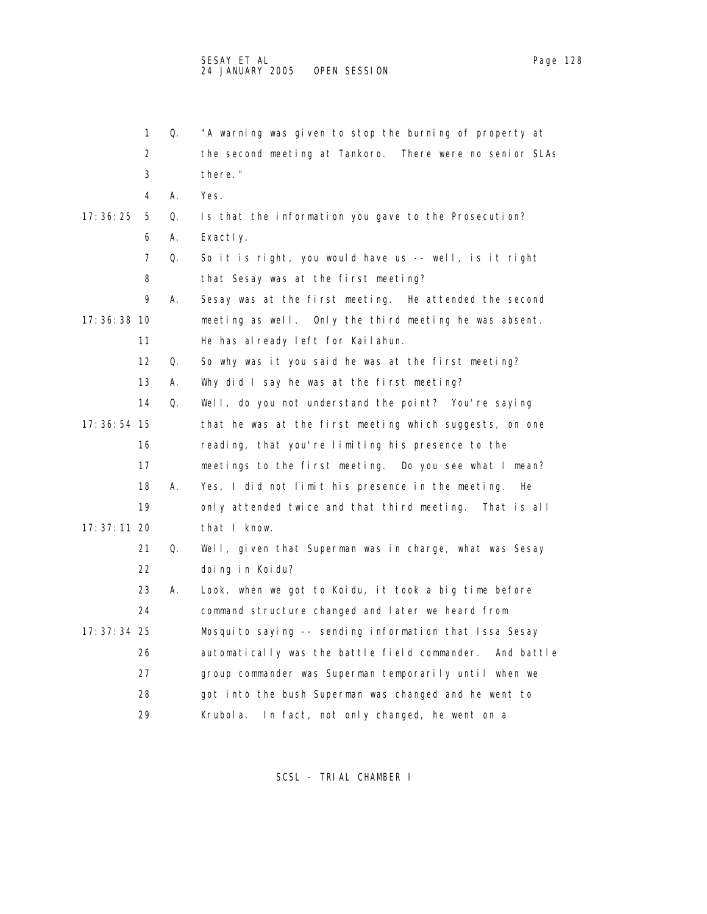|               | 1                 | Q. | "A warning was given to stop the burning of property at  |
|---------------|-------------------|----|----------------------------------------------------------|
|               | 2                 |    | the second meeting at Tankoro. There were no senior SLAs |
|               | 3                 |    | there."                                                  |
|               | 4                 | А. | Yes.                                                     |
| 17: 36: 25    | 5                 | Q. | Is that the information you gave to the Prosecution?     |
|               | 6                 | Α. | Exactly.                                                 |
|               | 7                 | Q. | So it is right, you would have us -- well, is it right   |
|               | 8                 |    | that Sesay was at the first meeting?                     |
|               | 9                 | А. | Sesay was at the first meeting. He attended the second   |
| 17: 36: 38 10 |                   |    | meeting as well. Only the third meeting he was absent.   |
|               | 11                |    | He has already left for Kailahun.                        |
|               | $12 \overline{ }$ | Q. | So why was it you said he was at the first meeting?      |
|               | 13                | А. | Why did I say he was at the first meeting?               |
|               | 14                | Q. | Well, do you not understand the point? You're saying     |
| 17: 36: 54 15 |                   |    | that he was at the first meeting which suggests, on one  |
|               | 16                |    | reading, that you're limiting his presence to the        |
|               | 17                |    | meetings to the first meeting. Do you see what I mean?   |
|               | 18                | А. | Yes, I did not limit his presence in the meeting.<br>He  |
|               | 19                |    | only attended twice and that third meeting. That is all  |
| 17: 37: 11 20 |                   |    | that I know.                                             |
|               | 21                | Q. | Well, given that Superman was in charge, what was Sesay  |
|               | 22                |    | doing in Koidu?                                          |
|               | 23                | А. | Look, when we got to Koidu, it took a big time before    |
|               | 24                |    | command structure changed and later we heard from        |
| 17: 37: 34 25 |                   |    | Mosquito saying -- sending information that Issa Sesay   |
|               | 26                |    | automatically was the battle field commander. And battle |
|               | 27                |    | group commander was Superman temporarily until when we   |
|               | 28                |    | got into the bush Superman was changed and he went to    |
|               | 29                |    | In fact, not only changed, he went on a<br>Krubol a.     |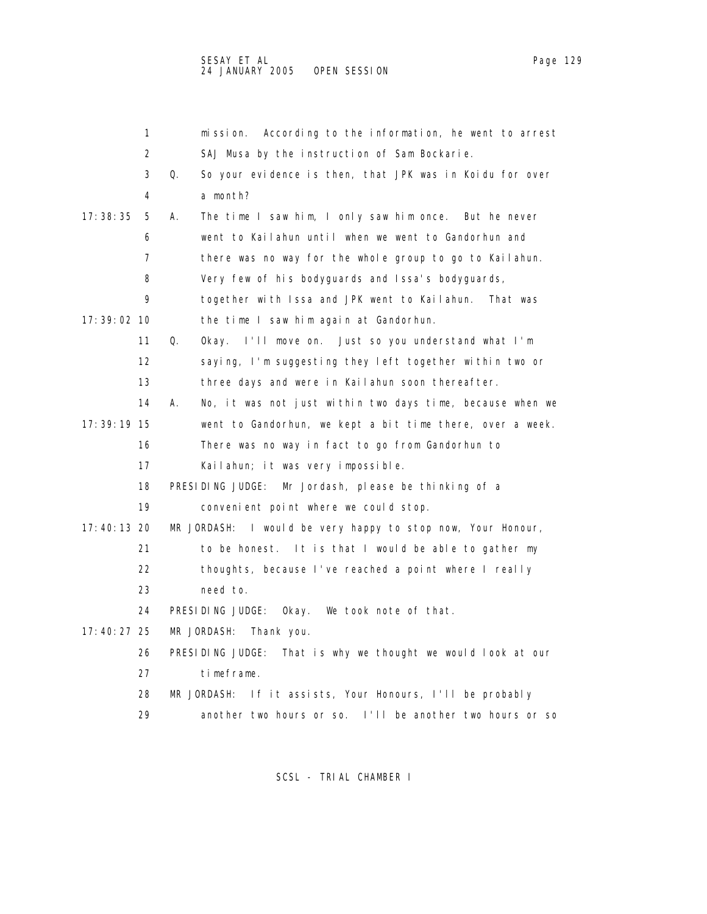|               | 1  | mission. According to the information, he went to arrest        |
|---------------|----|-----------------------------------------------------------------|
|               | 2  | SAJ Musa by the instruction of Sam Bockarie.                    |
|               | 3  | So your evidence is then, that JPK was in Koidu for over<br>Q.  |
|               | 4  | a month?                                                        |
| 17: 38: 35    | 5  | The time I saw him, I only saw him once. But he never<br>А.     |
|               | 6  | went to Kailahun until when we went to Gandorhun and            |
|               | 7  | there was no way for the whole group to go to Kailahun.         |
|               | 8  | Very few of his bodyguards and Issa's bodyguards,               |
|               | 9  | together with Issa and JPK went to Kailahun. That was           |
| 17: 39: 02 10 |    | the time I saw him again at Gandorhun.                          |
|               | 11 | Q.<br>Okay. I'll move on. Just so you understand what I'm       |
|               | 12 | saying, I'm suggesting they left together within two or         |
|               | 13 | three days and were in Kailahun soon thereafter.                |
|               | 14 | А.<br>No, it was not just within two days time, because when we |
| 17: 39: 19 15 |    | went to Gandorhun, we kept a bit time there, over a week.       |
|               | 16 | There was no way in fact to go from Gandorhun to                |
|               | 17 | Kailahun; it was very impossible.                               |
|               | 18 | PRESIDING JUDGE:<br>Mr Jordash, please be thinking of a         |
|               | 19 | convenient point where we could stop.                           |
| 17:40:13 20   |    | MR JORDASH: I would be very happy to stop now, Your Honour,     |
|               | 21 | to be honest. It is that I would be able to gather my           |
|               | 22 | thoughts, because I've reached a point where I really           |
|               | 23 | need to.                                                        |
|               | 24 | PRESIDING JUDGE:<br>Okay. We took note of that.                 |
| 17: 40: 27 25 |    | MR JORDASH:<br>Thank you.                                       |
|               | 26 | PRESIDING JUDGE:<br>That is why we thought we would look at our |
|               | 27 | timeframe.                                                      |
|               | 28 | If it assists, Your Honours, I'll be probably<br>MR JORDASH:    |
|               | 29 | another two hours or so. I'll be another two hours or so        |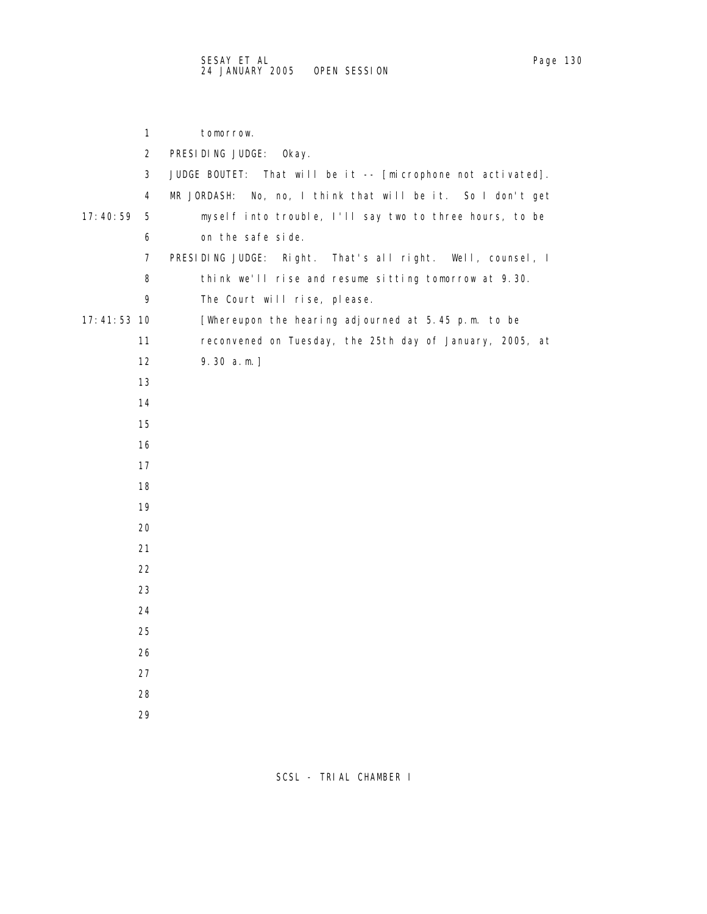| 1              | tomorrow.                                                           |
|----------------|---------------------------------------------------------------------|
| $\overline{a}$ | PRESIDING JUDGE:<br>0kay.                                           |
| 3              | JUDGE BOUTET:<br>That will be it -- [microphone not activated].     |
| 4              | MR JORDASH: No, no, I think that will be it. So I don't get         |
| 17:40:59<br>5  | myself into trouble, I'll say two to three hours, to be             |
| 6              | on the safe side.                                                   |
| 7              | PRESIDING JUDGE:<br>That's all right.<br>Well, counsel, I<br>Right. |
| 8              | think we'll rise and resume sitting tomorrow at 9.30.               |
| 9              | The Court will rise, please.                                        |
| $17:41:53$ 10  | [Whereupon the hearing adjourned at 5.45 p.m. to be                 |
| 11             | reconvened on Tuesday, the 25th day of January, 2005, at            |
| 12             | $9.30 a.m.$ ]                                                       |
| 13             |                                                                     |
| 14             |                                                                     |
| 15             |                                                                     |
| 16             |                                                                     |
| 17             |                                                                     |
| 18             |                                                                     |
| 19             |                                                                     |
| 20             |                                                                     |
| 21             |                                                                     |
| 22             |                                                                     |
| 23             |                                                                     |
| 24             |                                                                     |
| 25             |                                                                     |
| 26             |                                                                     |
| 27             |                                                                     |
| 28             |                                                                     |
| 29             |                                                                     |